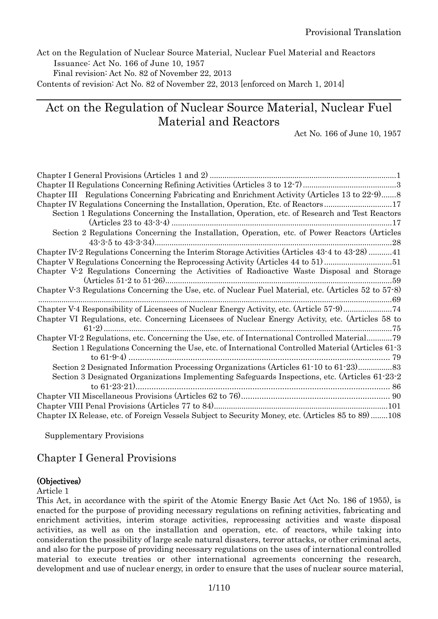Act on the Regulation of Nuclear Source Material, Nuclear Fuel Material and Reactors Issuance: Act No. 166 of June 10, 1957

Final revision: Act No. 82 of November 22, 2013

Contents of revision: Act No. 82 of November 22, 2013 [enforced on March 1, 2014]

# Act on the Regulation of Nuclear Source Material, Nuclear Fuel Material and Reactors

Act No. 166 of June 10, 1957

| Chapter III Regulations Concerning Fabricating and Enrichment Activity (Articles 13 to 22-9)8                      |
|--------------------------------------------------------------------------------------------------------------------|
| Chapter IV Regulations Concerning the Installation, Operation, Etc. of Reactors17                                  |
| Section 1 Regulations Concerning the Installation, Operation, etc. of Research and Test Reactors                   |
|                                                                                                                    |
| Section 2 Regulations Concerning the Installation, Operation, etc. of Power Reactors (Articles                     |
| Chapter IV-2 Regulations Concerning the Interim Storage Activities (Articles 43-4 to 43-28) 41                     |
| Chapter V Regulations Concerning the Reprocessing Activity (Articles 44 to 51)51                                   |
| Chapter V-2 Regulations Concerning the Activities of Radioactive Waste Disposal and Storage                        |
| Chapter V <sup>-</sup> 3 Regulations Concerning the Use, etc. of Nuclear Fuel Material, etc. (Articles 52 to 57-8) |
| Chapter V-4 Responsibility of Licensees of Nuclear Energy Activity, etc. (Article 57-9)74                          |
| Chapter VI Regulations, etc. Concerning Licensees of Nuclear Energy Activity, etc. (Articles 58 to                 |
| Chapter VI-2 Regulations, etc. Concerning the Use, etc. of International Controlled Material79                     |
| Section 1 Regulations Concerning the Use, etc. of International Controlled Material (Articles 61-3)                |
| Section 2 Designated Information Processing Organizations (Articles 61.10 to 61.23)                                |
| Section 3 Designated Organizations Implementing Safeguards Inspections, etc. (Articles 61-23-2)                    |
|                                                                                                                    |
|                                                                                                                    |
|                                                                                                                    |
| Chapter IX Release, etc. of Foreign Vessels Subject to Security Money, etc. (Articles 85 to 89) 108                |

Supplementary Provisions

# <span id="page-0-0"></span>Chapter I General Provisions

## (Objectives)

#### Article 1

This Act, in accordance with the spirit of the Atomic Energy Basic Act (Act No. 186 of 1955), is enacted for the purpose of providing necessary regulations on refining activities, fabricating and enrichment activities, interim storage activities, reprocessing activities and waste disposal activities, as well as on the installation and operation, etc. of reactors, while taking into consideration the possibility of large scale natural disasters, terror attacks, or other criminal acts, and also for the purpose of providing necessary regulations on the uses of international controlled material to execute treaties or other international agreements concerning the research, development and use of nuclear energy, in order to ensure that the uses of nuclear source material,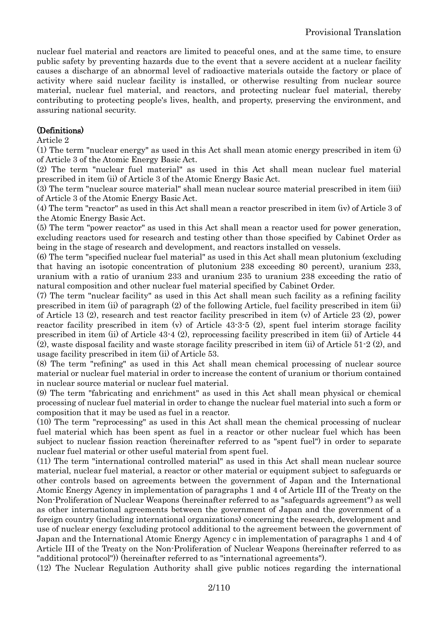nuclear fuel material and reactors are limited to peaceful ones, and at the same time, to ensure public safety by preventing hazards due to the event that a severe accident at a nuclear facility causes a discharge of an abnormal level of radioactive materials outside the factory or place of activity where said nuclear facility is installed, or otherwise resulting from nuclear source material, nuclear fuel material, and reactors, and protecting nuclear fuel material, thereby contributing to protecting people's lives, health, and property, preserving the environment, and assuring national security.

## (Definitions)

#### Article 2

(1) The term "nuclear energy" as used in this Act shall mean atomic energy prescribed in item (i) of Article 3 of the Atomic Energy Basic Act.

(2) The term "nuclear fuel material" as used in this Act shall mean nuclear fuel material prescribed in item (ii) of Article 3 of the Atomic Energy Basic Act.

(3) The term "nuclear source material" shall mean nuclear source material prescribed in item (iii) of Article 3 of the Atomic Energy Basic Act.

(4) The term "reactor" as used in this Act shall mean a reactor prescribed in item (iv) of Article 3 of the Atomic Energy Basic Act.

(5) The term "power reactor" as used in this Act shall mean a reactor used for power generation, excluding reactors used for research and testing other than those specified by Cabinet Order as being in the stage of research and development, and reactors installed on vessels.

(6) The term "specified nuclear fuel material" as used in this Act shall mean plutonium (excluding that having an isotopic concentration of plutonium 238 exceeding 80 percent), uranium 233, uranium with a ratio of uranium 233 and uranium 235 to uranium 238 exceeding the ratio of natural composition and other nuclear fuel material specified by Cabinet Order.

(7) The term "nuclear facility" as used in this Act shall mean such facility as a refining facility prescribed in item (ii) of paragraph (2) of the following Article, fuel facility prescribed in item (ii) of Article 13 (2), research and test reactor facility prescribed in item (v) of Article 23 (2), power reactor facility prescribed in item (v) of Article 43-3-5 (2), spent fuel interim storage facility prescribed in item (ii) of Article 43-4 (2), reprocessing facility prescribed in item (ii) of Article 44 (2), waste disposal facility and waste storage facility prescribed in item (ii) of Article 51-2 (2), and usage facility prescribed in item (ii) of Article 53.

(8) The term "refining" as used in this Act shall mean chemical processing of nuclear source material or nuclear fuel material in order to increase the content of uranium or thorium contained in nuclear source material or nuclear fuel material.

(9) The term "fabricating and enrichment" as used in this Act shall mean physical or chemical processing of nuclear fuel material in order to change the nuclear fuel material into such a form or composition that it may be used as fuel in a reactor.

(10) The term "reprocessing" as used in this Act shall mean the chemical processing of nuclear fuel material which has been spent as fuel in a reactor or other nuclear fuel which has been subject to nuclear fission reaction (hereinafter referred to as "spent fuel") in order to separate nuclear fuel material or other useful material from spent fuel.

(11) The term "international controlled material" as used in this Act shall mean nuclear source material, nuclear fuel material, a reactor or other material or equipment subject to safeguards or other controls based on agreements between the government of Japan and the International Atomic Energy Agency in implementation of paragraphs 1 and 4 of Article III of the Treaty on the Non-Proliferation of Nuclear Weapons (hereinafter referred to as "safeguards agreement") as well as other international agreements between the government of Japan and the government of a foreign country (including international organizations) concerning the research, development and use of nuclear energy (excluding protocol additional to the agreement between the government of Japan and the International Atomic Energy Agency c in implementation of paragraphs 1 and 4 of Article III of the Treaty on the Non-Proliferation of Nuclear Weapons (hereinafter referred to as "additional protocol")) (hereinafter referred to as "international agreements").

(12) The Nuclear Regulation Authority shall give public notices regarding the international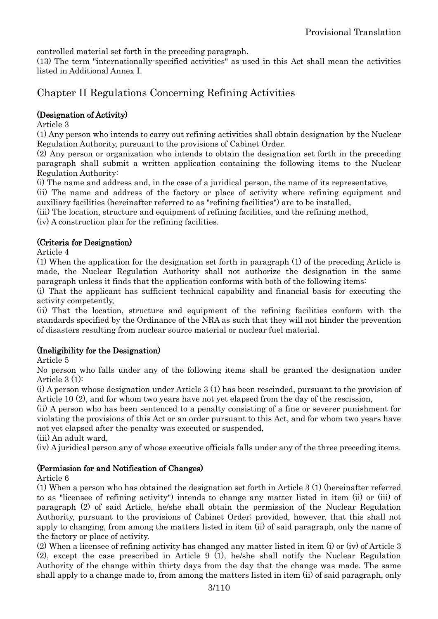controlled material set forth in the preceding paragraph.

(13) The term "internationally-specified activities" as used in this Act shall mean the activities listed in Additional Annex I.

# <span id="page-2-0"></span>Chapter II Regulations Concerning Refining Activities

## (Designation of Activity)

Article 3

(1) Any person who intends to carry out refining activities shall obtain designation by the Nuclear Regulation Authority, pursuant to the provisions of Cabinet Order.

(2) Any person or organization who intends to obtain the designation set forth in the preceding paragraph shall submit a written application containing the following items to the Nuclear Regulation Authority:

(i) The name and address and, in the case of a juridical person, the name of its representative,

(ii) The name and address of the factory or place of activity where refining equipment and auxiliary facilities (hereinafter referred to as "refining facilities") are to be installed,

(iii) The location, structure and equipment of refining facilities, and the refining method,

(iv) A construction plan for the refining facilities.

## (Criteria for Designation)

Article 4

(1) When the application for the designation set forth in paragraph (1) of the preceding Article is made, the Nuclear Regulation Authority shall not authorize the designation in the same paragraph unless it finds that the application conforms with both of the following items:

(i) That the applicant has sufficient technical capability and financial basis for executing the activity competently,

(ii) That the location, structure and equipment of the refining facilities conform with the standards specified by the Ordinance of the NRA as such that they will not hinder the prevention of disasters resulting from nuclear source material or nuclear fuel material.

## (Ineligibility for the Designation)

Article 5

No person who falls under any of the following items shall be granted the designation under Article 3 (1):

(i) A person whose designation under Article 3 (1) has been rescinded, pursuant to the provision of Article 10 (2), and for whom two years have not yet elapsed from the day of the rescission,

(ii) A person who has been sentenced to a penalty consisting of a fine or severer punishment for violating the provisions of this Act or an order pursuant to this Act, and for whom two years have not yet elapsed after the penalty was executed or suspended,

(iii) An adult ward,

(iv) A juridical person any of whose executive officials falls under any of the three preceding items.

## (Permission for and Notification of Changes)

Article 6

(1) When a person who has obtained the designation set forth in Article 3 (1) (hereinafter referred to as "licensee of refining activity") intends to change any matter listed in item (ii) or (iii) of paragraph (2) of said Article, he/she shall obtain the permission of the Nuclear Regulation Authority, pursuant to the provisions of Cabinet Order; provided, however, that this shall not apply to changing, from among the matters listed in item (ii) of said paragraph, only the name of the factory or place of activity.

(2) When a licensee of refining activity has changed any matter listed in item (i) or (iv) of Article 3 (2), except the case prescribed in Article 9 (1), he/she shall notify the Nuclear Regulation Authority of the change within thirty days from the day that the change was made. The same shall apply to a change made to, from among the matters listed in item (ii) of said paragraph, only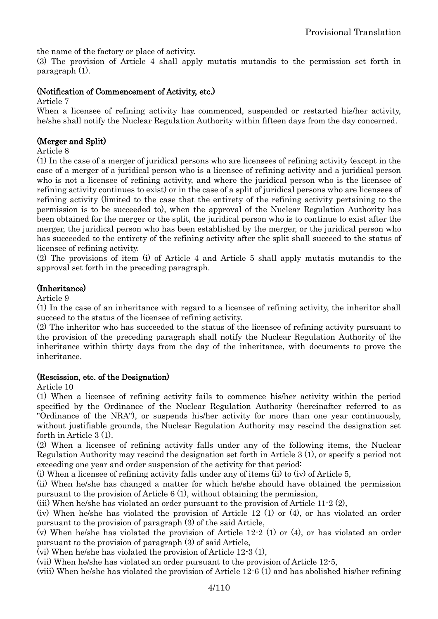the name of the factory or place of activity.

(3) The provision of Article 4 shall apply mutatis mutandis to the permission set forth in paragraph (1).

## (Notification of Commencement of Activity, etc.)

Article 7

When a licensee of refining activity has commenced, suspended or restarted his/her activity, he/she shall notify the Nuclear Regulation Authority within fifteen days from the day concerned.

## (Merger and Split)

Article 8

(1) In the case of a merger of juridical persons who are licensees of refining activity (except in the case of a merger of a juridical person who is a licensee of refining activity and a juridical person who is not a licensee of refining activity, and where the juridical person who is the licensee of refining activity continues to exist) or in the case of a split of juridical persons who are licensees of refining activity (limited to the case that the entirety of the refining activity pertaining to the permission is to be succeeded to), when the approval of the Nuclear Regulation Authority has been obtained for the merger or the split, the juridical person who is to continue to exist after the merger, the juridical person who has been established by the merger, or the juridical person who has succeeded to the entirety of the refining activity after the split shall succeed to the status of licensee of refining activity.

(2) The provisions of item (i) of Article 4 and Article 5 shall apply mutatis mutandis to the approval set forth in the preceding paragraph.

## (Inheritance)

Article 9

(1) In the case of an inheritance with regard to a licensee of refining activity, the inheritor shall succeed to the status of the licensee of refining activity.

(2) The inheritor who has succeeded to the status of the licensee of refining activity pursuant to the provision of the preceding paragraph shall notify the Nuclear Regulation Authority of the inheritance within thirty days from the day of the inheritance, with documents to prove the inheritance.

## (Rescission, etc. of the Designation)

Article 10

(1) When a licensee of refining activity fails to commence his/her activity within the period specified by the Ordinance of the Nuclear Regulation Authority (hereinafter referred to as "Ordinance of the NRA"), or suspends his/her activity for more than one year continuously, without justifiable grounds, the Nuclear Regulation Authority may rescind the designation set forth in Article 3 (1).

(2) When a licensee of refining activity falls under any of the following items, the Nuclear Regulation Authority may rescind the designation set forth in Article 3 (1), or specify a period not exceeding one year and order suspension of the activity for that period:

(i) When a licensee of refining activity falls under any of items (ii) to (iv) of Article 5,

(ii) When he/she has changed a matter for which he/she should have obtained the permission pursuant to the provision of Article 6 (1), without obtaining the permission,

(iii) When he/she has violated an order pursuant to the provision of Article 11-2 (2),

(iv) When he/she has violated the provision of Article 12 (1) or (4), or has violated an order pursuant to the provision of paragraph (3) of the said Article,

(v) When he/she has violated the provision of Article 12-2 (1) or (4), or has violated an order pursuant to the provision of paragraph (3) of said Article,

(vi) When he/she has violated the provision of Article 12-3 (1),

(vii) When he/she has violated an order pursuant to the provision of Article 12-5,

(viii) When he/she has violated the provision of Article 12-6 (1) and has abolished his/her refining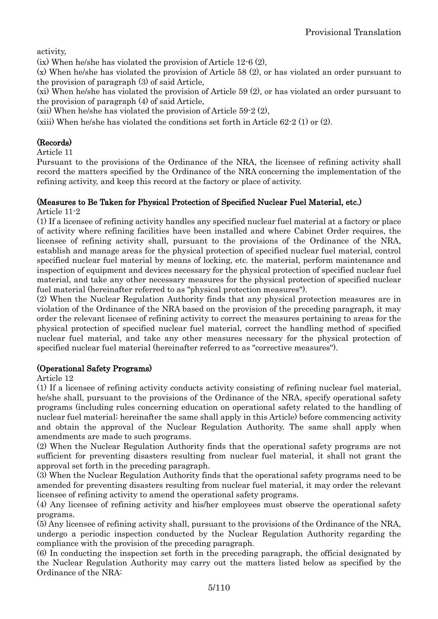activity,

(ix) When he/she has violated the provision of Article 12-6 (2),

(x) When he/she has violated the provision of Article 58 (2), or has violated an order pursuant to the provision of paragraph (3) of said Article,

(xi) When he/she has violated the provision of Article 59 (2), or has violated an order pursuant to the provision of paragraph (4) of said Article,

(xii) When he/she has violated the provision of Article 59-2 (2),

(xiii) When he/she has violated the conditions set forth in Article 62-2 (1) or (2).

## (Records)

Article 11

Pursuant to the provisions of the Ordinance of the NRA, the licensee of refining activity shall record the matters specified by the Ordinance of the NRA concerning the implementation of the refining activity, and keep this record at the factory or place of activity.

## (Measures to Be Taken for Physical Protection of Specified Nuclear Fuel Material, etc.)

Article 11-2

(1) If a licensee of refining activity handles any specified nuclear fuel material at a factory or place of activity where refining facilities have been installed and where Cabinet Order requires, the licensee of refining activity shall, pursuant to the provisions of the Ordinance of the NRA, establish and manage areas for the physical protection of specified nuclear fuel material, control specified nuclear fuel material by means of locking, etc. the material, perform maintenance and inspection of equipment and devices necessary for the physical protection of specified nuclear fuel material, and take any other necessary measures for the physical protection of specified nuclear fuel material (hereinafter referred to as "physical protection measures").

(2) When the Nuclear Regulation Authority finds that any physical protection measures are in violation of the Ordinance of the NRA based on the provision of the preceding paragraph, it may order the relevant licensee of refining activity to correct the measures pertaining to areas for the physical protection of specified nuclear fuel material, correct the handling method of specified nuclear fuel material, and take any other measures necessary for the physical protection of specified nuclear fuel material (hereinafter referred to as "corrective measures").

## (Operational Safety Programs)

Article 12

(1) If a licensee of refining activity conducts activity consisting of refining nuclear fuel material, he/she shall, pursuant to the provisions of the Ordinance of the NRA, specify operational safety programs (including rules concerning education on operational safety related to the handling of nuclear fuel material; hereinafter the same shall apply in this Article) before commencing activity and obtain the approval of the Nuclear Regulation Authority. The same shall apply when amendments are made to such programs.

(2) When the Nuclear Regulation Authority finds that the operational safety programs are not sufficient for preventing disasters resulting from nuclear fuel material, it shall not grant the approval set forth in the preceding paragraph.

(3) When the Nuclear Regulation Authority finds that the operational safety programs need to be amended for preventing disasters resulting from nuclear fuel material, it may order the relevant licensee of refining activity to amend the operational safety programs.

(4) Any licensee of refining activity and his/her employees must observe the operational safety programs.

(5) Any licensee of refining activity shall, pursuant to the provisions of the Ordinance of the NRA, undergo a periodic inspection conducted by the Nuclear Regulation Authority regarding the compliance with the provision of the preceding paragraph.

(6) In conducting the inspection set forth in the preceding paragraph, the official designated by the Nuclear Regulation Authority may carry out the matters listed below as specified by the Ordinance of the NRA: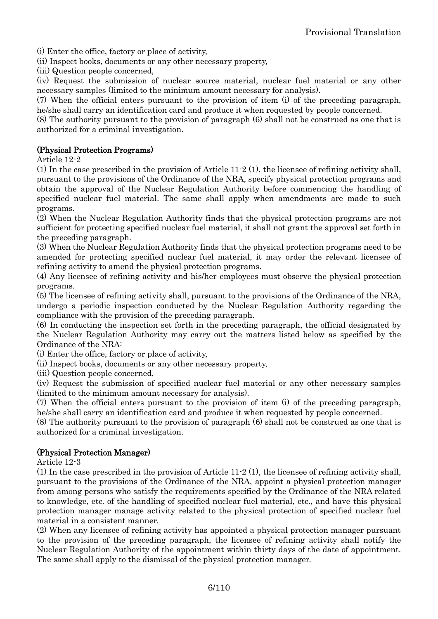(i) Enter the office, factory or place of activity,

(ii) Inspect books, documents or any other necessary property,

(iii) Question people concerned,

(iv) Request the submission of nuclear source material, nuclear fuel material or any other necessary samples (limited to the minimum amount necessary for analysis).

(7) When the official enters pursuant to the provision of item (i) of the preceding paragraph, he/she shall carry an identification card and produce it when requested by people concerned.

(8) The authority pursuant to the provision of paragraph (6) shall not be construed as one that is authorized for a criminal investigation.

## (Physical Protection Programs)

Article 12-2

(1) In the case prescribed in the provision of Article 11-2 (1), the licensee of refining activity shall, pursuant to the provisions of the Ordinance of the NRA, specify physical protection programs and obtain the approval of the Nuclear Regulation Authority before commencing the handling of specified nuclear fuel material. The same shall apply when amendments are made to such programs.

(2) When the Nuclear Regulation Authority finds that the physical protection programs are not sufficient for protecting specified nuclear fuel material, it shall not grant the approval set forth in the preceding paragraph.

(3) When the Nuclear Regulation Authority finds that the physical protection programs need to be amended for protecting specified nuclear fuel material, it may order the relevant licensee of refining activity to amend the physical protection programs.

(4) Any licensee of refining activity and his/her employees must observe the physical protection programs.

(5) The licensee of refining activity shall, pursuant to the provisions of the Ordinance of the NRA, undergo a periodic inspection conducted by the Nuclear Regulation Authority regarding the compliance with the provision of the preceding paragraph.

(6) In conducting the inspection set forth in the preceding paragraph, the official designated by the Nuclear Regulation Authority may carry out the matters listed below as specified by the Ordinance of the NRA:

(i) Enter the office, factory or place of activity,

(ii) Inspect books, documents or any other necessary property,

(iii) Question people concerned,

(iv) Request the submission of specified nuclear fuel material or any other necessary samples (limited to the minimum amount necessary for analysis).

(7) When the official enters pursuant to the provision of item (i) of the preceding paragraph, he/she shall carry an identification card and produce it when requested by people concerned.

(8) The authority pursuant to the provision of paragraph (6) shall not be construed as one that is authorized for a criminal investigation.

## (Physical Protection Manager)

Article 12-3

(1) In the case prescribed in the provision of Article 11-2 (1), the licensee of refining activity shall, pursuant to the provisions of the Ordinance of the NRA, appoint a physical protection manager from among persons who satisfy the requirements specified by the Ordinance of the NRA related to knowledge, etc. of the handling of specified nuclear fuel material, etc., and have this physical protection manager manage activity related to the physical protection of specified nuclear fuel material in a consistent manner.

(2) When any licensee of refining activity has appointed a physical protection manager pursuant to the provision of the preceding paragraph, the licensee of refining activity shall notify the Nuclear Regulation Authority of the appointment within thirty days of the date of appointment. The same shall apply to the dismissal of the physical protection manager.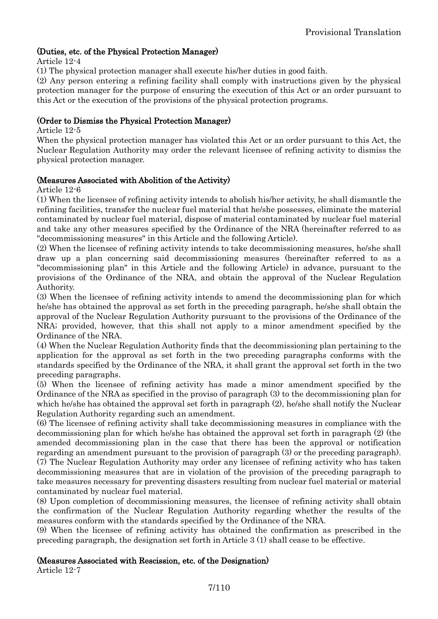## (Duties, etc. of the Physical Protection Manager)

Article 12-4

(1) The physical protection manager shall execute his/her duties in good faith.

(2) Any person entering a refining facility shall comply with instructions given by the physical protection manager for the purpose of ensuring the execution of this Act or an order pursuant to this Act or the execution of the provisions of the physical protection programs.

## (Order to Dismiss the Physical Protection Manager)

Article 12-5

When the physical protection manager has violated this Act or an order pursuant to this Act, the Nuclear Regulation Authority may order the relevant licensee of refining activity to dismiss the physical protection manager.

## (Measures Associated with Abolition of the Activity)

Article 12-6

(1) When the licensee of refining activity intends to abolish his/her activity, he shall dismantle the refining facilities, transfer the nuclear fuel material that he/she possesses, eliminate the material contaminated by nuclear fuel material, dispose of material contaminated by nuclear fuel material and take any other measures specified by the Ordinance of the NRA (hereinafter referred to as "decommissioning measures" in this Article and the following Article).

(2) When the licensee of refining activity intends to take decommissioning measures, he/she shall draw up a plan concerning said decommissioning measures (hereinafter referred to as a "decommissioning plan" in this Article and the following Article) in advance, pursuant to the provisions of the Ordinance of the NRA, and obtain the approval of the Nuclear Regulation Authority.

(3) When the licensee of refining activity intends to amend the decommissioning plan for which he/she has obtained the approval as set forth in the preceding paragraph, he/she shall obtain the approval of the Nuclear Regulation Authority pursuant to the provisions of the Ordinance of the NRA; provided, however, that this shall not apply to a minor amendment specified by the Ordinance of the NRA.

(4) When the Nuclear Regulation Authority finds that the decommissioning plan pertaining to the application for the approval as set forth in the two preceding paragraphs conforms with the standards specified by the Ordinance of the NRA, it shall grant the approval set forth in the two preceding paragraphs.

(5) When the licensee of refining activity has made a minor amendment specified by the Ordinance of the NRA as specified in the proviso of paragraph (3) to the decommissioning plan for which he/she has obtained the approval set forth in paragraph (2), he/she shall notify the Nuclear Regulation Authority regarding such an amendment.

(6) The licensee of refining activity shall take decommissioning measures in compliance with the decommissioning plan for which he/she has obtained the approval set forth in paragraph (2) (the amended decommissioning plan in the case that there has been the approval or notification regarding an amendment pursuant to the provision of paragraph (3) or the preceding paragraph). (7) The Nuclear Regulation Authority may order any licensee of refining activity who has taken decommissioning measures that are in violation of the provision of the preceding paragraph to take measures necessary for preventing disasters resulting from nuclear fuel material or material contaminated by nuclear fuel material.

(8) Upon completion of decommissioning measures, the licensee of refining activity shall obtain the confirmation of the Nuclear Regulation Authority regarding whether the results of the measures conform with the standards specified by the Ordinance of the NRA.

(9) When the licensee of refining activity has obtained the confirmation as prescribed in the preceding paragraph, the designation set forth in Article 3 (1) shall cease to be effective.

#### (Measures Associated with Rescission, etc. of the Designation)

Article 12-7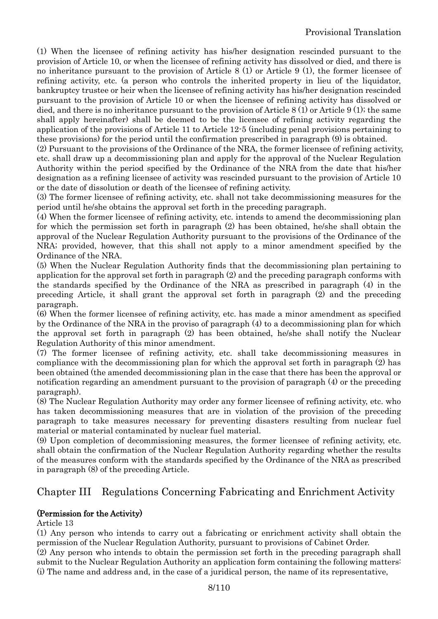(1) When the licensee of refining activity has his/her designation rescinded pursuant to the provision of Article 10, or when the licensee of refining activity has dissolved or died, and there is no inheritance pursuant to the provision of Article 8 (1) or Article 9 (1), the former licensee of refining activity, etc. (a person who controls the inherited property in lieu of the liquidator, bankruptcy trustee or heir when the licensee of refining activity has his/her designation rescinded pursuant to the provision of Article 10 or when the licensee of refining activity has dissolved or died, and there is no inheritance pursuant to the provision of Article 8 (1) or Article 9 (1); the same shall apply hereinafter) shall be deemed to be the licensee of refining activity regarding the application of the provisions of Article 11 to Article 12-5 (including penal provisions pertaining to these provisions) for the period until the confirmation prescribed in paragraph (9) is obtained.

(2) Pursuant to the provisions of the Ordinance of the NRA, the former licensee of refining activity, etc. shall draw up a decommissioning plan and apply for the approval of the Nuclear Regulation Authority within the period specified by the Ordinance of the NRA from the date that his/her designation as a refining licensee of activity was rescinded pursuant to the provision of Article 10 or the date of dissolution or death of the licensee of refining activity.

(3) The former licensee of refining activity, etc. shall not take decommissioning measures for the period until he/she obtains the approval set forth in the preceding paragraph.

(4) When the former licensee of refining activity, etc. intends to amend the decommissioning plan for which the permission set forth in paragraph (2) has been obtained, he/she shall obtain the approval of the Nuclear Regulation Authority pursuant to the provisions of the Ordinance of the NRA; provided, however, that this shall not apply to a minor amendment specified by the Ordinance of the NRA.

(5) When the Nuclear Regulation Authority finds that the decommissioning plan pertaining to application for the approval set forth in paragraph (2) and the preceding paragraph conforms with the standards specified by the Ordinance of the NRA as prescribed in paragraph (4) in the preceding Article, it shall grant the approval set forth in paragraph (2) and the preceding paragraph.

(6) When the former licensee of refining activity, etc. has made a minor amendment as specified by the Ordinance of the NRA in the proviso of paragraph (4) to a decommissioning plan for which the approval set forth in paragraph (2) has been obtained, he/she shall notify the Nuclear Regulation Authority of this minor amendment.

(7) The former licensee of refining activity, etc. shall take decommissioning measures in compliance with the decommissioning plan for which the approval set forth in paragraph (2) has been obtained (the amended decommissioning plan in the case that there has been the approval or notification regarding an amendment pursuant to the provision of paragraph (4) or the preceding paragraph).

(8) The Nuclear Regulation Authority may order any former licensee of refining activity, etc. who has taken decommissioning measures that are in violation of the provision of the preceding paragraph to take measures necessary for preventing disasters resulting from nuclear fuel material or material contaminated by nuclear fuel material.

(9) Upon completion of decommissioning measures, the former licensee of refining activity, etc. shall obtain the confirmation of the Nuclear Regulation Authority regarding whether the results of the measures conform with the standards specified by the Ordinance of the NRA as prescribed in paragraph (8) of the preceding Article.

# <span id="page-7-0"></span>Chapter III Regulations Concerning Fabricating and Enrichment Activity

## (Permission for the Activity)

Article 13

(1) Any person who intends to carry out a fabricating or enrichment activity shall obtain the permission of the Nuclear Regulation Authority, pursuant to provisions of Cabinet Order.

(2) Any person who intends to obtain the permission set forth in the preceding paragraph shall submit to the Nuclear Regulation Authority an application form containing the following matters: (i) The name and address and, in the case of a juridical person, the name of its representative,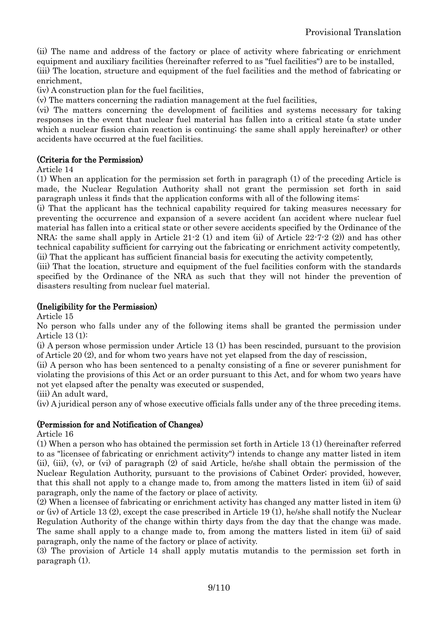(ii) The name and address of the factory or place of activity where fabricating or enrichment

equipment and auxiliary facilities (hereinafter referred to as "fuel facilities") are to be installed, (iii) The location, structure and equipment of the fuel facilities and the method of fabricating or enrichment,

(iv) A construction plan for the fuel facilities,

(v) The matters concerning the radiation management at the fuel facilities,

(vi) The matters concerning the development of facilities and systems necessary for taking responses in the event that nuclear fuel material has fallen into a critical state (a state under which a nuclear fission chain reaction is continuing; the same shall apply hereinafter) or other accidents have occurred at the fuel facilities.

## (Criteria for the Permission)

Article 14

(1) When an application for the permission set forth in paragraph (1) of the preceding Article is made, the Nuclear Regulation Authority shall not grant the permission set forth in said paragraph unless it finds that the application conforms with all of the following items:

(i) That the applicant has the technical capability required for taking measures necessary for preventing the occurrence and expansion of a severe accident (an accident where nuclear fuel material has fallen into a critical state or other severe accidents specified by the Ordinance of the NRA; the same shall apply in Article 21-2 (1) and item (ii) of Article 22-7-2 (2)) and has other technical capability sufficient for carrying out the fabricating or enrichment activity competently, (ii) That the applicant has sufficient financial basis for executing the activity competently,

(iii) That the location, structure and equipment of the fuel facilities conform with the standards specified by the Ordinance of the NRA as such that they will not hinder the prevention of disasters resulting from nuclear fuel material.

## (Ineligibility for the Permission)

Article 15

No person who falls under any of the following items shall be granted the permission under Article 13 (1):

(i) A person whose permission under Article 13 (1) has been rescinded, pursuant to the provision of Article 20 (2), and for whom two years have not yet elapsed from the day of rescission,

(ii) A person who has been sentenced to a penalty consisting of a fine or severer punishment for violating the provisions of this Act or an order pursuant to this Act, and for whom two years have not yet elapsed after the penalty was executed or suspended,

(iii) An adult ward,

(iv) A juridical person any of whose executive officials falls under any of the three preceding items.

## (Permission for and Notification of Changes)

Article 16

(1) When a person who has obtained the permission set forth in Article 13 (1) (hereinafter referred to as "licensee of fabricating or enrichment activity") intends to change any matter listed in item (ii), (iii), (v), or (vi) of paragraph (2) of said Article, he/she shall obtain the permission of the Nuclear Regulation Authority, pursuant to the provisions of Cabinet Order; provided, however, that this shall not apply to a change made to, from among the matters listed in item (ii) of said paragraph, only the name of the factory or place of activity.

(2) When a licensee of fabricating or enrichment activity has changed any matter listed in item (i) or (iv) of Article 13 (2), except the case prescribed in Article 19 (1), he/she shall notify the Nuclear Regulation Authority of the change within thirty days from the day that the change was made. The same shall apply to a change made to, from among the matters listed in item (ii) of said paragraph, only the name of the factory or place of activity.

(3) The provision of Article 14 shall apply mutatis mutandis to the permission set forth in paragraph (1).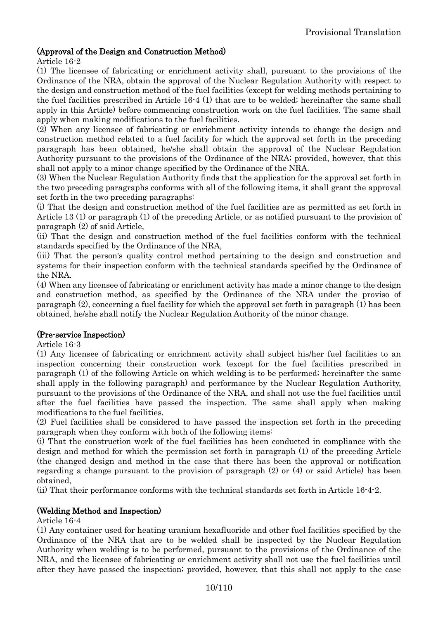## (Approval of the Design and Construction Method)

Article 16-2

(1) The licensee of fabricating or enrichment activity shall, pursuant to the provisions of the Ordinance of the NRA, obtain the approval of the Nuclear Regulation Authority with respect to the design and construction method of the fuel facilities (except for welding methods pertaining to the fuel facilities prescribed in Article 16-4 (1) that are to be welded; hereinafter the same shall apply in this Article) before commencing construction work on the fuel facilities. The same shall apply when making modifications to the fuel facilities.

(2) When any licensee of fabricating or enrichment activity intends to change the design and construction method related to a fuel facility for which the approval set forth in the preceding paragraph has been obtained, he/she shall obtain the approval of the Nuclear Regulation Authority pursuant to the provisions of the Ordinance of the NRA; provided, however, that this shall not apply to a minor change specified by the Ordinance of the NRA.

(3) When the Nuclear Regulation Authority finds that the application for the approval set forth in the two preceding paragraphs conforms with all of the following items, it shall grant the approval set forth in the two preceding paragraphs:

(i) That the design and construction method of the fuel facilities are as permitted as set forth in Article 13 (1) or paragraph (1) of the preceding Article, or as notified pursuant to the provision of paragraph (2) of said Article,

(ii) That the design and construction method of the fuel facilities conform with the technical standards specified by the Ordinance of the NRA,

(iii) That the person's quality control method pertaining to the design and construction and systems for their inspection conform with the technical standards specified by the Ordinance of the NRA.

(4) When any licensee of fabricating or enrichment activity has made a minor change to the design and construction method, as specified by the Ordinance of the NRA under the proviso of paragraph (2), concerning a fuel facility for which the approval set forth in paragraph (1) has been obtained, he/she shall notify the Nuclear Regulation Authority of the minor change.

## (Pre-service Inspection)

Article 16-3

(1) Any licensee of fabricating or enrichment activity shall subject his/her fuel facilities to an inspection concerning their construction work (except for the fuel facilities prescribed in paragraph (1) of the following Article on which welding is to be performed; hereinafter the same shall apply in the following paragraph) and performance by the Nuclear Regulation Authority, pursuant to the provisions of the Ordinance of the NRA, and shall not use the fuel facilities until after the fuel facilities have passed the inspection. The same shall apply when making modifications to the fuel facilities.

(2) Fuel facilities shall be considered to have passed the inspection set forth in the preceding paragraph when they conform with both of the following items:

(i) That the construction work of the fuel facilities has been conducted in compliance with the design and method for which the permission set forth in paragraph (1) of the preceding Article (the changed design and method in the case that there has been the approval or notification regarding a change pursuant to the provision of paragraph (2) or (4) or said Article) has been obtained,

(ii) That their performance conforms with the technical standards set forth in Article 16-4-2.

## (Welding Method and Inspection)

Article 16-4

(1) Any container used for heating uranium hexafluoride and other fuel facilities specified by the Ordinance of the NRA that are to be welded shall be inspected by the Nuclear Regulation Authority when welding is to be performed, pursuant to the provisions of the Ordinance of the NRA, and the licensee of fabricating or enrichment activity shall not use the fuel facilities until after they have passed the inspection; provided, however, that this shall not apply to the case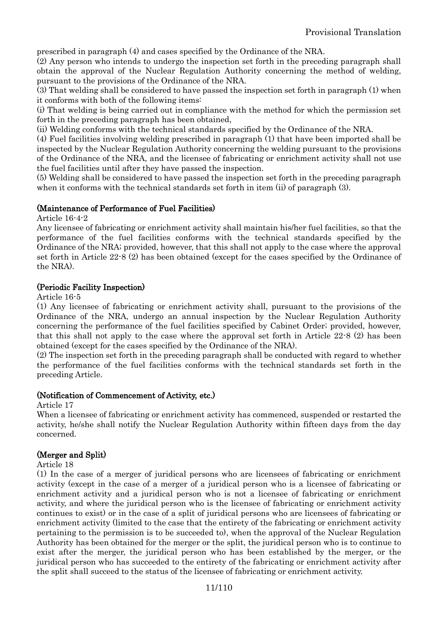prescribed in paragraph (4) and cases specified by the Ordinance of the NRA.

(2) Any person who intends to undergo the inspection set forth in the preceding paragraph shall obtain the approval of the Nuclear Regulation Authority concerning the method of welding, pursuant to the provisions of the Ordinance of the NRA.

(3) That welding shall be considered to have passed the inspection set forth in paragraph (1) when it conforms with both of the following items:

(i) That welding is being carried out in compliance with the method for which the permission set forth in the preceding paragraph has been obtained,

(ii) Welding conforms with the technical standards specified by the Ordinance of the NRA.

(4) Fuel facilities involving welding prescribed in paragraph (1) that have been imported shall be inspected by the Nuclear Regulation Authority concerning the welding pursuant to the provisions of the Ordinance of the NRA, and the licensee of fabricating or enrichment activity shall not use the fuel facilities until after they have passed the inspection.

(5) Welding shall be considered to have passed the inspection set forth in the preceding paragraph when it conforms with the technical standards set forth in item (ii) of paragraph (3).

## (Maintenance of Performance of Fuel Facilities)

Article 16-4-2

Any licensee of fabricating or enrichment activity shall maintain his/her fuel facilities, so that the performance of the fuel facilities conforms with the technical standards specified by the Ordinance of the NRA; provided, however, that this shall not apply to the case where the approval set forth in Article 22-8 (2) has been obtained (except for the cases specified by the Ordinance of the NRA).

## (Periodic Facility Inspection)

Article 16-5

(1) Any licensee of fabricating or enrichment activity shall, pursuant to the provisions of the Ordinance of the NRA, undergo an annual inspection by the Nuclear Regulation Authority concerning the performance of the fuel facilities specified by Cabinet Order; provided, however, that this shall not apply to the case where the approval set forth in Article  $22\text{-}8$  (2) has been obtained (except for the cases specified by the Ordinance of the NRA).

(2) The inspection set forth in the preceding paragraph shall be conducted with regard to whether the performance of the fuel facilities conforms with the technical standards set forth in the preceding Article.

#### (Notification of Commencement of Activity, etc.)

Article 17

When a licensee of fabricating or enrichment activity has commenced, suspended or restarted the activity, he/she shall notify the Nuclear Regulation Authority within fifteen days from the day concerned.

## (Merger and Split)

Article 18

(1) In the case of a merger of juridical persons who are licensees of fabricating or enrichment activity (except in the case of a merger of a juridical person who is a licensee of fabricating or enrichment activity and a juridical person who is not a licensee of fabricating or enrichment activity, and where the juridical person who is the licensee of fabricating or enrichment activity continues to exist) or in the case of a split of juridical persons who are licensees of fabricating or enrichment activity (limited to the case that the entirety of the fabricating or enrichment activity pertaining to the permission is to be succeeded to), when the approval of the Nuclear Regulation Authority has been obtained for the merger or the split, the juridical person who is to continue to exist after the merger, the juridical person who has been established by the merger, or the juridical person who has succeeded to the entirety of the fabricating or enrichment activity after the split shall succeed to the status of the licensee of fabricating or enrichment activity.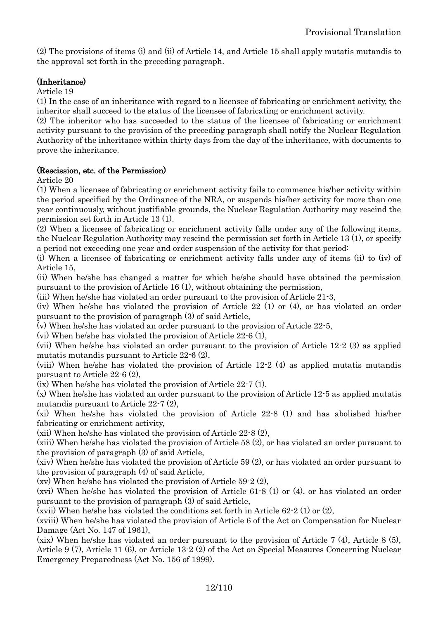(2) The provisions of items (i) and (ii) of Article 14, and Article 15 shall apply mutatis mutandis to the approval set forth in the preceding paragraph.

## (Inheritance)

Article 19

(1) In the case of an inheritance with regard to a licensee of fabricating or enrichment activity, the inheritor shall succeed to the status of the licensee of fabricating or enrichment activity.

(2) The inheritor who has succeeded to the status of the licensee of fabricating or enrichment activity pursuant to the provision of the preceding paragraph shall notify the Nuclear Regulation Authority of the inheritance within thirty days from the day of the inheritance, with documents to prove the inheritance.

## (Rescission, etc. of the Permission)

Article 20

(1) When a licensee of fabricating or enrichment activity fails to commence his/her activity within the period specified by the Ordinance of the NRA, or suspends his/her activity for more than one year continuously, without justifiable grounds, the Nuclear Regulation Authority may rescind the permission set forth in Article 13 (1).

(2) When a licensee of fabricating or enrichment activity falls under any of the following items, the Nuclear Regulation Authority may rescind the permission set forth in Article 13 (1), or specify a period not exceeding one year and order suspension of the activity for that period:

(i) When a licensee of fabricating or enrichment activity falls under any of items (ii) to (iv) of Article 15,

(ii) When he/she has changed a matter for which he/she should have obtained the permission pursuant to the provision of Article 16 (1), without obtaining the permission,

(iii) When he/she has violated an order pursuant to the provision of Article 21-3,

(iv) When he/she has violated the provision of Article 22 (1) or (4), or has violated an order pursuant to the provision of paragraph (3) of said Article,

(v) When he/she has violated an order pursuant to the provision of Article 22-5,

(vi) When he/she has violated the provision of Article 22-6 (1),

(vii) When he/she has violated an order pursuant to the provision of Article 12-2 (3) as applied mutatis mutandis pursuant to Article 22-6 (2),

(viii) When he/she has violated the provision of Article 12-2 (4) as applied mutatis mutandis pursuant to Article 22-6 (2),

(ix) When he/she has violated the provision of Article 22-7 (1),

(x) When he/she has violated an order pursuant to the provision of Article 12-5 as applied mutatis mutandis pursuant to Article 22-7 (2),

(xi) When he/she has violated the provision of Article 22-8 (1) and has abolished his/her fabricating or enrichment activity,

(xii) When he/she has violated the provision of Article 22-8 (2),

(xiii) When he/she has violated the provision of Article 58 (2), or has violated an order pursuant to the provision of paragraph (3) of said Article,

(xiv) When he/she has violated the provision of Article 59 (2), or has violated an order pursuant to the provision of paragraph (4) of said Article,

(xv) When he/she has violated the provision of Article 59-2 (2),

(xvi) When he/she has violated the provision of Article 61-8 (1) or (4), or has violated an order pursuant to the provision of paragraph (3) of said Article,

(xvii) When he/she has violated the conditions set forth in Article 62-2 (1) or (2),

(xviii) When he/she has violated the provision of Article 6 of the Act on Compensation for Nuclear Damage (Act No. 147 of 1961),

(xix) When he/she has violated an order pursuant to the provision of Article 7 (4), Article 8 (5), Article 9 (7), Article 11 (6), or Article 13-2 (2) of the Act on Special Measures Concerning Nuclear Emergency Preparedness (Act No. 156 of 1999).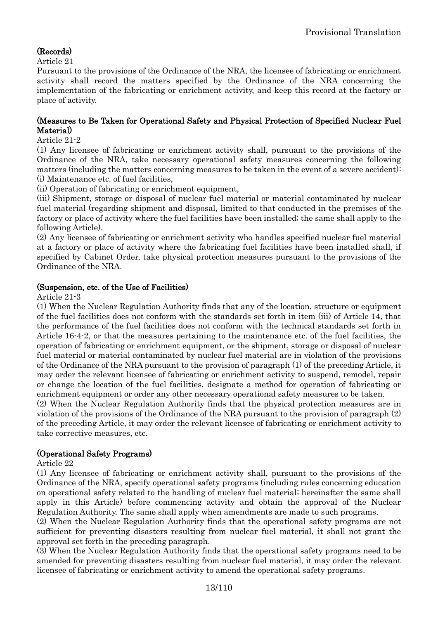## (Records)

Article 21

Pursuant to the provisions of the Ordinance of the NRA, the licensee of fabricating or enrichment activity shall record the matters specified by the Ordinance of the NRA concerning the implementation of the fabricating or enrichment activity, and keep this record at the factory or place of activity.

## (Measures to Be Taken for Operational Safety and Physical Protection of Specified Nuclear Fuel Material)

## Article 21-2

(1) Any licensee of fabricating or enrichment activity shall, pursuant to the provisions of the Ordinance of the NRA, take necessary operational safety measures concerning the following matters (including the matters concerning measures to be taken in the event of a severe accident): (i) Maintenance etc. of fuel facilities,

(ii) Operation of fabricating or enrichment equipment,

(iii) Shipment, storage or disposal of nuclear fuel material or material contaminated by nuclear fuel material (regarding shipment and disposal, limited to that conducted in the premises of the factory or place of activity where the fuel facilities have been installed; the same shall apply to the following Article).

(2) Any licensee of fabricating or enrichment activity who handles specified nuclear fuel material at a factory or place of activity where the fabricating fuel facilities have been installed shall, if specified by Cabinet Order, take physical protection measures pursuant to the provisions of the Ordinance of the NRA.

## (Suspension, etc. of the Use of Facilities)

Article 21-3

(1) When the Nuclear Regulation Authority finds that any of the location, structure or equipment of the fuel facilities does not conform with the standards set forth in item (iii) of Article 14, that the performance of the fuel facilities does not conform with the technical standards set forth in Article 16-4-2, or that the measures pertaining to the maintenance etc. of the fuel facilities, the operation of fabricating or enrichment equipment, or the shipment, storage or disposal of nuclear fuel material or material contaminated by nuclear fuel material are in violation of the provisions of the Ordinance of the NRA pursuant to the provision of paragraph (1) of the preceding Article, it may order the relevant licensee of fabricating or enrichment activity to suspend, remodel, repair or change the location of the fuel facilities, designate a method for operation of fabricating or enrichment equipment or order any other necessary operational safety measures to be taken.

(2) When the Nuclear Regulation Authority finds that the physical protection measures are in violation of the provisions of the Ordinance of the NRA pursuant to the provision of paragraph (2) of the preceding Article, it may order the relevant licensee of fabricating or enrichment activity to take corrective measures, etc.

## (Operational Safety Programs)

Article 22

(1) Any licensee of fabricating or enrichment activity shall, pursuant to the provisions of the Ordinance of the NRA, specify operational safety programs (including rules concerning education on operational safety related to the handling of nuclear fuel material; hereinafter the same shall apply in this Article) before commencing activity and obtain the approval of the Nuclear Regulation Authority. The same shall apply when amendments are made to such programs.

(2) When the Nuclear Regulation Authority finds that the operational safety programs are not sufficient for preventing disasters resulting from nuclear fuel material, it shall not grant the approval set forth in the preceding paragraph.

(3) When the Nuclear Regulation Authority finds that the operational safety programs need to be amended for preventing disasters resulting from nuclear fuel material, it may order the relevant licensee of fabricating or enrichment activity to amend the operational safety programs.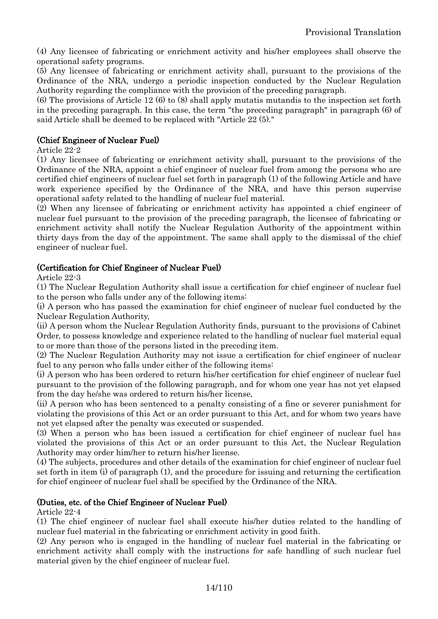(4) Any licensee of fabricating or enrichment activity and his/her employees shall observe the operational safety programs.

(5) Any licensee of fabricating or enrichment activity shall, pursuant to the provisions of the Ordinance of the NRA, undergo a periodic inspection conducted by the Nuclear Regulation Authority regarding the compliance with the provision of the preceding paragraph.

(6) The provisions of Article 12 (6) to (8) shall apply mutatis mutandis to the inspection set forth in the preceding paragraph. In this case, the term "the preceding paragraph" in paragraph (6) of said Article shall be deemed to be replaced with "Article 22 (5)."

## (Chief Engineer of Nuclear Fuel)

Article 22-2

(1) Any licensee of fabricating or enrichment activity shall, pursuant to the provisions of the Ordinance of the NRA, appoint a chief engineer of nuclear fuel from among the persons who are certified chief engineers of nuclear fuel set forth in paragraph (1) of the following Article and have work experience specified by the Ordinance of the NRA, and have this person supervise operational safety related to the handling of nuclear fuel material.

(2) When any licensee of fabricating or enrichment activity has appointed a chief engineer of nuclear fuel pursuant to the provision of the preceding paragraph, the licensee of fabricating or enrichment activity shall notify the Nuclear Regulation Authority of the appointment within thirty days from the day of the appointment. The same shall apply to the dismissal of the chief engineer of nuclear fuel.

## (Certification for Chief Engineer of Nuclear Fuel)

Article 22-3

(1) The Nuclear Regulation Authority shall issue a certification for chief engineer of nuclear fuel to the person who falls under any of the following items:

(i) A person who has passed the examination for chief engineer of nuclear fuel conducted by the Nuclear Regulation Authority,

(ii) A person whom the Nuclear Regulation Authority finds, pursuant to the provisions of Cabinet Order, to possess knowledge and experience related to the handling of nuclear fuel material equal to or more than those of the persons listed in the preceding item.

(2) The Nuclear Regulation Authority may not issue a certification for chief engineer of nuclear fuel to any person who falls under either of the following items:

(i) A person who has been ordered to return his/her certification for chief engineer of nuclear fuel pursuant to the provision of the following paragraph, and for whom one year has not yet elapsed from the day he/she was ordered to return his/her license,

(ii) A person who has been sentenced to a penalty consisting of a fine or severer punishment for violating the provisions of this Act or an order pursuant to this Act, and for whom two years have not yet elapsed after the penalty was executed or suspended.

(3) When a person who has been issued a certification for chief engineer of nuclear fuel has violated the provisions of this Act or an order pursuant to this Act, the Nuclear Regulation Authority may order him/her to return his/her license.

(4) The subjects, procedures and other details of the examination for chief engineer of nuclear fuel set forth in item (i) of paragraph (1), and the procedure for issuing and returning the certification for chief engineer of nuclear fuel shall be specified by the Ordinance of the NRA.

## (Duties, etc. of the Chief Engineer of Nuclear Fuel)

Article 22-4

(1) The chief engineer of nuclear fuel shall execute his/her duties related to the handling of nuclear fuel material in the fabricating or enrichment activity in good faith.

(2) Any person who is engaged in the handling of nuclear fuel material in the fabricating or enrichment activity shall comply with the instructions for safe handling of such nuclear fuel material given by the chief engineer of nuclear fuel.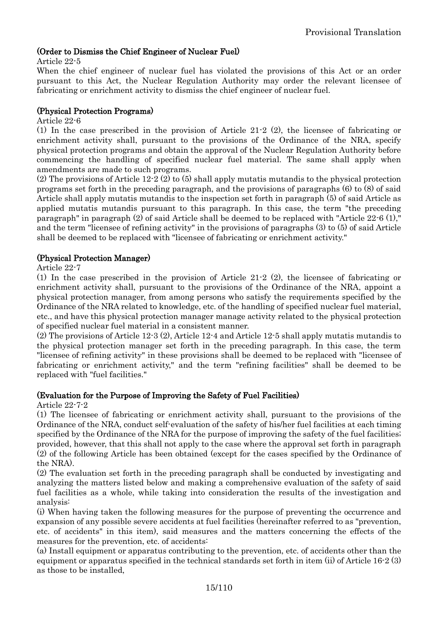## (Order to Dismiss the Chief Engineer of Nuclear Fuel)

#### Article 22-5

When the chief engineer of nuclear fuel has violated the provisions of this Act or an order pursuant to this Act, the Nuclear Regulation Authority may order the relevant licensee of fabricating or enrichment activity to dismiss the chief engineer of nuclear fuel.

## (Physical Protection Programs)

#### Article 22-6

(1) In the case prescribed in the provision of Article 21-2 (2), the licensee of fabricating or enrichment activity shall, pursuant to the provisions of the Ordinance of the NRA, specify physical protection programs and obtain the approval of the Nuclear Regulation Authority before commencing the handling of specified nuclear fuel material. The same shall apply when amendments are made to such programs.

(2) The provisions of Article 12-2 (2) to (5) shall apply mutatis mutandis to the physical protection programs set forth in the preceding paragraph, and the provisions of paragraphs (6) to (8) of said Article shall apply mutatis mutandis to the inspection set forth in paragraph (5) of said Article as applied mutatis mutandis pursuant to this paragraph. In this case, the term "the preceding paragraph" in paragraph (2) of said Article shall be deemed to be replaced with "Article 22-6 (1)," and the term "licensee of refining activity" in the provisions of paragraphs (3) to (5) of said Article shall be deemed to be replaced with "licensee of fabricating or enrichment activity."

## (Physical Protection Manager)

## Article 22-7

(1) In the case prescribed in the provision of Article 21-2 (2), the licensee of fabricating or enrichment activity shall, pursuant to the provisions of the Ordinance of the NRA, appoint a physical protection manager, from among persons who satisfy the requirements specified by the Ordinance of the NRA related to knowledge, etc. of the handling of specified nuclear fuel material, etc., and have this physical protection manager manage activity related to the physical protection of specified nuclear fuel material in a consistent manner.

(2) The provisions of Article 12-3 (2), Article 12-4 and Article 12-5 shall apply mutatis mutandis to the physical protection manager set forth in the preceding paragraph. In this case, the term "licensee of refining activity" in these provisions shall be deemed to be replaced with "licensee of fabricating or enrichment activity," and the term "refining facilities" shall be deemed to be replaced with "fuel facilities."

## (Evaluation for the Purpose of Improving the Safety of Fuel Facilities)

Article 22-7-2

(1) The licensee of fabricating or enrichment activity shall, pursuant to the provisions of the Ordinance of the NRA, conduct self-evaluation of the safety of his/her fuel facilities at each timing specified by the Ordinance of the NRA for the purpose of improving the safety of the fuel facilities; provided, however, that this shall not apply to the case where the approval set forth in paragraph (2) of the following Article has been obtained (except for the cases specified by the Ordinance of the NRA).

(2) The evaluation set forth in the preceding paragraph shall be conducted by investigating and analyzing the matters listed below and making a comprehensive evaluation of the safety of said fuel facilities as a whole, while taking into consideration the results of the investigation and analysis:

(i) When having taken the following measures for the purpose of preventing the occurrence and expansion of any possible severe accidents at fuel facilities (hereinafter referred to as "prevention, etc. of accidents" in this item), said measures and the matters concerning the effects of the measures for the prevention, etc. of accidents:

(a) Install equipment or apparatus contributing to the prevention, etc. of accidents other than the equipment or apparatus specified in the technical standards set forth in item (ii) of Article 16-2 (3) as those to be installed,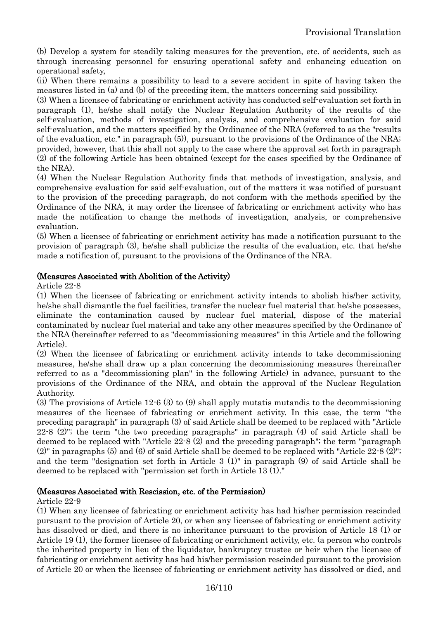(b) Develop a system for steadily taking measures for the prevention, etc. of accidents, such as through increasing personnel for ensuring operational safety and enhancing education on operational safety,

(ii) When there remains a possibility to lead to a severe accident in spite of having taken the measures listed in (a) and (b) of the preceding item, the matters concerning said possibility.

(3) When a licensee of fabricating or enrichment activity has conducted self-evaluation set forth in paragraph (1), he/she shall notify the Nuclear Regulation Authority of the results of the self-evaluation, methods of investigation, analysis, and comprehensive evaluation for said self-evaluation, and the matters specified by the Ordinance of the NRA (referred to as the "results of the evaluation, etc." in paragraph (5)), pursuant to the provisions of the Ordinance of the NRA; provided, however, that this shall not apply to the case where the approval set forth in paragraph (2) of the following Article has been obtained (except for the cases specified by the Ordinance of the NRA).

(4) When the Nuclear Regulation Authority finds that methods of investigation, analysis, and comprehensive evaluation for said self-evaluation, out of the matters it was notified of pursuant to the provision of the preceding paragraph, do not conform with the methods specified by the Ordinance of the NRA, it may order the licensee of fabricating or enrichment activity who has made the notification to change the methods of investigation, analysis, or comprehensive evaluation.

(5) When a licensee of fabricating or enrichment activity has made a notification pursuant to the provision of paragraph (3), he/she shall publicize the results of the evaluation, etc. that he/she made a notification of, pursuant to the provisions of the Ordinance of the NRA.

## (Measures Associated with Abolition of the Activity)

Article 22-8

(1) When the licensee of fabricating or enrichment activity intends to abolish his/her activity, he/she shall dismantle the fuel facilities, transfer the nuclear fuel material that he/she possesses, eliminate the contamination caused by nuclear fuel material, dispose of the material contaminated by nuclear fuel material and take any other measures specified by the Ordinance of the NRA (hereinafter referred to as "decommissioning measures" in this Article and the following Article).

(2) When the licensee of fabricating or enrichment activity intends to take decommissioning measures, he/she shall draw up a plan concerning the decommissioning measures (hereinafter referred to as a "decommissioning plan" in the following Article) in advance, pursuant to the provisions of the Ordinance of the NRA, and obtain the approval of the Nuclear Regulation Authority.

(3) The provisions of Article 12-6 (3) to (9) shall apply mutatis mutandis to the decommissioning measures of the licensee of fabricating or enrichment activity. In this case, the term "the preceding paragraph" in paragraph (3) of said Article shall be deemed to be replaced with "Article 22-8 (2)"; the term "the two preceding paragraphs" in paragraph (4) of said Article shall be deemed to be replaced with "Article 22-8 (2) and the preceding paragraph"; the term "paragraph (2)" in paragraphs (5) and (6) of said Article shall be deemed to be replaced with "Article 22-8 (2)"; and the term "designation set forth in Article 3 (1)" in paragraph (9) of said Article shall be deemed to be replaced with "permission set forth in Article 13 (1)."

## (Measures Associated with Rescission, etc. of the Permission)

#### Article 22-9

(1) When any licensee of fabricating or enrichment activity has had his/her permission rescinded pursuant to the provision of Article 20, or when any licensee of fabricating or enrichment activity has dissolved or died, and there is no inheritance pursuant to the provision of Article 18 (1) or Article 19 (1), the former licensee of fabricating or enrichment activity, etc. (a person who controls the inherited property in lieu of the liquidator, bankruptcy trustee or heir when the licensee of fabricating or enrichment activity has had his/her permission rescinded pursuant to the provision of Article 20 or when the licensee of fabricating or enrichment activity has dissolved or died, and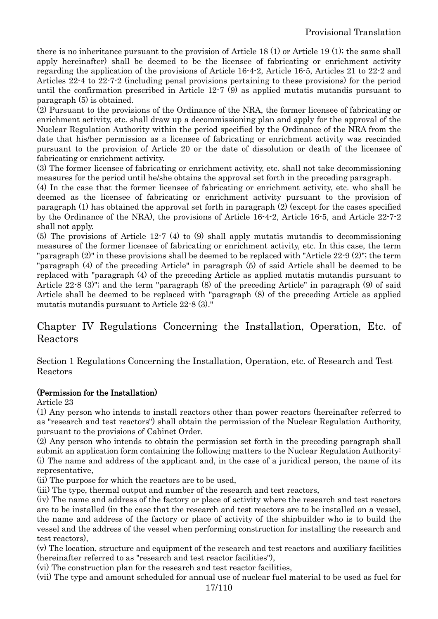there is no inheritance pursuant to the provision of Article 18 (1) or Article 19 (1); the same shall apply hereinafter) shall be deemed to be the licensee of fabricating or enrichment activity regarding the application of the provisions of Article 16-4-2, Article 16-5, Articles 21 to 22-2 and Articles 22-4 to 22-7-2 (including penal provisions pertaining to these provisions) for the period until the confirmation prescribed in Article 12-7 (9) as applied mutatis mutandis pursuant to paragraph (5) is obtained.

(2) Pursuant to the provisions of the Ordinance of the NRA, the former licensee of fabricating or enrichment activity, etc. shall draw up a decommissioning plan and apply for the approval of the Nuclear Regulation Authority within the period specified by the Ordinance of the NRA from the date that his/her permission as a licensee of fabricating or enrichment activity was rescinded pursuant to the provision of Article 20 or the date of dissolution or death of the licensee of fabricating or enrichment activity.

(3) The former licensee of fabricating or enrichment activity, etc. shall not take decommissioning measures for the period until he/she obtains the approval set forth in the preceding paragraph.

(4) In the case that the former licensee of fabricating or enrichment activity, etc. who shall be deemed as the licensee of fabricating or enrichment activity pursuant to the provision of paragraph (1) has obtained the approval set forth in paragraph (2) (except for the cases specified by the Ordinance of the NRA), the provisions of Article 16-4-2, Article 16-5, and Article 22-7-2 shall not apply.

(5) The provisions of Article 12-7 (4) to (9) shall apply mutatis mutandis to decommissioning measures of the former licensee of fabricating or enrichment activity, etc. In this case, the term "paragraph (2)" in these provisions shall be deemed to be replaced with "Article 22-9 (2)"; the term "paragraph (4) of the preceding Article" in paragraph (5) of said Article shall be deemed to be replaced with "paragraph (4) of the preceding Article as applied mutatis mutandis pursuant to Article 22-8 (3)"; and the term "paragraph (8) of the preceding Article" in paragraph (9) of said Article shall be deemed to be replaced with "paragraph (8) of the preceding Article as applied mutatis mutandis pursuant to Article 22-8 (3)."

<span id="page-16-0"></span>Chapter IV Regulations Concerning the Installation, Operation, Etc. of Reactors

<span id="page-16-1"></span>Section 1 Regulations Concerning the Installation, Operation, etc. of Research and Test Reactors

## (Permission for the Installation)

Article 23

(1) Any person who intends to install reactors other than power reactors (hereinafter referred to as "research and test reactors") shall obtain the permission of the Nuclear Regulation Authority, pursuant to the provisions of Cabinet Order.

(2) Any person who intends to obtain the permission set forth in the preceding paragraph shall submit an application form containing the following matters to the Nuclear Regulation Authority: (i) The name and address of the applicant and, in the case of a juridical person, the name of its representative,

(ii) The purpose for which the reactors are to be used,

(iii) The type, thermal output and number of the research and test reactors,

(iv) The name and address of the factory or place of activity where the research and test reactors are to be installed (in the case that the research and test reactors are to be installed on a vessel, the name and address of the factory or place of activity of the shipbuilder who is to build the vessel and the address of the vessel when performing construction for installing the research and test reactors),

(v) The location, structure and equipment of the research and test reactors and auxiliary facilities (hereinafter referred to as "research and test reactor facilities"),

(vi) The construction plan for the research and test reactor facilities,

(vii) The type and amount scheduled for annual use of nuclear fuel material to be used as fuel for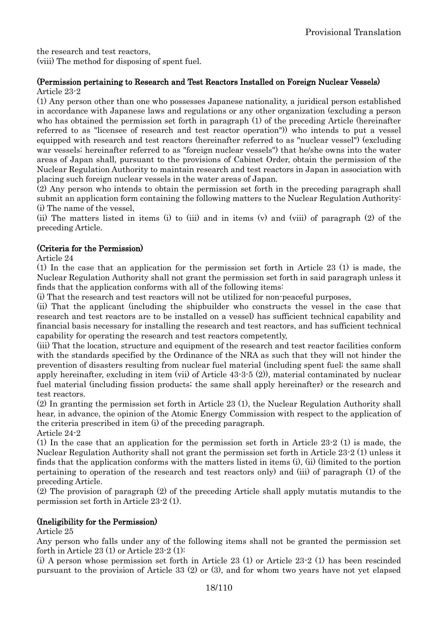the research and test reactors, (viii) The method for disposing of spent fuel.

## (Permission pertaining to Research and Test Reactors Installed on Foreign Nuclear Vessels) Article 23-2

(1) Any person other than one who possesses Japanese nationality, a juridical person established in accordance with Japanese laws and regulations or any other organization (excluding a person who has obtained the permission set forth in paragraph (1) of the preceding Article (hereinafter referred to as "licensee of research and test reactor operation")) who intends to put a vessel equipped with research and test reactors (hereinafter referred to as "nuclear vessel") (excluding war vessels; hereinafter referred to as "foreign nuclear vessels") that he/she owns into the water areas of Japan shall, pursuant to the provisions of Cabinet Order, obtain the permission of the Nuclear Regulation Authority to maintain research and test reactors in Japan in association with placing such foreign nuclear vessels in the water areas of Japan.

(2) Any person who intends to obtain the permission set forth in the preceding paragraph shall submit an application form containing the following matters to the Nuclear Regulation Authority: (i) The name of the vessel,

(ii) The matters listed in items (i) to (iii) and in items (v) and (viii) of paragraph (2) of the preceding Article.

## (Criteria for the Permission)

Article 24

(1) In the case that an application for the permission set forth in Article 23 (1) is made, the Nuclear Regulation Authority shall not grant the permission set forth in said paragraph unless it finds that the application conforms with all of the following items:

(i) That the research and test reactors will not be utilized for non-peaceful purposes,

(ii) That the applicant (including the shipbuilder who constructs the vessel in the case that research and test reactors are to be installed on a vessel) has sufficient technical capability and financial basis necessary for installing the research and test reactors, and has sufficient technical capability for operating the research and test reactors competently,

(iii) That the location, structure and equipment of the research and test reactor facilities conform with the standards specified by the Ordinance of the NRA as such that they will not hinder the prevention of disasters resulting from nuclear fuel material (including spent fuel; the same shall apply hereinafter, excluding in item (vii) of Article 43-3-5 (2)), material contaminated by nuclear fuel material (including fission products; the same shall apply hereinafter) or the research and test reactors.

(2) In granting the permission set forth in Article 23 (1), the Nuclear Regulation Authority shall hear, in advance, the opinion of the Atomic Energy Commission with respect to the application of the criteria prescribed in item (i) of the preceding paragraph. Article 24-2

(1) In the case that an application for the permission set forth in Article 23-2 (1) is made, the Nuclear Regulation Authority shall not grant the permission set forth in Article 23-2 (1) unless it finds that the application conforms with the matters listed in items (i), (ii) (limited to the portion pertaining to operation of the research and test reactors only) and (iii) of paragraph (1) of the preceding Article.

(2) The provision of paragraph (2) of the preceding Article shall apply mutatis mutandis to the permission set forth in Article 23-2 (1).

## (Ineligibility for the Permission)

Article 25

Any person who falls under any of the following items shall not be granted the permission set forth in Article 23 (1) or Article 23-2 (1):

(i) A person whose permission set forth in Article 23 (1) or Article 23-2 (1) has been rescinded pursuant to the provision of Article 33 (2) or (3), and for whom two years have not yet elapsed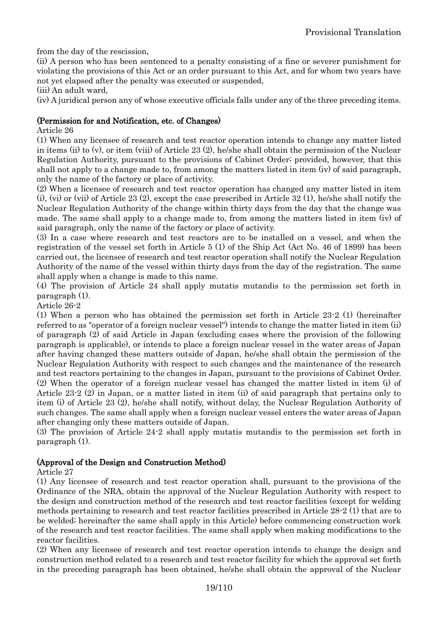from the day of the rescission,

(ii) A person who has been sentenced to a penalty consisting of a fine or severer punishment for violating the provisions of this Act or an order pursuant to this Act, and for whom two years have not yet elapsed after the penalty was executed or suspended,

(iii) An adult ward,

(iv) A juridical person any of whose executive officials falls under any of the three preceding items.

## (Permission for and Notification, etc. of Changes)

Article 26

(1) When any licensee of research and test reactor operation intends to change any matter listed in items (ii) to (v), or item (viii) of Article 23 (2), he/she shall obtain the permission of the Nuclear Regulation Authority, pursuant to the provisions of Cabinet Order; provided, however, that this shall not apply to a change made to, from among the matters listed in item (iv) of said paragraph, only the name of the factory or place of activity.

(2) When a licensee of research and test reactor operation has changed any matter listed in item (i), (vi) or (vii) of Article 23 (2), except the case prescribed in Article 32 (1), he/she shall notify the Nuclear Regulation Authority of the change within thirty days from the day that the change was made. The same shall apply to a change made to, from among the matters listed in item (iv) of said paragraph, only the name of the factory or place of activity.

(3) In a case where research and test reactors are to be installed on a vessel, and when the registration of the vessel set forth in Article 5 (1) of the Ship Act (Act No. 46 of 1899) has been carried out, the licensee of research and test reactor operation shall notify the Nuclear Regulation Authority of the name of the vessel within thirty days from the day of the registration. The same shall apply when a change is made to this name.

(4) The provision of Article 24 shall apply mutatis mutandis to the permission set forth in paragraph (1).

Article 26-2

(1) When a person who has obtained the permission set forth in Article 23-2 (1) (hereinafter referred to as "operator of a foreign nuclear vessel") intends to change the matter listed in item (ii) of paragraph (2) of said Article in Japan (excluding cases where the provision of the following paragraph is applicable), or intends to place a foreign nuclear vessel in the water areas of Japan after having changed these matters outside of Japan, he/she shall obtain the permission of the Nuclear Regulation Authority with respect to such changes and the maintenance of the research and test reactors pertaining to the changes in Japan, pursuant to the provisions of Cabinet Order. (2) When the operator of a foreign nuclear vessel has changed the matter listed in item (i) of Article 23-2 (2) in Japan, or a matter listed in item (ii) of said paragraph that pertains only to item (i) of Article 23 (2), he/she shall notify, without delay, the Nuclear Regulation Authority of such changes. The same shall apply when a foreign nuclear vessel enters the water areas of Japan after changing only these matters outside of Japan.

(3) The provision of Article 24-2 shall apply mutatis mutandis to the permission set forth in paragraph (1).

#### (Approval of the Design and Construction Method)

#### Article 27

(1) Any licensee of research and test reactor operation shall, pursuant to the provisions of the Ordinance of the NRA, obtain the approval of the Nuclear Regulation Authority with respect to the design and construction method of the research and test reactor facilities (except for welding methods pertaining to research and test reactor facilities prescribed in Article 28-2 (1) that are to be welded; hereinafter the same shall apply in this Article) before commencing construction work of the research and test reactor facilities. The same shall apply when making modifications to the reactor facilities.

(2) When any licensee of research and test reactor operation intends to change the design and construction method related to a research and test reactor facility for which the approval set forth in the preceding paragraph has been obtained, he/she shall obtain the approval of the Nuclear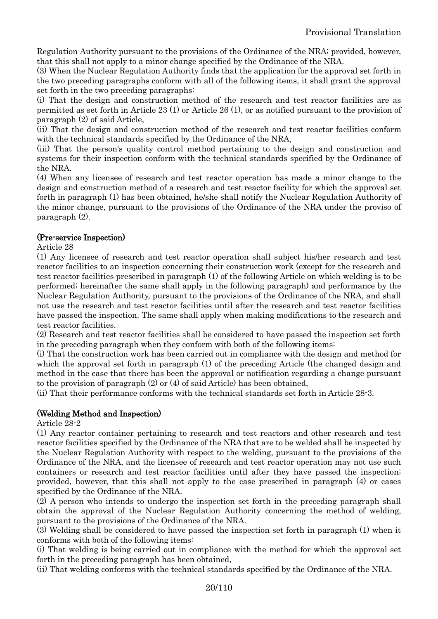Regulation Authority pursuant to the provisions of the Ordinance of the NRA; provided, however, that this shall not apply to a minor change specified by the Ordinance of the NRA.

(3) When the Nuclear Regulation Authority finds that the application for the approval set forth in the two preceding paragraphs conform with all of the following items, it shall grant the approval set forth in the two preceding paragraphs:

(i) That the design and construction method of the research and test reactor facilities are as permitted as set forth in Article 23 (1) or Article 26 (1), or as notified pursuant to the provision of paragraph (2) of said Article,

(ii) That the design and construction method of the research and test reactor facilities conform with the technical standards specified by the Ordinance of the NRA,

(iii) That the person's quality control method pertaining to the design and construction and systems for their inspection conform with the technical standards specified by the Ordinance of the NRA.

(4) When any licensee of research and test reactor operation has made a minor change to the design and construction method of a research and test reactor facility for which the approval set forth in paragraph (1) has been obtained, he/she shall notify the Nuclear Regulation Authority of the minor change, pursuant to the provisions of the Ordinance of the NRA under the proviso of paragraph (2).

## (Pre-service Inspection)

Article 28

(1) Any licensee of research and test reactor operation shall subject his/her research and test reactor facilities to an inspection concerning their construction work (except for the research and test reactor facilities prescribed in paragraph (1) of the following Article on which welding is to be performed; hereinafter the same shall apply in the following paragraph) and performance by the Nuclear Regulation Authority, pursuant to the provisions of the Ordinance of the NRA, and shall not use the research and test reactor facilities until after the research and test reactor facilities have passed the inspection. The same shall apply when making modifications to the research and test reactor facilities.

(2) Research and test reactor facilities shall be considered to have passed the inspection set forth in the preceding paragraph when they conform with both of the following items:

(i) That the construction work has been carried out in compliance with the design and method for which the approval set forth in paragraph (1) of the preceding Article (the changed design and method in the case that there has been the approval or notification regarding a change pursuant to the provision of paragraph (2) or (4) of said Article) has been obtained,

(ii) That their performance conforms with the technical standards set forth in Article 28-3.

## (Welding Method and Inspection)

## Article 28-2

(1) Any reactor container pertaining to research and test reactors and other research and test reactor facilities specified by the Ordinance of the NRA that are to be welded shall be inspected by the Nuclear Regulation Authority with respect to the welding, pursuant to the provisions of the Ordinance of the NRA, and the licensee of research and test reactor operation may not use such containers or research and test reactor facilities until after they have passed the inspection; provided, however, that this shall not apply to the case prescribed in paragraph (4) or cases specified by the Ordinance of the NRA.

(2) A person who intends to undergo the inspection set forth in the preceding paragraph shall obtain the approval of the Nuclear Regulation Authority concerning the method of welding, pursuant to the provisions of the Ordinance of the NRA.

(3) Welding shall be considered to have passed the inspection set forth in paragraph (1) when it conforms with both of the following items:

(i) That welding is being carried out in compliance with the method for which the approval set forth in the preceding paragraph has been obtained,

(ii) That welding conforms with the technical standards specified by the Ordinance of the NRA.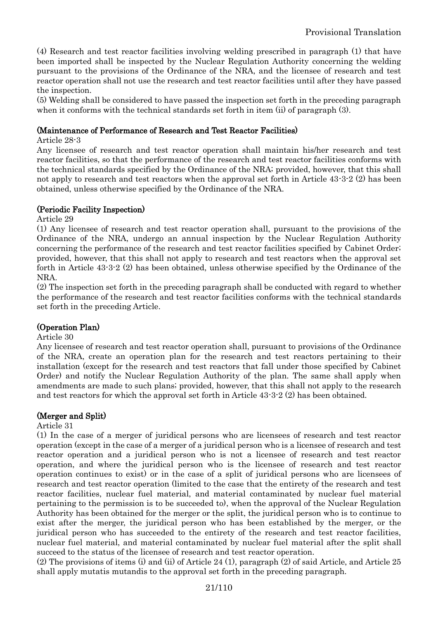(4) Research and test reactor facilities involving welding prescribed in paragraph (1) that have been imported shall be inspected by the Nuclear Regulation Authority concerning the welding pursuant to the provisions of the Ordinance of the NRA, and the licensee of research and test reactor operation shall not use the research and test reactor facilities until after they have passed the inspection.

(5) Welding shall be considered to have passed the inspection set forth in the preceding paragraph when it conforms with the technical standards set forth in item (ii) of paragraph (3).

## (Maintenance of Performance of Research and Test Reactor Facilities)

Article 28-3

Any licensee of research and test reactor operation shall maintain his/her research and test reactor facilities, so that the performance of the research and test reactor facilities conforms with the technical standards specified by the Ordinance of the NRA; provided, however, that this shall not apply to research and test reactors when the approval set forth in Article 43-3-2 (2) has been obtained, unless otherwise specified by the Ordinance of the NRA.

## (Periodic Facility Inspection)

Article 29

(1) Any licensee of research and test reactor operation shall, pursuant to the provisions of the Ordinance of the NRA, undergo an annual inspection by the Nuclear Regulation Authority concerning the performance of the research and test reactor facilities specified by Cabinet Order; provided, however, that this shall not apply to research and test reactors when the approval set forth in Article 43-3-2 (2) has been obtained, unless otherwise specified by the Ordinance of the NRA.

(2) The inspection set forth in the preceding paragraph shall be conducted with regard to whether the performance of the research and test reactor facilities conforms with the technical standards set forth in the preceding Article.

## (Operation Plan)

#### Article 30

Any licensee of research and test reactor operation shall, pursuant to provisions of the Ordinance of the NRA, create an operation plan for the research and test reactors pertaining to their installation (except for the research and test reactors that fall under those specified by Cabinet Order) and notify the Nuclear Regulation Authority of the plan. The same shall apply when amendments are made to such plans; provided, however, that this shall not apply to the research and test reactors for which the approval set forth in Article 43-3-2 (2) has been obtained.

## (Merger and Split)

Article 31

(1) In the case of a merger of juridical persons who are licensees of research and test reactor operation (except in the case of a merger of a juridical person who is a licensee of research and test reactor operation and a juridical person who is not a licensee of research and test reactor operation, and where the juridical person who is the licensee of research and test reactor operation continues to exist) or in the case of a split of juridical persons who are licensees of research and test reactor operation (limited to the case that the entirety of the research and test reactor facilities, nuclear fuel material, and material contaminated by nuclear fuel material pertaining to the permission is to be succeeded to), when the approval of the Nuclear Regulation Authority has been obtained for the merger or the split, the juridical person who is to continue to exist after the merger, the juridical person who has been established by the merger, or the juridical person who has succeeded to the entirety of the research and test reactor facilities, nuclear fuel material, and material contaminated by nuclear fuel material after the split shall succeed to the status of the licensee of research and test reactor operation.

(2) The provisions of items (i) and (ii) of Article 24 (1), paragraph (2) of said Article, and Article 25 shall apply mutatis mutandis to the approval set forth in the preceding paragraph.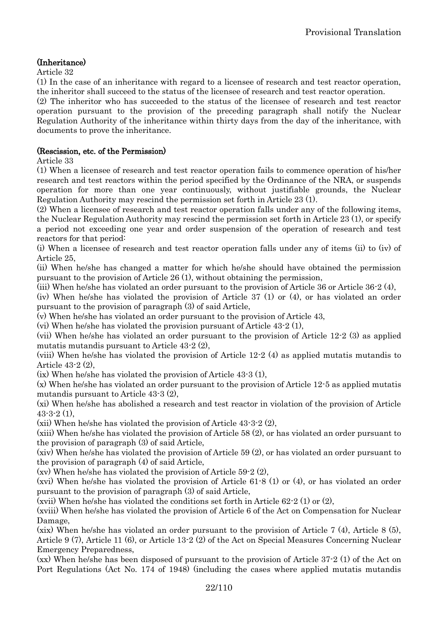## (Inheritance)

Article 32

(1) In the case of an inheritance with regard to a licensee of research and test reactor operation, the inheritor shall succeed to the status of the licensee of research and test reactor operation.

(2) The inheritor who has succeeded to the status of the licensee of research and test reactor operation pursuant to the provision of the preceding paragraph shall notify the Nuclear Regulation Authority of the inheritance within thirty days from the day of the inheritance, with documents to prove the inheritance.

## (Rescission, etc. of the Permission)

Article 33

(1) When a licensee of research and test reactor operation fails to commence operation of his/her research and test reactors within the period specified by the Ordinance of the NRA, or suspends operation for more than one year continuously, without justifiable grounds, the Nuclear Regulation Authority may rescind the permission set forth in Article 23 (1).

(2) When a licensee of research and test reactor operation falls under any of the following items, the Nuclear Regulation Authority may rescind the permission set forth in Article 23 (1), or specify a period not exceeding one year and order suspension of the operation of research and test reactors for that period:

(i) When a licensee of research and test reactor operation falls under any of items (ii) to (iv) of Article 25,

(ii) When he/she has changed a matter for which he/she should have obtained the permission pursuant to the provision of Article 26 (1), without obtaining the permission,

(iii) When he/she has violated an order pursuant to the provision of Article 36 or Article 36-2 (4),

(iv) When he/she has violated the provision of Article 37 (1) or (4), or has violated an order pursuant to the provision of paragraph (3) of said Article,

(v) When he/she has violated an order pursuant to the provision of Article 43,

(vi) When he/she has violated the provision pursuant of Article 43-2 (1),

(vii) When he/she has violated an order pursuant to the provision of Article 12-2 (3) as applied mutatis mutandis pursuant to Article 43-2 (2),

(viii) When he/she has violated the provision of Article 12-2 (4) as applied mutatis mutandis to Article 43-2 (2),

(ix) When he/she has violated the provision of Article 43-3 (1),

(x) When he/she has violated an order pursuant to the provision of Article 12-5 as applied mutatis mutandis pursuant to Article 43-3 (2),

(xi) When he/she has abolished a research and test reactor in violation of the provision of Article  $43-3-2(1)$ ,

(xii) When he/she has violated the provision of Article 43-3-2 (2),

(xiii) When he/she has violated the provision of Article 58 (2), or has violated an order pursuant to the provision of paragraph (3) of said Article,

(xiv) When he/she has violated the provision of Article 59 (2), or has violated an order pursuant to the provision of paragraph (4) of said Article,

(xv) When he/she has violated the provision of Article 59-2 (2),

(xvi) When he/she has violated the provision of Article 61-8 (1) or (4), or has violated an order pursuant to the provision of paragraph (3) of said Article,

(xvii) When he/she has violated the conditions set forth in Article 62-2 (1) or (2),

(xviii) When he/she has violated the provision of Article 6 of the Act on Compensation for Nuclear Damage,

(xix) When he/she has violated an order pursuant to the provision of Article 7 (4), Article 8 (5), Article 9 (7), Article 11 (6), or Article 13-2 (2) of the Act on Special Measures Concerning Nuclear Emergency Preparedness,

(xx) When he/she has been disposed of pursuant to the provision of Article 37-2 (1) of the Act on Port Regulations (Act No. 174 of 1948) (including the cases where applied mutatis mutandis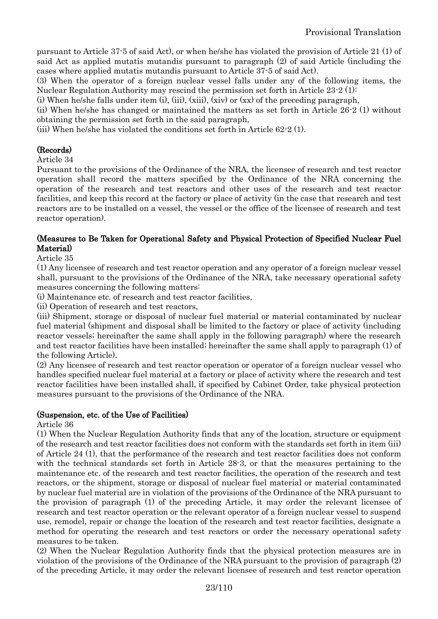pursuant to Article 37-5 of said Act), or when he/she has violated the provision of Article 21 (1) of said Act as applied mutatis mutandis pursuant to paragraph (2) of said Article (including the cases where applied mutatis mutandis pursuant to Article 37-5 of said Act).

(3) When the operator of a foreign nuclear vessel falls under any of the following items, the Nuclear Regulation Authority may rescind the permission set forth in Article 23-2 (1):

(i) When he/she falls under item (i), (iii), (xiii), (xiv) or  $(xx)$  of the preceding paragraph,

(ii) When he/she has changed or maintained the matters as set forth in Article 26-2 (1) without obtaining the permission set forth in the said paragraph,

(iii) When he/she has violated the conditions set forth in Article 62-2 (1).

## (Records)

Article 34

Pursuant to the provisions of the Ordinance of the NRA, the licensee of research and test reactor operation shall record the matters specified by the Ordinance of the NRA concerning the operation of the research and test reactors and other uses of the research and test reactor facilities, and keep this record at the factory or place of activity (in the case that research and test reactors are to be installed on a vessel, the vessel or the office of the licensee of research and test reactor operation).

## (Measures to Be Taken for Operational Safety and Physical Protection of Specified Nuclear Fuel Material)

Article 35

(1) Any licensee of research and test reactor operation and any operator of a foreign nuclear vessel shall, pursuant to the provisions of the Ordinance of the NRA, take necessary operational safety measures concerning the following matters:

(i) Maintenance etc. of research and test reactor facilities,

(ii) Operation of research and test reactors,

(iii) Shipment, storage or disposal of nuclear fuel material or material contaminated by nuclear fuel material (shipment and disposal shall be limited to the factory or place of activity (including reactor vessels; hereinafter the same shall apply in the following paragraph) where the research and test reactor facilities have been installed; hereinafter the same shall apply to paragraph (1) of the following Article).

(2) Any licensee of research and test reactor operation or operator of a foreign nuclear vessel who handles specified nuclear fuel material at a factory or place of activity where the research and test reactor facilities have been installed shall, if specified by Cabinet Order, take physical protection measures pursuant to the provisions of the Ordinance of the NRA.

## (Suspension, etc. of the Use of Facilities)

Article 36

(1) When the Nuclear Regulation Authority finds that any of the location, structure or equipment of the research and test reactor facilities does not conform with the standards set forth in item (iii) of Article 24 (1), that the performance of the research and test reactor facilities does not conform with the technical standards set forth in Article 28-3, or that the measures pertaining to the maintenance etc. of the research and test reactor facilities, the operation of the research and test reactors, or the shipment, storage or disposal of nuclear fuel material or material contaminated by nuclear fuel material are in violation of the provisions of the Ordinance of the NRA pursuant to the provision of paragraph (1) of the preceding Article, it may order the relevant licensee of research and test reactor operation or the relevant operator of a foreign nuclear vessel to suspend use, remodel, repair or change the location of the research and test reactor facilities, designate a method for operating the research and test reactors or order the necessary operational safety measures to be taken.

(2) When the Nuclear Regulation Authority finds that the physical protection measures are in violation of the provisions of the Ordinance of the NRA pursuant to the provision of paragraph (2) of the preceding Article, it may order the relevant licensee of research and test reactor operation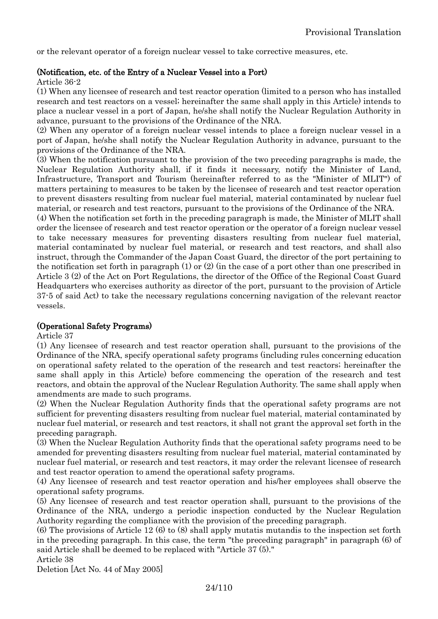or the relevant operator of a foreign nuclear vessel to take corrective measures, etc.

#### (Notification, etc. of the Entry of a Nuclear Vessel into a Port)

Article 36-2

(1) When any licensee of research and test reactor operation (limited to a person who has installed research and test reactors on a vessel; hereinafter the same shall apply in this Article) intends to place a nuclear vessel in a port of Japan, he/she shall notify the Nuclear Regulation Authority in advance, pursuant to the provisions of the Ordinance of the NRA.

(2) When any operator of a foreign nuclear vessel intends to place a foreign nuclear vessel in a port of Japan, he/she shall notify the Nuclear Regulation Authority in advance, pursuant to the provisions of the Ordinance of the NRA.

(3) When the notification pursuant to the provision of the two preceding paragraphs is made, the Nuclear Regulation Authority shall, if it finds it necessary, notify the Minister of Land, Infrastructure, Transport and Tourism (hereinafter referred to as the "Minister of MLIT") of matters pertaining to measures to be taken by the licensee of research and test reactor operation to prevent disasters resulting from nuclear fuel material, material contaminated by nuclear fuel material, or research and test reactors, pursuant to the provisions of the Ordinance of the NRA.

(4) When the notification set forth in the preceding paragraph is made, the Minister of MLIT shall order the licensee of research and test reactor operation or the operator of a foreign nuclear vessel to take necessary measures for preventing disasters resulting from nuclear fuel material, material contaminated by nuclear fuel material, or research and test reactors, and shall also instruct, through the Commander of the Japan Coast Guard, the director of the port pertaining to the notification set forth in paragraph (1) or (2) (in the case of a port other than one prescribed in Article 3 (2) of the Act on Port Regulations, the director of the Office of the Regional Coast Guard Headquarters who exercises authority as director of the port, pursuant to the provision of Article 37-5 of said Act) to take the necessary regulations concerning navigation of the relevant reactor vessels.

## (Operational Safety Programs)

Article 37

(1) Any licensee of research and test reactor operation shall, pursuant to the provisions of the Ordinance of the NRA, specify operational safety programs (including rules concerning education on operational safety related to the operation of the research and test reactors; hereinafter the same shall apply in this Article) before commencing the operation of the research and test reactors, and obtain the approval of the Nuclear Regulation Authority. The same shall apply when amendments are made to such programs.

(2) When the Nuclear Regulation Authority finds that the operational safety programs are not sufficient for preventing disasters resulting from nuclear fuel material, material contaminated by nuclear fuel material, or research and test reactors, it shall not grant the approval set forth in the preceding paragraph.

(3) When the Nuclear Regulation Authority finds that the operational safety programs need to be amended for preventing disasters resulting from nuclear fuel material, material contaminated by nuclear fuel material, or research and test reactors, it may order the relevant licensee of research and test reactor operation to amend the operational safety programs.

(4) Any licensee of research and test reactor operation and his/her employees shall observe the operational safety programs.

(5) Any licensee of research and test reactor operation shall, pursuant to the provisions of the Ordinance of the NRA, undergo a periodic inspection conducted by the Nuclear Regulation Authority regarding the compliance with the provision of the preceding paragraph.

(6) The provisions of Article 12 (6) to (8) shall apply mutatis mutandis to the inspection set forth in the preceding paragraph. In this case, the term "the preceding paragraph" in paragraph (6) of said Article shall be deemed to be replaced with "Article 37 (5)." Article 38

Deletion [Act No. 44 of May 2005]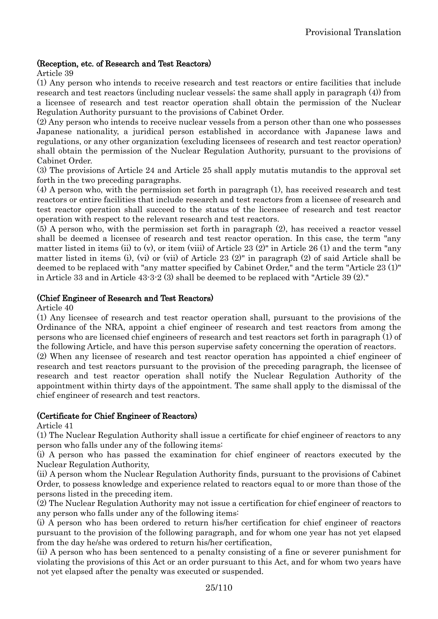## (Reception, etc. of Research and Test Reactors)

Article 39

(1) Any person who intends to receive research and test reactors or entire facilities that include research and test reactors (including nuclear vessels; the same shall apply in paragraph (4)) from a licensee of research and test reactor operation shall obtain the permission of the Nuclear Regulation Authority pursuant to the provisions of Cabinet Order.

(2) Any person who intends to receive nuclear vessels from a person other than one who possesses Japanese nationality, a juridical person established in accordance with Japanese laws and regulations, or any other organization (excluding licensees of research and test reactor operation) shall obtain the permission of the Nuclear Regulation Authority, pursuant to the provisions of Cabinet Order.

(3) The provisions of Article 24 and Article 25 shall apply mutatis mutandis to the approval set forth in the two preceding paragraphs.

(4) A person who, with the permission set forth in paragraph (1), has received research and test reactors or entire facilities that include research and test reactors from a licensee of research and test reactor operation shall succeed to the status of the licensee of research and test reactor operation with respect to the relevant research and test reactors.

(5) A person who, with the permission set forth in paragraph (2), has received a reactor vessel shall be deemed a licensee of research and test reactor operation. In this case, the term "any matter listed in items (ii) to (v), or item (viii) of Article 23 (2)" in Article 26 (1) and the term "any matter listed in items (i), (vi) or (vii) of Article 23 (2)" in paragraph (2) of said Article shall be deemed to be replaced with "any matter specified by Cabinet Order," and the term "Article 23 (1)" in Article 33 and in Article 43-3-2 (3) shall be deemed to be replaced with "Article 39 (2)."

## (Chief Engineer of Research and Test Reactors)

Article 40

(1) Any licensee of research and test reactor operation shall, pursuant to the provisions of the Ordinance of the NRA, appoint a chief engineer of research and test reactors from among the persons who are licensed chief engineers of research and test reactors set forth in paragraph (1) of the following Article, and have this person supervise safety concerning the operation of reactors.

(2) When any licensee of research and test reactor operation has appointed a chief engineer of research and test reactors pursuant to the provision of the preceding paragraph, the licensee of research and test reactor operation shall notify the Nuclear Regulation Authority of the appointment within thirty days of the appointment. The same shall apply to the dismissal of the chief engineer of research and test reactors.

#### (Certificate for Chief Engineer of Reactors)

Article 41

(1) The Nuclear Regulation Authority shall issue a certificate for chief engineer of reactors to any person who falls under any of the following items:

(i) A person who has passed the examination for chief engineer of reactors executed by the Nuclear Regulation Authority,

(ii) A person whom the Nuclear Regulation Authority finds, pursuant to the provisions of Cabinet Order, to possess knowledge and experience related to reactors equal to or more than those of the persons listed in the preceding item.

(2) The Nuclear Regulation Authority may not issue a certification for chief engineer of reactors to any person who falls under any of the following items:

(i) A person who has been ordered to return his/her certification for chief engineer of reactors pursuant to the provision of the following paragraph, and for whom one year has not yet elapsed from the day he/she was ordered to return his/her certification,

(ii) A person who has been sentenced to a penalty consisting of a fine or severer punishment for violating the provisions of this Act or an order pursuant to this Act, and for whom two years have not yet elapsed after the penalty was executed or suspended.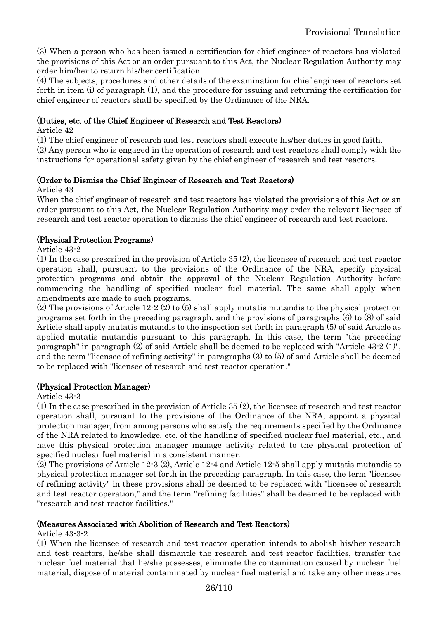(3) When a person who has been issued a certification for chief engineer of reactors has violated the provisions of this Act or an order pursuant to this Act, the Nuclear Regulation Authority may order him/her to return his/her certification.

(4) The subjects, procedures and other details of the examination for chief engineer of reactors set forth in item (i) of paragraph (1), and the procedure for issuing and returning the certification for chief engineer of reactors shall be specified by the Ordinance of the NRA.

## (Duties, etc. of the Chief Engineer of Research and Test Reactors)

Article 42

(1) The chief engineer of research and test reactors shall execute his/her duties in good faith.

(2) Any person who is engaged in the operation of research and test reactors shall comply with the instructions for operational safety given by the chief engineer of research and test reactors.

## (Order to Dismiss the Chief Engineer of Research and Test Reactors)

Article 43

When the chief engineer of research and test reactors has violated the provisions of this Act or an order pursuant to this Act, the Nuclear Regulation Authority may order the relevant licensee of research and test reactor operation to dismiss the chief engineer of research and test reactors.

## (Physical Protection Programs)

Article 43-2

(1) In the case prescribed in the provision of Article 35 (2), the licensee of research and test reactor operation shall, pursuant to the provisions of the Ordinance of the NRA, specify physical protection programs and obtain the approval of the Nuclear Regulation Authority before commencing the handling of specified nuclear fuel material. The same shall apply when amendments are made to such programs.

(2) The provisions of Article 12-2 (2) to (5) shall apply mutatis mutandis to the physical protection programs set forth in the preceding paragraph, and the provisions of paragraphs (6) to (8) of said Article shall apply mutatis mutandis to the inspection set forth in paragraph (5) of said Article as applied mutatis mutandis pursuant to this paragraph. In this case, the term "the preceding paragraph" in paragraph (2) of said Article shall be deemed to be replaced with "Article 43-2 (1)", and the term "licensee of refining activity" in paragraphs (3) to (5) of said Article shall be deemed to be replaced with "licensee of research and test reactor operation."

## (Physical Protection Manager)

Article 43-3

(1) In the case prescribed in the provision of Article 35 (2), the licensee of research and test reactor operation shall, pursuant to the provisions of the Ordinance of the NRA, appoint a physical protection manager, from among persons who satisfy the requirements specified by the Ordinance of the NRA related to knowledge, etc. of the handling of specified nuclear fuel material, etc., and have this physical protection manager manage activity related to the physical protection of specified nuclear fuel material in a consistent manner.

(2) The provisions of Article 12-3 (2), Article 12-4 and Article 12-5 shall apply mutatis mutandis to physical protection manager set forth in the preceding paragraph. In this case, the term "licensee of refining activity" in these provisions shall be deemed to be replaced with "licensee of research and test reactor operation," and the term "refining facilities" shall be deemed to be replaced with "research and test reactor facilities."

#### (Measures Associated with Abolition of Research and Test Reactors)

Article 43-3-2

(1) When the licensee of research and test reactor operation intends to abolish his/her research and test reactors, he/she shall dismantle the research and test reactor facilities, transfer the nuclear fuel material that he/she possesses, eliminate the contamination caused by nuclear fuel material, dispose of material contaminated by nuclear fuel material and take any other measures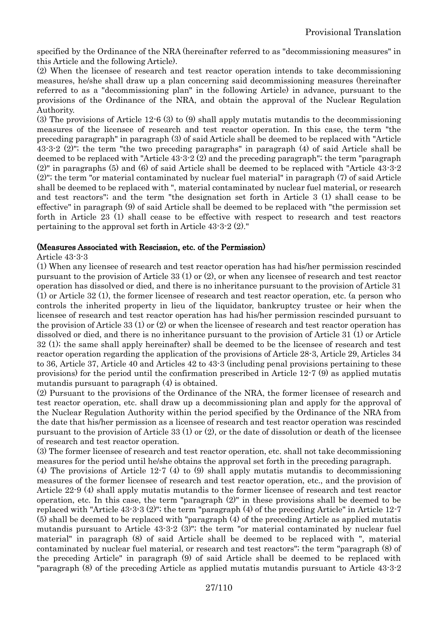specified by the Ordinance of the NRA (hereinafter referred to as "decommissioning measures" in this Article and the following Article).

(2) When the licensee of research and test reactor operation intends to take decommissioning measures, he/she shall draw up a plan concerning said decommissioning measures (hereinafter referred to as a "decommissioning plan" in the following Article) in advance, pursuant to the provisions of the Ordinance of the NRA, and obtain the approval of the Nuclear Regulation Authority.

(3) The provisions of Article 12-6 (3) to (9) shall apply mutatis mutandis to the decommissioning measures of the licensee of research and test reactor operation. In this case, the term "the preceding paragraph" in paragraph (3) of said Article shall be deemed to be replaced with "Article 43-3-2 (2)"; the term "the two preceding paragraphs" in paragraph (4) of said Article shall be deemed to be replaced with "Article 43-3-2 (2) and the preceding paragraph"; the term "paragraph (2)" in paragraphs (5) and (6) of said Article shall be deemed to be replaced with "Article 43-3-2 (2)"; the term "or material contaminated by nuclear fuel material" in paragraph (7) of said Article shall be deemed to be replaced with ", material contaminated by nuclear fuel material, or research and test reactors"; and the term "the designation set forth in Article 3 (1) shall cease to be effective" in paragraph (9) of said Article shall be deemed to be replaced with "the permission set forth in Article 23 (1) shall cease to be effective with respect to research and test reactors pertaining to the approval set forth in Article 43-3-2 (2)."

## (Measures Associated with Rescission, etc. of the Permission)

## Article 43-3-3

(1) When any licensee of research and test reactor operation has had his/her permission rescinded pursuant to the provision of Article 33 (1) or (2), or when any licensee of research and test reactor operation has dissolved or died, and there is no inheritance pursuant to the provision of Article 31 (1) or Article 32 (1), the former licensee of research and test reactor operation, etc. (a person who controls the inherited property in lieu of the liquidator, bankruptcy trustee or heir when the licensee of research and test reactor operation has had his/her permission rescinded pursuant to the provision of Article 33 (1) or (2) or when the licensee of research and test reactor operation has dissolved or died, and there is no inheritance pursuant to the provision of Article 31 (1) or Article 32 (1); the same shall apply hereinafter) shall be deemed to be the licensee of research and test reactor operation regarding the application of the provisions of Article 28-3, Article 29, Articles 34 to 36, Article 37, Article 40 and Articles 42 to 43-3 (including penal provisions pertaining to these provisions) for the period until the confirmation prescribed in Article 12-7 (9) as applied mutatis mutandis pursuant to paragraph (4) is obtained.

(2) Pursuant to the provisions of the Ordinance of the NRA, the former licensee of research and test reactor operation, etc. shall draw up a decommissioning plan and apply for the approval of the Nuclear Regulation Authority within the period specified by the Ordinance of the NRA from the date that his/her permission as a licensee of research and test reactor operation was rescinded pursuant to the provision of Article 33 (1) or (2), or the date of dissolution or death of the licensee of research and test reactor operation.

(3) The former licensee of research and test reactor operation, etc. shall not take decommissioning measures for the period until he/she obtains the approval set forth in the preceding paragraph.

(4) The provisions of Article 12-7 (4) to (9) shall apply mutatis mutandis to decommissioning measures of the former licensee of research and test reactor operation, etc., and the provision of Article 22-9 (4) shall apply mutatis mutandis to the former licensee of research and test reactor operation, etc. In this case, the term "paragraph (2)" in these provisions shall be deemed to be replaced with "Article 43-3-3 (2)"; the term "paragraph (4) of the preceding Article" in Article 12-7 (5) shall be deemed to be replaced with "paragraph (4) of the preceding Article as applied mutatis mutandis pursuant to Article 43-3-2 (3)"; the term "or material contaminated by nuclear fuel material" in paragraph (8) of said Article shall be deemed to be replaced with ", material contaminated by nuclear fuel material, or research and test reactors"; the term "paragraph (8) of the preceding Article" in paragraph (9) of said Article shall be deemed to be replaced with "paragraph (8) of the preceding Article as applied mutatis mutandis pursuant to Article 43-3-2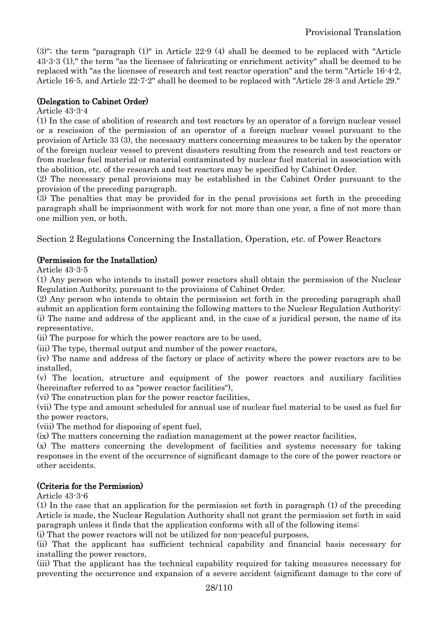(3)"; the term "paragraph (1)" in Article 22-9 (4) shall be deemed to be replaced with "Article 43-3-3 (1)," the term "as the licensee of fabricating or enrichment activity" shall be deemed to be replaced with "as the licensee of research and test reactor operation" and the term "Article 16-4-2, Article 16-5, and Article 22-7-2" shall be deemed to be replaced with "Article 28-3 and Article 29."

## (Delegation to Cabinet Order)

## Article 43-3-4

(1) In the case of abolition of research and test reactors by an operator of a foreign nuclear vessel or a rescission of the permission of an operator of a foreign nuclear vessel pursuant to the provision of Article 33 (3), the necessary matters concerning measures to be taken by the operator of the foreign nuclear vessel to prevent disasters resulting from the research and test reactors or from nuclear fuel material or material contaminated by nuclear fuel material in association with the abolition, etc. of the research and test reactors may be specified by Cabinet Order.

(2) The necessary penal provisions may be established in the Cabinet Order pursuant to the provision of the preceding paragraph.

(3) The penalties that may be provided for in the penal provisions set forth in the preceding paragraph shall be imprisonment with work for not more than one year, a fine of not more than one million yen, or both.

<span id="page-27-0"></span>Section 2 Regulations Concerning the Installation, Operation, etc. of Power Reactors

## (Permission for the Installation)

Article 43-3-5

(1) Any person who intends to install power reactors shall obtain the permission of the Nuclear Regulation Authority, pursuant to the provisions of Cabinet Order.

(2) Any person who intends to obtain the permission set forth in the preceding paragraph shall submit an application form containing the following matters to the Nuclear Regulation Authority: (i) The name and address of the applicant and, in the case of a juridical person, the name of its representative,

(ii) The purpose for which the power reactors are to be used,

(iii) The type, thermal output and number of the power reactors,

(iv) The name and address of the factory or place of activity where the power reactors are to be installed,

(v) The location, structure and equipment of the power reactors and auxiliary facilities (hereinafter referred to as "power reactor facilities"),

(vi) The construction plan for the power reactor facilities,

(vii) The type and amount scheduled for annual use of nuclear fuel material to be used as fuel for the power reactors,

(viii) The method for disposing of spent fuel,

(ix) The matters concerning the radiation management at the power reactor facilities,

(x) The matters concerning the development of facilities and systems necessary for taking responses in the event of the occurrence of significant damage to the core of the power reactors or other accidents.

## (Criteria for the Permission)

Article 43-3-6

(1) In the case that an application for the permission set forth in paragraph (1) of the preceding Article is made, the Nuclear Regulation Authority shall not grant the permission set forth in said paragraph unless it finds that the application conforms with all of the following items:

(i) That the power reactors will not be utilized for non-peaceful purposes,

(ii) That the applicant has sufficient technical capability and financial basis necessary for installing the power reactors,

(iii) That the applicant has the technical capability required for taking measures necessary for preventing the occurrence and expansion of a severe accident (significant damage to the core of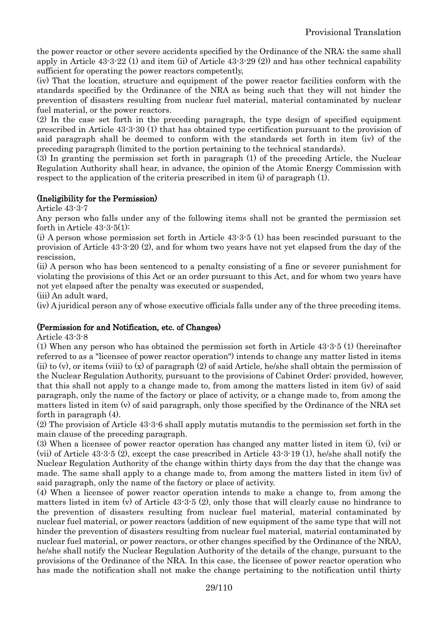the power reactor or other severe accidents specified by the Ordinance of the NRA; the same shall apply in Article 43-3-22 (1) and item (ii) of Article 43-3-29 (2)) and has other technical capability sufficient for operating the power reactors competently,

(iv) That the location, structure and equipment of the power reactor facilities conform with the standards specified by the Ordinance of the NRA as being such that they will not hinder the prevention of disasters resulting from nuclear fuel material, material contaminated by nuclear fuel material, or the power reactors.

(2) In the case set forth in the preceding paragraph, the type design of specified equipment prescribed in Article 43-3-30 (1) that has obtained type certification pursuant to the provision of said paragraph shall be deemed to conform with the standards set forth in item (iv) of the preceding paragraph (limited to the portion pertaining to the technical standards).

(3) In granting the permission set forth in paragraph (1) of the preceding Article, the Nuclear Regulation Authority shall hear, in advance, the opinion of the Atomic Energy Commission with respect to the application of the criteria prescribed in item (i) of paragraph (1).

## (Ineligibility for the Permission)

Article 43-3-7

Any person who falls under any of the following items shall not be granted the permission set forth in Article 43-3-5(1):

(i) A person whose permission set forth in Article 43-3-5 (1) has been rescinded pursuant to the provision of Article 43-3-20 (2), and for whom two years have not yet elapsed from the day of the rescission,

(ii) A person who has been sentenced to a penalty consisting of a fine or severer punishment for violating the provisions of this Act or an order pursuant to this Act, and for whom two years have not yet elapsed after the penalty was executed or suspended,

(iii) An adult ward,

(iv) A juridical person any of whose executive officials falls under any of the three preceding items.

## (Permission for and Notification, etc. of Changes)

Article 43-3-8

(1) When any person who has obtained the permission set forth in Article 43-3-5 (1) (hereinafter referred to as a "licensee of power reactor operation") intends to change any matter listed in items (ii) to (v), or items (viii) to (x) of paragraph (2) of said Article, he/she shall obtain the permission of the Nuclear Regulation Authority, pursuant to the provisions of Cabinet Order; provided, however, that this shall not apply to a change made to, from among the matters listed in item (iv) of said paragraph, only the name of the factory or place of activity, or a change made to, from among the matters listed in item (v) of said paragraph, only those specified by the Ordinance of the NRA set forth in paragraph (4).

(2) The provision of Article 43-3-6 shall apply mutatis mutandis to the permission set forth in the main clause of the preceding paragraph.

(3) When a licensee of power reactor operation has changed any matter listed in item (i), (vi) or (vii) of Article 43-3-5 (2), except the case prescribed in Article 43-3-19 (1), he/she shall notify the Nuclear Regulation Authority of the change within thirty days from the day that the change was made. The same shall apply to a change made to, from among the matters listed in item (iv) of said paragraph, only the name of the factory or place of activity.

(4) When a licensee of power reactor operation intends to make a change to, from among the matters listed in item (v) of Article 43-3-5 (2), only those that will clearly cause no hindrance to the prevention of disasters resulting from nuclear fuel material, material contaminated by nuclear fuel material, or power reactors (addition of new equipment of the same type that will not hinder the prevention of disasters resulting from nuclear fuel material, material contaminated by nuclear fuel material, or power reactors, or other changes specified by the Ordinance of the NRA), he/she shall notify the Nuclear Regulation Authority of the details of the change, pursuant to the provisions of the Ordinance of the NRA. In this case, the licensee of power reactor operation who has made the notification shall not make the change pertaining to the notification until thirty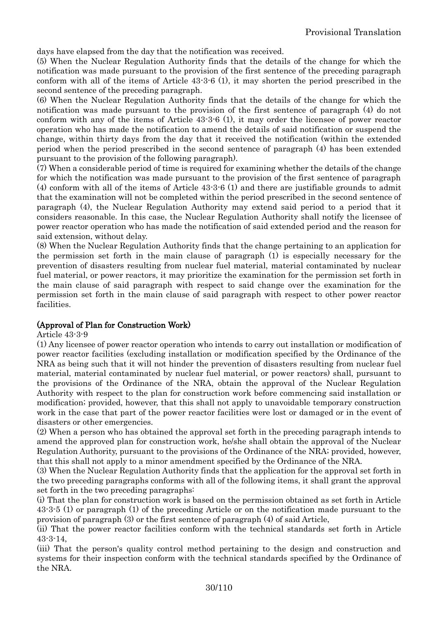days have elapsed from the day that the notification was received.

(5) When the Nuclear Regulation Authority finds that the details of the change for which the notification was made pursuant to the provision of the first sentence of the preceding paragraph conform with all of the items of Article 43-3-6 (1), it may shorten the period prescribed in the second sentence of the preceding paragraph.

(6) When the Nuclear Regulation Authority finds that the details of the change for which the notification was made pursuant to the provision of the first sentence of paragraph (4) do not conform with any of the items of Article 43-3-6 (1), it may order the licensee of power reactor operation who has made the notification to amend the details of said notification or suspend the change, within thirty days from the day that it received the notification (within the extended period when the period prescribed in the second sentence of paragraph (4) has been extended pursuant to the provision of the following paragraph).

(7) When a considerable period of time is required for examining whether the details of the change for which the notification was made pursuant to the provision of the first sentence of paragraph (4) conform with all of the items of Article 43-3-6 (1) and there are justifiable grounds to admit that the examination will not be completed within the period prescribed in the second sentence of paragraph (4), the Nuclear Regulation Authority may extend said period to a period that it considers reasonable. In this case, the Nuclear Regulation Authority shall notify the licensee of power reactor operation who has made the notification of said extended period and the reason for said extension, without delay.

(8) When the Nuclear Regulation Authority finds that the change pertaining to an application for the permission set forth in the main clause of paragraph (1) is especially necessary for the prevention of disasters resulting from nuclear fuel material, material contaminated by nuclear fuel material, or power reactors, it may prioritize the examination for the permission set forth in the main clause of said paragraph with respect to said change over the examination for the permission set forth in the main clause of said paragraph with respect to other power reactor facilities.

## (Approval of Plan for Construction Work)

Article 43-3-9

(1) Any licensee of power reactor operation who intends to carry out installation or modification of power reactor facilities (excluding installation or modification specified by the Ordinance of the NRA as being such that it will not hinder the prevention of disasters resulting from nuclear fuel material, material contaminated by nuclear fuel material, or power reactors) shall, pursuant to the provisions of the Ordinance of the NRA, obtain the approval of the Nuclear Regulation Authority with respect to the plan for construction work before commencing said installation or modification; provided, however, that this shall not apply to unavoidable temporary construction work in the case that part of the power reactor facilities were lost or damaged or in the event of disasters or other emergencies.

(2) When a person who has obtained the approval set forth in the preceding paragraph intends to amend the approved plan for construction work, he/she shall obtain the approval of the Nuclear Regulation Authority, pursuant to the provisions of the Ordinance of the NRA; provided, however, that this shall not apply to a minor amendment specified by the Ordinance of the NRA.

(3) When the Nuclear Regulation Authority finds that the application for the approval set forth in the two preceding paragraphs conforms with all of the following items, it shall grant the approval set forth in the two preceding paragraphs:

(i) That the plan for construction work is based on the permission obtained as set forth in Article 43-3-5 (1) or paragraph (1) of the preceding Article or on the notification made pursuant to the provision of paragraph (3) or the first sentence of paragraph (4) of said Article,

(ii) That the power reactor facilities conform with the technical standards set forth in Article 43-3-14,

(iii) That the person's quality control method pertaining to the design and construction and systems for their inspection conform with the technical standards specified by the Ordinance of the NRA.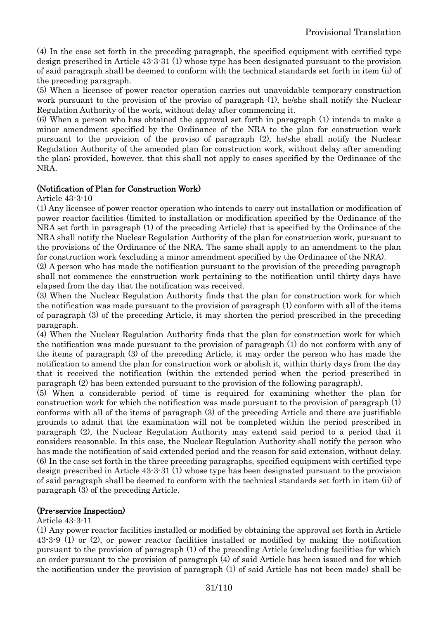(4) In the case set forth in the preceding paragraph, the specified equipment with certified type design prescribed in Article 43-3-31 (1) whose type has been designated pursuant to the provision of said paragraph shall be deemed to conform with the technical standards set forth in item (ii) of the preceding paragraph.

(5) When a licensee of power reactor operation carries out unavoidable temporary construction work pursuant to the provision of the proviso of paragraph (1), he/she shall notify the Nuclear Regulation Authority of the work, without delay after commencing it.

(6) When a person who has obtained the approval set forth in paragraph (1) intends to make a minor amendment specified by the Ordinance of the NRA to the plan for construction work pursuant to the provision of the proviso of paragraph (2), he/she shall notify the Nuclear Regulation Authority of the amended plan for construction work, without delay after amending the plan; provided, however, that this shall not apply to cases specified by the Ordinance of the NRA.

## (Notification of Plan for Construction Work)

Article 43-3-10

(1) Any licensee of power reactor operation who intends to carry out installation or modification of power reactor facilities (limited to installation or modification specified by the Ordinance of the NRA set forth in paragraph (1) of the preceding Article) that is specified by the Ordinance of the NRA shall notify the Nuclear Regulation Authority of the plan for construction work, pursuant to the provisions of the Ordinance of the NRA. The same shall apply to an amendment to the plan for construction work (excluding a minor amendment specified by the Ordinance of the NRA).

(2) A person who has made the notification pursuant to the provision of the preceding paragraph shall not commence the construction work pertaining to the notification until thirty days have elapsed from the day that the notification was received.

(3) When the Nuclear Regulation Authority finds that the plan for construction work for which the notification was made pursuant to the provision of paragraph (1) conform with all of the items of paragraph (3) of the preceding Article, it may shorten the period prescribed in the preceding paragraph.

(4) When the Nuclear Regulation Authority finds that the plan for construction work for which the notification was made pursuant to the provision of paragraph (1) do not conform with any of the items of paragraph (3) of the preceding Article, it may order the person who has made the notification to amend the plan for construction work or abolish it, within thirty days from the day that it received the notification (within the extended period when the period prescribed in paragraph (2) has been extended pursuant to the provision of the following paragraph).

(5) When a considerable period of time is required for examining whether the plan for construction work for which the notification was made pursuant to the provision of paragraph (1) conforms with all of the items of paragraph (3) of the preceding Article and there are justifiable grounds to admit that the examination will not be completed within the period prescribed in paragraph (2), the Nuclear Regulation Authority may extend said period to a period that it considers reasonable. In this case, the Nuclear Regulation Authority shall notify the person who has made the notification of said extended period and the reason for said extension, without delay. (6) In the case set forth in the three preceding paragraphs, specified equipment with certified type design prescribed in Article 43-3-31 (1) whose type has been designated pursuant to the provision of said paragraph shall be deemed to conform with the technical standards set forth in item (ii) of paragraph (3) of the preceding Article.

## (Pre-service Inspection)

#### Article 43-3-11

(1) Any power reactor facilities installed or modified by obtaining the approval set forth in Article 43-3-9 (1) or (2), or power reactor facilities installed or modified by making the notification pursuant to the provision of paragraph (1) of the preceding Article (excluding facilities for which an order pursuant to the provision of paragraph (4) of said Article has been issued and for which the notification under the provision of paragraph (1) of said Article has not been made) shall be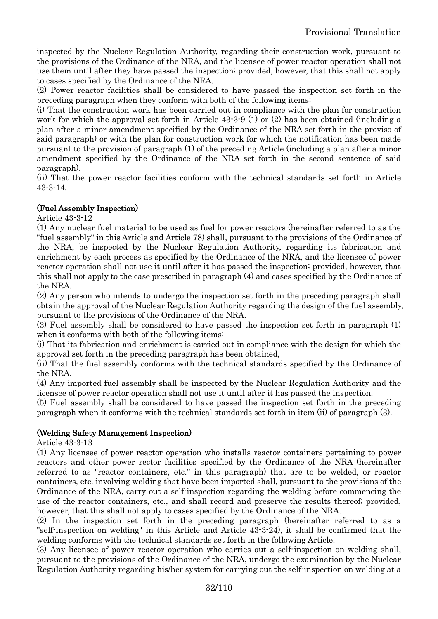inspected by the Nuclear Regulation Authority, regarding their construction work, pursuant to the provisions of the Ordinance of the NRA, and the licensee of power reactor operation shall not use them until after they have passed the inspection; provided, however, that this shall not apply to cases specified by the Ordinance of the NRA.

(2) Power reactor facilities shall be considered to have passed the inspection set forth in the preceding paragraph when they conform with both of the following items:

(i) That the construction work has been carried out in compliance with the plan for construction work for which the approval set forth in Article 43-3-9 (1) or (2) has been obtained (including a plan after a minor amendment specified by the Ordinance of the NRA set forth in the proviso of said paragraph) or with the plan for construction work for which the notification has been made pursuant to the provision of paragraph (1) of the preceding Article (including a plan after a minor amendment specified by the Ordinance of the NRA set forth in the second sentence of said paragraph),

(ii) That the power reactor facilities conform with the technical standards set forth in Article 43-3-14.

## (Fuel Assembly Inspection)

Article 43-3-12

(1) Any nuclear fuel material to be used as fuel for power reactors (hereinafter referred to as the "fuel assembly" in this Article and Article 78) shall, pursuant to the provisions of the Ordinance of the NRA, be inspected by the Nuclear Regulation Authority, regarding its fabrication and enrichment by each process as specified by the Ordinance of the NRA, and the licensee of power reactor operation shall not use it until after it has passed the inspection; provided, however, that this shall not apply to the case prescribed in paragraph (4) and cases specified by the Ordinance of the NRA.

(2) Any person who intends to undergo the inspection set forth in the preceding paragraph shall obtain the approval of the Nuclear Regulation Authority regarding the design of the fuel assembly, pursuant to the provisions of the Ordinance of the NRA.

(3) Fuel assembly shall be considered to have passed the inspection set forth in paragraph (1) when it conforms with both of the following items:

(i) That its fabrication and enrichment is carried out in compliance with the design for which the approval set forth in the preceding paragraph has been obtained,

(ii) That the fuel assembly conforms with the technical standards specified by the Ordinance of the NRA.

(4) Any imported fuel assembly shall be inspected by the Nuclear Regulation Authority and the licensee of power reactor operation shall not use it until after it has passed the inspection.

(5) Fuel assembly shall be considered to have passed the inspection set forth in the preceding paragraph when it conforms with the technical standards set forth in item (ii) of paragraph (3).

## (Welding Safety Management Inspection)

Article 43-3-13

(1) Any licensee of power reactor operation who installs reactor containers pertaining to power reactors and other power rector facilities specified by the Ordinance of the NRA (hereinafter referred to as "reactor containers, etc." in this paragraph) that are to be welded, or reactor containers, etc. involving welding that have been imported shall, pursuant to the provisions of the Ordinance of the NRA, carry out a self-inspection regarding the welding before commencing the use of the reactor containers, etc., and shall record and preserve the results thereof; provided, however, that this shall not apply to cases specified by the Ordinance of the NRA.

(2) In the inspection set forth in the preceding paragraph (hereinafter referred to as a "self-inspection on welding" in this Article and Article 43-3-24), it shall be confirmed that the welding conforms with the technical standards set forth in the following Article.

(3) Any licensee of power reactor operation who carries out a self-inspection on welding shall, pursuant to the provisions of the Ordinance of the NRA, undergo the examination by the Nuclear Regulation Authority regarding his/her system for carrying out the self-inspection on welding at a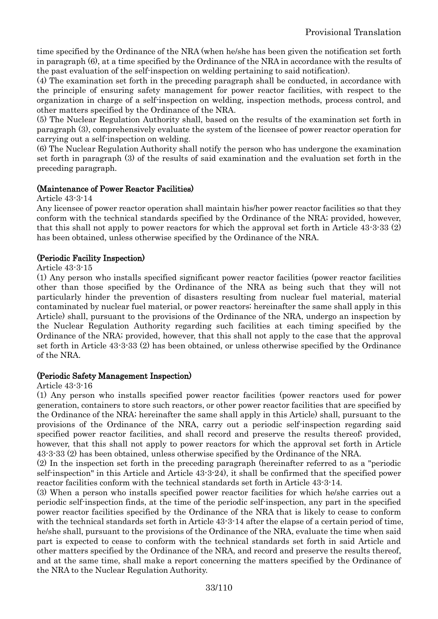time specified by the Ordinance of the NRA (when he/she has been given the notification set forth in paragraph (6), at a time specified by the Ordinance of the NRA in accordance with the results of the past evaluation of the self-inspection on welding pertaining to said notification).

(4) The examination set forth in the preceding paragraph shall be conducted, in accordance with the principle of ensuring safety management for power reactor facilities, with respect to the organization in charge of a self-inspection on welding, inspection methods, process control, and other matters specified by the Ordinance of the NRA.

(5) The Nuclear Regulation Authority shall, based on the results of the examination set forth in paragraph (3), comprehensively evaluate the system of the licensee of power reactor operation for carrying out a self-inspection on welding.

(6) The Nuclear Regulation Authority shall notify the person who has undergone the examination set forth in paragraph (3) of the results of said examination and the evaluation set forth in the preceding paragraph.

## (Maintenance of Power Reactor Facilities)

Article 43-3-14

Any licensee of power reactor operation shall maintain his/her power reactor facilities so that they conform with the technical standards specified by the Ordinance of the NRA; provided, however, that this shall not apply to power reactors for which the approval set forth in Article 43-3-33 (2) has been obtained, unless otherwise specified by the Ordinance of the NRA.

## (Periodic Facility Inspection)

#### Article 43-3-15

(1) Any person who installs specified significant power reactor facilities (power reactor facilities other than those specified by the Ordinance of the NRA as being such that they will not particularly hinder the prevention of disasters resulting from nuclear fuel material, material contaminated by nuclear fuel material, or power reactors; hereinafter the same shall apply in this Article) shall, pursuant to the provisions of the Ordinance of the NRA, undergo an inspection by the Nuclear Regulation Authority regarding such facilities at each timing specified by the Ordinance of the NRA; provided, however, that this shall not apply to the case that the approval set forth in Article 43-3-33 (2) has been obtained, or unless otherwise specified by the Ordinance of the NRA.

#### (Periodic Safety Management Inspection)

#### Article 43-3-16

(1) Any person who installs specified power reactor facilities (power reactors used for power generation, containers to store such reactors, or other power reactor facilities that are specified by the Ordinance of the NRA; hereinafter the same shall apply in this Article) shall, pursuant to the provisions of the Ordinance of the NRA, carry out a periodic self-inspection regarding said specified power reactor facilities, and shall record and preserve the results thereof; provided, however, that this shall not apply to power reactors for which the approval set forth in Article 43-3-33 (2) has been obtained, unless otherwise specified by the Ordinance of the NRA.

(2) In the inspection set forth in the preceding paragraph (hereinafter referred to as a "periodic self-inspection" in this Article and Article 43-3-24), it shall be confirmed that the specified power reactor facilities conform with the technical standards set forth in Article 43-3-14.

(3) When a person who installs specified power reactor facilities for which he/she carries out a periodic self-inspection finds, at the time of the periodic self-inspection, any part in the specified power reactor facilities specified by the Ordinance of the NRA that is likely to cease to conform with the technical standards set forth in Article 43-3-14 after the elapse of a certain period of time, he/she shall, pursuant to the provisions of the Ordinance of the NRA, evaluate the time when said part is expected to cease to conform with the technical standards set forth in said Article and other matters specified by the Ordinance of the NRA, and record and preserve the results thereof, and at the same time, shall make a report concerning the matters specified by the Ordinance of the NRA to the Nuclear Regulation Authority.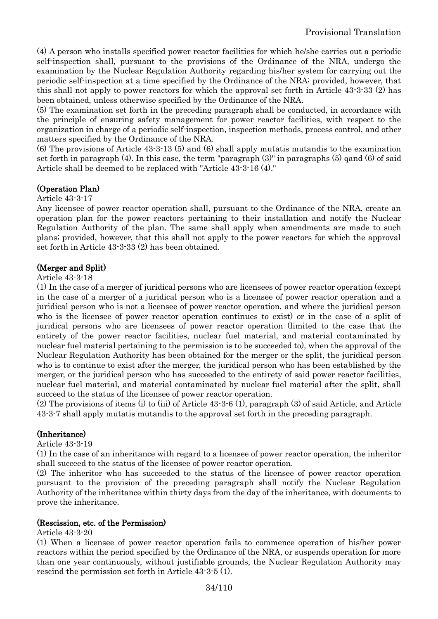(4) A person who installs specified power reactor facilities for which he/she carries out a periodic self-inspection shall, pursuant to the provisions of the Ordinance of the NRA, undergo the examination by the Nuclear Regulation Authority regarding his/her system for carrying out the periodic self-inspection at a time specified by the Ordinance of the NRA; provided, however, that this shall not apply to power reactors for which the approval set forth in Article 43-3-33 (2) has been obtained, unless otherwise specified by the Ordinance of the NRA.

(5) The examination set forth in the preceding paragraph shall be conducted, in accordance with the principle of ensuring safety management for power reactor facilities, with respect to the organization in charge of a periodic self-inspection, inspection methods, process control, and other matters specified by the Ordinance of the NRA.

(6) The provisions of Article 43-3-13 (5) and (6) shall apply mutatis mutandis to the examination set forth in paragraph (4). In this case, the term "paragraph (3)" in paragraphs (5) qand (6) of said Article shall be deemed to be replaced with "Article 43-3-16 (4)."

## (Operation Plan)

Article 43-3-17

Any licensee of power reactor operation shall, pursuant to the Ordinance of the NRA, create an operation plan for the power reactors pertaining to their installation and notify the Nuclear Regulation Authority of the plan. The same shall apply when amendments are made to such plans; provided, however, that this shall not apply to the power reactors for which the approval set forth in Article 43-3-33 (2) has been obtained.

## (Merger and Split)

Article 43-3-18

(1) In the case of a merger of juridical persons who are licensees of power reactor operation (except in the case of a merger of a juridical person who is a licensee of power reactor operation and a juridical person who is not a licensee of power reactor operation, and where the juridical person who is the licensee of power reactor operation continues to exist) or in the case of a split of juridical persons who are licensees of power reactor operation (limited to the case that the entirety of the power reactor facilities, nuclear fuel material, and material contaminated by nuclear fuel material pertaining to the permission is to be succeeded to), when the approval of the Nuclear Regulation Authority has been obtained for the merger or the split, the juridical person who is to continue to exist after the merger, the juridical person who has been established by the merger, or the juridical person who has succeeded to the entirety of said power reactor facilities, nuclear fuel material, and material contaminated by nuclear fuel material after the split, shall succeed to the status of the licensee of power reactor operation.

(2) The provisions of items (i) to (iii) of Article 43-3-6 (1), paragraph (3) of said Article, and Article 43-3-7 shall apply mutatis mutandis to the approval set forth in the preceding paragraph.

## (Inheritance)

Article 43-3-19

(1) In the case of an inheritance with regard to a licensee of power reactor operation, the inheritor shall succeed to the status of the licensee of power reactor operation.

(2) The inheritor who has succeeded to the status of the licensee of power reactor operation pursuant to the provision of the preceding paragraph shall notify the Nuclear Regulation Authority of the inheritance within thirty days from the day of the inheritance, with documents to prove the inheritance.

## (Rescission, etc. of the Permission)

Article 43-3-20

(1) When a licensee of power reactor operation fails to commence operation of his/her power reactors within the period specified by the Ordinance of the NRA, or suspends operation for more than one year continuously, without justifiable grounds, the Nuclear Regulation Authority may rescind the permission set forth in Article 43-3-5 (1).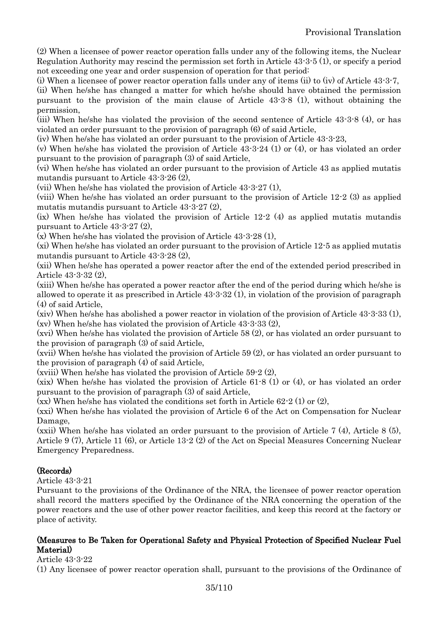(2) When a licensee of power reactor operation falls under any of the following items, the Nuclear Regulation Authority may rescind the permission set forth in Article 43-3-5 (1), or specify a period not exceeding one year and order suspension of operation for that period:

(i) When a licensee of power reactor operation falls under any of items (ii) to (iv) of Article 43-3-7, (ii) When he/she has changed a matter for which he/she should have obtained the permission pursuant to the provision of the main clause of Article 43-3-8 (1), without obtaining the permission,

(iii) When he/she has violated the provision of the second sentence of Article 43-3-8 (4), or has violated an order pursuant to the provision of paragraph (6) of said Article,

(iv) When he/she has violated an order pursuant to the provision of Article 43-3-23,

(v) When he/she has violated the provision of Article 43-3-24 (1) or (4), or has violated an order pursuant to the provision of paragraph (3) of said Article,

(vi) When he/she has violated an order pursuant to the provision of Article 43 as applied mutatis mutandis pursuant to Article 43-3-26 (2),

(vii) When he/she has violated the provision of Article 43-3-27 (1),

(viii) When he/she has violated an order pursuant to the provision of Article 12-2 (3) as applied mutatis mutandis pursuant to Article 43-3-27 (2),

(ix) When he/she has violated the provision of Article 12-2 (4) as applied mutatis mutandis pursuant to Article 43-3-27 (2),

(x) When he/she has violated the provision of Article 43-3-28 (1),

(xi) When he/she has violated an order pursuant to the provision of Article 12-5 as applied mutatis mutandis pursuant to Article 43-3-28 (2),

(xii) When he/she has operated a power reactor after the end of the extended period prescribed in Article 43-3-32 (2),

(xiii) When he/she has operated a power reactor after the end of the period during which he/she is allowed to operate it as prescribed in Article 43-3-32 (1), in violation of the provision of paragraph (4) of said Article,

(xiv) When he/she has abolished a power reactor in violation of the provision of Article 43-3-33 (1), (xv) When he/she has violated the provision of Article 43-3-33 (2),

(xvi) When he/she has violated the provision of Article 58 (2), or has violated an order pursuant to the provision of paragraph (3) of said Article,

(xvii) When he/she has violated the provision of Article 59 (2), or has violated an order pursuant to the provision of paragraph (4) of said Article,

(xviii) When he/she has violated the provision of Article 59-2 (2),

(xix) When he/she has violated the provision of Article 61-8 (1) or (4), or has violated an order pursuant to the provision of paragraph (3) of said Article,

 $(xx)$  When he/she has violated the conditions set forth in Article 62-2 (1) or (2),

(xxi) When he/she has violated the provision of Article 6 of the Act on Compensation for Nuclear Damage,

(xxii) When he/she has violated an order pursuant to the provision of Article 7 (4), Article 8 (5), Article 9 (7), Article 11 (6), or Article 13-2 (2) of the Act on Special Measures Concerning Nuclear Emergency Preparedness.

## (Records)

Article 43-3-21

Pursuant to the provisions of the Ordinance of the NRA, the licensee of power reactor operation shall record the matters specified by the Ordinance of the NRA concerning the operation of the power reactors and the use of other power reactor facilities, and keep this record at the factory or place of activity.

## (Measures to Be Taken for Operational Safety and Physical Protection of Specified Nuclear Fuel Material)

## Article 43-3-22

(1) Any licensee of power reactor operation shall, pursuant to the provisions of the Ordinance of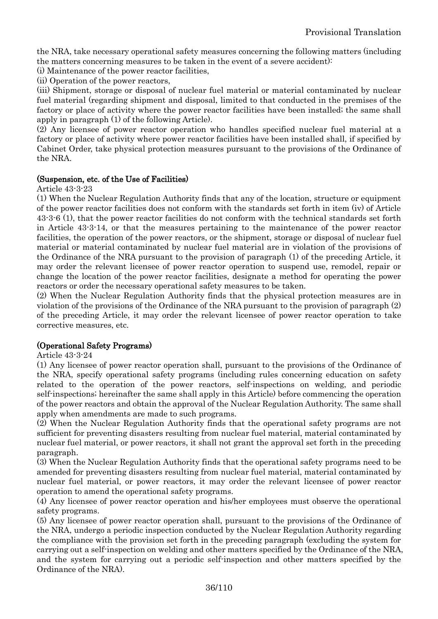the NRA, take necessary operational safety measures concerning the following matters (including the matters concerning measures to be taken in the event of a severe accident):

(i) Maintenance of the power reactor facilities,

(ii) Operation of the power reactors,

(iii) Shipment, storage or disposal of nuclear fuel material or material contaminated by nuclear fuel material (regarding shipment and disposal, limited to that conducted in the premises of the factory or place of activity where the power reactor facilities have been installed; the same shall apply in paragraph (1) of the following Article).

(2) Any licensee of power reactor operation who handles specified nuclear fuel material at a factory or place of activity where power reactor facilities have been installed shall, if specified by Cabinet Order, take physical protection measures pursuant to the provisions of the Ordinance of the NRA.

## (Suspension, etc. of the Use of Facilities)

Article 43-3-23

(1) When the Nuclear Regulation Authority finds that any of the location, structure or equipment of the power reactor facilities does not conform with the standards set forth in item (iv) of Article 43-3-6 (1), that the power reactor facilities do not conform with the technical standards set forth in Article 43-3-14, or that the measures pertaining to the maintenance of the power reactor facilities, the operation of the power reactors, or the shipment, storage or disposal of nuclear fuel material or material contaminated by nuclear fuel material are in violation of the provisions of the Ordinance of the NRA pursuant to the provision of paragraph (1) of the preceding Article, it may order the relevant licensee of power reactor operation to suspend use, remodel, repair or change the location of the power reactor facilities, designate a method for operating the power reactors or order the necessary operational safety measures to be taken.

(2) When the Nuclear Regulation Authority finds that the physical protection measures are in violation of the provisions of the Ordinance of the NRA pursuant to the provision of paragraph (2) of the preceding Article, it may order the relevant licensee of power reactor operation to take corrective measures, etc.

## (Operational Safety Programs)

Article 43-3-24

(1) Any licensee of power reactor operation shall, pursuant to the provisions of the Ordinance of the NRA, specify operational safety programs (including rules concerning education on safety related to the operation of the power reactors, self-inspections on welding, and periodic self-inspections; hereinafter the same shall apply in this Article) before commencing the operation of the power reactors and obtain the approval of the Nuclear Regulation Authority. The same shall apply when amendments are made to such programs.

(2) When the Nuclear Regulation Authority finds that the operational safety programs are not sufficient for preventing disasters resulting from nuclear fuel material, material contaminated by nuclear fuel material, or power reactors, it shall not grant the approval set forth in the preceding paragraph.

(3) When the Nuclear Regulation Authority finds that the operational safety programs need to be amended for preventing disasters resulting from nuclear fuel material, material contaminated by nuclear fuel material, or power reactors, it may order the relevant licensee of power reactor operation to amend the operational safety programs.

(4) Any licensee of power reactor operation and his/her employees must observe the operational safety programs.

(5) Any licensee of power reactor operation shall, pursuant to the provisions of the Ordinance of the NRA, undergo a periodic inspection conducted by the Nuclear Regulation Authority regarding the compliance with the provision set forth in the preceding paragraph (excluding the system for carrying out a self-inspection on welding and other matters specified by the Ordinance of the NRA, and the system for carrying out a periodic self-inspection and other matters specified by the Ordinance of the NRA).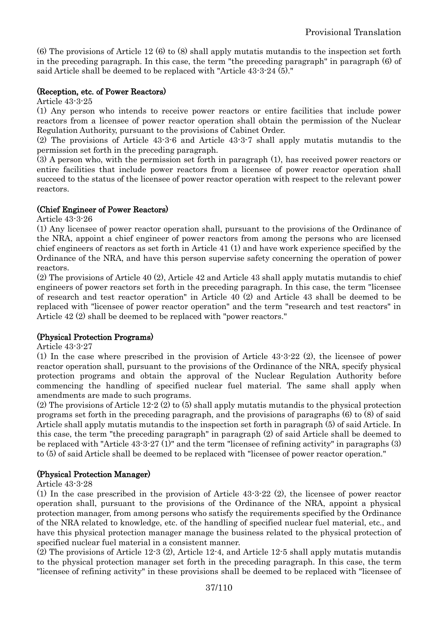(6) The provisions of Article 12 (6) to (8) shall apply mutatis mutandis to the inspection set forth in the preceding paragraph. In this case, the term "the preceding paragraph" in paragraph (6) of said Article shall be deemed to be replaced with "Article 43-3-24 (5)."

### (Reception, etc. of Power Reactors)

Article 43-3-25

(1) Any person who intends to receive power reactors or entire facilities that include power reactors from a licensee of power reactor operation shall obtain the permission of the Nuclear Regulation Authority, pursuant to the provisions of Cabinet Order.

(2) The provisions of Article 43-3-6 and Article 43-3-7 shall apply mutatis mutandis to the permission set forth in the preceding paragraph.

(3) A person who, with the permission set forth in paragraph (1), has received power reactors or entire facilities that include power reactors from a licensee of power reactor operation shall succeed to the status of the licensee of power reactor operation with respect to the relevant power reactors.

### (Chief Engineer of Power Reactors)

Article 43-3-26

(1) Any licensee of power reactor operation shall, pursuant to the provisions of the Ordinance of the NRA, appoint a chief engineer of power reactors from among the persons who are licensed chief engineers of reactors as set forth in Article 41 (1) and have work experience specified by the Ordinance of the NRA, and have this person supervise safety concerning the operation of power reactors.

(2) The provisions of Article 40 (2), Article 42 and Article 43 shall apply mutatis mutandis to chief engineers of power reactors set forth in the preceding paragraph. In this case, the term "licensee of research and test reactor operation" in Article 40 (2) and Article 43 shall be deemed to be replaced with "licensee of power reactor operation" and the term "research and test reactors" in Article 42 (2) shall be deemed to be replaced with "power reactors."

### (Physical Protection Programs)

Article 43-3-27

(1) In the case where prescribed in the provision of Article 43-3-22 (2), the licensee of power reactor operation shall, pursuant to the provisions of the Ordinance of the NRA, specify physical protection programs and obtain the approval of the Nuclear Regulation Authority before commencing the handling of specified nuclear fuel material. The same shall apply when amendments are made to such programs.

(2) The provisions of Article 12-2 (2) to (5) shall apply mutatis mutandis to the physical protection programs set forth in the preceding paragraph, and the provisions of paragraphs (6) to (8) of said Article shall apply mutatis mutandis to the inspection set forth in paragraph (5) of said Article. In this case, the term "the preceding paragraph" in paragraph (2) of said Article shall be deemed to be replaced with "Article 43-3-27 (1)" and the term "licensee of refining activity" in paragraphs (3) to (5) of said Article shall be deemed to be replaced with "licensee of power reactor operation."

### (Physical Protection Manager)

Article 43-3-28

(1) In the case prescribed in the provision of Article 43-3-22 (2), the licensee of power reactor operation shall, pursuant to the provisions of the Ordinance of the NRA, appoint a physical protection manager, from among persons who satisfy the requirements specified by the Ordinance of the NRA related to knowledge, etc. of the handling of specified nuclear fuel material, etc., and have this physical protection manager manage the business related to the physical protection of specified nuclear fuel material in a consistent manner.

(2) The provisions of Article 12-3 (2), Article 12-4, and Article 12-5 shall apply mutatis mutandis to the physical protection manager set forth in the preceding paragraph. In this case, the term "licensee of refining activity" in these provisions shall be deemed to be replaced with "licensee of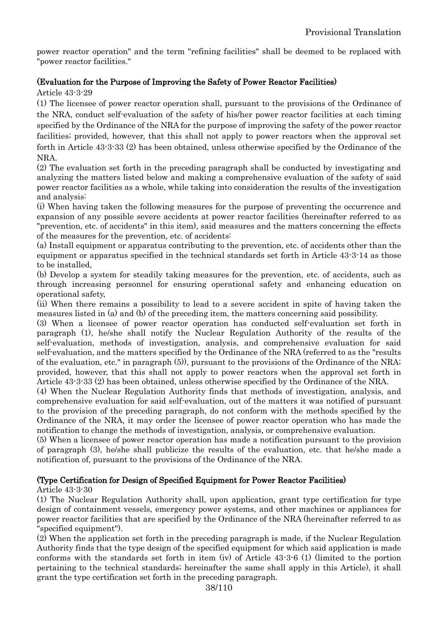power reactor operation" and the term "refining facilities" shall be deemed to be replaced with "power reactor facilities."

# (Evaluation for the Purpose of Improving the Safety of Power Reactor Facilities)

Article 43-3-29

(1) The licensee of power reactor operation shall, pursuant to the provisions of the Ordinance of the NRA, conduct self-evaluation of the safety of his/her power reactor facilities at each timing specified by the Ordinance of the NRA for the purpose of improving the safety of the power reactor facilities; provided, however, that this shall not apply to power reactors when the approval set forth in Article 43-3-33 (2) has been obtained, unless otherwise specified by the Ordinance of the NRA.

(2) The evaluation set forth in the preceding paragraph shall be conducted by investigating and analyzing the matters listed below and making a comprehensive evaluation of the safety of said power reactor facilities as a whole, while taking into consideration the results of the investigation and analysis:

(i) When having taken the following measures for the purpose of preventing the occurrence and expansion of any possible severe accidents at power reactor facilities (hereinafter referred to as "prevention, etc. of accidents" in this item), said measures and the matters concerning the effects of the measures for the prevention, etc. of accidents:

(a) Install equipment or apparatus contributing to the prevention, etc. of accidents other than the equipment or apparatus specified in the technical standards set forth in Article 43-3-14 as those to be installed,

(b) Develop a system for steadily taking measures for the prevention, etc. of accidents, such as through increasing personnel for ensuring operational safety and enhancing education on operational safety,

(ii) When there remains a possibility to lead to a severe accident in spite of having taken the measures listed in (a) and (b) of the preceding item, the matters concerning said possibility.

(3) When a licensee of power reactor operation has conducted self-evaluation set forth in paragraph (1), he/she shall notify the Nuclear Regulation Authority of the results of the self-evaluation, methods of investigation, analysis, and comprehensive evaluation for said self-evaluation, and the matters specified by the Ordinance of the NRA (referred to as the "results of the evaluation, etc." in paragraph (5)), pursuant to the provisions of the Ordinance of the NRA; provided, however, that this shall not apply to power reactors when the approval set forth in Article 43-3-33 (2) has been obtained, unless otherwise specified by the Ordinance of the NRA.

(4) When the Nuclear Regulation Authority finds that methods of investigation, analysis, and comprehensive evaluation for said self-evaluation, out of the matters it was notified of pursuant to the provision of the preceding paragraph, do not conform with the methods specified by the Ordinance of the NRA, it may order the licensee of power reactor operation who has made the notification to change the methods of investigation, analysis, or comprehensive evaluation.

(5) When a licensee of power reactor operation has made a notification pursuant to the provision of paragraph (3), he/she shall publicize the results of the evaluation, etc. that he/she made a notification of, pursuant to the provisions of the Ordinance of the NRA.

### (Type Certification for Design of Specified Equipment for Power Reactor Facilities)

Article 43-3-30

(1) The Nuclear Regulation Authority shall, upon application, grant type certification for type design of containment vessels, emergency power systems, and other machines or appliances for power reactor facilities that are specified by the Ordinance of the NRA (hereinafter referred to as "specified equipment").

(2) When the application set forth in the preceding paragraph is made, if the Nuclear Regulation Authority finds that the type design of the specified equipment for which said application is made conforms with the standards set forth in item (iv) of Article 43-3-6 (1) (limited to the portion pertaining to the technical standards; hereinafter the same shall apply in this Article), it shall grant the type certification set forth in the preceding paragraph.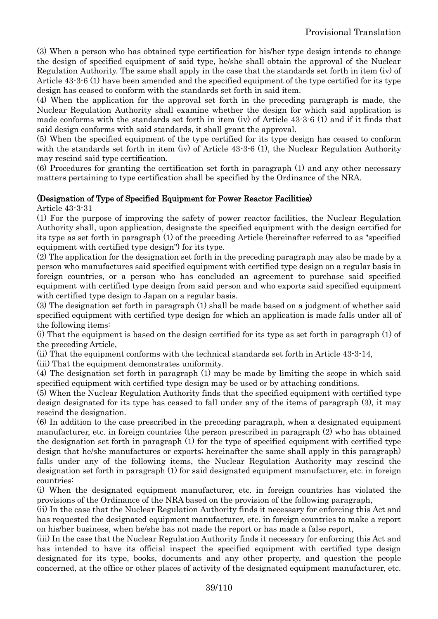(3) When a person who has obtained type certification for his/her type design intends to change the design of specified equipment of said type, he/she shall obtain the approval of the Nuclear Regulation Authority. The same shall apply in the case that the standards set forth in item (iv) of Article 43-3-6 (1) have been amended and the specified equipment of the type certified for its type design has ceased to conform with the standards set forth in said item.

(4) When the application for the approval set forth in the preceding paragraph is made, the Nuclear Regulation Authority shall examine whether the design for which said application is made conforms with the standards set forth in item (iv) of Article 43-3-6 (1) and if it finds that said design conforms with said standards, it shall grant the approval.

(5) When the specified equipment of the type certified for its type design has ceased to conform with the standards set forth in item (iv) of Article  $43-3-6$  (1), the Nuclear Regulation Authority may rescind said type certification.

(6) Procedures for granting the certification set forth in paragraph (1) and any other necessary matters pertaining to type certification shall be specified by the Ordinance of the NRA.

#### (Designation of Type of Specified Equipment for Power Reactor Facilities)

Article 43-3-31

(1) For the purpose of improving the safety of power reactor facilities, the Nuclear Regulation Authority shall, upon application, designate the specified equipment with the design certified for its type as set forth in paragraph (1) of the preceding Article (hereinafter referred to as "specified equipment with certified type design") for its type.

(2) The application for the designation set forth in the preceding paragraph may also be made by a person who manufactures said specified equipment with certified type design on a regular basis in foreign countries, or a person who has concluded an agreement to purchase said specified equipment with certified type design from said person and who exports said specified equipment with certified type design to Japan on a regular basis.

(3) The designation set forth in paragraph (1) shall be made based on a judgment of whether said specified equipment with certified type design for which an application is made falls under all of the following items:

(i) That the equipment is based on the design certified for its type as set forth in paragraph (1) of the preceding Article,

(ii) That the equipment conforms with the technical standards set forth in Article 43-3-14,

(iii) That the equipment demonstrates uniformity.

(4) The designation set forth in paragraph (1) may be made by limiting the scope in which said specified equipment with certified type design may be used or by attaching conditions.

(5) When the Nuclear Regulation Authority finds that the specified equipment with certified type design designated for its type has ceased to fall under any of the items of paragraph (3), it may rescind the designation.

(6) In addition to the case prescribed in the preceding paragraph, when a designated equipment manufacturer, etc. in foreign countries (the person prescribed in paragraph (2) who has obtained the designation set forth in paragraph (1) for the type of specified equipment with certified type design that he/she manufactures or exports; hereinafter the same shall apply in this paragraph) falls under any of the following items, the Nuclear Regulation Authority may rescind the designation set forth in paragraph (1) for said designated equipment manufacturer, etc. in foreign countries:

(i) When the designated equipment manufacturer, etc. in foreign countries has violated the provisions of the Ordinance of the NRA based on the provision of the following paragraph,

(ii) In the case that the Nuclear Regulation Authority finds it necessary for enforcing this Act and has requested the designated equipment manufacturer, etc. in foreign countries to make a report on his/her business, when he/she has not made the report or has made a false report,

(iii) In the case that the Nuclear Regulation Authority finds it necessary for enforcing this Act and has intended to have its official inspect the specified equipment with certified type design designated for its type, books, documents and any other property, and question the people concerned, at the office or other places of activity of the designated equipment manufacturer, etc.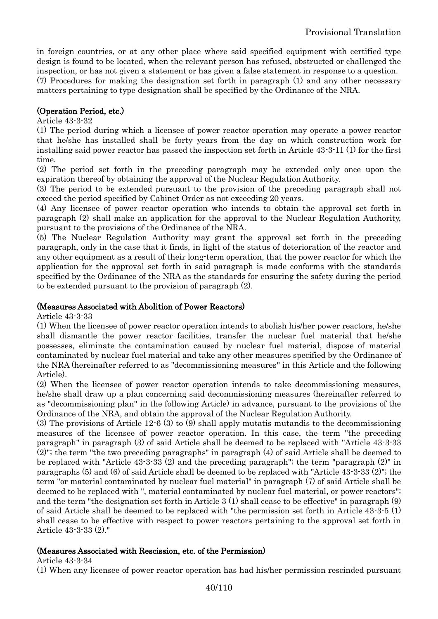in foreign countries, or at any other place where said specified equipment with certified type design is found to be located, when the relevant person has refused, obstructed or challenged the inspection, or has not given a statement or has given a false statement in response to a question. (7) Procedures for making the designation set forth in paragraph (1) and any other necessary

matters pertaining to type designation shall be specified by the Ordinance of the NRA.

# (Operation Period, etc.)

#### Article 43-3-32

(1) The period during which a licensee of power reactor operation may operate a power reactor that he/she has installed shall be forty years from the day on which construction work for installing said power reactor has passed the inspection set forth in Article 43-3-11 (1) for the first time.

(2) The period set forth in the preceding paragraph may be extended only once upon the expiration thereof by obtaining the approval of the Nuclear Regulation Authority.

(3) The period to be extended pursuant to the provision of the preceding paragraph shall not exceed the period specified by Cabinet Order as not exceeding 20 years.

(4) Any licensee of power reactor operation who intends to obtain the approval set forth in paragraph (2) shall make an application for the approval to the Nuclear Regulation Authority, pursuant to the provisions of the Ordinance of the NRA.

(5) The Nuclear Regulation Authority may grant the approval set forth in the preceding paragraph, only in the case that it finds, in light of the status of deterioration of the reactor and any other equipment as a result of their long-term operation, that the power reactor for which the application for the approval set forth in said paragraph is made conforms with the standards specified by the Ordinance of the NRA as the standards for ensuring the safety during the period to be extended pursuant to the provision of paragraph (2).

#### (Measures Associated with Abolition of Power Reactors)

Article 43-3-33

(1) When the licensee of power reactor operation intends to abolish his/her power reactors, he/she shall dismantle the power reactor facilities, transfer the nuclear fuel material that he/she possesses, eliminate the contamination caused by nuclear fuel material, dispose of material contaminated by nuclear fuel material and take any other measures specified by the Ordinance of the NRA (hereinafter referred to as "decommissioning measures" in this Article and the following Article).

(2) When the licensee of power reactor operation intends to take decommissioning measures, he/she shall draw up a plan concerning said decommissioning measures (hereinafter referred to as "decommissioning plan" in the following Article) in advance, pursuant to the provisions of the Ordinance of the NRA, and obtain the approval of the Nuclear Regulation Authority.

(3) The provisions of Article 12-6 (3) to (9) shall apply mutatis mutandis to the decommissioning measures of the licensee of power reactor operation. In this case, the term "the preceding paragraph" in paragraph (3) of said Article shall be deemed to be replaced with "Article 43-3-33 (2)"; the term "the two preceding paragraphs" in paragraph (4) of said Article shall be deemed to be replaced with "Article 43-3-33 (2) and the preceding paragraph"; the term "paragraph (2)" in paragraphs (5) and (6) of said Article shall be deemed to be replaced with "Article 43-3-33 (2)"; the term "or material contaminated by nuclear fuel material" in paragraph (7) of said Article shall be deemed to be replaced with ", material contaminated by nuclear fuel material, or power reactors"; and the term "the designation set forth in Article 3 (1) shall cease to be effective" in paragraph (9) of said Article shall be deemed to be replaced with "the permission set forth in Article 43-3-5 (1) shall cease to be effective with respect to power reactors pertaining to the approval set forth in Article 43-3-33 (2)."

### (Measures Associated with Rescission, etc. of the Permission)

Article 43-3-34

(1) When any licensee of power reactor operation has had his/her permission rescinded pursuant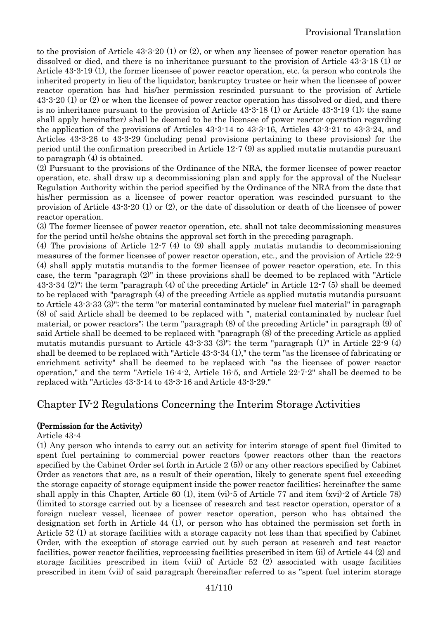to the provision of Article 43-3-20 (1) or (2), or when any licensee of power reactor operation has dissolved or died, and there is no inheritance pursuant to the provision of Article 43-3-18 (1) or Article 43-3-19 (1), the former licensee of power reactor operation, etc. (a person who controls the inherited property in lieu of the liquidator, bankruptcy trustee or heir when the licensee of power reactor operation has had his/her permission rescinded pursuant to the provision of Article 43-3-20 (1) or (2) or when the licensee of power reactor operation has dissolved or died, and there is no inheritance pursuant to the provision of Article 43-3-18 (1) or Article 43-3-19 (1); the same shall apply hereinafter) shall be deemed to be the licensee of power reactor operation regarding the application of the provisions of Articles 43-3-14 to 43-3-16, Articles 43-3-21 to 43-3-24, and Articles 43-3-26 to 43-3-29 (including penal provisions pertaining to these provisions) for the period until the confirmation prescribed in Article 12-7 (9) as applied mutatis mutandis pursuant to paragraph (4) is obtained.

(2) Pursuant to the provisions of the Ordinance of the NRA, the former licensee of power reactor operation, etc. shall draw up a decommissioning plan and apply for the approval of the Nuclear Regulation Authority within the period specified by the Ordinance of the NRA from the date that his/her permission as a licensee of power reactor operation was rescinded pursuant to the provision of Article 43-3-20 (1) or (2), or the date of dissolution or death of the licensee of power reactor operation.

(3) The former licensee of power reactor operation, etc. shall not take decommissioning measures for the period until he/she obtains the approval set forth in the preceding paragraph.

(4) The provisions of Article 12-7 (4) to (9) shall apply mutatis mutandis to decommissioning measures of the former licensee of power reactor operation, etc., and the provision of Article 22-9 (4) shall apply mutatis mutandis to the former licensee of power reactor operation, etc. In this case, the term "paragraph (2)" in these provisions shall be deemed to be replaced with "Article 43-3-34 (2)"; the term "paragraph (4) of the preceding Article" in Article 12-7 (5) shall be deemed to be replaced with "paragraph (4) of the preceding Article as applied mutatis mutandis pursuant to Article 43-3-33 (3)"; the term "or material contaminated by nuclear fuel material" in paragraph (8) of said Article shall be deemed to be replaced with ", material contaminated by nuclear fuel material, or power reactors"; the term "paragraph (8) of the preceding Article" in paragraph (9) of said Article shall be deemed to be replaced with "paragraph (8) of the preceding Article as applied mutatis mutandis pursuant to Article  $43-3-33$  (3)"; the term "paragraph (1)" in Article  $22-9$  (4) shall be deemed to be replaced with "Article 43-3-34 (1)," the term "as the licensee of fabricating or enrichment activity" shall be deemed to be replaced with "as the licensee of power reactor operation," and the term "Article 16-4-2, Article 16-5, and Article 22-7-2" shall be deemed to be replaced with "Articles 43-3-14 to 43-3-16 and Article 43-3-29."

# Chapter IV-2 Regulations Concerning the Interim Storage Activities

### (Permission for the Activity)

#### Article 43-4

(1) Any person who intends to carry out an activity for interim storage of spent fuel (limited to spent fuel pertaining to commercial power reactors (power reactors other than the reactors specified by the Cabinet Order set forth in Article 2 (5)) or any other reactors specified by Cabinet Order as reactors that are, as a result of their operation, likely to generate spent fuel exceeding the storage capacity of storage equipment inside the power reactor facilities; hereinafter the same shall apply in this Chapter, Article 60 (1), item (vi)-5 of Article 77 and item (xvi)-2 of Article 78) (limited to storage carried out by a licensee of research and test reactor operation, operator of a foreign nuclear vessel, licensee of power reactor operation, person who has obtained the designation set forth in Article 44 (1), or person who has obtained the permission set forth in Article 52 (1) at storage facilities with a storage capacity not less than that specified by Cabinet Order, with the exception of storage carried out by such person at research and test reactor facilities, power reactor facilities, reprocessing facilities prescribed in item (ii) of Article 44 (2) and storage facilities prescribed in item (viii) of Article 52 (2) associated with usage facilities prescribed in item (vii) of said paragraph (hereinafter referred to as "spent fuel interim storage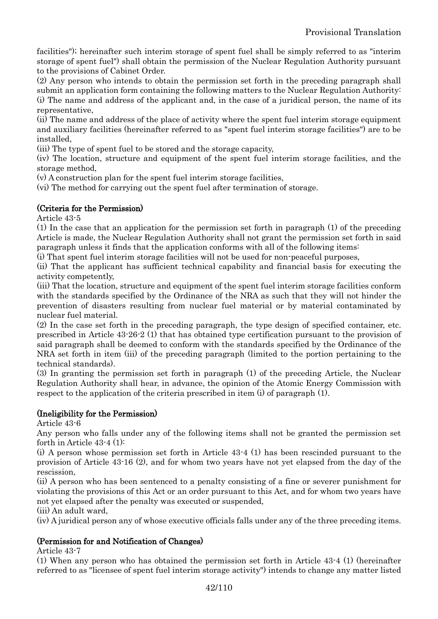facilities"); hereinafter such interim storage of spent fuel shall be simply referred to as "interim storage of spent fuel") shall obtain the permission of the Nuclear Regulation Authority pursuant to the provisions of Cabinet Order.

(2) Any person who intends to obtain the permission set forth in the preceding paragraph shall submit an application form containing the following matters to the Nuclear Regulation Authority: (i) The name and address of the applicant and, in the case of a juridical person, the name of its representative,

(ii) The name and address of the place of activity where the spent fuel interim storage equipment and auxiliary facilities (hereinafter referred to as "spent fuel interim storage facilities") are to be installed,

(iii) The type of spent fuel to be stored and the storage capacity,

(iv) The location, structure and equipment of the spent fuel interim storage facilities, and the storage method,

(v) A construction plan for the spent fuel interim storage facilities,

(vi) The method for carrying out the spent fuel after termination of storage.

### (Criteria for the Permission)

Article 43-5

(1) In the case that an application for the permission set forth in paragraph (1) of the preceding Article is made, the Nuclear Regulation Authority shall not grant the permission set forth in said paragraph unless it finds that the application conforms with all of the following items:

(i) That spent fuel interim storage facilities will not be used for non-peaceful purposes,

(ii) That the applicant has sufficient technical capability and financial basis for executing the activity competently,

(iii) That the location, structure and equipment of the spent fuel interim storage facilities conform with the standards specified by the Ordinance of the NRA as such that they will not hinder the prevention of disasters resulting from nuclear fuel material or by material contaminated by nuclear fuel material.

(2) In the case set forth in the preceding paragraph, the type design of specified container, etc. prescribed in Article 43-26-2 (1) that has obtained type certification pursuant to the provision of said paragraph shall be deemed to conform with the standards specified by the Ordinance of the NRA set forth in item (iii) of the preceding paragraph (limited to the portion pertaining to the technical standards).

(3) In granting the permission set forth in paragraph (1) of the preceding Article, the Nuclear Regulation Authority shall hear, in advance, the opinion of the Atomic Energy Commission with respect to the application of the criteria prescribed in item (i) of paragraph (1).

### (Ineligibility for the Permission)

Article 43-6

Any person who falls under any of the following items shall not be granted the permission set forth in Article 43-4 (1):

(i) A person whose permission set forth in Article 43-4 (1) has been rescinded pursuant to the provision of Article 43-16 (2), and for whom two years have not yet elapsed from the day of the rescission,

(ii) A person who has been sentenced to a penalty consisting of a fine or severer punishment for violating the provisions of this Act or an order pursuant to this Act, and for whom two years have not yet elapsed after the penalty was executed or suspended,

(iii) An adult ward,

(iv) A juridical person any of whose executive officials falls under any of the three preceding items.

# (Permission for and Notification of Changes)

Article 43-7

(1) When any person who has obtained the permission set forth in Article 43-4 (1) (hereinafter referred to as "licensee of spent fuel interim storage activity") intends to change any matter listed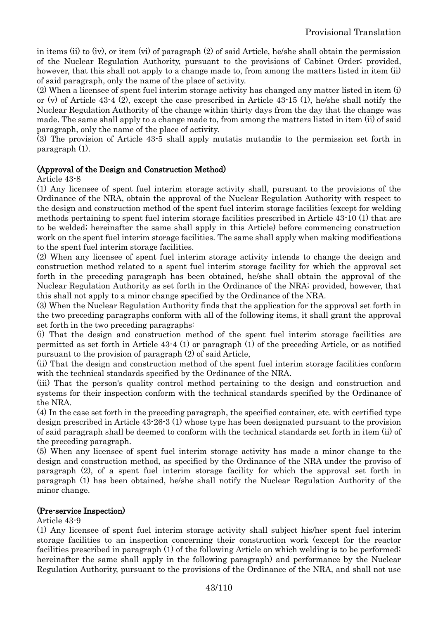in items (ii) to (iv), or item (vi) of paragraph (2) of said Article, he/she shall obtain the permission of the Nuclear Regulation Authority, pursuant to the provisions of Cabinet Order; provided, however, that this shall not apply to a change made to, from among the matters listed in item (ii) of said paragraph, only the name of the place of activity.

(2) When a licensee of spent fuel interim storage activity has changed any matter listed in item (i) or (v) of Article 43-4 (2), except the case prescribed in Article 43-15 (1), he/she shall notify the Nuclear Regulation Authority of the change within thirty days from the day that the change was made. The same shall apply to a change made to, from among the matters listed in item (ii) of said paragraph, only the name of the place of activity.

(3) The provision of Article 43-5 shall apply mutatis mutandis to the permission set forth in paragraph (1).

### (Approval of the Design and Construction Method)

Article 43-8

(1) Any licensee of spent fuel interim storage activity shall, pursuant to the provisions of the Ordinance of the NRA, obtain the approval of the Nuclear Regulation Authority with respect to the design and construction method of the spent fuel interim storage facilities (except for welding methods pertaining to spent fuel interim storage facilities prescribed in Article 43-10 (1) that are to be welded; hereinafter the same shall apply in this Article) before commencing construction work on the spent fuel interim storage facilities. The same shall apply when making modifications to the spent fuel interim storage facilities.

(2) When any licensee of spent fuel interim storage activity intends to change the design and construction method related to a spent fuel interim storage facility for which the approval set forth in the preceding paragraph has been obtained, he/she shall obtain the approval of the Nuclear Regulation Authority as set forth in the Ordinance of the NRA; provided, however, that this shall not apply to a minor change specified by the Ordinance of the NRA.

(3) When the Nuclear Regulation Authority finds that the application for the approval set forth in the two preceding paragraphs conform with all of the following items, it shall grant the approval set forth in the two preceding paragraphs:

(i) That the design and construction method of the spent fuel interim storage facilities are permitted as set forth in Article 43-4 (1) or paragraph (1) of the preceding Article, or as notified pursuant to the provision of paragraph (2) of said Article,

(ii) That the design and construction method of the spent fuel interim storage facilities conform with the technical standards specified by the Ordinance of the NRA.

(iii) That the person's quality control method pertaining to the design and construction and systems for their inspection conform with the technical standards specified by the Ordinance of the NRA.

(4) In the case set forth in the preceding paragraph, the specified container, etc. with certified type design prescribed in Article 43-26-3 (1) whose type has been designated pursuant to the provision of said paragraph shall be deemed to conform with the technical standards set forth in item (ii) of the preceding paragraph.

(5) When any licensee of spent fuel interim storage activity has made a minor change to the design and construction method, as specified by the Ordinance of the NRA under the proviso of paragraph (2), of a spent fuel interim storage facility for which the approval set forth in paragraph (1) has been obtained, he/she shall notify the Nuclear Regulation Authority of the minor change.

#### (Pre-service Inspection)

Article 43-9

(1) Any licensee of spent fuel interim storage activity shall subject his/her spent fuel interim storage facilities to an inspection concerning their construction work (except for the reactor facilities prescribed in paragraph (1) of the following Article on which welding is to be performed; hereinafter the same shall apply in the following paragraph) and performance by the Nuclear Regulation Authority, pursuant to the provisions of the Ordinance of the NRA, and shall not use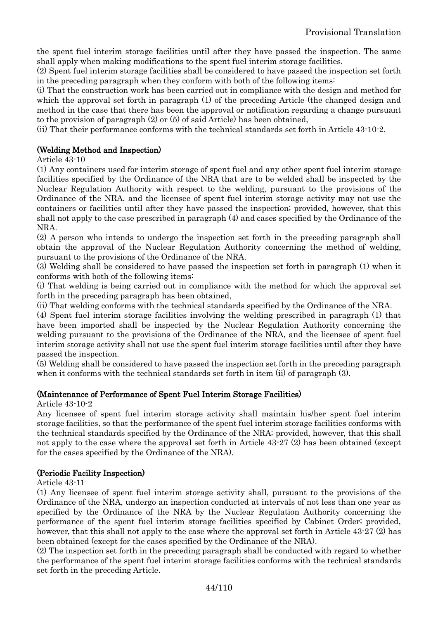the spent fuel interim storage facilities until after they have passed the inspection. The same shall apply when making modifications to the spent fuel interim storage facilities.

(2) Spent fuel interim storage facilities shall be considered to have passed the inspection set forth in the preceding paragraph when they conform with both of the following items:

(i) That the construction work has been carried out in compliance with the design and method for which the approval set forth in paragraph (1) of the preceding Article (the changed design and method in the case that there has been the approval or notification regarding a change pursuant to the provision of paragraph (2) or (5) of said Article) has been obtained,

(ii) That their performance conforms with the technical standards set forth in Article 43-10-2.

### (Welding Method and Inspection)

Article 43-10

(1) Any containers used for interim storage of spent fuel and any other spent fuel interim storage facilities specified by the Ordinance of the NRA that are to be welded shall be inspected by the Nuclear Regulation Authority with respect to the welding, pursuant to the provisions of the Ordinance of the NRA, and the licensee of spent fuel interim storage activity may not use the containers or facilities until after they have passed the inspection; provided, however, that this shall not apply to the case prescribed in paragraph (4) and cases specified by the Ordinance of the NRA.

(2) A person who intends to undergo the inspection set forth in the preceding paragraph shall obtain the approval of the Nuclear Regulation Authority concerning the method of welding, pursuant to the provisions of the Ordinance of the NRA.

(3) Welding shall be considered to have passed the inspection set forth in paragraph (1) when it conforms with both of the following items:

(i) That welding is being carried out in compliance with the method for which the approval set forth in the preceding paragraph has been obtained,

(ii) That welding conforms with the technical standards specified by the Ordinance of the NRA.

(4) Spent fuel interim storage facilities involving the welding prescribed in paragraph (1) that have been imported shall be inspected by the Nuclear Regulation Authority concerning the welding pursuant to the provisions of the Ordinance of the NRA, and the licensee of spent fuel interim storage activity shall not use the spent fuel interim storage facilities until after they have passed the inspection.

(5) Welding shall be considered to have passed the inspection set forth in the preceding paragraph when it conforms with the technical standards set forth in item (ii) of paragraph (3).

#### (Maintenance of Performance of Spent Fuel Interim Storage Facilities)

Article 43-10-2

Any licensee of spent fuel interim storage activity shall maintain his/her spent fuel interim storage facilities, so that the performance of the spent fuel interim storage facilities conforms with the technical standards specified by the Ordinance of the NRA; provided, however, that this shall not apply to the case where the approval set forth in Article 43-27 (2) has been obtained (except for the cases specified by the Ordinance of the NRA).

### (Periodic Facility Inspection)

Article 43-11

(1) Any licensee of spent fuel interim storage activity shall, pursuant to the provisions of the Ordinance of the NRA, undergo an inspection conducted at intervals of not less than one year as specified by the Ordinance of the NRA by the Nuclear Regulation Authority concerning the performance of the spent fuel interim storage facilities specified by Cabinet Order; provided, however, that this shall not apply to the case where the approval set forth in Article 43-27 (2) has been obtained (except for the cases specified by the Ordinance of the NRA).

(2) The inspection set forth in the preceding paragraph shall be conducted with regard to whether the performance of the spent fuel interim storage facilities conforms with the technical standards set forth in the preceding Article.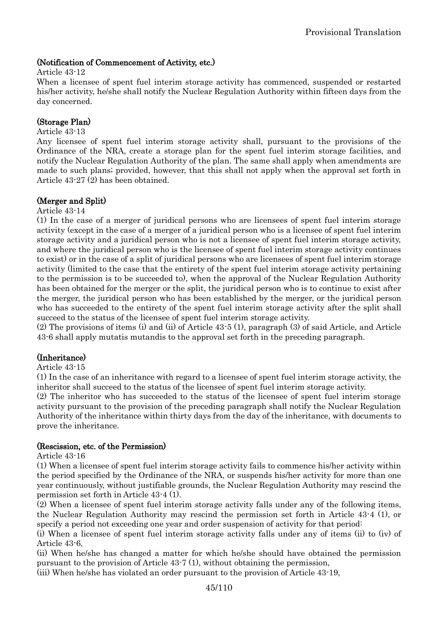### (Notification of Commencement of Activity, etc.)

#### Article 43-12

When a licensee of spent fuel interim storage activity has commenced, suspended or restarted his/her activity, he/she shall notify the Nuclear Regulation Authority within fifteen days from the day concerned.

### (Storage Plan)

#### Article 43-13

Any licensee of spent fuel interim storage activity shall, pursuant to the provisions of the Ordinance of the NRA, create a storage plan for the spent fuel interim storage facilities, and notify the Nuclear Regulation Authority of the plan. The same shall apply when amendments are made to such plans; provided, however, that this shall not apply when the approval set forth in Article 43-27 (2) has been obtained.

#### (Merger and Split)

Article 43-14

(1) In the case of a merger of juridical persons who are licensees of spent fuel interim storage activity (except in the case of a merger of a juridical person who is a licensee of spent fuel interim storage activity and a juridical person who is not a licensee of spent fuel interim storage activity, and where the juridical person who is the licensee of spent fuel interim storage activity continues to exist) or in the case of a split of juridical persons who are licensees of spent fuel interim storage activity (limited to the case that the entirety of the spent fuel interim storage activity pertaining to the permission is to be succeeded to), when the approval of the Nuclear Regulation Authority has been obtained for the merger or the split, the juridical person who is to continue to exist after the merger, the juridical person who has been established by the merger, or the juridical person who has succeeded to the entirety of the spent fuel interim storage activity after the split shall succeed to the status of the licensee of spent fuel interim storage activity.

(2) The provisions of items (i) and (ii) of Article 43-5 (1), paragraph (3) of said Article, and Article 43-6 shall apply mutatis mutandis to the approval set forth in the preceding paragraph.

### (Inheritance)

#### Article 43-15

(1) In the case of an inheritance with regard to a licensee of spent fuel interim storage activity, the inheritor shall succeed to the status of the licensee of spent fuel interim storage activity.

(2) The inheritor who has succeeded to the status of the licensee of spent fuel interim storage activity pursuant to the provision of the preceding paragraph shall notify the Nuclear Regulation Authority of the inheritance within thirty days from the day of the inheritance, with documents to prove the inheritance.

#### (Rescission, etc. of the Permission)

Article 43-16

(1) When a licensee of spent fuel interim storage activity fails to commence his/her activity within the period specified by the Ordinance of the NRA, or suspends his/her activity for more than one year continuously, without justifiable grounds, the Nuclear Regulation Authority may rescind the permission set forth in Article 43-4 (1).

(2) When a licensee of spent fuel interim storage activity falls under any of the following items, the Nuclear Regulation Authority may rescind the permission set forth in Article 43-4 (1), or specify a period not exceeding one year and order suspension of activity for that period:

(i) When a licensee of spent fuel interim storage activity falls under any of items (ii) to (iv) of Article 43-6,

(ii) When he/she has changed a matter for which he/she should have obtained the permission pursuant to the provision of Article 43-7 (1), without obtaining the permission,

(iii) When he/she has violated an order pursuant to the provision of Article 43-19,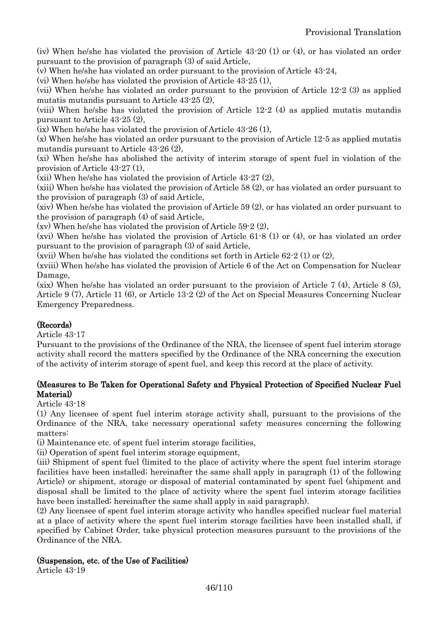(iv) When he/she has violated the provision of Article 43-20 (1) or (4), or has violated an order pursuant to the provision of paragraph (3) of said Article,

(v) When he/she has violated an order pursuant to the provision of Article 43-24,

(vi) When he/she has violated the provision of Article 43-25 (1),

(vii) When he/she has violated an order pursuant to the provision of Article 12-2 (3) as applied mutatis mutandis pursuant to Article 43-25 (2),

(viii) When he/she has violated the provision of Article 12-2 (4) as applied mutatis mutandis pursuant to Article 43-25 (2),

(ix) When he/she has violated the provision of Article 43-26 (1),

(x) When he/she has violated an order pursuant to the provision of Article 12-5 as applied mutatis mutandis pursuant to Article 43-26 (2),

(xi) When he/she has abolished the activity of interim storage of spent fuel in violation of the provision of Article 43-27 (1),

(xii) When he/she has violated the provision of Article 43-27 (2),

(xiii) When he/she has violated the provision of Article 58 (2), or has violated an order pursuant to the provision of paragraph (3) of said Article,

(xiv) When he/she has violated the provision of Article 59 (2), or has violated an order pursuant to the provision of paragraph (4) of said Article,

(xv) When he/she has violated the provision of Article 59-2 (2),

(xvi) When he/she has violated the provision of Article 61-8 (1) or (4), or has violated an order pursuant to the provision of paragraph (3) of said Article,

(xvii) When he/she has violated the conditions set forth in Article  $62-2(1)$  or  $(2)$ ,

(xviii) When he/she has violated the provision of Article 6 of the Act on Compensation for Nuclear Damage,

(xix) When he/she has violated an order pursuant to the provision of Article 7 (4), Article 8 (5), Article 9 (7), Article 11 (6), or Article 13-2 (2) of the Act on Special Measures Concerning Nuclear Emergency Preparedness.

### (Records)

Article 43-17

Pursuant to the provisions of the Ordinance of the NRA, the licensee of spent fuel interim storage activity shall record the matters specified by the Ordinance of the NRA concerning the execution of the activity of interim storage of spent fuel, and keep this record at the place of activity.

### (Measures to Be Taken for Operational Safety and Physical Protection of Specified Nuclear Fuel Material)

Article 43-18

(1) Any licensee of spent fuel interim storage activity shall, pursuant to the provisions of the Ordinance of the NRA, take necessary operational safety measures concerning the following matters:

(i) Maintenance etc. of spent fuel interim storage facilities,

(ii) Operation of spent fuel interim storage equipment,

(iii) Shipment of spent fuel (limited to the place of activity where the spent fuel interim storage facilities have been installed; hereinafter the same shall apply in paragraph (1) of the following Article) or shipment, storage or disposal of material contaminated by spent fuel (shipment and disposal shall be limited to the place of activity where the spent fuel interim storage facilities have been installed; hereinafter the same shall apply in said paragraph).

(2) Any licensee of spent fuel interim storage activity who handles specified nuclear fuel material at a place of activity where the spent fuel interim storage facilities have been installed shall, if specified by Cabinet Order, take physical protection measures pursuant to the provisions of the Ordinance of the NRA.

### (Suspension, etc. of the Use of Facilities)

Article 43-19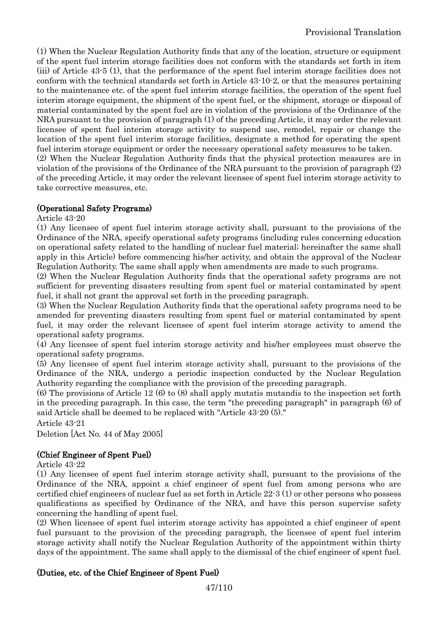(1) When the Nuclear Regulation Authority finds that any of the location, structure or equipment of the spent fuel interim storage facilities does not conform with the standards set forth in item (iii) of Article 43-5 (1), that the performance of the spent fuel interim storage facilities does not conform with the technical standards set forth in Article 43-10-2, or that the measures pertaining to the maintenance etc. of the spent fuel interim storage facilities, the operation of the spent fuel interim storage equipment, the shipment of the spent fuel, or the shipment, storage or disposal of material contaminated by the spent fuel are in violation of the provisions of the Ordinance of the NRA pursuant to the provision of paragraph (1) of the preceding Article, it may order the relevant licensee of spent fuel interim storage activity to suspend use, remodel, repair or change the location of the spent fuel interim storage facilities, designate a method for operating the spent fuel interim storage equipment or order the necessary operational safety measures to be taken.

(2) When the Nuclear Regulation Authority finds that the physical protection measures are in violation of the provisions of the Ordinance of the NRA pursuant to the provision of paragraph (2) of the preceding Article, it may order the relevant licensee of spent fuel interim storage activity to take corrective measures, etc.

# (Operational Safety Programs)

#### Article 43-20

(1) Any licensee of spent fuel interim storage activity shall, pursuant to the provisions of the Ordinance of the NRA, specify operational safety programs (including rules concerning education on operational safety related to the handling of nuclear fuel material; hereinafter the same shall apply in this Article) before commencing his/her activity, and obtain the approval of the Nuclear Regulation Authority. The same shall apply when amendments are made to such programs.

(2) When the Nuclear Regulation Authority finds that the operational safety programs are not sufficient for preventing disasters resulting from spent fuel or material contaminated by spent fuel, it shall not grant the approval set forth in the preceding paragraph.

(3) When the Nuclear Regulation Authority finds that the operational safety programs need to be amended for preventing disasters resulting from spent fuel or material contaminated by spent fuel, it may order the relevant licensee of spent fuel interim storage activity to amend the operational safety programs.

(4) Any licensee of spent fuel interim storage activity and his/her employees must observe the operational safety programs.

(5) Any licensee of spent fuel interim storage activity shall, pursuant to the provisions of the Ordinance of the NRA, undergo a periodic inspection conducted by the Nuclear Regulation Authority regarding the compliance with the provision of the preceding paragraph.

(6) The provisions of Article 12 (6) to (8) shall apply mutatis mutandis to the inspection set forth in the preceding paragraph. In this case, the term "the preceding paragraph" in paragraph (6) of said Article shall be deemed to be replaced with "Article 43-20 (5)."

Article 43-21

Deletion [Act No. 44 of May 2005]

### (Chief Engineer of Spent Fuel)

Article 43-22

(1) Any licensee of spent fuel interim storage activity shall, pursuant to the provisions of the Ordinance of the NRA, appoint a chief engineer of spent fuel from among persons who are certified chief engineers of nuclear fuel as set forth in Article 22-3 (1) or other persons who possess qualifications as specified by Ordinance of the NRA, and have this person supervise safety concerning the handling of spent fuel.

(2) When licensee of spent fuel interim storage activity has appointed a chief engineer of spent fuel pursuant to the provision of the preceding paragraph, the licensee of spent fuel interim storage activity shall notify the Nuclear Regulation Authority of the appointment within thirty days of the appointment. The same shall apply to the dismissal of the chief engineer of spent fuel.

### (Duties, etc. of the Chief Engineer of Spent Fuel)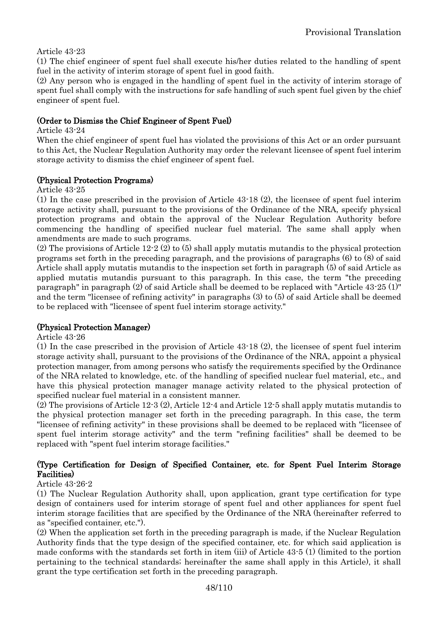### Article 43-23

(1) The chief engineer of spent fuel shall execute his/her duties related to the handling of spent fuel in the activity of interim storage of spent fuel in good faith.

(2) Any person who is engaged in the handling of spent fuel in the activity of interim storage of spent fuel shall comply with the instructions for safe handling of such spent fuel given by the chief engineer of spent fuel.

#### (Order to Dismiss the Chief Engineer of Spent Fuel)

Article 43-24

When the chief engineer of spent fuel has violated the provisions of this Act or an order pursuant to this Act, the Nuclear Regulation Authority may order the relevant licensee of spent fuel interim storage activity to dismiss the chief engineer of spent fuel.

#### (Physical Protection Programs)

Article 43-25

(1) In the case prescribed in the provision of Article 43-18 (2), the licensee of spent fuel interim storage activity shall, pursuant to the provisions of the Ordinance of the NRA, specify physical protection programs and obtain the approval of the Nuclear Regulation Authority before commencing the handling of specified nuclear fuel material. The same shall apply when amendments are made to such programs.

(2) The provisions of Article 12-2 (2) to (5) shall apply mutatis mutandis to the physical protection programs set forth in the preceding paragraph, and the provisions of paragraphs (6) to (8) of said Article shall apply mutatis mutandis to the inspection set forth in paragraph (5) of said Article as applied mutatis mutandis pursuant to this paragraph. In this case, the term "the preceding paragraph" in paragraph (2) of said Article shall be deemed to be replaced with "Article 43-25 (1)" and the term "licensee of refining activity" in paragraphs (3) to (5) of said Article shall be deemed to be replaced with "licensee of spent fuel interim storage activity."

### (Physical Protection Manager)

Article 43-26

(1) In the case prescribed in the provision of Article 43-18 (2), the licensee of spent fuel interim storage activity shall, pursuant to the provisions of the Ordinance of the NRA, appoint a physical protection manager, from among persons who satisfy the requirements specified by the Ordinance of the NRA related to knowledge, etc. of the handling of specified nuclear fuel material, etc., and have this physical protection manager manage activity related to the physical protection of specified nuclear fuel material in a consistent manner.

(2) The provisions of Article 12-3 (2), Article 12-4 and Article 12-5 shall apply mutatis mutandis to the physical protection manager set forth in the preceding paragraph. In this case, the term "licensee of refining activity" in these provisions shall be deemed to be replaced with "licensee of spent fuel interim storage activity" and the term "refining facilities" shall be deemed to be replaced with "spent fuel interim storage facilities."

# (Type Certification for Design of Specified Container, etc. for Spent Fuel Interim Storage Facilities)

#### Article 43-26-2

(1) The Nuclear Regulation Authority shall, upon application, grant type certification for type design of containers used for interim storage of spent fuel and other appliances for spent fuel interim storage facilities that are specified by the Ordinance of the NRA (hereinafter referred to as "specified container, etc.").

(2) When the application set forth in the preceding paragraph is made, if the Nuclear Regulation Authority finds that the type design of the specified container, etc. for which said application is made conforms with the standards set forth in item (iii) of Article 43-5 (1) (limited to the portion pertaining to the technical standards; hereinafter the same shall apply in this Article), it shall grant the type certification set forth in the preceding paragraph.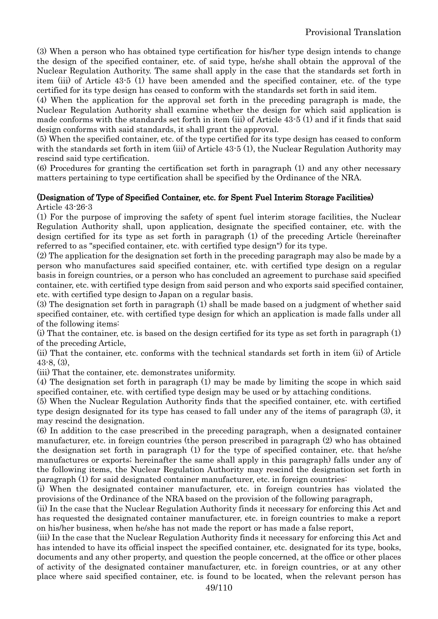(3) When a person who has obtained type certification for his/her type design intends to change the design of the specified container, etc. of said type, he/she shall obtain the approval of the Nuclear Regulation Authority. The same shall apply in the case that the standards set forth in item (iii) of Article 43-5 (1) have been amended and the specified container, etc. of the type certified for its type design has ceased to conform with the standards set forth in said item.

(4) When the application for the approval set forth in the preceding paragraph is made, the Nuclear Regulation Authority shall examine whether the design for which said application is made conforms with the standards set forth in item (iii) of Article 43-5 (1) and if it finds that said design conforms with said standards, it shall grant the approval.

(5) When the specified container, etc. of the type certified for its type design has ceased to conform with the standards set forth in item (iii) of Article 43-5 (1), the Nuclear Regulation Authority may rescind said type certification.

(6) Procedures for granting the certification set forth in paragraph (1) and any other necessary matters pertaining to type certification shall be specified by the Ordinance of the NRA.

#### (Designation of Type of Specified Container, etc. for Spent Fuel Interim Storage Facilities) Article 43-26-3

(1) For the purpose of improving the safety of spent fuel interim storage facilities, the Nuclear Regulation Authority shall, upon application, designate the specified container, etc. with the design certified for its type as set forth in paragraph (1) of the preceding Article (hereinafter referred to as "specified container, etc. with certified type design") for its type.

(2) The application for the designation set forth in the preceding paragraph may also be made by a person who manufactures said specified container, etc. with certified type design on a regular basis in foreign countries, or a person who has concluded an agreement to purchase said specified container, etc. with certified type design from said person and who exports said specified container, etc. with certified type design to Japan on a regular basis.

(3) The designation set forth in paragraph (1) shall be made based on a judgment of whether said specified container, etc. with certified type design for which an application is made falls under all of the following items:

(i) That the container, etc. is based on the design certified for its type as set forth in paragraph (1) of the preceding Article,

(ii) That the container, etc. conforms with the technical standards set forth in item (ii) of Article 43-8, (3),

(iii) That the container, etc. demonstrates uniformity.

(4) The designation set forth in paragraph (1) may be made by limiting the scope in which said specified container, etc. with certified type design may be used or by attaching conditions.

(5) When the Nuclear Regulation Authority finds that the specified container, etc. with certified type design designated for its type has ceased to fall under any of the items of paragraph (3), it may rescind the designation.

(6) In addition to the case prescribed in the preceding paragraph, when a designated container manufacturer, etc. in foreign countries (the person prescribed in paragraph (2) who has obtained the designation set forth in paragraph (1) for the type of specified container, etc. that he/she manufactures or exports; hereinafter the same shall apply in this paragraph) falls under any of the following items, the Nuclear Regulation Authority may rescind the designation set forth in paragraph (1) for said designated container manufacturer, etc. in foreign countries:

(i) When the designated container manufacturer, etc. in foreign countries has violated the provisions of the Ordinance of the NRA based on the provision of the following paragraph,

(ii) In the case that the Nuclear Regulation Authority finds it necessary for enforcing this Act and has requested the designated container manufacturer, etc. in foreign countries to make a report on his/her business, when he/she has not made the report or has made a false report,

(iii) In the case that the Nuclear Regulation Authority finds it necessary for enforcing this Act and has intended to have its official inspect the specified container, etc. designated for its type, books, documents and any other property, and question the people concerned, at the office or other places of activity of the designated container manufacturer, etc. in foreign countries, or at any other place where said specified container, etc. is found to be located, when the relevant person has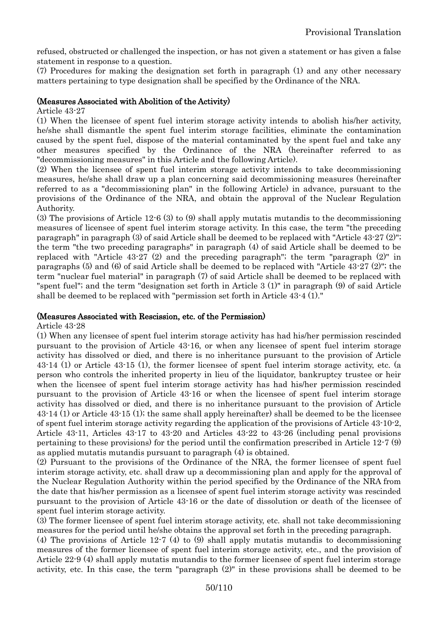refused, obstructed or challenged the inspection, or has not given a statement or has given a false statement in response to a question.

(7) Procedures for making the designation set forth in paragraph (1) and any other necessary matters pertaining to type designation shall be specified by the Ordinance of the NRA.

#### (Measures Associated with Abolition of the Activity)

#### Article 43-27

(1) When the licensee of spent fuel interim storage activity intends to abolish his/her activity, he/she shall dismantle the spent fuel interim storage facilities, eliminate the contamination caused by the spent fuel, dispose of the material contaminated by the spent fuel and take any other measures specified by the Ordinance of the NRA (hereinafter referred to as "decommissioning measures" in this Article and the following Article).

(2) When the licensee of spent fuel interim storage activity intends to take decommissioning measures, he/she shall draw up a plan concerning said decommissioning measures (hereinafter referred to as a "decommissioning plan" in the following Article) in advance, pursuant to the provisions of the Ordinance of the NRA, and obtain the approval of the Nuclear Regulation Authority.

(3) The provisions of Article 12-6 (3) to (9) shall apply mutatis mutandis to the decommissioning measures of licensee of spent fuel interim storage activity. In this case, the term "the preceding paragraph" in paragraph (3) of said Article shall be deemed to be replaced with "Article 43-27 (2)"; the term "the two preceding paragraphs" in paragraph (4) of said Article shall be deemed to be replaced with "Article 43-27 (2) and the preceding paragraph"; the term "paragraph (2)" in paragraphs (5) and (6) of said Article shall be deemed to be replaced with "Article 43-27 (2)"; the term "nuclear fuel material" in paragraph (7) of said Article shall be deemed to be replaced with "spent fuel"; and the term "designation set forth in Article 3 (1)" in paragraph (9) of said Article shall be deemed to be replaced with "permission set forth in Article 43-4 (1)."

#### (Measures Associated with Rescission, etc. of the Permission)

Article 43-28

(1) When any licensee of spent fuel interim storage activity has had his/her permission rescinded pursuant to the provision of Article 43-16, or when any licensee of spent fuel interim storage activity has dissolved or died, and there is no inheritance pursuant to the provision of Article 43-14 (1) or Article 43-15 (1), the former licensee of spent fuel interim storage activity, etc. (a person who controls the inherited property in lieu of the liquidator, bankruptcy trustee or heir when the licensee of spent fuel interim storage activity has had his/her permission rescinded pursuant to the provision of Article 43-16 or when the licensee of spent fuel interim storage activity has dissolved or died, and there is no inheritance pursuant to the provision of Article 43-14 (1) or Article 43-15 (1); the same shall apply hereinafter) shall be deemed to be the licensee of spent fuel interim storage activity regarding the application of the provisions of Article 43-10-2, Article 43-11, Articles 43-17 to 43-20 and Articles 43-22 to 43-26 (including penal provisions pertaining to these provisions) for the period until the confirmation prescribed in Article 12-7 (9) as applied mutatis mutandis pursuant to paragraph (4) is obtained.

(2) Pursuant to the provisions of the Ordinance of the NRA, the former licensee of spent fuel interim storage activity, etc. shall draw up a decommissioning plan and apply for the approval of the Nuclear Regulation Authority within the period specified by the Ordinance of the NRA from the date that his/her permission as a licensee of spent fuel interim storage activity was rescinded pursuant to the provision of Article 43-16 or the date of dissolution or death of the licensee of spent fuel interim storage activity.

(3) The former licensee of spent fuel interim storage activity, etc. shall not take decommissioning measures for the period until he/she obtains the approval set forth in the preceding paragraph.

(4) The provisions of Article 12-7 (4) to (9) shall apply mutatis mutandis to decommissioning measures of the former licensee of spent fuel interim storage activity, etc., and the provision of Article 22-9 (4) shall apply mutatis mutandis to the former licensee of spent fuel interim storage activity, etc. In this case, the term "paragraph (2)" in these provisions shall be deemed to be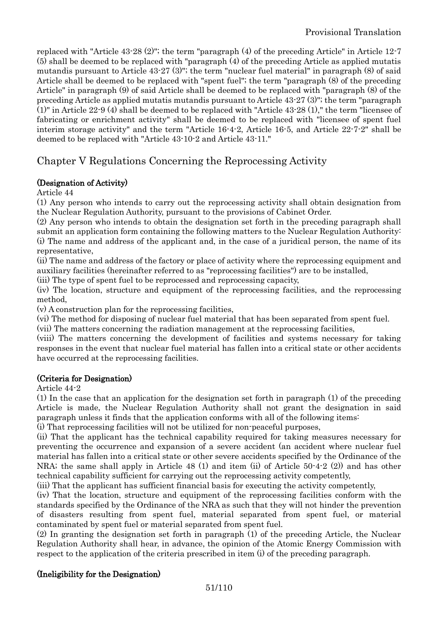replaced with "Article 43-28 (2)"; the term "paragraph (4) of the preceding Article" in Article 12-7 (5) shall be deemed to be replaced with "paragraph (4) of the preceding Article as applied mutatis mutandis pursuant to Article 43-27 (3)"; the term "nuclear fuel material" in paragraph (8) of said Article shall be deemed to be replaced with "spent fuel"; the term "paragraph (8) of the preceding Article" in paragraph (9) of said Article shall be deemed to be replaced with "paragraph (8) of the preceding Article as applied mutatis mutandis pursuant to Article 43-27 (3)"; the term "paragraph (1)" in Article 22-9 (4) shall be deemed to be replaced with "Article 43-28 (1)," the term "licensee of fabricating or enrichment activity" shall be deemed to be replaced with "licensee of spent fuel interim storage activity" and the term "Article 16-4-2, Article 16-5, and Article 22-7-2" shall be deemed to be replaced with "Article 43-10-2 and Article 43-11."

# Chapter V Regulations Concerning the Reprocessing Activity

# (Designation of Activity)

Article 44

(1) Any person who intends to carry out the reprocessing activity shall obtain designation from the Nuclear Regulation Authority, pursuant to the provisions of Cabinet Order.

(2) Any person who intends to obtain the designation set forth in the preceding paragraph shall submit an application form containing the following matters to the Nuclear Regulation Authority: (i) The name and address of the applicant and, in the case of a juridical person, the name of its representative,

(ii) The name and address of the factory or place of activity where the reprocessing equipment and auxiliary facilities (hereinafter referred to as "reprocessing facilities") are to be installed,

(iii) The type of spent fuel to be reprocessed and reprocessing capacity,

(iv) The location, structure and equipment of the reprocessing facilities, and the reprocessing method,

(v) A construction plan for the reprocessing facilities,

(vi) The method for disposing of nuclear fuel material that has been separated from spent fuel.

(vii) The matters concerning the radiation management at the reprocessing facilities,

(viii) The matters concerning the development of facilities and systems necessary for taking responses in the event that nuclear fuel material has fallen into a critical state or other accidents have occurred at the reprocessing facilities.

### (Criteria for Designation)

Article 44-2

(1) In the case that an application for the designation set forth in paragraph (1) of the preceding Article is made, the Nuclear Regulation Authority shall not grant the designation in said paragraph unless it finds that the application conforms with all of the following items:

(i) That reprocessing facilities will not be utilized for non-peaceful purposes,

(ii) That the applicant has the technical capability required for taking measures necessary for preventing the occurrence and expansion of a severe accident (an accident where nuclear fuel material has fallen into a critical state or other severe accidents specified by the Ordinance of the NRA; the same shall apply in Article 48 (1) and item (ii) of Article 50-4-2 (2)) and has other technical capability sufficient for carrying out the reprocessing activity competently,

(iii) That the applicant has sufficient financial basis for executing the activity competently,

(iv) That the location, structure and equipment of the reprocessing facilities conform with the standards specified by the Ordinance of the NRA as such that they will not hinder the prevention of disasters resulting from spent fuel, material separated from spent fuel, or material contaminated by spent fuel or material separated from spent fuel.

(2) In granting the designation set forth in paragraph (1) of the preceding Article, the Nuclear Regulation Authority shall hear, in advance, the opinion of the Atomic Energy Commission with respect to the application of the criteria prescribed in item (i) of the preceding paragraph.

# (Ineligibility for the Designation)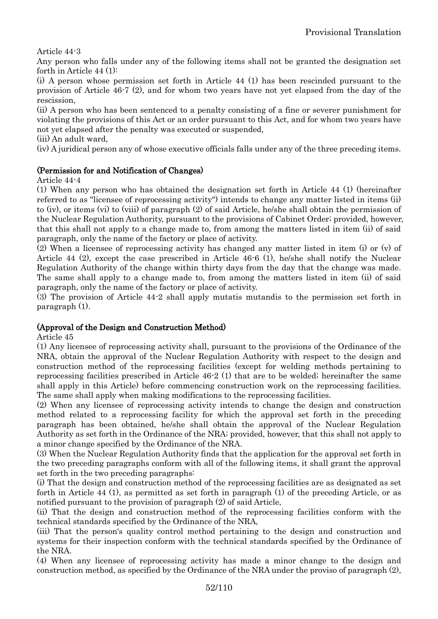Article 44-3

Any person who falls under any of the following items shall not be granted the designation set forth in Article 44 (1):

(i) A person whose permission set forth in Article 44 (1) has been rescinded pursuant to the provision of Article 46-7 (2), and for whom two years have not yet elapsed from the day of the rescission,

(ii) A person who has been sentenced to a penalty consisting of a fine or severer punishment for violating the provisions of this Act or an order pursuant to this Act, and for whom two years have not yet elapsed after the penalty was executed or suspended,

(iii) An adult ward,

(iv) A juridical person any of whose executive officials falls under any of the three preceding items.

### (Permission for and Notification of Changes)

Article 44-4

(1) When any person who has obtained the designation set forth in Article 44 (1) (hereinafter referred to as "licensee of reprocessing activity") intends to change any matter listed in items (ii) to (iv), or items (vi) to (viii) of paragraph (2) of said Article, he/she shall obtain the permission of the Nuclear Regulation Authority, pursuant to the provisions of Cabinet Order; provided, however, that this shall not apply to a change made to, from among the matters listed in item (ii) of said paragraph, only the name of the factory or place of activity.

(2) When a licensee of reprocessing activity has changed any matter listed in item (i) or (v) of Article 44 (2), except the case prescribed in Article 46-6 (1), he/she shall notify the Nuclear Regulation Authority of the change within thirty days from the day that the change was made. The same shall apply to a change made to, from among the matters listed in item (ii) of said paragraph, only the name of the factory or place of activity.

(3) The provision of Article 44-2 shall apply mutatis mutandis to the permission set forth in paragraph (1).

### (Approval of the Design and Construction Method)

Article 45

(1) Any licensee of reprocessing activity shall, pursuant to the provisions of the Ordinance of the NRA, obtain the approval of the Nuclear Regulation Authority with respect to the design and construction method of the reprocessing facilities (except for welding methods pertaining to reprocessing facilities prescribed in Article 46-2 (1) that are to be welded; hereinafter the same shall apply in this Article) before commencing construction work on the reprocessing facilities. The same shall apply when making modifications to the reprocessing facilities.

(2) When any licensee of reprocessing activity intends to change the design and construction method related to a reprocessing facility for which the approval set forth in the preceding paragraph has been obtained, he/she shall obtain the approval of the Nuclear Regulation Authority as set forth in the Ordinance of the NRA; provided, however, that this shall not apply to a minor change specified by the Ordinance of the NRA.

(3) When the Nuclear Regulation Authority finds that the application for the approval set forth in the two preceding paragraphs conform with all of the following items, it shall grant the approval set forth in the two preceding paragraphs:

(i) That the design and construction method of the reprocessing facilities are as designated as set forth in Article 44 (1), as permitted as set forth in paragraph (1) of the preceding Article, or as notified pursuant to the provision of paragraph (2) of said Article,

(ii) That the design and construction method of the reprocessing facilities conform with the technical standards specified by the Ordinance of the NRA,

(iii) That the person's quality control method pertaining to the design and construction and systems for their inspection conform with the technical standards specified by the Ordinance of the NRA.

(4) When any licensee of reprocessing activity has made a minor change to the design and construction method, as specified by the Ordinance of the NRA under the proviso of paragraph (2),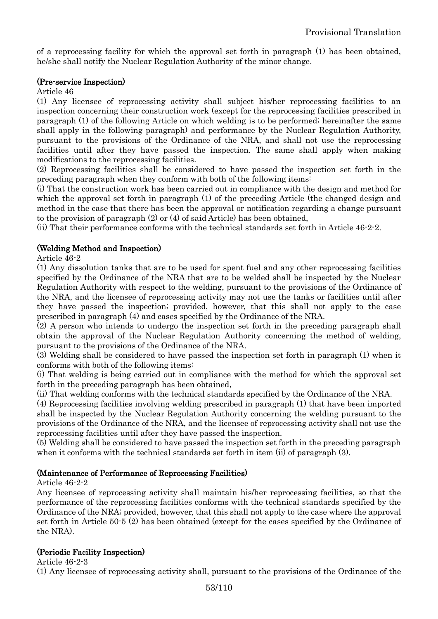of a reprocessing facility for which the approval set forth in paragraph (1) has been obtained, he/she shall notify the Nuclear Regulation Authority of the minor change.

#### (Pre-service Inspection)

#### Article 46

(1) Any licensee of reprocessing activity shall subject his/her reprocessing facilities to an inspection concerning their construction work (except for the reprocessing facilities prescribed in paragraph (1) of the following Article on which welding is to be performed; hereinafter the same shall apply in the following paragraph) and performance by the Nuclear Regulation Authority, pursuant to the provisions of the Ordinance of the NRA, and shall not use the reprocessing facilities until after they have passed the inspection. The same shall apply when making modifications to the reprocessing facilities.

(2) Reprocessing facilities shall be considered to have passed the inspection set forth in the preceding paragraph when they conform with both of the following items:

(i) That the construction work has been carried out in compliance with the design and method for which the approval set forth in paragraph (1) of the preceding Article (the changed design and method in the case that there has been the approval or notification regarding a change pursuant to the provision of paragraph (2) or (4) of said Article) has been obtained,

(ii) That their performance conforms with the technical standards set forth in Article 46-2-2.

### (Welding Method and Inspection)

Article 46-2

(1) Any dissolution tanks that are to be used for spent fuel and any other reprocessing facilities specified by the Ordinance of the NRA that are to be welded shall be inspected by the Nuclear Regulation Authority with respect to the welding, pursuant to the provisions of the Ordinance of the NRA, and the licensee of reprocessing activity may not use the tanks or facilities until after they have passed the inspection; provided, however, that this shall not apply to the case prescribed in paragraph (4) and cases specified by the Ordinance of the NRA.

(2) A person who intends to undergo the inspection set forth in the preceding paragraph shall obtain the approval of the Nuclear Regulation Authority concerning the method of welding, pursuant to the provisions of the Ordinance of the NRA.

(3) Welding shall be considered to have passed the inspection set forth in paragraph (1) when it conforms with both of the following items:

(i) That welding is being carried out in compliance with the method for which the approval set forth in the preceding paragraph has been obtained,

(ii) That welding conforms with the technical standards specified by the Ordinance of the NRA.

(4) Reprocessing facilities involving welding prescribed in paragraph (1) that have been imported shall be inspected by the Nuclear Regulation Authority concerning the welding pursuant to the provisions of the Ordinance of the NRA, and the licensee of reprocessing activity shall not use the reprocessing facilities until after they have passed the inspection.

(5) Welding shall be considered to have passed the inspection set forth in the preceding paragraph when it conforms with the technical standards set forth in item (ii) of paragraph (3).

### (Maintenance of Performance of Reprocessing Facilities)

#### Article 46-2-2

Any licensee of reprocessing activity shall maintain his/her reprocessing facilities, so that the performance of the reprocessing facilities conforms with the technical standards specified by the Ordinance of the NRA; provided, however, that this shall not apply to the case where the approval set forth in Article 50-5 (2) has been obtained (except for the cases specified by the Ordinance of the NRA).

### (Periodic Facility Inspection)

Article 46-2-3

(1) Any licensee of reprocessing activity shall, pursuant to the provisions of the Ordinance of the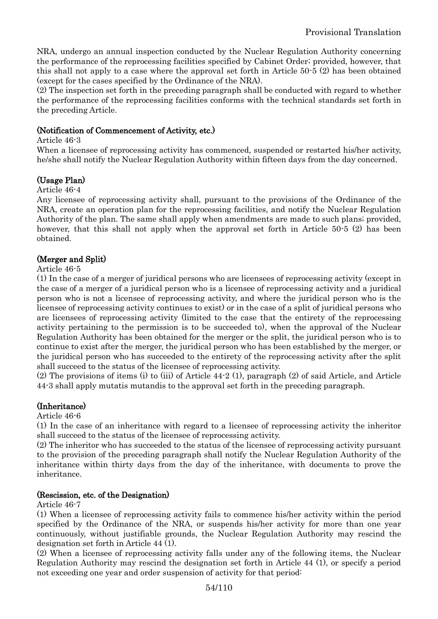NRA, undergo an annual inspection conducted by the Nuclear Regulation Authority concerning the performance of the reprocessing facilities specified by Cabinet Order; provided, however, that this shall not apply to a case where the approval set forth in Article 50-5 (2) has been obtained (except for the cases specified by the Ordinance of the NRA).

(2) The inspection set forth in the preceding paragraph shall be conducted with regard to whether the performance of the reprocessing facilities conforms with the technical standards set forth in the preceding Article.

### (Notification of Commencement of Activity, etc.)

Article 46-3

When a licensee of reprocessing activity has commenced, suspended or restarted his/her activity, he/she shall notify the Nuclear Regulation Authority within fifteen days from the day concerned.

# (Usage Plan)

#### Article 46-4

Any licensee of reprocessing activity shall, pursuant to the provisions of the Ordinance of the NRA, create an operation plan for the reprocessing facilities, and notify the Nuclear Regulation Authority of the plan. The same shall apply when amendments are made to such plans; provided, however, that this shall not apply when the approval set forth in Article 50-5 (2) has been obtained.

### (Merger and Split)

#### Article 46-5

(1) In the case of a merger of juridical persons who are licensees of reprocessing activity (except in the case of a merger of a juridical person who is a licensee of reprocessing activity and a juridical person who is not a licensee of reprocessing activity, and where the juridical person who is the licensee of reprocessing activity continues to exist) or in the case of a split of juridical persons who are licensees of reprocessing activity (limited to the case that the entirety of the reprocessing activity pertaining to the permission is to be succeeded to), when the approval of the Nuclear Regulation Authority has been obtained for the merger or the split, the juridical person who is to continue to exist after the merger, the juridical person who has been established by the merger, or the juridical person who has succeeded to the entirety of the reprocessing activity after the split shall succeed to the status of the licensee of reprocessing activity.

(2) The provisions of items (i) to (iii) of Article 44-2 (1), paragraph (2) of said Article, and Article 44-3 shall apply mutatis mutandis to the approval set forth in the preceding paragraph.

### (Inheritance)

Article 46-6

(1) In the case of an inheritance with regard to a licensee of reprocessing activity the inheritor shall succeed to the status of the licensee of reprocessing activity.

(2) The inheritor who has succeeded to the status of the licensee of reprocessing activity pursuant to the provision of the preceding paragraph shall notify the Nuclear Regulation Authority of the inheritance within thirty days from the day of the inheritance, with documents to prove the inheritance.

#### (Rescission, etc. of the Designation)

Article 46-7

(1) When a licensee of reprocessing activity fails to commence his/her activity within the period specified by the Ordinance of the NRA, or suspends his/her activity for more than one year continuously, without justifiable grounds, the Nuclear Regulation Authority may rescind the designation set forth in Article 44 (1).

(2) When a licensee of reprocessing activity falls under any of the following items, the Nuclear Regulation Authority may rescind the designation set forth in Article 44 (1), or specify a period not exceeding one year and order suspension of activity for that period: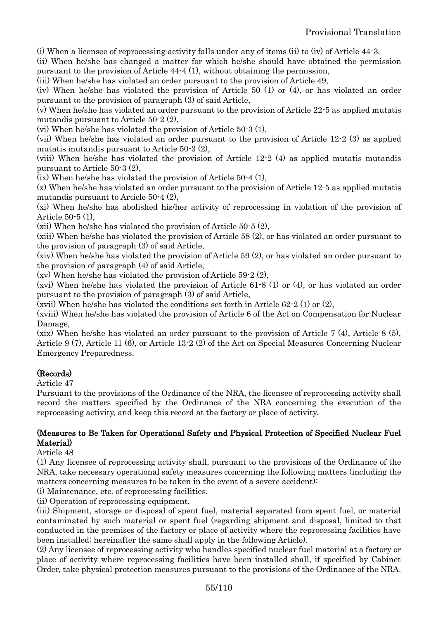(i) When a licensee of reprocessing activity falls under any of items (ii) to (iv) of Article 44-3,

(ii) When he/she has changed a matter for which he/she should have obtained the permission pursuant to the provision of Article 44-4 (1), without obtaining the permission,

(iii) When he/she has violated an order pursuant to the provision of Article 49,

(iv) When he/she has violated the provision of Article 50 (1) or (4), or has violated an order pursuant to the provision of paragraph (3) of said Article,

(v) When he/she has violated an order pursuant to the provision of Article 22-5 as applied mutatis mutandis pursuant to Article 50-2 (2),

(vi) When he/she has violated the provision of Article 50-3 (1),

(vii) When he/she has violated an order pursuant to the provision of Article 12-2 (3) as applied mutatis mutandis pursuant to Article 50-3 (2),

(viii) When he/she has violated the provision of Article 12-2 (4) as applied mutatis mutandis pursuant to Article 50-3 (2),

(ix) When he/she has violated the provision of Article 50-4 (1),

(x) When he/she has violated an order pursuant to the provision of Article 12-5 as applied mutatis mutandis pursuant to Article 50-4 (2),

(xi) When he/she has abolished his/her activity of reprocessing in violation of the provision of Article 50-5 (1),

(xii) When he/she has violated the provision of Article 50-5 (2),

(xiii) When he/she has violated the provision of Article 58 (2), or has violated an order pursuant to the provision of paragraph (3) of said Article,

(xiv) When he/she has violated the provision of Article 59 (2), or has violated an order pursuant to the provision of paragraph (4) of said Article,

(xv) When he/she has violated the provision of Article 59-2 (2),

(xvi) When he/she has violated the provision of Article 61-8 (1) or (4), or has violated an order pursuant to the provision of paragraph (3) of said Article,

(xvii) When he/she has violated the conditions set forth in Article  $62-2(1)$  or  $(2)$ ,

(xviii) When he/she has violated the provision of Article 6 of the Act on Compensation for Nuclear Damage,

(xix) When he/she has violated an order pursuant to the provision of Article 7 (4), Article 8 (5), Article 9 (7), Article 11 (6), or Article 13-2 (2) of the Act on Special Measures Concerning Nuclear Emergency Preparedness.

### (Records)

Article 47

Pursuant to the provisions of the Ordinance of the NRA, the licensee of reprocessing activity shall record the matters specified by the Ordinance of the NRA concerning the execution of the reprocessing activity, and keep this record at the factory or place of activity.

### (Measures to Be Taken for Operational Safety and Physical Protection of Specified Nuclear Fuel Material)

Article 48

(1) Any licensee of reprocessing activity shall, pursuant to the provisions of the Ordinance of the NRA, take necessary operational safety measures concerning the following matters (including the matters concerning measures to be taken in the event of a severe accident):

(i) Maintenance, etc. of reprocessing facilities,

(ii) Operation of reprocessing equipment,

(iii) Shipment, storage or disposal of spent fuel, material separated from spent fuel, or material contaminated by such material or spent fuel (regarding shipment and disposal, limited to that conducted in the premises of the factory or place of activity where the reprocessing facilities have been installed; hereinafter the same shall apply in the following Article).

(2) Any licensee of reprocessing activity who handles specified nuclear fuel material at a factory or place of activity where reprocessing facilities have been installed shall, if specified by Cabinet Order, take physical protection measures pursuant to the provisions of the Ordinance of the NRA.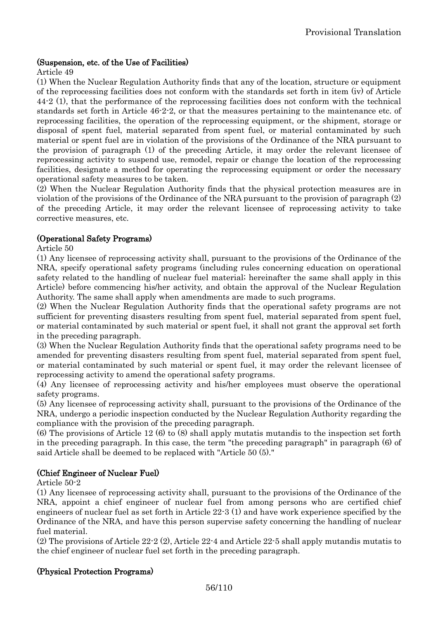### (Suspension, etc. of the Use of Facilities)

Article 49

(1) When the Nuclear Regulation Authority finds that any of the location, structure or equipment of the reprocessing facilities does not conform with the standards set forth in item (iv) of Article 44-2 (1), that the performance of the reprocessing facilities does not conform with the technical standards set forth in Article 46-2-2, or that the measures pertaining to the maintenance etc. of reprocessing facilities, the operation of the reprocessing equipment, or the shipment, storage or disposal of spent fuel, material separated from spent fuel, or material contaminated by such material or spent fuel are in violation of the provisions of the Ordinance of the NRA pursuant to the provision of paragraph (1) of the preceding Article, it may order the relevant licensee of reprocessing activity to suspend use, remodel, repair or change the location of the reprocessing facilities, designate a method for operating the reprocessing equipment or order the necessary operational safety measures to be taken.

(2) When the Nuclear Regulation Authority finds that the physical protection measures are in violation of the provisions of the Ordinance of the NRA pursuant to the provision of paragraph (2) of the preceding Article, it may order the relevant licensee of reprocessing activity to take corrective measures, etc.

### (Operational Safety Programs)

Article 50

(1) Any licensee of reprocessing activity shall, pursuant to the provisions of the Ordinance of the NRA, specify operational safety programs (including rules concerning education on operational safety related to the handling of nuclear fuel material; hereinafter the same shall apply in this Article) before commencing his/her activity, and obtain the approval of the Nuclear Regulation Authority. The same shall apply when amendments are made to such programs.

(2) When the Nuclear Regulation Authority finds that the operational safety programs are not sufficient for preventing disasters resulting from spent fuel, material separated from spent fuel, or material contaminated by such material or spent fuel, it shall not grant the approval set forth in the preceding paragraph.

(3) When the Nuclear Regulation Authority finds that the operational safety programs need to be amended for preventing disasters resulting from spent fuel, material separated from spent fuel, or material contaminated by such material or spent fuel, it may order the relevant licensee of reprocessing activity to amend the operational safety programs.

(4) Any licensee of reprocessing activity and his/her employees must observe the operational safety programs.

(5) Any licensee of reprocessing activity shall, pursuant to the provisions of the Ordinance of the NRA, undergo a periodic inspection conducted by the Nuclear Regulation Authority regarding the compliance with the provision of the preceding paragraph.

(6) The provisions of Article 12 (6) to (8) shall apply mutatis mutandis to the inspection set forth in the preceding paragraph. In this case, the term "the preceding paragraph" in paragraph (6) of said Article shall be deemed to be replaced with "Article 50 (5)."

### (Chief Engineer of Nuclear Fuel)

Article 50-2

(1) Any licensee of reprocessing activity shall, pursuant to the provisions of the Ordinance of the NRA, appoint a chief engineer of nuclear fuel from among persons who are certified chief engineers of nuclear fuel as set forth in Article 22-3 (1) and have work experience specified by the Ordinance of the NRA, and have this person supervise safety concerning the handling of nuclear fuel material.

(2) The provisions of Article 22-2 (2), Article 22-4 and Article 22-5 shall apply mutandis mutatis to the chief engineer of nuclear fuel set forth in the preceding paragraph.

### (Physical Protection Programs)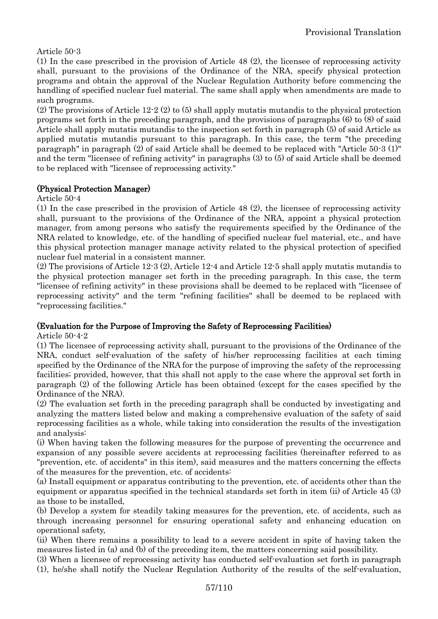Article 50-3

(1) In the case prescribed in the provision of Article 48 (2), the licensee of reprocessing activity shall, pursuant to the provisions of the Ordinance of the NRA, specify physical protection programs and obtain the approval of the Nuclear Regulation Authority before commencing the handling of specified nuclear fuel material. The same shall apply when amendments are made to such programs.

(2) The provisions of Article 12-2 (2) to (5) shall apply mutatis mutandis to the physical protection programs set forth in the preceding paragraph, and the provisions of paragraphs (6) to (8) of said Article shall apply mutatis mutandis to the inspection set forth in paragraph (5) of said Article as applied mutatis mutandis pursuant to this paragraph. In this case, the term "the preceding paragraph" in paragraph (2) of said Article shall be deemed to be replaced with "Article 50-3 (1)" and the term "licensee of refining activity" in paragraphs (3) to (5) of said Article shall be deemed to be replaced with "licensee of reprocessing activity."

# (Physical Protection Manager)

Article 50-4

(1) In the case prescribed in the provision of Article 48 (2), the licensee of reprocessing activity shall, pursuant to the provisions of the Ordinance of the NRA, appoint a physical protection manager, from among persons who satisfy the requirements specified by the Ordinance of the NRA related to knowledge, etc. of the handling of specified nuclear fuel material, etc., and have this physical protection manager manage activity related to the physical protection of specified nuclear fuel material in a consistent manner.

(2) The provisions of Article 12-3 (2), Article 12-4 and Article 12-5 shall apply mutatis mutandis to the physical protection manager set forth in the preceding paragraph. In this case, the term "licensee of refining activity" in these provisions shall be deemed to be replaced with "licensee of reprocessing activity" and the term "refining facilities" shall be deemed to be replaced with "reprocessing facilities."

# (Evaluation for the Purpose of Improving the Safety of Reprocessing Facilities)

Article 50-4-2

(1) The licensee of reprocessing activity shall, pursuant to the provisions of the Ordinance of the NRA, conduct self-evaluation of the safety of his/her reprocessing facilities at each timing specified by the Ordinance of the NRA for the purpose of improving the safety of the reprocessing facilities; provided, however, that this shall not apply to the case where the approval set forth in paragraph (2) of the following Article has been obtained (except for the cases specified by the Ordinance of the NRA).

(2) The evaluation set forth in the preceding paragraph shall be conducted by investigating and analyzing the matters listed below and making a comprehensive evaluation of the safety of said reprocessing facilities as a whole, while taking into consideration the results of the investigation and analysis:

(i) When having taken the following measures for the purpose of preventing the occurrence and expansion of any possible severe accidents at reprocessing facilities (hereinafter referred to as "prevention, etc. of accidents" in this item), said measures and the matters concerning the effects of the measures for the prevention, etc. of accidents:

(a) Install equipment or apparatus contributing to the prevention, etc. of accidents other than the equipment or apparatus specified in the technical standards set forth in item (ii) of Article 45 (3) as those to be installed,

(b) Develop a system for steadily taking measures for the prevention, etc. of accidents, such as through increasing personnel for ensuring operational safety and enhancing education on operational safety,

(ii) When there remains a possibility to lead to a severe accident in spite of having taken the measures listed in (a) and (b) of the preceding item, the matters concerning said possibility.

(3) When a licensee of reprocessing activity has conducted self-evaluation set forth in paragraph (1), he/she shall notify the Nuclear Regulation Authority of the results of the self-evaluation,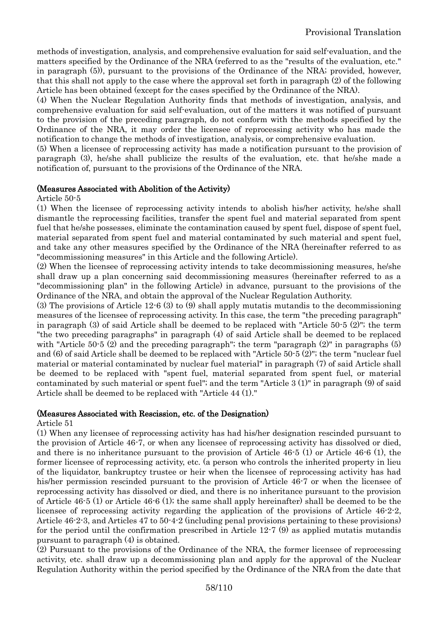methods of investigation, analysis, and comprehensive evaluation for said self-evaluation, and the matters specified by the Ordinance of the NRA (referred to as the "results of the evaluation, etc." in paragraph (5)), pursuant to the provisions of the Ordinance of the NRA; provided, however, that this shall not apply to the case where the approval set forth in paragraph (2) of the following Article has been obtained (except for the cases specified by the Ordinance of the NRA).

(4) When the Nuclear Regulation Authority finds that methods of investigation, analysis, and comprehensive evaluation for said self-evaluation, out of the matters it was notified of pursuant to the provision of the preceding paragraph, do not conform with the methods specified by the Ordinance of the NRA, it may order the licensee of reprocessing activity who has made the notification to change the methods of investigation, analysis, or comprehensive evaluation.

(5) When a licensee of reprocessing activity has made a notification pursuant to the provision of paragraph (3), he/she shall publicize the results of the evaluation, etc. that he/she made a notification of, pursuant to the provisions of the Ordinance of the NRA.

#### (Measures Associated with Abolition of the Activity)

Article 50-5

(1) When the licensee of reprocessing activity intends to abolish his/her activity, he/she shall dismantle the reprocessing facilities, transfer the spent fuel and material separated from spent fuel that he/she possesses, eliminate the contamination caused by spent fuel, dispose of spent fuel, material separated from spent fuel and material contaminated by such material and spent fuel, and take any other measures specified by the Ordinance of the NRA (hereinafter referred to as "decommissioning measures" in this Article and the following Article).

(2) When the licensee of reprocessing activity intends to take decommissioning measures, he/she shall draw up a plan concerning said decommissioning measures (hereinafter referred to as a "decommissioning plan" in the following Article) in advance, pursuant to the provisions of the Ordinance of the NRA, and obtain the approval of the Nuclear Regulation Authority.

(3) The provisions of Article 12-6 (3) to (9) shall apply mutatis mutandis to the decommissioning measures of the licensee of reprocessing activity. In this case, the term "the preceding paragraph" in paragraph (3) of said Article shall be deemed to be replaced with "Article 50-5 (2)"; the term "the two preceding paragraphs" in paragraph (4) of said Article shall be deemed to be replaced with "Article 50-5 (2) and the preceding paragraph"; the term "paragraph  $(2)$ " in paragraphs  $(5)$ and (6) of said Article shall be deemed to be replaced with "Article 50-5 (2)"; the term "nuclear fuel material or material contaminated by nuclear fuel material" in paragraph (7) of said Article shall be deemed to be replaced with "spent fuel, material separated from spent fuel, or material contaminated by such material or spent fuel"; and the term "Article 3 (1)" in paragraph (9) of said Article shall be deemed to be replaced with "Article 44 (1)."

#### (Measures Associated with Rescission, etc. of the Designation)

Article 51

(1) When any licensee of reprocessing activity has had his/her designation rescinded pursuant to the provision of Article 46-7, or when any licensee of reprocessing activity has dissolved or died, and there is no inheritance pursuant to the provision of Article 46-5 (1) or Article 46-6 (1), the former licensee of reprocessing activity, etc. (a person who controls the inherited property in lieu of the liquidator, bankruptcy trustee or heir when the licensee of reprocessing activity has had his/her permission rescinded pursuant to the provision of Article 46-7 or when the licensee of reprocessing activity has dissolved or died, and there is no inheritance pursuant to the provision of Article 46-5 (1) or Article 46-6 (1); the same shall apply hereinafter) shall be deemed to be the licensee of reprocessing activity regarding the application of the provisions of Article 46-2-2, Article 46-2-3, and Articles 47 to 50-4-2 (including penal provisions pertaining to these provisions) for the period until the confirmation prescribed in Article 12-7 (9) as applied mutatis mutandis pursuant to paragraph (4) is obtained.

(2) Pursuant to the provisions of the Ordinance of the NRA, the former licensee of reprocessing activity, etc. shall draw up a decommissioning plan and apply for the approval of the Nuclear Regulation Authority within the period specified by the Ordinance of the NRA from the date that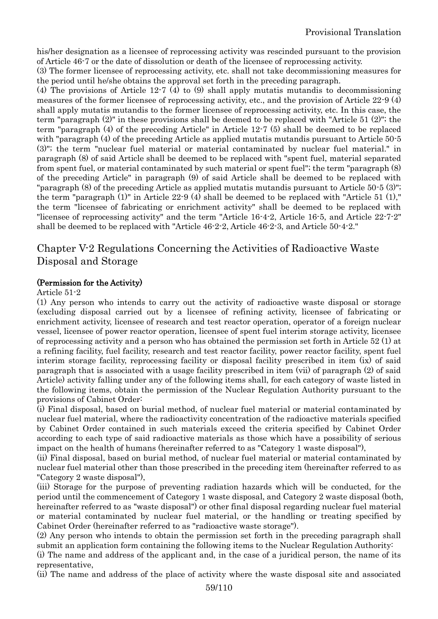his/her designation as a licensee of reprocessing activity was rescinded pursuant to the provision of Article 46-7 or the date of dissolution or death of the licensee of reprocessing activity.

(3) The former licensee of reprocessing activity, etc. shall not take decommissioning measures for the period until he/she obtains the approval set forth in the preceding paragraph.

(4) The provisions of Article 12-7 (4) to (9) shall apply mutatis mutandis to decommissioning measures of the former licensee of reprocessing activity, etc., and the provision of Article 22-9 (4) shall apply mutatis mutandis to the former licensee of reprocessing activity, etc. In this case, the term "paragraph (2)" in these provisions shall be deemed to be replaced with "Article 51 (2)"; the term "paragraph (4) of the preceding Article" in Article 12-7 (5) shall be deemed to be replaced with "paragraph (4) of the preceding Article as applied mutatis mutandis pursuant to Article 50.5 (3)"; the term "nuclear fuel material or material contaminated by nuclear fuel material." in paragraph (8) of said Article shall be deemed to be replaced with "spent fuel, material separated from spent fuel, or material contaminated by such material or spent fuel"; the term "paragraph (8) of the preceding Article" in paragraph (9) of said Article shall be deemed to be replaced with "paragraph (8) of the preceding Article as applied mutatis mutandis pursuant to Article 50-5 (3)"; the term "paragraph (1)" in Article 22-9 (4) shall be deemed to be replaced with "Article 51 (1)," the term "licensee of fabricating or enrichment activity" shall be deemed to be replaced with "licensee of reprocessing activity" and the term "Article 16-4-2, Article 16-5, and Article 22-7-2" shall be deemed to be replaced with "Article 46-2-2, Article 46-2-3, and Article 50-4-2."

# Chapter V-2 Regulations Concerning the Activities of Radioactive Waste Disposal and Storage

#### (Permission for the Activity)

#### Article 51-2

(1) Any person who intends to carry out the activity of radioactive waste disposal or storage (excluding disposal carried out by a licensee of refining activity, licensee of fabricating or enrichment activity, licensee of research and test reactor operation, operator of a foreign nuclear vessel, licensee of power reactor operation, licensee of spent fuel interim storage activity, licensee of reprocessing activity and a person who has obtained the permission set forth in Article 52 (1) at a refining facility, fuel facility, research and test reactor facility, power reactor facility, spent fuel interim storage facility, reprocessing facility or disposal facility prescribed in item (ix) of said paragraph that is associated with a usage facility prescribed in item (vii) of paragraph (2) of said Article) activity falling under any of the following items shall, for each category of waste listed in the following items, obtain the permission of the Nuclear Regulation Authority pursuant to the provisions of Cabinet Order:

(i) Final disposal, based on burial method, of nuclear fuel material or material contaminated by nuclear fuel material, where the radioactivity concentration of the radioactive materials specified by Cabinet Order contained in such materials exceed the criteria specified by Cabinet Order according to each type of said radioactive materials as those which have a possibility of serious impact on the health of humans (hereinafter referred to as "Category 1 waste disposal"),

(ii) Final disposal, based on burial method, of nuclear fuel material or material contaminated by nuclear fuel material other than those prescribed in the preceding item (hereinafter referred to as "Category 2 waste disposal"),

(iii) Storage for the purpose of preventing radiation hazards which will be conducted, for the period until the commencement of Category 1 waste disposal, and Category 2 waste disposal (both, hereinafter referred to as "waste disposal") or other final disposal regarding nuclear fuel material or material contaminated by nuclear fuel material, or the handling or treating specified by Cabinet Order (hereinafter referred to as "radioactive waste storage").

(2) Any person who intends to obtain the permission set forth in the preceding paragraph shall submit an application form containing the following items to the Nuclear Regulation Authority:

(i) The name and address of the applicant and, in the case of a juridical person, the name of its representative,

(ii) The name and address of the place of activity where the waste disposal site and associated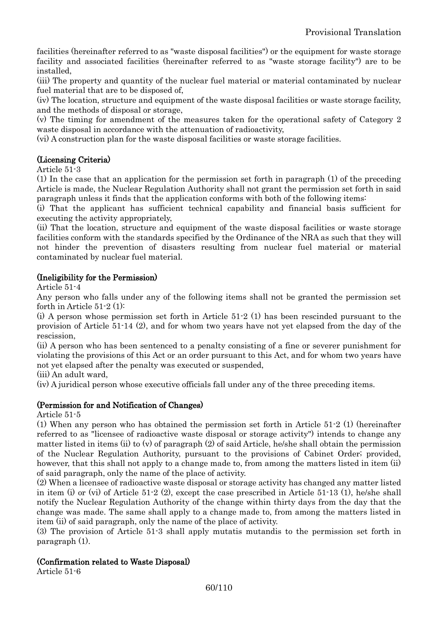facilities (hereinafter referred to as "waste disposal facilities") or the equipment for waste storage facility and associated facilities (hereinafter referred to as "waste storage facility") are to be installed,

(iii) The property and quantity of the nuclear fuel material or material contaminated by nuclear fuel material that are to be disposed of,

(iv) The location, structure and equipment of the waste disposal facilities or waste storage facility, and the methods of disposal or storage,

(v) The timing for amendment of the measures taken for the operational safety of Category 2 waste disposal in accordance with the attenuation of radioactivity,

(vi) A construction plan for the waste disposal facilities or waste storage facilities.

### (Licensing Criteria)

Article 51-3

(1) In the case that an application for the permission set forth in paragraph (1) of the preceding Article is made, the Nuclear Regulation Authority shall not grant the permission set forth in said paragraph unless it finds that the application conforms with both of the following items:

(i) That the applicant has sufficient technical capability and financial basis sufficient for executing the activity appropriately,

(ii) That the location, structure and equipment of the waste disposal facilities or waste storage facilities conform with the standards specified by the Ordinance of the NRA as such that they will not hinder the prevention of disasters resulting from nuclear fuel material or material contaminated by nuclear fuel material.

### (Ineligibility for the Permission)

Article 51-4

Any person who falls under any of the following items shall not be granted the permission set forth in Article 51-2 (1):

(i) A person whose permission set forth in Article 51-2 (1) has been rescinded pursuant to the provision of Article 51-14 (2), and for whom two years have not yet elapsed from the day of the rescission,

(ii) A person who has been sentenced to a penalty consisting of a fine or severer punishment for violating the provisions of this Act or an order pursuant to this Act, and for whom two years have not yet elapsed after the penalty was executed or suspended,

(iii) An adult ward,

(iv) A juridical person whose executive officials fall under any of the three preceding items.

### (Permission for and Notification of Changes)

Article 51-5

(1) When any person who has obtained the permission set forth in Article 51-2 (1) (hereinafter referred to as "licensee of radioactive waste disposal or storage activity") intends to change any matter listed in items (ii) to (v) of paragraph (2) of said Article, he/she shall obtain the permission of the Nuclear Regulation Authority, pursuant to the provisions of Cabinet Order; provided, however, that this shall not apply to a change made to, from among the matters listed in item (ii) of said paragraph, only the name of the place of activity.

(2) When a licensee of radioactive waste disposal or storage activity has changed any matter listed in item (i) or (vi) of Article 51-2 (2), except the case prescribed in Article 51-13 (1), he/she shall notify the Nuclear Regulation Authority of the change within thirty days from the day that the change was made. The same shall apply to a change made to, from among the matters listed in item (ii) of said paragraph, only the name of the place of activity.

(3) The provision of Article 51-3 shall apply mutatis mutandis to the permission set forth in paragraph (1).

### (Confirmation related to Waste Disposal)

Article 51-6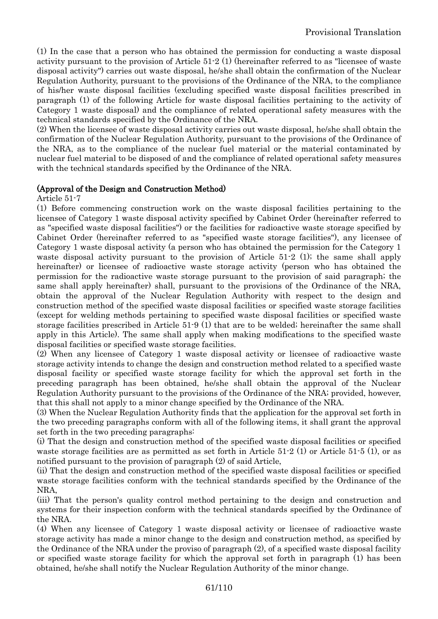(1) In the case that a person who has obtained the permission for conducting a waste disposal activity pursuant to the provision of Article 51-2 (1) (hereinafter referred to as "licensee of waste disposal activity") carries out waste disposal, he/she shall obtain the confirmation of the Nuclear Regulation Authority, pursuant to the provisions of the Ordinance of the NRA, to the compliance of his/her waste disposal facilities (excluding specified waste disposal facilities prescribed in paragraph (1) of the following Article for waste disposal facilities pertaining to the activity of Category 1 waste disposal) and the compliance of related operational safety measures with the technical standards specified by the Ordinance of the NRA.

(2) When the licensee of waste disposal activity carries out waste disposal, he/she shall obtain the confirmation of the Nuclear Regulation Authority, pursuant to the provisions of the Ordinance of the NRA, as to the compliance of the nuclear fuel material or the material contaminated by nuclear fuel material to be disposed of and the compliance of related operational safety measures with the technical standards specified by the Ordinance of the NRA.

#### (Approval of the Design and Construction Method)

Article 51-7

(1) Before commencing construction work on the waste disposal facilities pertaining to the licensee of Category 1 waste disposal activity specified by Cabinet Order (hereinafter referred to as "specified waste disposal facilities") or the facilities for radioactive waste storage specified by Cabinet Order (hereinafter referred to as "specified waste storage facilities"), any licensee of Category 1 waste disposal activity (a person who has obtained the permission for the Category 1 waste disposal activity pursuant to the provision of Article 51-2 (1); the same shall apply hereinafter) or licensee of radioactive waste storage activity (person who has obtained the permission for the radioactive waste storage pursuant to the provision of said paragraph; the same shall apply hereinafter) shall, pursuant to the provisions of the Ordinance of the NRA, obtain the approval of the Nuclear Regulation Authority with respect to the design and construction method of the specified waste disposal facilities or specified waste storage facilities (except for welding methods pertaining to specified waste disposal facilities or specified waste storage facilities prescribed in Article 51-9 (1) that are to be welded; hereinafter the same shall apply in this Article). The same shall apply when making modifications to the specified waste disposal facilities or specified waste storage facilities.

(2) When any licensee of Category 1 waste disposal activity or licensee of radioactive waste storage activity intends to change the design and construction method related to a specified waste disposal facility or specified waste storage facility for which the approval set forth in the preceding paragraph has been obtained, he/she shall obtain the approval of the Nuclear Regulation Authority pursuant to the provisions of the Ordinance of the NRA; provided, however, that this shall not apply to a minor change specified by the Ordinance of the NRA.

(3) When the Nuclear Regulation Authority finds that the application for the approval set forth in the two preceding paragraphs conform with all of the following items, it shall grant the approval set forth in the two preceding paragraphs:

(i) That the design and construction method of the specified waste disposal facilities or specified waste storage facilities are as permitted as set forth in Article 51-2 (1) or Article 51-5 (1), or as notified pursuant to the provision of paragraph (2) of said Article,

(ii) That the design and construction method of the specified waste disposal facilities or specified waste storage facilities conform with the technical standards specified by the Ordinance of the NRA,

(iii) That the person's quality control method pertaining to the design and construction and systems for their inspection conform with the technical standards specified by the Ordinance of the NRA.

(4) When any licensee of Category 1 waste disposal activity or licensee of radioactive waste storage activity has made a minor change to the design and construction method, as specified by the Ordinance of the NRA under the proviso of paragraph (2), of a specified waste disposal facility or specified waste storage facility for which the approval set forth in paragraph (1) has been obtained, he/she shall notify the Nuclear Regulation Authority of the minor change.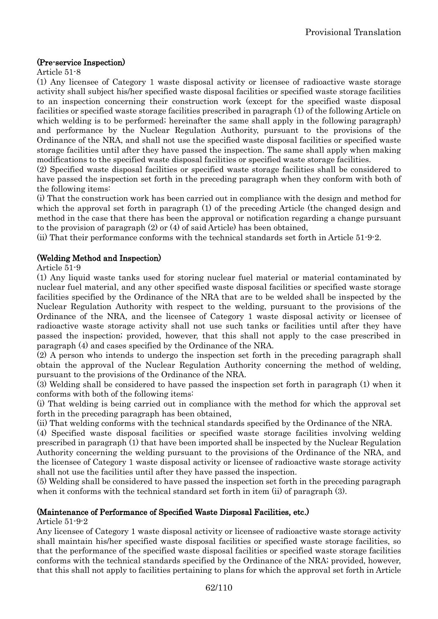#### (Pre-service Inspection)

Article 51-8

(1) Any licensee of Category 1 waste disposal activity or licensee of radioactive waste storage activity shall subject his/her specified waste disposal facilities or specified waste storage facilities to an inspection concerning their construction work (except for the specified waste disposal facilities or specified waste storage facilities prescribed in paragraph (1) of the following Article on which welding is to be performed; hereinafter the same shall apply in the following paragraph) and performance by the Nuclear Regulation Authority, pursuant to the provisions of the Ordinance of the NRA, and shall not use the specified waste disposal facilities or specified waste storage facilities until after they have passed the inspection. The same shall apply when making modifications to the specified waste disposal facilities or specified waste storage facilities.

(2) Specified waste disposal facilities or specified waste storage facilities shall be considered to have passed the inspection set forth in the preceding paragraph when they conform with both of the following items:

(i) That the construction work has been carried out in compliance with the design and method for which the approval set forth in paragraph (1) of the preceding Article (the changed design and method in the case that there has been the approval or notification regarding a change pursuant to the provision of paragraph (2) or (4) of said Article) has been obtained,

(ii) That their performance conforms with the technical standards set forth in Article 51-9-2.

### (Welding Method and Inspection)

#### Article 51-9

(1) Any liquid waste tanks used for storing nuclear fuel material or material contaminated by nuclear fuel material, and any other specified waste disposal facilities or specified waste storage facilities specified by the Ordinance of the NRA that are to be welded shall be inspected by the Nuclear Regulation Authority with respect to the welding, pursuant to the provisions of the Ordinance of the NRA, and the licensee of Category 1 waste disposal activity or licensee of radioactive waste storage activity shall not use such tanks or facilities until after they have passed the inspection; provided, however, that this shall not apply to the case prescribed in paragraph (4) and cases specified by the Ordinance of the NRA.

(2) A person who intends to undergo the inspection set forth in the preceding paragraph shall obtain the approval of the Nuclear Regulation Authority concerning the method of welding, pursuant to the provisions of the Ordinance of the NRA.

(3) Welding shall be considered to have passed the inspection set forth in paragraph (1) when it conforms with both of the following items:

(i) That welding is being carried out in compliance with the method for which the approval set forth in the preceding paragraph has been obtained,

(ii) That welding conforms with the technical standards specified by the Ordinance of the NRA.

(4) Specified waste disposal facilities or specified waste storage facilities involving welding prescribed in paragraph (1) that have been imported shall be inspected by the Nuclear Regulation Authority concerning the welding pursuant to the provisions of the Ordinance of the NRA, and the licensee of Category 1 waste disposal activity or licensee of radioactive waste storage activity shall not use the facilities until after they have passed the inspection.

(5) Welding shall be considered to have passed the inspection set forth in the preceding paragraph when it conforms with the technical standard set forth in item (ii) of paragraph (3).

#### (Maintenance of Performance of Specified Waste Disposal Facilities, etc.)

Article 51-9-2

Any licensee of Category 1 waste disposal activity or licensee of radioactive waste storage activity shall maintain his/her specified waste disposal facilities or specified waste storage facilities, so that the performance of the specified waste disposal facilities or specified waste storage facilities conforms with the technical standards specified by the Ordinance of the NRA; provided, however, that this shall not apply to facilities pertaining to plans for which the approval set forth in Article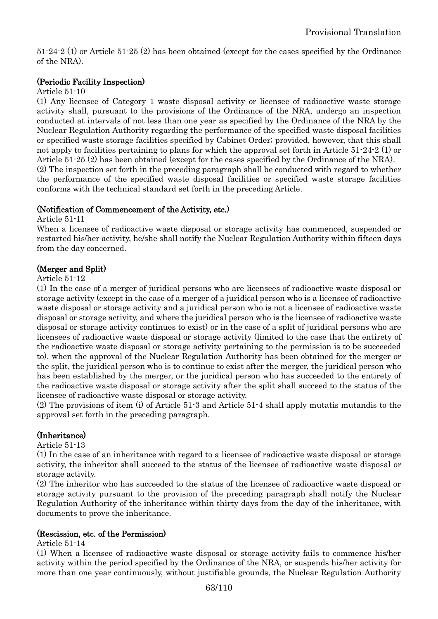51-24-2 (1) or Article 51-25 (2) has been obtained (except for the cases specified by the Ordinance of the NRA).

### (Periodic Facility Inspection)

#### Article 51-10

(1) Any licensee of Category 1 waste disposal activity or licensee of radioactive waste storage activity shall, pursuant to the provisions of the Ordinance of the NRA, undergo an inspection conducted at intervals of not less than one year as specified by the Ordinance of the NRA by the Nuclear Regulation Authority regarding the performance of the specified waste disposal facilities or specified waste storage facilities specified by Cabinet Order; provided, however, that this shall not apply to facilities pertaining to plans for which the approval set forth in Article 51-24-2 (1) or Article 51-25 (2) has been obtained (except for the cases specified by the Ordinance of the NRA). (2) The inspection set forth in the preceding paragraph shall be conducted with regard to whether the performance of the specified waste disposal facilities or specified waste storage facilities conforms with the technical standard set forth in the preceding Article.

### (Notification of Commencement of the Activity, etc.)

Article 51-11

When a licensee of radioactive waste disposal or storage activity has commenced, suspended or restarted his/her activity, he/she shall notify the Nuclear Regulation Authority within fifteen days from the day concerned.

### (Merger and Split)

#### Article 51-12

(1) In the case of a merger of juridical persons who are licensees of radioactive waste disposal or storage activity (except in the case of a merger of a juridical person who is a licensee of radioactive waste disposal or storage activity and a juridical person who is not a licensee of radioactive waste disposal or storage activity, and where the juridical person who is the licensee of radioactive waste disposal or storage activity continues to exist) or in the case of a split of juridical persons who are licensees of radioactive waste disposal or storage activity (limited to the case that the entirety of the radioactive waste disposal or storage activity pertaining to the permission is to be succeeded to), when the approval of the Nuclear Regulation Authority has been obtained for the merger or the split, the juridical person who is to continue to exist after the merger, the juridical person who has been established by the merger, or the juridical person who has succeeded to the entirety of the radioactive waste disposal or storage activity after the split shall succeed to the status of the licensee of radioactive waste disposal or storage activity.

(2) The provisions of item (i) of Article 51-3 and Article 51-4 shall apply mutatis mutandis to the approval set forth in the preceding paragraph.

### (Inheritance)

Article 51-13

(1) In the case of an inheritance with regard to a licensee of radioactive waste disposal or storage activity, the inheritor shall succeed to the status of the licensee of radioactive waste disposal or storage activity.

(2) The inheritor who has succeeded to the status of the licensee of radioactive waste disposal or storage activity pursuant to the provision of the preceding paragraph shall notify the Nuclear Regulation Authority of the inheritance within thirty days from the day of the inheritance, with documents to prove the inheritance.

#### (Rescission, etc. of the Permission)

Article 51-14

(1) When a licensee of radioactive waste disposal or storage activity fails to commence his/her activity within the period specified by the Ordinance of the NRA, or suspends his/her activity for more than one year continuously, without justifiable grounds, the Nuclear Regulation Authority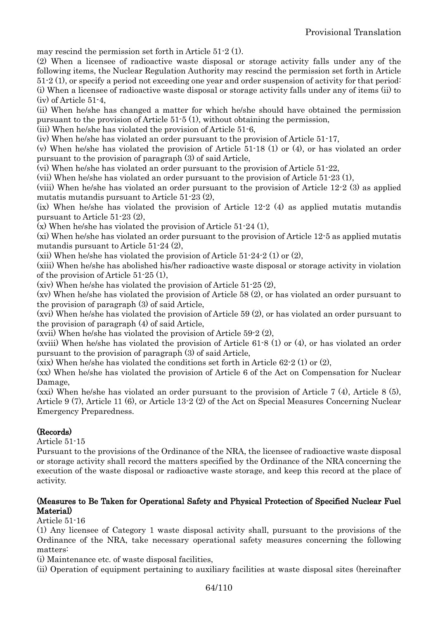may rescind the permission set forth in Article 51-2 (1).

(2) When a licensee of radioactive waste disposal or storage activity falls under any of the following items, the Nuclear Regulation Authority may rescind the permission set forth in Article 51-2 (1), or specify a period not exceeding one year and order suspension of activity for that period: (i) When a licensee of radioactive waste disposal or storage activity falls under any of items (ii) to (iv) of Article 51-4,

(ii) When he/she has changed a matter for which he/she should have obtained the permission pursuant to the provision of Article 51-5 (1), without obtaining the permission,

(iii) When he/she has violated the provision of Article 51-6,

(iv) When he/she has violated an order pursuant to the provision of Article 51-17,

(v) When he/she has violated the provision of Article 51-18 (1) or (4), or has violated an order pursuant to the provision of paragraph (3) of said Article,

(vi) When he/she has violated an order pursuant to the provision of Article 51-22,

(vii) When he/she has violated an order pursuant to the provision of Article 51-23 (1),

(viii) When he/she has violated an order pursuant to the provision of Article 12-2 (3) as applied mutatis mutandis pursuant to Article 51-23 (2),

(ix) When he/she has violated the provision of Article 12-2 (4) as applied mutatis mutandis pursuant to Article 51-23 (2),

(x) When he/she has violated the provision of Article 51-24 (1),

(xi) When he/she has violated an order pursuant to the provision of Article 12-5 as applied mutatis mutandis pursuant to Article 51-24 (2),

(xii) When he/she has violated the provision of Article  $51-24-2$  (1) or (2),

(xiii) When he/she has abolished his/her radioactive waste disposal or storage activity in violation of the provision of Article 51-25 (1),

(xiv) When he/she has violated the provision of Article 51-25 (2),

(xv) When he/she has violated the provision of Article 58 (2), or has violated an order pursuant to the provision of paragraph (3) of said Article,

(xvi) When he/she has violated the provision of Article 59 (2), or has violated an order pursuant to the provision of paragraph (4) of said Article,

(xvii) When he/she has violated the provision of Article 59-2 (2),

(xviii) When he/she has violated the provision of Article 61-8 (1) or (4), or has violated an order pursuant to the provision of paragraph (3) of said Article,

(xix) When he/she has violated the conditions set forth in Article  $62-2$  (1) or (2),

(xx) When he/she has violated the provision of Article 6 of the Act on Compensation for Nuclear Damage,

(xxi) When he/she has violated an order pursuant to the provision of Article 7 (4), Article 8 (5), Article 9 (7), Article 11 (6), or Article 13-2 (2) of the Act on Special Measures Concerning Nuclear Emergency Preparedness.

# (Records)

Article 51-15

Pursuant to the provisions of the Ordinance of the NRA, the licensee of radioactive waste disposal or storage activity shall record the matters specified by the Ordinance of the NRA concerning the execution of the waste disposal or radioactive waste storage, and keep this record at the place of activity.

### (Measures to Be Taken for Operational Safety and Physical Protection of Specified Nuclear Fuel Material)

Article 51-16

(1) Any licensee of Category 1 waste disposal activity shall, pursuant to the provisions of the Ordinance of the NRA, take necessary operational safety measures concerning the following matters:

(i) Maintenance etc. of waste disposal facilities,

(ii) Operation of equipment pertaining to auxiliary facilities at waste disposal sites (hereinafter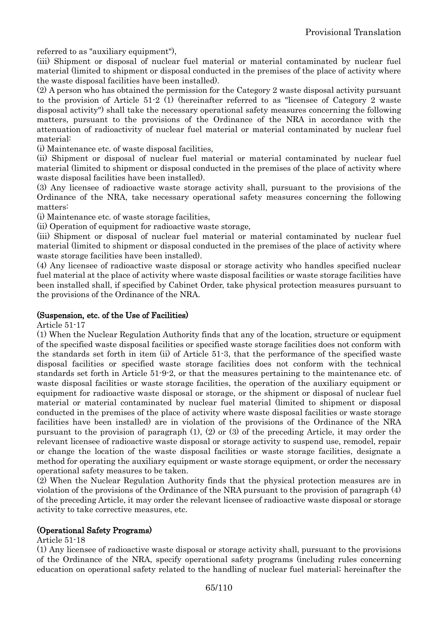referred to as "auxiliary equipment"),

(iii) Shipment or disposal of nuclear fuel material or material contaminated by nuclear fuel material (limited to shipment or disposal conducted in the premises of the place of activity where the waste disposal facilities have been installed).

(2) A person who has obtained the permission for the Category 2 waste disposal activity pursuant to the provision of Article 51-2 (1) (hereinafter referred to as "licensee of Category 2 waste disposal activity") shall take the necessary operational safety measures concerning the following matters, pursuant to the provisions of the Ordinance of the NRA in accordance with the attenuation of radioactivity of nuclear fuel material or material contaminated by nuclear fuel material:

(i) Maintenance etc. of waste disposal facilities,

(ii) Shipment or disposal of nuclear fuel material or material contaminated by nuclear fuel material (limited to shipment or disposal conducted in the premises of the place of activity where waste disposal facilities have been installed).

(3) Any licensee of radioactive waste storage activity shall, pursuant to the provisions of the Ordinance of the NRA, take necessary operational safety measures concerning the following matters:

(i) Maintenance etc. of waste storage facilities,

(ii) Operation of equipment for radioactive waste storage,

(iii) Shipment or disposal of nuclear fuel material or material contaminated by nuclear fuel material (limited to shipment or disposal conducted in the premises of the place of activity where waste storage facilities have been installed).

(4) Any licensee of radioactive waste disposal or storage activity who handles specified nuclear fuel material at the place of activity where waste disposal facilities or waste storage facilities have been installed shall, if specified by Cabinet Order, take physical protection measures pursuant to the provisions of the Ordinance of the NRA.

#### (Suspension, etc. of the Use of Facilities)

Article 51-17

(1) When the Nuclear Regulation Authority finds that any of the location, structure or equipment of the specified waste disposal facilities or specified waste storage facilities does not conform with the standards set forth in item (ii) of Article 51-3, that the performance of the specified waste disposal facilities or specified waste storage facilities does not conform with the technical standards set forth in Article 51-9-2, or that the measures pertaining to the maintenance etc. of waste disposal facilities or waste storage facilities, the operation of the auxiliary equipment or equipment for radioactive waste disposal or storage, or the shipment or disposal of nuclear fuel material or material contaminated by nuclear fuel material (limited to shipment or disposal conducted in the premises of the place of activity where waste disposal facilities or waste storage facilities have been installed) are in violation of the provisions of the Ordinance of the NRA pursuant to the provision of paragraph (1), (2) or (3) of the preceding Article, it may order the relevant licensee of radioactive waste disposal or storage activity to suspend use, remodel, repair or change the location of the waste disposal facilities or waste storage facilities, designate a method for operating the auxiliary equipment or waste storage equipment, or order the necessary operational safety measures to be taken.

(2) When the Nuclear Regulation Authority finds that the physical protection measures are in violation of the provisions of the Ordinance of the NRA pursuant to the provision of paragraph (4) of the preceding Article, it may order the relevant licensee of radioactive waste disposal or storage activity to take corrective measures, etc.

### (Operational Safety Programs)

#### Article 51-18

(1) Any licensee of radioactive waste disposal or storage activity shall, pursuant to the provisions of the Ordinance of the NRA, specify operational safety programs (including rules concerning education on operational safety related to the handling of nuclear fuel material; hereinafter the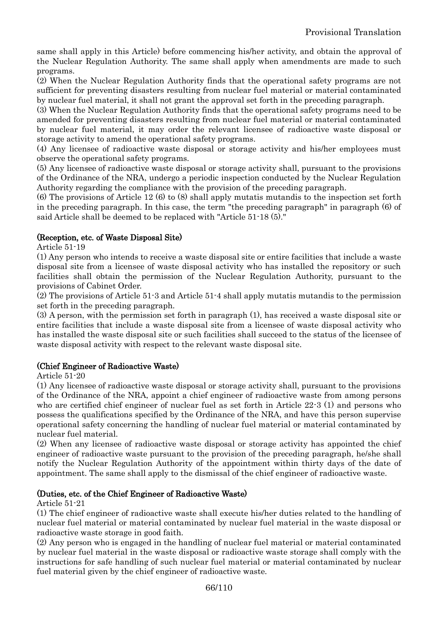same shall apply in this Article) before commencing his/her activity, and obtain the approval of the Nuclear Regulation Authority. The same shall apply when amendments are made to such programs.

(2) When the Nuclear Regulation Authority finds that the operational safety programs are not sufficient for preventing disasters resulting from nuclear fuel material or material contaminated by nuclear fuel material, it shall not grant the approval set forth in the preceding paragraph.

(3) When the Nuclear Regulation Authority finds that the operational safety programs need to be amended for preventing disasters resulting from nuclear fuel material or material contaminated by nuclear fuel material, it may order the relevant licensee of radioactive waste disposal or storage activity to amend the operational safety programs.

(4) Any licensee of radioactive waste disposal or storage activity and his/her employees must observe the operational safety programs.

(5) Any licensee of radioactive waste disposal or storage activity shall, pursuant to the provisions of the Ordinance of the NRA, undergo a periodic inspection conducted by the Nuclear Regulation Authority regarding the compliance with the provision of the preceding paragraph.

(6) The provisions of Article 12 (6) to (8) shall apply mutatis mutandis to the inspection set forth in the preceding paragraph. In this case, the term "the preceding paragraph" in paragraph (6) of said Article shall be deemed to be replaced with "Article 51-18 (5)."

### (Reception, etc. of Waste Disposal Site)

Article 51-19

(1) Any person who intends to receive a waste disposal site or entire facilities that include a waste disposal site from a licensee of waste disposal activity who has installed the repository or such facilities shall obtain the permission of the Nuclear Regulation Authority, pursuant to the provisions of Cabinet Order.

(2) The provisions of Article 51-3 and Article 51-4 shall apply mutatis mutandis to the permission set forth in the preceding paragraph.

(3) A person, with the permission set forth in paragraph (1), has received a waste disposal site or entire facilities that include a waste disposal site from a licensee of waste disposal activity who has installed the waste disposal site or such facilities shall succeed to the status of the licensee of waste disposal activity with respect to the relevant waste disposal site.

### (Chief Engineer of Radioactive Waste)

Article 51-20

(1) Any licensee of radioactive waste disposal or storage activity shall, pursuant to the provisions of the Ordinance of the NRA, appoint a chief engineer of radioactive waste from among persons who are certified chief engineer of nuclear fuel as set forth in Article 22-3 (1) and persons who possess the qualifications specified by the Ordinance of the NRA, and have this person supervise operational safety concerning the handling of nuclear fuel material or material contaminated by nuclear fuel material.

(2) When any licensee of radioactive waste disposal or storage activity has appointed the chief engineer of radioactive waste pursuant to the provision of the preceding paragraph, he/she shall notify the Nuclear Regulation Authority of the appointment within thirty days of the date of appointment. The same shall apply to the dismissal of the chief engineer of radioactive waste.

#### (Duties, etc. of the Chief Engineer of Radioactive Waste)

Article 51-21

(1) The chief engineer of radioactive waste shall execute his/her duties related to the handling of nuclear fuel material or material contaminated by nuclear fuel material in the waste disposal or radioactive waste storage in good faith.

(2) Any person who is engaged in the handling of nuclear fuel material or material contaminated by nuclear fuel material in the waste disposal or radioactive waste storage shall comply with the instructions for safe handling of such nuclear fuel material or material contaminated by nuclear fuel material given by the chief engineer of radioactive waste.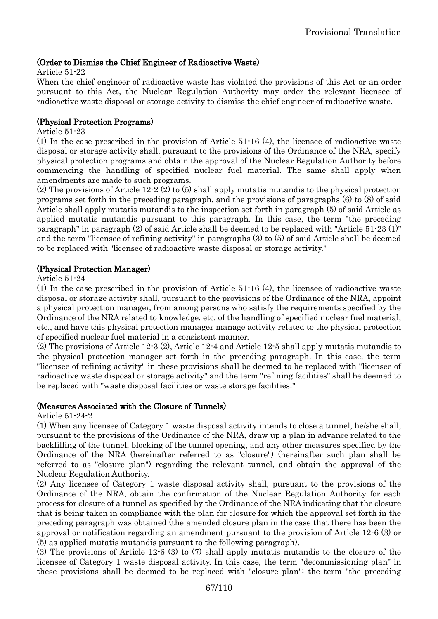# (Order to Dismiss the Chief Engineer of Radioactive Waste)

#### Article 51-22

When the chief engineer of radioactive waste has violated the provisions of this Act or an order pursuant to this Act, the Nuclear Regulation Authority may order the relevant licensee of radioactive waste disposal or storage activity to dismiss the chief engineer of radioactive waste.

#### (Physical Protection Programs)

#### Article 51-23

(1) In the case prescribed in the provision of Article 51-16 (4), the licensee of radioactive waste disposal or storage activity shall, pursuant to the provisions of the Ordinance of the NRA, specify physical protection programs and obtain the approval of the Nuclear Regulation Authority before commencing the handling of specified nuclear fuel material. The same shall apply when amendments are made to such programs.

(2) The provisions of Article 12-2 (2) to (5) shall apply mutatis mutandis to the physical protection programs set forth in the preceding paragraph, and the provisions of paragraphs (6) to (8) of said Article shall apply mutatis mutandis to the inspection set forth in paragraph (5) of said Article as applied mutatis mutandis pursuant to this paragraph. In this case, the term "the preceding paragraph" in paragraph (2) of said Article shall be deemed to be replaced with "Article 51-23 (1)" and the term "licensee of refining activity" in paragraphs (3) to (5) of said Article shall be deemed to be replaced with "licensee of radioactive waste disposal or storage activity."

#### (Physical Protection Manager)

#### Article 51-24

(1) In the case prescribed in the provision of Article 51-16 (4), the licensee of radioactive waste disposal or storage activity shall, pursuant to the provisions of the Ordinance of the NRA, appoint a physical protection manager, from among persons who satisfy the requirements specified by the Ordinance of the NRA related to knowledge, etc. of the handling of specified nuclear fuel material, etc., and have this physical protection manager manage activity related to the physical protection of specified nuclear fuel material in a consistent manner.

(2) The provisions of Article 12-3 (2), Article 12-4 and Article 12-5 shall apply mutatis mutandis to the physical protection manager set forth in the preceding paragraph. In this case, the term "licensee of refining activity" in these provisions shall be deemed to be replaced with "licensee of radioactive waste disposal or storage activity" and the term "refining facilities" shall be deemed to be replaced with "waste disposal facilities or waste storage facilities."

#### (Measures Associated with the Closure of Tunnels)

Article 51-24-2

(1) When any licensee of Category 1 waste disposal activity intends to close a tunnel, he/she shall, pursuant to the provisions of the Ordinance of the NRA, draw up a plan in advance related to the backfilling of the tunnel, blocking of the tunnel opening, and any other measures specified by the Ordinance of the NRA (hereinafter referred to as "closure") (hereinafter such plan shall be referred to as "closure plan") regarding the relevant tunnel, and obtain the approval of the Nuclear Regulation Authority.

(2) Any licensee of Category 1 waste disposal activity shall, pursuant to the provisions of the Ordinance of the NRA, obtain the confirmation of the Nuclear Regulation Authority for each process for closure of a tunnel as specified by the Ordinance of the NRA indicating that the closure that is being taken in compliance with the plan for closure for which the approval set forth in the preceding paragraph was obtained (the amended closure plan in the case that there has been the approval or notification regarding an amendment pursuant to the provision of Article 12-6 (3) or (5) as applied mutatis mutandis pursuant to the following paragraph).

(3) The provisions of Article 12-6 (3) to (7) shall apply mutatis mutandis to the closure of the licensee of Category 1 waste disposal activity. In this case, the term "decommissioning plan" in these provisions shall be deemed to be replaced with "closure plan"; the term "the preceding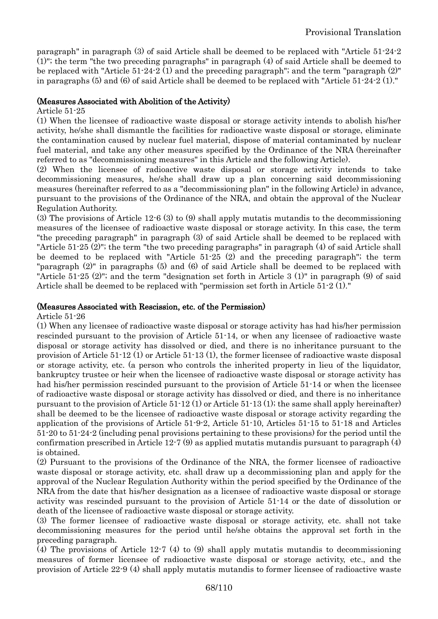paragraph" in paragraph (3) of said Article shall be deemed to be replaced with "Article 51-24-2 (1)"; the term "the two preceding paragraphs" in paragraph (4) of said Article shall be deemed to be replaced with "Article 51-24-2 (1) and the preceding paragraph"; and the term "paragraph (2)" in paragraphs (5) and (6) of said Article shall be deemed to be replaced with "Article 51-24-2 (1)."

#### (Measures Associated with Abolition of the Activity)

#### Article 51-25

(1) When the licensee of radioactive waste disposal or storage activity intends to abolish his/her activity, he/she shall dismantle the facilities for radioactive waste disposal or storage, eliminate the contamination caused by nuclear fuel material, dispose of material contaminated by nuclear fuel material, and take any other measures specified by the Ordinance of the NRA (hereinafter referred to as "decommissioning measures" in this Article and the following Article).

(2) When the licensee of radioactive waste disposal or storage activity intends to take decommissioning measures, he/she shall draw up a plan concerning said decommissioning measures (hereinafter referred to as a "decommissioning plan" in the following Article) in advance, pursuant to the provisions of the Ordinance of the NRA, and obtain the approval of the Nuclear Regulation Authority.

(3) The provisions of Article 12-6 (3) to (9) shall apply mutatis mutandis to the decommissioning measures of the licensee of radioactive waste disposal or storage activity. In this case, the term "the preceding paragraph" in paragraph (3) of said Article shall be deemed to be replaced with "Article 51-25 (2)"; the term "the two preceding paragraphs" in paragraph (4) of said Article shall be deemed to be replaced with "Article 51-25 (2) and the preceding paragraph"; the term "paragraph (2)" in paragraphs (5) and (6) of said Article shall be deemed to be replaced with "Article 51-25 (2)"; and the term "designation set forth in Article 3 (1)" in paragraph (9) of said Article shall be deemed to be replaced with "permission set forth in Article 51-2 (1)."

#### (Measures Associated with Rescission, etc. of the Permission)

Article 51-26

(1) When any licensee of radioactive waste disposal or storage activity has had his/her permission rescinded pursuant to the provision of Article 51-14, or when any licensee of radioactive waste disposal or storage activity has dissolved or died, and there is no inheritance pursuant to the provision of Article 51-12 (1) or Article 51-13 (1), the former licensee of radioactive waste disposal or storage activity, etc. (a person who controls the inherited property in lieu of the liquidator, bankruptcy trustee or heir when the licensee of radioactive waste disposal or storage activity has had his/her permission rescinded pursuant to the provision of Article 51-14 or when the licensee of radioactive waste disposal or storage activity has dissolved or died, and there is no inheritance pursuant to the provision of Article 51-12 (1) or Article 51-13 (1); the same shall apply hereinafter) shall be deemed to be the licensee of radioactive waste disposal or storage activity regarding the application of the provisions of Article 51-9-2, Article 51-10, Articles 51-15 to 51-18 and Articles 51-20 to 51-24-2 (including penal provisions pertaining to these provisions) for the period until the confirmation prescribed in Article 12-7  $(9)$  as applied mutatis mutandis pursuant to paragraph  $(4)$ is obtained.

(2) Pursuant to the provisions of the Ordinance of the NRA, the former licensee of radioactive waste disposal or storage activity, etc. shall draw up a decommissioning plan and apply for the approval of the Nuclear Regulation Authority within the period specified by the Ordinance of the NRA from the date that his/her designation as a licensee of radioactive waste disposal or storage activity was rescinded pursuant to the provision of Article 51-14 or the date of dissolution or death of the licensee of radioactive waste disposal or storage activity.

(3) The former licensee of radioactive waste disposal or storage activity, etc. shall not take decommissioning measures for the period until he/she obtains the approval set forth in the preceding paragraph.

(4) The provisions of Article 12-7 (4) to (9) shall apply mutatis mutandis to decommissioning measures of former licensee of radioactive waste disposal or storage activity, etc., and the provision of Article 22-9 (4) shall apply mutatis mutandis to former licensee of radioactive waste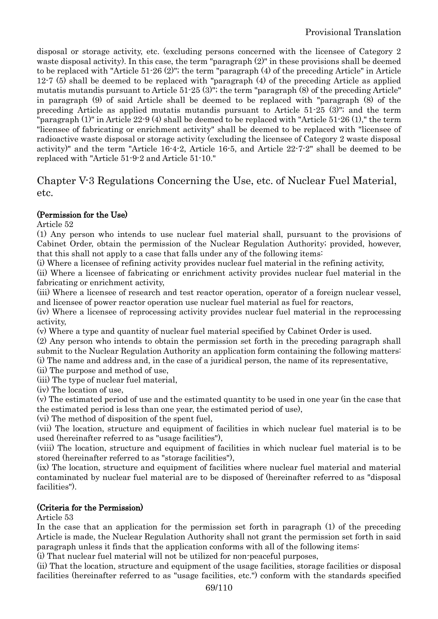disposal or storage activity, etc. (excluding persons concerned with the licensee of Category 2 waste disposal activity). In this case, the term "paragraph (2)" in these provisions shall be deemed to be replaced with "Article 51-26 (2)"; the term "paragraph (4) of the preceding Article" in Article 12-7 (5) shall be deemed to be replaced with "paragraph (4) of the preceding Article as applied mutatis mutandis pursuant to Article 51-25 (3)"; the term "paragraph (8) of the preceding Article" in paragraph (9) of said Article shall be deemed to be replaced with "paragraph (8) of the preceding Article as applied mutatis mutandis pursuant to Article 51-25 (3)"; and the term "paragraph (1)" in Article 22-9 (4) shall be deemed to be replaced with "Article 51-26 (1)," the term "licensee of fabricating or enrichment activity" shall be deemed to be replaced with "licensee of radioactive waste disposal or storage activity (excluding the licensee of Category 2 waste disposal activity)" and the term "Article 16-4-2, Article 16-5, and Article 22-7-2" shall be deemed to be replaced with "Article 51-9-2 and Article 51-10."

# Chapter V-3 Regulations Concerning the Use, etc. of Nuclear Fuel Material, etc.

# (Permission for the Use)

Article 52

(1) Any person who intends to use nuclear fuel material shall, pursuant to the provisions of Cabinet Order, obtain the permission of the Nuclear Regulation Authority; provided, however, that this shall not apply to a case that falls under any of the following items:

(i) Where a licensee of refining activity provides nuclear fuel material in the refining activity,

(ii) Where a licensee of fabricating or enrichment activity provides nuclear fuel material in the fabricating or enrichment activity,

(iii) Where a licensee of research and test reactor operation, operator of a foreign nuclear vessel, and licensee of power reactor operation use nuclear fuel material as fuel for reactors,

(iv) Where a licensee of reprocessing activity provides nuclear fuel material in the reprocessing activity,

(v) Where a type and quantity of nuclear fuel material specified by Cabinet Order is used.

(2) Any person who intends to obtain the permission set forth in the preceding paragraph shall submit to the Nuclear Regulation Authority an application form containing the following matters: (i) The name and address and, in the case of a juridical person, the name of its representative,

(ii) The purpose and method of use,

(iii) The type of nuclear fuel material,

(iv) The location of use,

(v) The estimated period of use and the estimated quantity to be used in one year (in the case that the estimated period is less than one year, the estimated period of use),

(vi) The method of disposition of the spent fuel,

(vii) The location, structure and equipment of facilities in which nuclear fuel material is to be used (hereinafter referred to as "usage facilities"),

(viii) The location, structure and equipment of facilities in which nuclear fuel material is to be stored (hereinafter referred to as "storage facilities"),

(ix) The location, structure and equipment of facilities where nuclear fuel material and material contaminated by nuclear fuel material are to be disposed of (hereinafter referred to as "disposal facilities").

# (Criteria for the Permission)

Article 53

In the case that an application for the permission set forth in paragraph (1) of the preceding Article is made, the Nuclear Regulation Authority shall not grant the permission set forth in said paragraph unless it finds that the application conforms with all of the following items:

(i) That nuclear fuel material will not be utilized for non-peaceful purposes,

(ii) That the location, structure and equipment of the usage facilities, storage facilities or disposal facilities (hereinafter referred to as "usage facilities, etc.") conform with the standards specified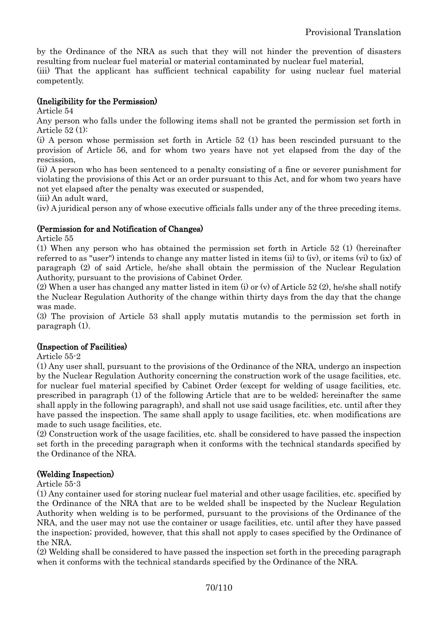by the Ordinance of the NRA as such that they will not hinder the prevention of disasters resulting from nuclear fuel material or material contaminated by nuclear fuel material,

(iii) That the applicant has sufficient technical capability for using nuclear fuel material competently.

#### (Ineligibility for the Permission)

Article 54

Any person who falls under the following items shall not be granted the permission set forth in Article 52 (1):

(i) A person whose permission set forth in Article 52 (1) has been rescinded pursuant to the provision of Article 56, and for whom two years have not yet elapsed from the day of the rescission,

(ii) A person who has been sentenced to a penalty consisting of a fine or severer punishment for violating the provisions of this Act or an order pursuant to this Act, and for whom two years have not yet elapsed after the penalty was executed or suspended,

(iii) An adult ward,

(iv) A juridical person any of whose executive officials falls under any of the three preceding items.

### (Permission for and Notification of Changes)

Article 55

(1) When any person who has obtained the permission set forth in Article 52 (1) (hereinafter referred to as "user") intends to change any matter listed in items (ii) to (iv), or items (vi) to (ix) of paragraph (2) of said Article, he/she shall obtain the permission of the Nuclear Regulation Authority, pursuant to the provisions of Cabinet Order.

(2) When a user has changed any matter listed in item (i) or (y) of Article 52 (2), he/she shall notify the Nuclear Regulation Authority of the change within thirty days from the day that the change was made.

(3) The provision of Article 53 shall apply mutatis mutandis to the permission set forth in paragraph (1).

### (Inspection of Facilities)

Article 55-2

(1) Any user shall, pursuant to the provisions of the Ordinance of the NRA, undergo an inspection by the Nuclear Regulation Authority concerning the construction work of the usage facilities, etc. for nuclear fuel material specified by Cabinet Order (except for welding of usage facilities, etc. prescribed in paragraph (1) of the following Article that are to be welded; hereinafter the same shall apply in the following paragraph), and shall not use said usage facilities, etc. until after they have passed the inspection. The same shall apply to usage facilities, etc. when modifications are made to such usage facilities, etc.

(2) Construction work of the usage facilities, etc. shall be considered to have passed the inspection set forth in the preceding paragraph when it conforms with the technical standards specified by the Ordinance of the NRA.

#### (Welding Inspection)

Article 55-3

(1) Any container used for storing nuclear fuel material and other usage facilities, etc. specified by the Ordinance of the NRA that are to be welded shall be inspected by the Nuclear Regulation Authority when welding is to be performed, pursuant to the provisions of the Ordinance of the NRA, and the user may not use the container or usage facilities, etc. until after they have passed the inspection; provided, however, that this shall not apply to cases specified by the Ordinance of the NRA.

(2) Welding shall be considered to have passed the inspection set forth in the preceding paragraph when it conforms with the technical standards specified by the Ordinance of the NRA.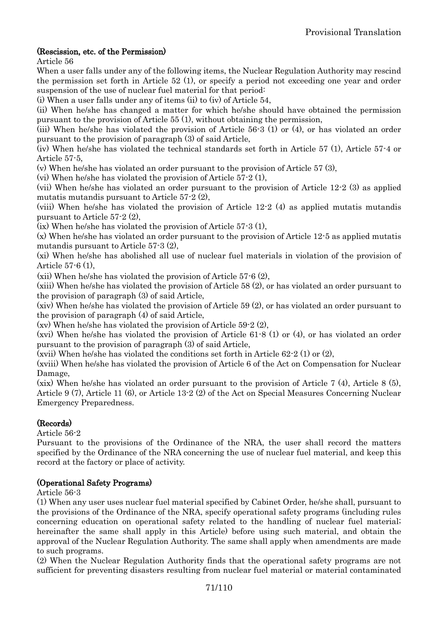# (Rescission, etc. of the Permission)

Article 56

When a user falls under any of the following items, the Nuclear Regulation Authority may rescind the permission set forth in Article 52 (1), or specify a period not exceeding one year and order suspension of the use of nuclear fuel material for that period:

(i) When a user falls under any of items (ii) to (iv) of Article 54,

(ii) When he/she has changed a matter for which he/she should have obtained the permission pursuant to the provision of Article 55 (1), without obtaining the permission,

(iii) When he/she has violated the provision of Article 56-3 (1) or (4), or has violated an order pursuant to the provision of paragraph (3) of said Article,

(iv) When he/she has violated the technical standards set forth in Article 57 (1), Article 57-4 or Article 57-5,

(v) When he/she has violated an order pursuant to the provision of Article 57 (3),

(vi) When he/she has violated the provision of Article 57-2 (1),

(vii) When he/she has violated an order pursuant to the provision of Article 12-2 (3) as applied mutatis mutandis pursuant to Article 57-2 (2),

(viii) When he/she has violated the provision of Article 12-2 (4) as applied mutatis mutandis pursuant to Article 57-2 (2),

(ix) When he/she has violated the provision of Article 57-3 (1),

(x) When he/she has violated an order pursuant to the provision of Article 12-5 as applied mutatis mutandis pursuant to Article 57-3 (2),

(xi) When he/she has abolished all use of nuclear fuel materials in violation of the provision of Article 57-6 (1),

(xii) When he/she has violated the provision of Article 57-6 (2),

(xiii) When he/she has violated the provision of Article 58 (2), or has violated an order pursuant to the provision of paragraph (3) of said Article,

(xiv) When he/she has violated the provision of Article 59 (2), or has violated an order pursuant to the provision of paragraph (4) of said Article,

(xv) When he/she has violated the provision of Article 59-2 (2),

(xvi) When he/she has violated the provision of Article 61-8 (1) or (4), or has violated an order pursuant to the provision of paragraph (3) of said Article,

(xvii) When he/she has violated the conditions set forth in Article 62-2 (1) or (2),

(xviii) When he/she has violated the provision of Article 6 of the Act on Compensation for Nuclear Damage,

(xix) When he/she has violated an order pursuant to the provision of Article 7 (4), Article 8 (5), Article 9 (7), Article 11 (6), or Article 13-2 (2) of the Act on Special Measures Concerning Nuclear Emergency Preparedness.

### (Records)

Article 56-2

Pursuant to the provisions of the Ordinance of the NRA, the user shall record the matters specified by the Ordinance of the NRA concerning the use of nuclear fuel material, and keep this record at the factory or place of activity.

### (Operational Safety Programs)

Article 56-3

(1) When any user uses nuclear fuel material specified by Cabinet Order, he/she shall, pursuant to the provisions of the Ordinance of the NRA, specify operational safety programs (including rules concerning education on operational safety related to the handling of nuclear fuel material; hereinafter the same shall apply in this Article) before using such material, and obtain the approval of the Nuclear Regulation Authority. The same shall apply when amendments are made to such programs.

(2) When the Nuclear Regulation Authority finds that the operational safety programs are not sufficient for preventing disasters resulting from nuclear fuel material or material contaminated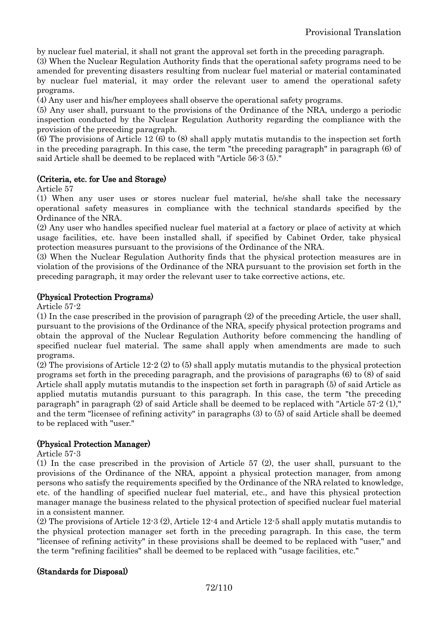by nuclear fuel material, it shall not grant the approval set forth in the preceding paragraph.

(3) When the Nuclear Regulation Authority finds that the operational safety programs need to be amended for preventing disasters resulting from nuclear fuel material or material contaminated by nuclear fuel material, it may order the relevant user to amend the operational safety programs.

(4) Any user and his/her employees shall observe the operational safety programs.

(5) Any user shall, pursuant to the provisions of the Ordinance of the NRA, undergo a periodic inspection conducted by the Nuclear Regulation Authority regarding the compliance with the provision of the preceding paragraph.

(6) The provisions of Article 12 (6) to (8) shall apply mutatis mutandis to the inspection set forth in the preceding paragraph. In this case, the term "the preceding paragraph" in paragraph (6) of said Article shall be deemed to be replaced with "Article 56-3 (5)."

#### (Criteria, etc. for Use and Storage)

Article 57

(1) When any user uses or stores nuclear fuel material, he/she shall take the necessary operational safety measures in compliance with the technical standards specified by the Ordinance of the NRA.

(2) Any user who handles specified nuclear fuel material at a factory or place of activity at which usage facilities, etc. have been installed shall, if specified by Cabinet Order, take physical protection measures pursuant to the provisions of the Ordinance of the NRA.

(3) When the Nuclear Regulation Authority finds that the physical protection measures are in violation of the provisions of the Ordinance of the NRA pursuant to the provision set forth in the preceding paragraph, it may order the relevant user to take corrective actions, etc.

#### (Physical Protection Programs)

Article 57-2

(1) In the case prescribed in the provision of paragraph (2) of the preceding Article, the user shall, pursuant to the provisions of the Ordinance of the NRA, specify physical protection programs and obtain the approval of the Nuclear Regulation Authority before commencing the handling of specified nuclear fuel material. The same shall apply when amendments are made to such programs.

(2) The provisions of Article 12-2 (2) to (5) shall apply mutatis mutandis to the physical protection programs set forth in the preceding paragraph, and the provisions of paragraphs (6) to (8) of said Article shall apply mutatis mutandis to the inspection set forth in paragraph (5) of said Article as applied mutatis mutandis pursuant to this paragraph. In this case, the term "the preceding paragraph" in paragraph (2) of said Article shall be deemed to be replaced with "Article 57-2 (1)," and the term "licensee of refining activity" in paragraphs (3) to (5) of said Article shall be deemed to be replaced with "user."

### (Physical Protection Manager)

Article 57-3

(1) In the case prescribed in the provision of Article 57 (2), the user shall, pursuant to the provisions of the Ordinance of the NRA, appoint a physical protection manager, from among persons who satisfy the requirements specified by the Ordinance of the NRA related to knowledge, etc. of the handling of specified nuclear fuel material, etc., and have this physical protection manager manage the business related to the physical protection of specified nuclear fuel material in a consistent manner.

(2) The provisions of Article 12-3 (2), Article 12-4 and Article 12-5 shall apply mutatis mutandis to the physical protection manager set forth in the preceding paragraph. In this case, the term "licensee of refining activity" in these provisions shall be deemed to be replaced with "user," and the term "refining facilities" shall be deemed to be replaced with "usage facilities, etc."

### (Standards for Disposal)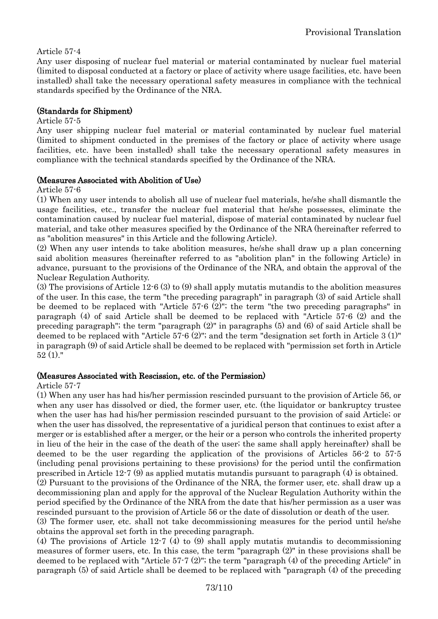### Article 57-4

Any user disposing of nuclear fuel material or material contaminated by nuclear fuel material (limited to disposal conducted at a factory or place of activity where usage facilities, etc. have been installed) shall take the necessary operational safety measures in compliance with the technical standards specified by the Ordinance of the NRA.

#### (Standards for Shipment)

#### Article 57-5

Any user shipping nuclear fuel material or material contaminated by nuclear fuel material (limited to shipment conducted in the premises of the factory or place of activity where usage facilities, etc. have been installed) shall take the necessary operational safety measures in compliance with the technical standards specified by the Ordinance of the NRA.

#### (Measures Associated with Abolition of Use)

Article 57-6

(1) When any user intends to abolish all use of nuclear fuel materials, he/she shall dismantle the usage facilities, etc., transfer the nuclear fuel material that he/she possesses, eliminate the contamination caused by nuclear fuel material, dispose of material contaminated by nuclear fuel material, and take other measures specified by the Ordinance of the NRA (hereinafter referred to as "abolition measures" in this Article and the following Article).

(2) When any user intends to take abolition measures, he/she shall draw up a plan concerning said abolition measures (hereinafter referred to as "abolition plan" in the following Article) in advance, pursuant to the provisions of the Ordinance of the NRA, and obtain the approval of the Nuclear Regulation Authority.

(3) The provisions of Article 12-6 (3) to (9) shall apply mutatis mutandis to the abolition measures of the user. In this case, the term "the preceding paragraph" in paragraph (3) of said Article shall be deemed to be replaced with "Article 57-6 (2)"; the term "the two preceding paragraphs" in paragraph (4) of said Article shall be deemed to be replaced with "Article 57-6 (2) and the preceding paragraph"; the term "paragraph (2)" in paragraphs (5) and (6) of said Article shall be deemed to be replaced with "Article 57-6 (2)"; and the term "designation set forth in Article 3 (1)" in paragraph (9) of said Article shall be deemed to be replaced with "permission set forth in Article  $52(1)$ ."

#### (Measures Associated with Rescission, etc. of the Permission)

#### Article 57-7

(1) When any user has had his/her permission rescinded pursuant to the provision of Article 56, or when any user has dissolved or died, the former user, etc. (the liquidator or bankruptcy trustee when the user has had his/her permission rescinded pursuant to the provision of said Article; or when the user has dissolved, the representative of a juridical person that continues to exist after a merger or is established after a merger, or the heir or a person who controls the inherited property in lieu of the heir in the case of the death of the user; the same shall apply hereinafter) shall be deemed to be the user regarding the application of the provisions of Articles 56-2 to 57-5 (including penal provisions pertaining to these provisions) for the period until the confirmation prescribed in Article 12-7 (9) as applied mutatis mutandis pursuant to paragraph (4) is obtained.

(2) Pursuant to the provisions of the Ordinance of the NRA, the former user, etc. shall draw up a decommissioning plan and apply for the approval of the Nuclear Regulation Authority within the period specified by the Ordinance of the NRA from the date that his/her permission as a user was rescinded pursuant to the provision of Article 56 or the date of dissolution or death of the user.

(3) The former user, etc. shall not take decommissioning measures for the period until he/she obtains the approval set forth in the preceding paragraph.

(4) The provisions of Article 12-7 (4) to (9) shall apply mutatis mutandis to decommissioning measures of former users, etc. In this case, the term "paragraph (2)" in these provisions shall be deemed to be replaced with "Article 57-7 (2)"; the term "paragraph (4) of the preceding Article" in paragraph (5) of said Article shall be deemed to be replaced with "paragraph (4) of the preceding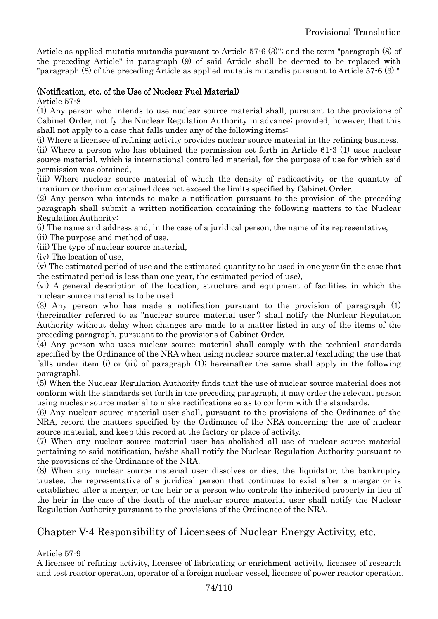Article as applied mutatis mutandis pursuant to Article 57-6 (3)"; and the term "paragraph (8) of the preceding Article" in paragraph (9) of said Article shall be deemed to be replaced with "paragraph (8) of the preceding Article as applied mutatis mutandis pursuant to Article 57-6 (3)."

### (Notification, etc. of the Use of Nuclear Fuel Material)

Article 57-8

(1) Any person who intends to use nuclear source material shall, pursuant to the provisions of Cabinet Order, notify the Nuclear Regulation Authority in advance; provided, however, that this shall not apply to a case that falls under any of the following items:

(i) Where a licensee of refining activity provides nuclear source material in the refining business,

(ii) Where a person who has obtained the permission set forth in Article 61-3 (1) uses nuclear source material, which is international controlled material, for the purpose of use for which said permission was obtained,

(iii) Where nuclear source material of which the density of radioactivity or the quantity of uranium or thorium contained does not exceed the limits specified by Cabinet Order.

(2) Any person who intends to make a notification pursuant to the provision of the preceding paragraph shall submit a written notification containing the following matters to the Nuclear Regulation Authority:

(i) The name and address and, in the case of a juridical person, the name of its representative,

(ii) The purpose and method of use,

(iii) The type of nuclear source material,

(iv) The location of use,

(v) The estimated period of use and the estimated quantity to be used in one year (in the case that the estimated period is less than one year, the estimated period of use),

(vi) A general description of the location, structure and equipment of facilities in which the nuclear source material is to be used.

(3) Any person who has made a notification pursuant to the provision of paragraph (1) (hereinafter referred to as "nuclear source material user") shall notify the Nuclear Regulation Authority without delay when changes are made to a matter listed in any of the items of the preceding paragraph, pursuant to the provisions of Cabinet Order.

(4) Any person who uses nuclear source material shall comply with the technical standards specified by the Ordinance of the NRA when using nuclear source material (excluding the use that falls under item (i) or (iii) of paragraph (1); hereinafter the same shall apply in the following paragraph).

(5) When the Nuclear Regulation Authority finds that the use of nuclear source material does not conform with the standards set forth in the preceding paragraph, it may order the relevant person using nuclear source material to make rectifications so as to conform with the standards.

(6) Any nuclear source material user shall, pursuant to the provisions of the Ordinance of the NRA, record the matters specified by the Ordinance of the NRA concerning the use of nuclear source material, and keep this record at the factory or place of activity.

(7) When any nuclear source material user has abolished all use of nuclear source material pertaining to said notification, he/she shall notify the Nuclear Regulation Authority pursuant to the provisions of the Ordinance of the NRA.

(8) When any nuclear source material user dissolves or dies, the liquidator, the bankruptcy trustee, the representative of a juridical person that continues to exist after a merger or is established after a merger, or the heir or a person who controls the inherited property in lieu of the heir in the case of the death of the nuclear source material user shall notify the Nuclear Regulation Authority pursuant to the provisions of the Ordinance of the NRA.

# Chapter V-4 Responsibility of Licensees of Nuclear Energy Activity, etc.

Article 57-9

A licensee of refining activity, licensee of fabricating or enrichment activity, licensee of research and test reactor operation, operator of a foreign nuclear vessel, licensee of power reactor operation,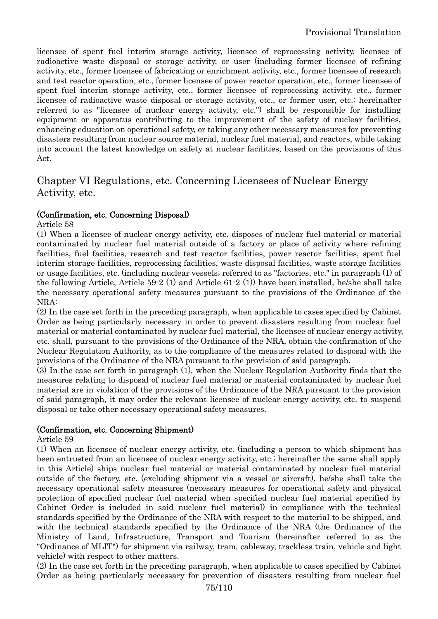licensee of spent fuel interim storage activity, licensee of reprocessing activity, licensee of radioactive waste disposal or storage activity, or user (including former licensee of refining activity, etc., former licensee of fabricating or enrichment activity, etc., former licensee of research and test reactor operation, etc., former licensee of power reactor operation, etc., former licensee of spent fuel interim storage activity, etc., former licensee of reprocessing activity, etc., former licensee of radioactive waste disposal or storage activity, etc., or former user, etc.; hereinafter referred to as "licensee of nuclear energy activity, etc.") shall be responsible for installing equipment or apparatus contributing to the improvement of the safety of nuclear facilities, enhancing education on operational safety, or taking any other necessary measures for preventing disasters resulting from nuclear source material, nuclear fuel material, and reactors, while taking into account the latest knowledge on safety at nuclear facilities, based on the provisions of this Act.

# Chapter VI Regulations, etc. Concerning Licensees of Nuclear Energy Activity, etc.

### (Confirmation, etc. Concerning Disposal)

Article 58

(1) When a licensee of nuclear energy activity, etc. disposes of nuclear fuel material or material contaminated by nuclear fuel material outside of a factory or place of activity where refining facilities, fuel facilities, research and test reactor facilities, power reactor facilities, spent fuel interim storage facilities, reprocessing facilities, waste disposal facilities, waste storage facilities or usage facilities, etc. (including nuclear vessels; referred to as "factories, etc." in paragraph (1) of the following Article, Article 59-2 (1) and Article 61-2 (1)) have been installed, he/she shall take the necessary operational safety measures pursuant to the provisions of the Ordinance of the NRA:

(2) In the case set forth in the preceding paragraph, when applicable to cases specified by Cabinet Order as being particularly necessary in order to prevent disasters resulting from nuclear fuel material or material contaminated by nuclear fuel material, the licensee of nuclear energy activity, etc. shall, pursuant to the provisions of the Ordinance of the NRA, obtain the confirmation of the Nuclear Regulation Authority, as to the compliance of the measures related to disposal with the provisions of the Ordinance of the NRA pursuant to the provision of said paragraph.

(3) In the case set forth in paragraph (1), when the Nuclear Regulation Authority finds that the measures relating to disposal of nuclear fuel material or material contaminated by nuclear fuel material are in violation of the provisions of the Ordinance of the NRA pursuant to the provision of said paragraph, it may order the relevant licensee of nuclear energy activity, etc. to suspend disposal or take other necessary operational safety measures.

### (Confirmation, etc. Concerning Shipment)

Article 59

(1) When an licensee of nuclear energy activity, etc. (including a person to which shipment has been entrusted from an licensee of nuclear energy activity, etc.; hereinafter the same shall apply in this Article) ships nuclear fuel material or material contaminated by nuclear fuel material outside of the factory, etc. (excluding shipment via a vessel or aircraft), he/she shall take the necessary operational safety measures (necessary measures for operational safety and physical protection of specified nuclear fuel material when specified nuclear fuel material specified by Cabinet Order is included in said nuclear fuel material) in compliance with the technical standards specified by the Ordinance of the NRA with respect to the material to be shipped, and with the technical standards specified by the Ordinance of the NRA (the Ordinance of the Ministry of Land, Infrastructure, Transport and Tourism (hereinafter referred to as the "Ordinance of MLIT") for shipment via railway, tram, cableway, trackless train, vehicle and light vehicle) with respect to other matters.

(2) In the case set forth in the preceding paragraph, when applicable to cases specified by Cabinet Order as being particularly necessary for prevention of disasters resulting from nuclear fuel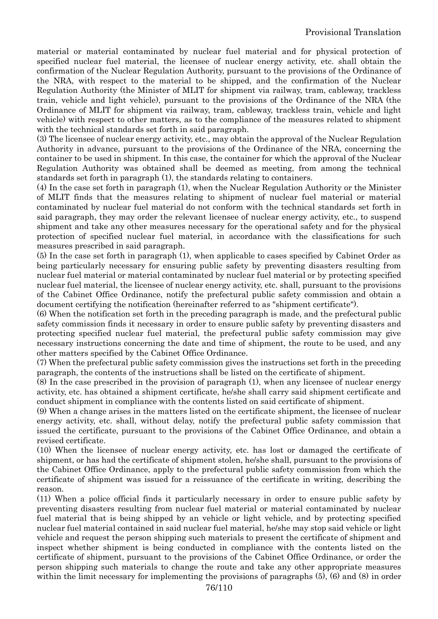material or material contaminated by nuclear fuel material and for physical protection of specified nuclear fuel material, the licensee of nuclear energy activity, etc. shall obtain the confirmation of the Nuclear Regulation Authority, pursuant to the provisions of the Ordinance of the NRA, with respect to the material to be shipped, and the confirmation of the Nuclear Regulation Authority (the Minister of MLIT for shipment via railway, tram, cableway, trackless train, vehicle and light vehicle), pursuant to the provisions of the Ordinance of the NRA (the Ordinance of MLIT for shipment via railway, tram, cableway, trackless train, vehicle and light vehicle) with respect to other matters, as to the compliance of the measures related to shipment with the technical standards set forth in said paragraph.

(3) The licensee of nuclear energy activity, etc., may obtain the approval of the Nuclear Regulation Authority in advance, pursuant to the provisions of the Ordinance of the NRA, concerning the container to be used in shipment. In this case, the container for which the approval of the Nuclear Regulation Authority was obtained shall be deemed as meeting, from among the technical standards set forth in paragraph (1), the standards relating to containers.

(4) In the case set forth in paragraph (1), when the Nuclear Regulation Authority or the Minister of MLIT finds that the measures relating to shipment of nuclear fuel material or material contaminated by nuclear fuel material do not conform with the technical standards set forth in said paragraph, they may order the relevant licensee of nuclear energy activity, etc., to suspend shipment and take any other measures necessary for the operational safety and for the physical protection of specified nuclear fuel material, in accordance with the classifications for such measures prescribed in said paragraph.

(5) In the case set forth in paragraph (1), when applicable to cases specified by Cabinet Order as being particularly necessary for ensuring public safety by preventing disasters resulting from nuclear fuel material or material contaminated by nuclear fuel material or by protecting specified nuclear fuel material, the licensee of nuclear energy activity, etc. shall, pursuant to the provisions of the Cabinet Office Ordinance, notify the prefectural public safety commission and obtain a document certifying the notification (hereinafter referred to as "shipment certificate").

(6) When the notification set forth in the preceding paragraph is made, and the prefectural public safety commission finds it necessary in order to ensure public safety by preventing disasters and protecting specified nuclear fuel material, the prefectural public safety commission may give necessary instructions concerning the date and time of shipment, the route to be used, and any other matters specified by the Cabinet Office Ordinance.

(7) When the prefectural public safety commission gives the instructions set forth in the preceding paragraph, the contents of the instructions shall be listed on the certificate of shipment.

(8) In the case prescribed in the provision of paragraph (1), when any licensee of nuclear energy activity, etc. has obtained a shipment certificate, he/she shall carry said shipment certificate and conduct shipment in compliance with the contents listed on said certificate of shipment.

(9) When a change arises in the matters listed on the certificate shipment, the licensee of nuclear energy activity, etc. shall, without delay, notify the prefectural public safety commission that issued the certificate, pursuant to the provisions of the Cabinet Office Ordinance, and obtain a revised certificate.

(10) When the licensee of nuclear energy activity, etc. has lost or damaged the certificate of shipment, or has had the certificate of shipment stolen, he/she shall, pursuant to the provisions of the Cabinet Office Ordinance, apply to the prefectural public safety commission from which the certificate of shipment was issued for a reissuance of the certificate in writing, describing the reason.

(11) When a police official finds it particularly necessary in order to ensure public safety by preventing disasters resulting from nuclear fuel material or material contaminated by nuclear fuel material that is being shipped by an vehicle or light vehicle, and by protecting specified nuclear fuel material contained in said nuclear fuel material, he/she may stop said vehicle or light vehicle and request the person shipping such materials to present the certificate of shipment and inspect whether shipment is being conducted in compliance with the contents listed on the certificate of shipment, pursuant to the provisions of the Cabinet Office Ordinance, or order the person shipping such materials to change the route and take any other appropriate measures within the limit necessary for implementing the provisions of paragraphs (5), (6) and (8) in order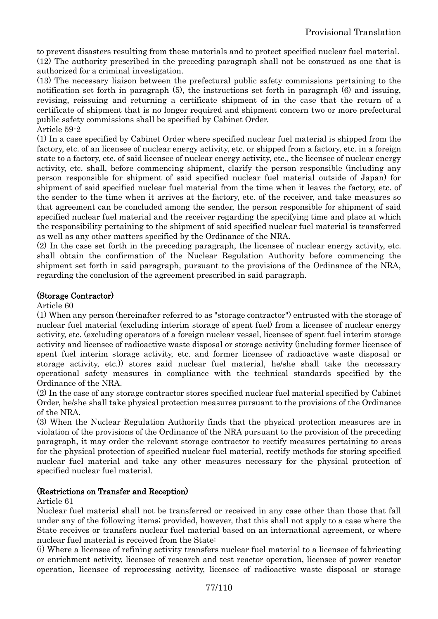to prevent disasters resulting from these materials and to protect specified nuclear fuel material. (12) The authority prescribed in the preceding paragraph shall not be construed as one that is authorized for a criminal investigation.

(13) The necessary liaison between the prefectural public safety commissions pertaining to the notification set forth in paragraph (5), the instructions set forth in paragraph (6) and issuing, revising, reissuing and returning a certificate shipment of in the case that the return of a certificate of shipment that is no longer required and shipment concern two or more prefectural public safety commissions shall be specified by Cabinet Order. Article 59-2

(1) In a case specified by Cabinet Order where specified nuclear fuel material is shipped from the factory, etc. of an licensee of nuclear energy activity, etc. or shipped from a factory, etc. in a foreign state to a factory, etc. of said licensee of nuclear energy activity, etc., the licensee of nuclear energy activity, etc. shall, before commencing shipment, clarify the person responsible (including any person responsible for shipment of said specified nuclear fuel material outside of Japan) for shipment of said specified nuclear fuel material from the time when it leaves the factory, etc. of the sender to the time when it arrives at the factory, etc. of the receiver, and take measures so that agreement can be concluded among the sender, the person responsible for shipment of said specified nuclear fuel material and the receiver regarding the specifying time and place at which the responsibility pertaining to the shipment of said specified nuclear fuel material is transferred as well as any other matters specified by the Ordinance of the NRA.

(2) In the case set forth in the preceding paragraph, the licensee of nuclear energy activity, etc. shall obtain the confirmation of the Nuclear Regulation Authority before commencing the shipment set forth in said paragraph, pursuant to the provisions of the Ordinance of the NRA, regarding the conclusion of the agreement prescribed in said paragraph.

# (Storage Contractor)

Article 60

(1) When any person (hereinafter referred to as "storage contractor") entrusted with the storage of nuclear fuel material (excluding interim storage of spent fuel) from a licensee of nuclear energy activity, etc. (excluding operators of a foreign nuclear vessel, licensee of spent fuel interim storage activity and licensee of radioactive waste disposal or storage activity (including former licensee of spent fuel interim storage activity, etc. and former licensee of radioactive waste disposal or storage activity, etc.)) stores said nuclear fuel material, he/she shall take the necessary operational safety measures in compliance with the technical standards specified by the Ordinance of the NRA.

(2) In the case of any storage contractor stores specified nuclear fuel material specified by Cabinet Order, he/she shall take physical protection measures pursuant to the provisions of the Ordinance of the NRA.

(3) When the Nuclear Regulation Authority finds that the physical protection measures are in violation of the provisions of the Ordinance of the NRA pursuant to the provision of the preceding paragraph, it may order the relevant storage contractor to rectify measures pertaining to areas for the physical protection of specified nuclear fuel material, rectify methods for storing specified nuclear fuel material and take any other measures necessary for the physical protection of specified nuclear fuel material.

### (Restrictions on Transfer and Reception)

#### Article 61

Nuclear fuel material shall not be transferred or received in any case other than those that fall under any of the following items; provided, however, that this shall not apply to a case where the State receives or transfers nuclear fuel material based on an international agreement, or where nuclear fuel material is received from the State:

(i) Where a licensee of refining activity transfers nuclear fuel material to a licensee of fabricating or enrichment activity, licensee of research and test reactor operation, licensee of power reactor operation, licensee of reprocessing activity, licensee of radioactive waste disposal or storage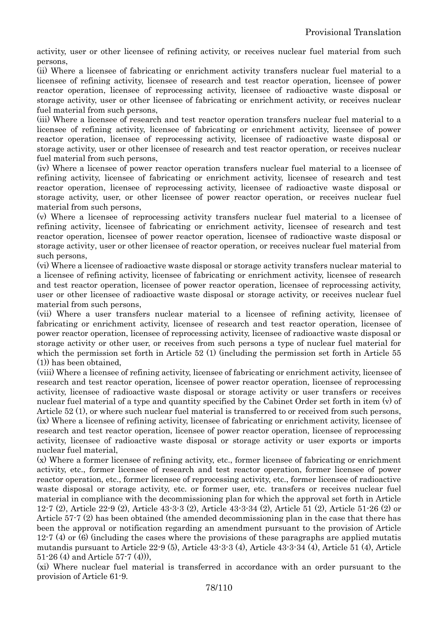activity, user or other licensee of refining activity, or receives nuclear fuel material from such persons,

(ii) Where a licensee of fabricating or enrichment activity transfers nuclear fuel material to a licensee of refining activity, licensee of research and test reactor operation, licensee of power reactor operation, licensee of reprocessing activity, licensee of radioactive waste disposal or storage activity, user or other licensee of fabricating or enrichment activity, or receives nuclear fuel material from such persons,

(iii) Where a licensee of research and test reactor operation transfers nuclear fuel material to a licensee of refining activity, licensee of fabricating or enrichment activity, licensee of power reactor operation, licensee of reprocessing activity, licensee of radioactive waste disposal or storage activity, user or other licensee of research and test reactor operation, or receives nuclear fuel material from such persons,

(iv) Where a licensee of power reactor operation transfers nuclear fuel material to a licensee of refining activity, licensee of fabricating or enrichment activity, licensee of research and test reactor operation, licensee of reprocessing activity, licensee of radioactive waste disposal or storage activity, user, or other licensee of power reactor operation, or receives nuclear fuel material from such persons,

(v) Where a licensee of reprocessing activity transfers nuclear fuel material to a licensee of refining activity, licensee of fabricating or enrichment activity, licensee of research and test reactor operation, licensee of power reactor operation, licensee of radioactive waste disposal or storage activity, user or other licensee of reactor operation, or receives nuclear fuel material from such persons,

(vi) Where a licensee of radioactive waste disposal or storage activity transfers nuclear material to a licensee of refining activity, licensee of fabricating or enrichment activity, licensee of research and test reactor operation, licensee of power reactor operation, licensee of reprocessing activity, user or other licensee of radioactive waste disposal or storage activity, or receives nuclear fuel material from such persons,

(vii) Where a user transfers nuclear material to a licensee of refining activity, licensee of fabricating or enrichment activity, licensee of research and test reactor operation, licensee of power reactor operation, licensee of reprocessing activity, licensee of radioactive waste disposal or storage activity or other user, or receives from such persons a type of nuclear fuel material for which the permission set forth in Article 52 (1) (including the permission set forth in Article 55 (1)) has been obtained,

(viii) Where a licensee of refining activity, licensee of fabricating or enrichment activity, licensee of research and test reactor operation, licensee of power reactor operation, licensee of reprocessing activity, licensee of radioactive waste disposal or storage activity or user transfers or receives nuclear fuel material of a type and quantity specified by the Cabinet Order set forth in item (v) of Article 52 (1), or where such nuclear fuel material is transferred to or received from such persons, (ix) Where a licensee of refining activity, licensee of fabricating or enrichment activity, licensee of research and test reactor operation, licensee of power reactor operation, licensee of reprocessing activity, licensee of radioactive waste disposal or storage activity or user exports or imports nuclear fuel material,

(x) Where a former licensee of refining activity, etc., former licensee of fabricating or enrichment activity, etc., former licensee of research and test reactor operation, former licensee of power reactor operation, etc., former licensee of reprocessing activity, etc., former licensee of radioactive waste disposal or storage activity, etc. or former user, etc. transfers or receives nuclear fuel material in compliance with the decommissioning plan for which the approval set forth in Article 12-7 (2), Article 22-9 (2), Article 43-3-3 (2), Article 43-3-34 (2), Article 51 (2), Article 51-26 (2) or Article 57-7 (2) has been obtained (the amended decommissioning plan in the case that there has been the approval or notification regarding an amendment pursuant to the provision of Article  $12-7$  (4) or (6) (including the cases where the provisions of these paragraphs are applied mutatis mutandis pursuant to Article 22-9 (5), Article 43-3-3 (4), Article 43-3-34 (4), Article 51 (4), Article 51-26 (4) and Article 57-7 (4))),

(xi) Where nuclear fuel material is transferred in accordance with an order pursuant to the provision of Article 61-9.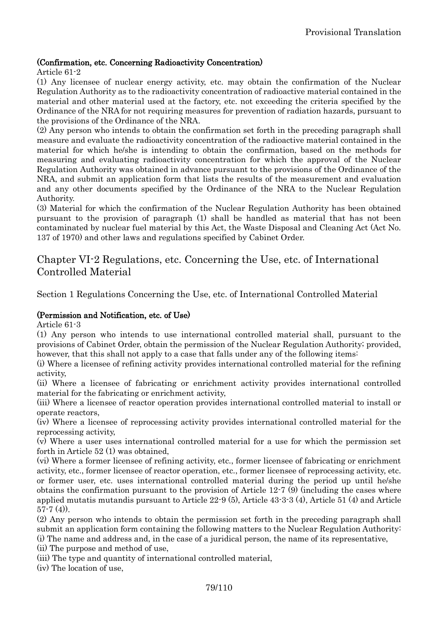### (Confirmation, etc. Concerning Radioactivity Concentration)

#### Article 61-2

(1) Any licensee of nuclear energy activity, etc. may obtain the confirmation of the Nuclear Regulation Authority as to the radioactivity concentration of radioactive material contained in the material and other material used at the factory, etc. not exceeding the criteria specified by the Ordinance of the NRA for not requiring measures for prevention of radiation hazards, pursuant to the provisions of the Ordinance of the NRA.

(2) Any person who intends to obtain the confirmation set forth in the preceding paragraph shall measure and evaluate the radioactivity concentration of the radioactive material contained in the material for which he/she is intending to obtain the confirmation, based on the methods for measuring and evaluating radioactivity concentration for which the approval of the Nuclear Regulation Authority was obtained in advance pursuant to the provisions of the Ordinance of the NRA, and submit an application form that lists the results of the measurement and evaluation and any other documents specified by the Ordinance of the NRA to the Nuclear Regulation Authority.

(3) Material for which the confirmation of the Nuclear Regulation Authority has been obtained pursuant to the provision of paragraph (1) shall be handled as material that has not been contaminated by nuclear fuel material by this Act, the Waste Disposal and Cleaning Act (Act No. 137 of 1970) and other laws and regulations specified by Cabinet Order.

# Chapter VI-2 Regulations, etc. Concerning the Use, etc. of International Controlled Material

Section 1 Regulations Concerning the Use, etc. of International Controlled Material

### (Permission and Notification, etc. of Use)

Article 61-3

(1) Any person who intends to use international controlled material shall, pursuant to the provisions of Cabinet Order, obtain the permission of the Nuclear Regulation Authority; provided, however, that this shall not apply to a case that falls under any of the following items:

(i) Where a licensee of refining activity provides international controlled material for the refining activity,

(ii) Where a licensee of fabricating or enrichment activity provides international controlled material for the fabricating or enrichment activity,

(iii) Where a licensee of reactor operation provides international controlled material to install or operate reactors,

(iv) Where a licensee of reprocessing activity provides international controlled material for the reprocessing activity,

(v) Where a user uses international controlled material for a use for which the permission set forth in Article 52 (1) was obtained,

(vi) Where a former licensee of refining activity, etc., former licensee of fabricating or enrichment activity, etc., former licensee of reactor operation, etc., former licensee of reprocessing activity, etc. or former user, etc. uses international controlled material during the period up until he/she obtains the confirmation pursuant to the provision of Article 12-7 (9) (including the cases where applied mutatis mutandis pursuant to Article 22-9 (5), Article 43-3-3 (4), Article 51 (4) and Article  $57-7(4)$ .

(2) Any person who intends to obtain the permission set forth in the preceding paragraph shall submit an application form containing the following matters to the Nuclear Regulation Authority: (i) The name and address and, in the case of a juridical person, the name of its representative,

(ii) The purpose and method of use,

(iii) The type and quantity of international controlled material,

(iv) The location of use,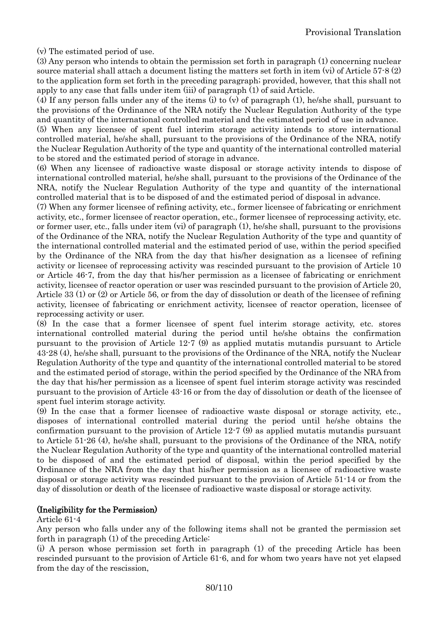(v) The estimated period of use.

(3) Any person who intends to obtain the permission set forth in paragraph (1) concerning nuclear source material shall attach a document listing the matters set forth in item (vi) of Article 57-8 (2) to the application form set forth in the preceding paragraph; provided, however, that this shall not apply to any case that falls under item (iii) of paragraph (1) of said Article.

(4) If any person falls under any of the items (i) to (v) of paragraph (1), he/she shall, pursuant to the provisions of the Ordinance of the NRA notify the Nuclear Regulation Authority of the type and quantity of the international controlled material and the estimated period of use in advance.

(5) When any licensee of spent fuel interim storage activity intends to store international controlled material, he/she shall, pursuant to the provisions of the Ordinance of the NRA, notify the Nuclear Regulation Authority of the type and quantity of the international controlled material to be stored and the estimated period of storage in advance.

(6) When any licensee of radioactive waste disposal or storage activity intends to dispose of international controlled material, he/she shall, pursuant to the provisions of the Ordinance of the NRA, notify the Nuclear Regulation Authority of the type and quantity of the international controlled material that is to be disposed of and the estimated period of disposal in advance.

(7) When any former licensee of refining activity, etc., former licensee of fabricating or enrichment activity, etc., former licensee of reactor operation, etc., former licensee of reprocessing activity, etc. or former user, etc., falls under item (vi) of paragraph (1), he/she shall, pursuant to the provisions of the Ordinance of the NRA, notify the Nuclear Regulation Authority of the type and quantity of the international controlled material and the estimated period of use, within the period specified by the Ordinance of the NRA from the day that his/her designation as a licensee of refining activity or licensee of reprocessing activity was rescinded pursuant to the provision of Article 10 or Article 46-7, from the day that his/her permission as a licensee of fabricating or enrichment activity, licensee of reactor operation or user was rescinded pursuant to the provision of Article 20, Article 33 (1) or (2) or Article 56, or from the day of dissolution or death of the licensee of refining activity, licensee of fabricating or enrichment activity, licensee of reactor operation, licensee of reprocessing activity or user.

(8) In the case that a former licensee of spent fuel interim storage activity, etc. stores international controlled material during the period until he/she obtains the confirmation pursuant to the provision of Article 12-7 (9) as applied mutatis mutandis pursuant to Article 43-28 (4), he/she shall, pursuant to the provisions of the Ordinance of the NRA, notify the Nuclear Regulation Authority of the type and quantity of the international controlled material to be stored and the estimated period of storage, within the period specified by the Ordinance of the NRA from the day that his/her permission as a licensee of spent fuel interim storage activity was rescinded pursuant to the provision of Article 43-16 or from the day of dissolution or death of the licensee of spent fuel interim storage activity.

(9) In the case that a former licensee of radioactive waste disposal or storage activity, etc., disposes of international controlled material during the period until he/she obtains the confirmation pursuant to the provision of Article 12-7 (9) as applied mutatis mutandis pursuant to Article 51-26 (4), he/she shall, pursuant to the provisions of the Ordinance of the NRA, notify the Nuclear Regulation Authority of the type and quantity of the international controlled material to be disposed of and the estimated period of disposal, within the period specified by the Ordinance of the NRA from the day that his/her permission as a licensee of radioactive waste disposal or storage activity was rescinded pursuant to the provision of Article 51-14 or from the day of dissolution or death of the licensee of radioactive waste disposal or storage activity.

#### (Ineligibility for the Permission)

#### Article 61-4

Any person who falls under any of the following items shall not be granted the permission set forth in paragraph (1) of the preceding Article:

(i) A person whose permission set forth in paragraph (1) of the preceding Article has been rescinded pursuant to the provision of Article 61-6, and for whom two years have not yet elapsed from the day of the rescission,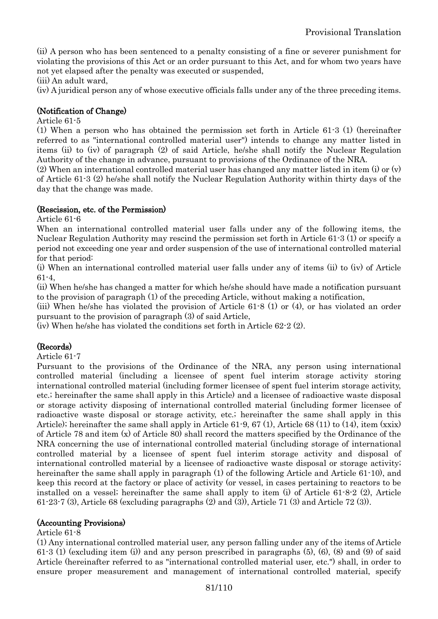(ii) A person who has been sentenced to a penalty consisting of a fine or severer punishment for violating the provisions of this Act or an order pursuant to this Act, and for whom two years have not yet elapsed after the penalty was executed or suspended,

(iii) An adult ward,

(iv) A juridical person any of whose executive officials falls under any of the three preceding items.

### (Notification of Change)

#### Article 61-5

(1) When a person who has obtained the permission set forth in Article 61-3 (1) (hereinafter referred to as "international controlled material user") intends to change any matter listed in items (ii) to (iv) of paragraph (2) of said Article, he/she shall notify the Nuclear Regulation Authority of the change in advance, pursuant to provisions of the Ordinance of the NRA.

(2) When an international controlled material user has changed any matter listed in item (i) or (v) of Article 61-3 (2) he/she shall notify the Nuclear Regulation Authority within thirty days of the day that the change was made.

#### (Rescission, etc. of the Permission)

Article 61-6

When an international controlled material user falls under any of the following items, the Nuclear Regulation Authority may rescind the permission set forth in Article 61-3 (1) or specify a period not exceeding one year and order suspension of the use of international controlled material for that period:

(i) When an international controlled material user falls under any of items (ii) to (iv) of Article 61-4,

(ii) When he/she has changed a matter for which he/she should have made a notification pursuant to the provision of paragraph (1) of the preceding Article, without making a notification,

(iii) When he/she has violated the provision of Article 61-8 (1) or (4), or has violated an order pursuant to the provision of paragraph (3) of said Article,

(iv) When he/she has violated the conditions set forth in Article 62-2 (2).

### (Records)

Article 61-7

Pursuant to the provisions of the Ordinance of the NRA, any person using international controlled material (including a licensee of spent fuel interim storage activity storing international controlled material (including former licensee of spent fuel interim storage activity, etc.; hereinafter the same shall apply in this Article) and a licensee of radioactive waste disposal or storage activity disposing of international controlled material (including former licensee of radioactive waste disposal or storage activity, etc.; hereinafter the same shall apply in this Article); hereinafter the same shall apply in Article 61-9, 67 (1), Article 68 (11) to (14), item (xxix) of Article 78 and item (x) of Article 80) shall record the matters specified by the Ordinance of the NRA concerning the use of international controlled material (including storage of international controlled material by a licensee of spent fuel interim storage activity and disposal of international controlled material by a licensee of radioactive waste disposal or storage activity; hereinafter the same shall apply in paragraph (1) of the following Article and Article 61-10), and keep this record at the factory or place of activity (or vessel, in cases pertaining to reactors to be installed on a vessel; hereinafter the same shall apply to item (i) of Article  $61-8-2$  (2), Article 61-23-7 (3), Article 68 (excluding paragraphs (2) and (3)), Article 71 (3) and Article 72 (3)).

#### (Accounting Provisions)

#### Article 61-8

(1) Any international controlled material user, any person falling under any of the items of Article 61-3 (1) (excluding item (i)) and any person prescribed in paragraphs (5), (6), (8) and (9) of said Article (hereinafter referred to as "international controlled material user, etc.") shall, in order to ensure proper measurement and management of international controlled material, specify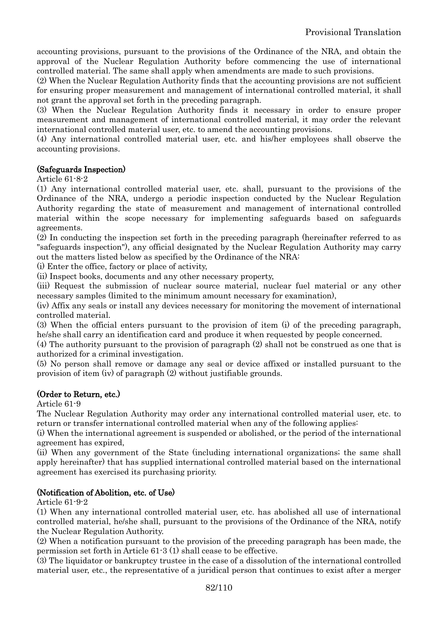accounting provisions, pursuant to the provisions of the Ordinance of the NRA, and obtain the approval of the Nuclear Regulation Authority before commencing the use of international controlled material. The same shall apply when amendments are made to such provisions.

(2) When the Nuclear Regulation Authority finds that the accounting provisions are not sufficient for ensuring proper measurement and management of international controlled material, it shall not grant the approval set forth in the preceding paragraph.

(3) When the Nuclear Regulation Authority finds it necessary in order to ensure proper measurement and management of international controlled material, it may order the relevant international controlled material user, etc. to amend the accounting provisions.

(4) Any international controlled material user, etc. and his/her employees shall observe the accounting provisions.

### (Safeguards Inspection)

### Article 61-8-2

(1) Any international controlled material user, etc. shall, pursuant to the provisions of the Ordinance of the NRA, undergo a periodic inspection conducted by the Nuclear Regulation Authority regarding the state of measurement and management of international controlled material within the scope necessary for implementing safeguards based on safeguards agreements.

(2) In conducting the inspection set forth in the preceding paragraph (hereinafter referred to as "safeguards inspection"), any official designated by the Nuclear Regulation Authority may carry out the matters listed below as specified by the Ordinance of the NRA:

(i) Enter the office, factory or place of activity,

(ii) Inspect books, documents and any other necessary property,

(iii) Request the submission of nuclear source material, nuclear fuel material or any other necessary samples (limited to the minimum amount necessary for examination),

(iv) Affix any seals or install any devices necessary for monitoring the movement of international controlled material.

(3) When the official enters pursuant to the provision of item (i) of the preceding paragraph, he/she shall carry an identification card and produce it when requested by people concerned.

(4) The authority pursuant to the provision of paragraph (2) shall not be construed as one that is authorized for a criminal investigation.

(5) No person shall remove or damage any seal or device affixed or installed pursuant to the provision of item (iv) of paragraph (2) without justifiable grounds.

### (Order to Return, etc.)

Article 61-9

The Nuclear Regulation Authority may order any international controlled material user, etc. to return or transfer international controlled material when any of the following applies:

(i) When the international agreement is suspended or abolished, or the period of the international agreement has expired,

(ii) When any government of the State (including international organizations; the same shall apply hereinafter) that has supplied international controlled material based on the international agreement has exercised its purchasing priority.

### (Notification of Abolition, etc. of Use)

Article 61-9-2

(1) When any international controlled material user, etc. has abolished all use of international controlled material, he/she shall, pursuant to the provisions of the Ordinance of the NRA, notify the Nuclear Regulation Authority.

(2) When a notification pursuant to the provision of the preceding paragraph has been made, the permission set forth in Article 61-3 (1) shall cease to be effective.

(3) The liquidator or bankruptcy trustee in the case of a dissolution of the international controlled material user, etc., the representative of a juridical person that continues to exist after a merger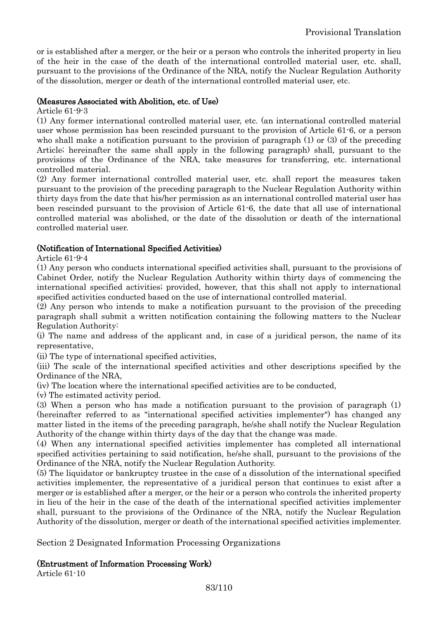or is established after a merger, or the heir or a person who controls the inherited property in lieu of the heir in the case of the death of the international controlled material user, etc. shall, pursuant to the provisions of the Ordinance of the NRA, notify the Nuclear Regulation Authority of the dissolution, merger or death of the international controlled material user, etc.

#### (Measures Associated with Abolition, etc. of Use)

Article 61-9-3

(1) Any former international controlled material user, etc. (an international controlled material user whose permission has been rescinded pursuant to the provision of Article 61-6, or a person who shall make a notification pursuant to the provision of paragraph (1) or (3) of the preceding Article; hereinafter the same shall apply in the following paragraph) shall, pursuant to the provisions of the Ordinance of the NRA, take measures for transferring, etc. international controlled material.

(2) Any former international controlled material user, etc. shall report the measures taken pursuant to the provision of the preceding paragraph to the Nuclear Regulation Authority within thirty days from the date that his/her permission as an international controlled material user has been rescinded pursuant to the provision of Article 61-6, the date that all use of international controlled material was abolished, or the date of the dissolution or death of the international controlled material user.

### (Notification of International Specified Activities)

Article 61-9-4

(1) Any person who conducts international specified activities shall, pursuant to the provisions of Cabinet Order, notify the Nuclear Regulation Authority within thirty days of commencing the international specified activities; provided, however, that this shall not apply to international specified activities conducted based on the use of international controlled material.

(2) Any person who intends to make a notification pursuant to the provision of the preceding paragraph shall submit a written notification containing the following matters to the Nuclear Regulation Authority:

(i) The name and address of the applicant and, in case of a juridical person, the name of its representative,

(ii) The type of international specified activities,

(iii) The scale of the international specified activities and other descriptions specified by the Ordinance of the NRA,

(iv) The location where the international specified activities are to be conducted,

(v) The estimated activity period.

(3) When a person who has made a notification pursuant to the provision of paragraph (1) (hereinafter referred to as "international specified activities implementer") has changed any matter listed in the items of the preceding paragraph, he/she shall notify the Nuclear Regulation Authority of the change within thirty days of the day that the change was made.

(4) When any international specified activities implementer has completed all international specified activities pertaining to said notification, he/she shall, pursuant to the provisions of the Ordinance of the NRA, notify the Nuclear Regulation Authority.

(5) The liquidator or bankruptcy trustee in the case of a dissolution of the international specified activities implementer, the representative of a juridical person that continues to exist after a merger or is established after a merger, or the heir or a person who controls the inherited property in lieu of the heir in the case of the death of the international specified activities implementer shall, pursuant to the provisions of the Ordinance of the NRA, notify the Nuclear Regulation Authority of the dissolution, merger or death of the international specified activities implementer.

Section 2 Designated Information Processing Organizations

### (Entrustment of Information Processing Work)

Article 61-10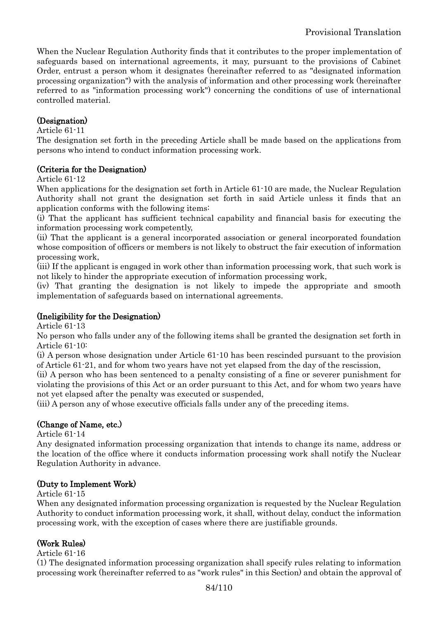When the Nuclear Regulation Authority finds that it contributes to the proper implementation of safeguards based on international agreements, it may, pursuant to the provisions of Cabinet Order, entrust a person whom it designates (hereinafter referred to as "designated information processing organization") with the analysis of information and other processing work (hereinafter referred to as "information processing work") concerning the conditions of use of international controlled material.

# (Designation)

#### Article 61-11

The designation set forth in the preceding Article shall be made based on the applications from persons who intend to conduct information processing work.

### (Criteria for the Designation)

Article 61-12

When applications for the designation set forth in Article 61-10 are made, the Nuclear Regulation Authority shall not grant the designation set forth in said Article unless it finds that an application conforms with the following items:

(i) That the applicant has sufficient technical capability and financial basis for executing the information processing work competently,

(ii) That the applicant is a general incorporated association or general incorporated foundation whose composition of officers or members is not likely to obstruct the fair execution of information processing work,

(iii) If the applicant is engaged in work other than information processing work, that such work is not likely to hinder the appropriate execution of information processing work,

(iv) That granting the designation is not likely to impede the appropriate and smooth implementation of safeguards based on international agreements.

### (Ineligibility for the Designation)

Article 61-13

No person who falls under any of the following items shall be granted the designation set forth in Article 61-10:

(i) A person whose designation under Article 61-10 has been rescinded pursuant to the provision of Article 61-21, and for whom two years have not yet elapsed from the day of the rescission,

(ii) A person who has been sentenced to a penalty consisting of a fine or severer punishment for violating the provisions of this Act or an order pursuant to this Act, and for whom two years have not yet elapsed after the penalty was executed or suspended,

(iii) A person any of whose executive officials falls under any of the preceding items.

### (Change of Name, etc.)

Article 61-14

Any designated information processing organization that intends to change its name, address or the location of the office where it conducts information processing work shall notify the Nuclear Regulation Authority in advance.

### (Duty to Implement Work)

Article 61-15

When any designated information processing organization is requested by the Nuclear Regulation Authority to conduct information processing work, it shall, without delay, conduct the information processing work, with the exception of cases where there are justifiable grounds.

# (Work Rules)

#### Article 61-16

(1) The designated information processing organization shall specify rules relating to information processing work (hereinafter referred to as "work rules" in this Section) and obtain the approval of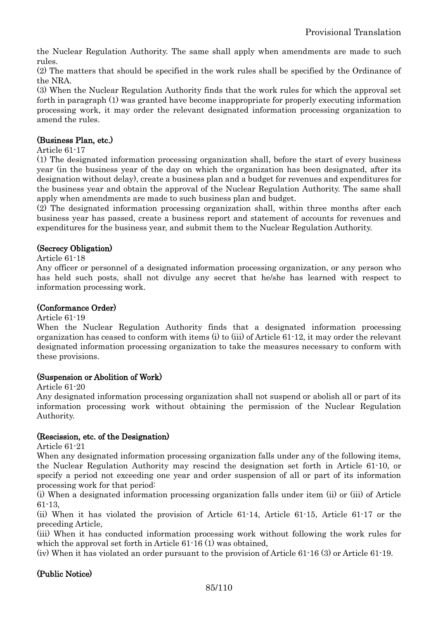the Nuclear Regulation Authority. The same shall apply when amendments are made to such rules.

(2) The matters that should be specified in the work rules shall be specified by the Ordinance of the NRA.

(3) When the Nuclear Regulation Authority finds that the work rules for which the approval set forth in paragraph (1) was granted have become inappropriate for properly executing information processing work, it may order the relevant designated information processing organization to amend the rules.

#### (Business Plan, etc.)

#### Article 61-17

(1) The designated information processing organization shall, before the start of every business year (in the business year of the day on which the organization has been designated, after its designation without delay), create a business plan and a budget for revenues and expenditures for the business year and obtain the approval of the Nuclear Regulation Authority. The same shall apply when amendments are made to such business plan and budget.

(2) The designated information processing organization shall, within three months after each business year has passed, create a business report and statement of accounts for revenues and expenditures for the business year, and submit them to the Nuclear Regulation Authority.

#### (Secrecy Obligation)

#### Article 61-18

Any officer or personnel of a designated information processing organization, or any person who has held such posts, shall not divulge any secret that he/she has learned with respect to information processing work.

#### (Conformance Order)

#### Article 61-19

When the Nuclear Regulation Authority finds that a designated information processing organization has ceased to conform with items (i) to (iii) of Article 61-12, it may order the relevant designated information processing organization to take the measures necessary to conform with these provisions.

#### (Suspension or Abolition of Work)

Article 61-20

Any designated information processing organization shall not suspend or abolish all or part of its information processing work without obtaining the permission of the Nuclear Regulation Authority.

#### (Rescission, etc. of the Designation)

Article 61-21

When any designated information processing organization falls under any of the following items, the Nuclear Regulation Authority may rescind the designation set forth in Article 61-10, or specify a period not exceeding one year and order suspension of all or part of its information processing work for that period:

(i) When a designated information processing organization falls under item (ii) or (iii) of Article 61-13,

(ii) When it has violated the provision of Article 61-14, Article 61-15, Article 61-17 or the preceding Article,

(iii) When it has conducted information processing work without following the work rules for which the approval set forth in Article 61-16 (1) was obtained,

(iv) When it has violated an order pursuant to the provision of Article 61-16 (3) or Article 61-19.

### (Public Notice)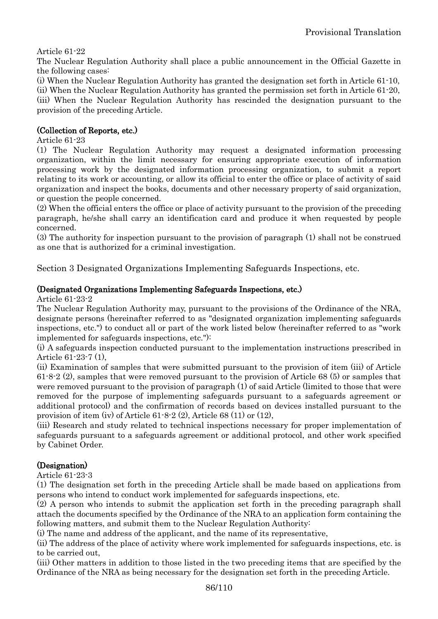Article 61-22

The Nuclear Regulation Authority shall place a public announcement in the Official Gazette in the following cases:

(i) When the Nuclear Regulation Authority has granted the designation set forth in Article 61-10, (ii) When the Nuclear Regulation Authority has granted the permission set forth in Article 61-20, (iii) When the Nuclear Regulation Authority has rescinded the designation pursuant to the provision of the preceding Article.

### (Collection of Reports, etc.)

Article 61-23

(1) The Nuclear Regulation Authority may request a designated information processing organization, within the limit necessary for ensuring appropriate execution of information processing work by the designated information processing organization, to submit a report relating to its work or accounting, or allow its official to enter the office or place of activity of said organization and inspect the books, documents and other necessary property of said organization, or question the people concerned.

(2) When the official enters the office or place of activity pursuant to the provision of the preceding paragraph, he/she shall carry an identification card and produce it when requested by people concerned.

(3) The authority for inspection pursuant to the provision of paragraph (1) shall not be construed as one that is authorized for a criminal investigation.

Section 3 Designated Organizations Implementing Safeguards Inspections, etc.

### (Designated Organizations Implementing Safeguards Inspections, etc.)

Article 61-23-2

The Nuclear Regulation Authority may, pursuant to the provisions of the Ordinance of the NRA, designate persons (hereinafter referred to as "designated organization implementing safeguards inspections, etc.") to conduct all or part of the work listed below (hereinafter referred to as "work implemented for safeguards inspections, etc."):

(i) A safeguards inspection conducted pursuant to the implementation instructions prescribed in Article 61-23-7 (1),

(ii) Examination of samples that were submitted pursuant to the provision of item (iii) of Article 61-8-2 (2), samples that were removed pursuant to the provision of Article 68 (5) or samples that were removed pursuant to the provision of paragraph (1) of said Article (limited to those that were removed for the purpose of implementing safeguards pursuant to a safeguards agreement or additional protocol) and the confirmation of records based on devices installed pursuant to the provision of item (iv) of Article 61-8-2 (2), Article 68 (11) or (12),

(iii) Research and study related to technical inspections necessary for proper implementation of safeguards pursuant to a safeguards agreement or additional protocol, and other work specified by Cabinet Order.

# (Designation)

Article 61-23-3

(1) The designation set forth in the preceding Article shall be made based on applications from persons who intend to conduct work implemented for safeguards inspections, etc.

(2) A person who intends to submit the application set forth in the preceding paragraph shall attach the documents specified by the Ordinance of the NRA to an application form containing the following matters, and submit them to the Nuclear Regulation Authority:

(i) The name and address of the applicant, and the name of its representative,

(ii) The address of the place of activity where work implemented for safeguards inspections, etc. is to be carried out,

(iii) Other matters in addition to those listed in the two preceding items that are specified by the Ordinance of the NRA as being necessary for the designation set forth in the preceding Article.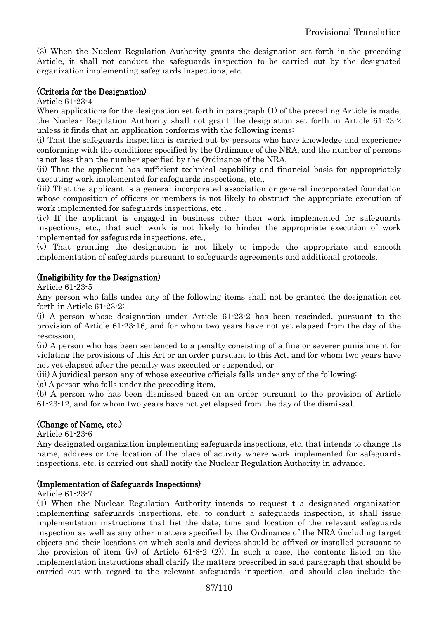(3) When the Nuclear Regulation Authority grants the designation set forth in the preceding Article, it shall not conduct the safeguards inspection to be carried out by the designated organization implementing safeguards inspections, etc.

### (Criteria for the Designation)

Article 61-23-4

When applications for the designation set forth in paragraph (1) of the preceding Article is made, the Nuclear Regulation Authority shall not grant the designation set forth in Article 61-23-2 unless it finds that an application conforms with the following items:

(i) That the safeguards inspection is carried out by persons who have knowledge and experience conforming with the conditions specified by the Ordinance of the NRA, and the number of persons is not less than the number specified by the Ordinance of the NRA,

(ii) That the applicant has sufficient technical capability and financial basis for appropriately executing work implemented for safeguards inspections, etc.,

(iii) That the applicant is a general incorporated association or general incorporated foundation whose composition of officers or members is not likely to obstruct the appropriate execution of work implemented for safeguards inspections, etc.,

(iv) If the applicant is engaged in business other than work implemented for safeguards inspections, etc., that such work is not likely to hinder the appropriate execution of work implemented for safeguards inspections, etc.,

(v) That granting the designation is not likely to impede the appropriate and smooth implementation of safeguards pursuant to safeguards agreements and additional protocols.

#### (Ineligibility for the Designation)

Article 61-23-5

Any person who falls under any of the following items shall not be granted the designation set forth in Article 61-23-2:

(i) A person whose designation under Article 61-23-2 has been rescinded, pursuant to the provision of Article 61-23-16, and for whom two years have not yet elapsed from the day of the rescission,

(ii) A person who has been sentenced to a penalty consisting of a fine or severer punishment for violating the provisions of this Act or an order pursuant to this Act, and for whom two years have not yet elapsed after the penalty was executed or suspended, or

(iii) A juridical person any of whose executive officials falls under any of the following:

(a) A person who falls under the preceding item,

(b) A person who has been dismissed based on an order pursuant to the provision of Article 61-23-12, and for whom two years have not yet elapsed from the day of the dismissal.

### (Change of Name, etc.)

Article 61-23-6

Any designated organization implementing safeguards inspections, etc. that intends to change its name, address or the location of the place of activity where work implemented for safeguards inspections, etc. is carried out shall notify the Nuclear Regulation Authority in advance.

#### (Implementation of Safeguards Inspections)

Article 61-23-7

(1) When the Nuclear Regulation Authority intends to request t a designated organization implementing safeguards inspections, etc. to conduct a safeguards inspection, it shall issue implementation instructions that list the date, time and location of the relevant safeguards inspection as well as any other matters specified by the Ordinance of the NRA (including target objects and their locations on which seals and devices should be affixed or installed pursuant to the provision of item (iv) of Article 61-8-2 (2)). In such a case, the contents listed on the implementation instructions shall clarify the matters prescribed in said paragraph that should be carried out with regard to the relevant safeguards inspection, and should also include the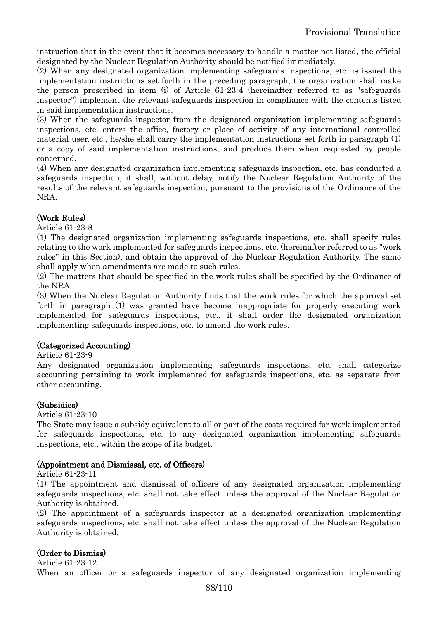instruction that in the event that it becomes necessary to handle a matter not listed, the official designated by the Nuclear Regulation Authority should be notified immediately.

(2) When any designated organization implementing safeguards inspections, etc. is issued the implementation instructions set forth in the preceding paragraph, the organization shall make the person prescribed in item (i) of Article 61-23-4 (hereinafter referred to as "safeguards inspector") implement the relevant safeguards inspection in compliance with the contents listed in said implementation instructions.

(3) When the safeguards inspector from the designated organization implementing safeguards inspections, etc. enters the office, factory or place of activity of any international controlled material user, etc., he/she shall carry the implementation instructions set forth in paragraph (1) or a copy of said implementation instructions, and produce them when requested by people concerned.

(4) When any designated organization implementing safeguards inspection, etc. has conducted a safeguards inspection, it shall, without delay, notify the Nuclear Regulation Authority of the results of the relevant safeguards inspection, pursuant to the provisions of the Ordinance of the NRA.

# (Work Rules)

#### Article 61-23-8

(1) The designated organization implementing safeguards inspections, etc. shall specify rules relating to the work implemented for safeguards inspections, etc. (hereinafter referred to as "work rules" in this Section), and obtain the approval of the Nuclear Regulation Authority. The same shall apply when amendments are made to such rules.

(2) The matters that should be specified in the work rules shall be specified by the Ordinance of the NRA.

(3) When the Nuclear Regulation Authority finds that the work rules for which the approval set forth in paragraph (1) was granted have become inappropriate for properly executing work implemented for safeguards inspections, etc., it shall order the designated organization implementing safeguards inspections, etc. to amend the work rules.

### (Categorized Accounting)

#### Article 61-23-9

Any designated organization implementing safeguards inspections, etc. shall categorize accounting pertaining to work implemented for safeguards inspections, etc. as separate from other accounting.

### (Subsidies)

#### Article 61-23-10

The State may issue a subsidy equivalent to all or part of the costs required for work implemented for safeguards inspections, etc. to any designated organization implementing safeguards inspections, etc., within the scope of its budget.

### (Appointment and Dismissal, etc. of Officers)

Article 61-23-11

(1) The appointment and dismissal of officers of any designated organization implementing safeguards inspections, etc. shall not take effect unless the approval of the Nuclear Regulation Authority is obtained.

(2) The appointment of a safeguards inspector at a designated organization implementing safeguards inspections, etc. shall not take effect unless the approval of the Nuclear Regulation Authority is obtained.

### (Order to Dismiss)

Article 61-23-12 When an officer or a safeguards inspector of any designated organization implementing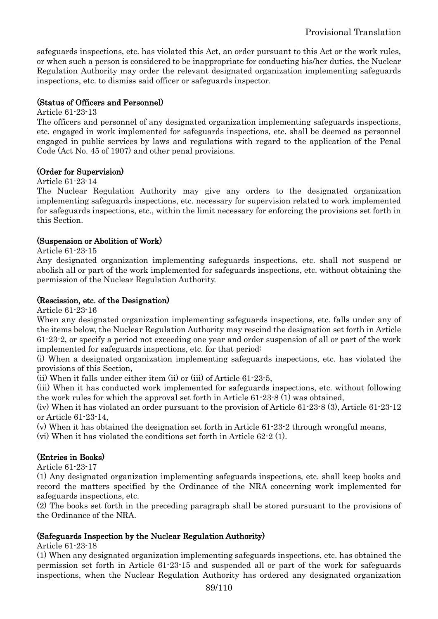safeguards inspections, etc. has violated this Act, an order pursuant to this Act or the work rules, or when such a person is considered to be inappropriate for conducting his/her duties, the Nuclear Regulation Authority may order the relevant designated organization implementing safeguards inspections, etc. to dismiss said officer or safeguards inspector.

# (Status of Officers and Personnel)

#### Article 61-23-13

The officers and personnel of any designated organization implementing safeguards inspections, etc. engaged in work implemented for safeguards inspections, etc. shall be deemed as personnel engaged in public services by laws and regulations with regard to the application of the Penal Code (Act No. 45 of 1907) and other penal provisions.

# (Order for Supervision)

#### Article 61-23-14

The Nuclear Regulation Authority may give any orders to the designated organization implementing safeguards inspections, etc. necessary for supervision related to work implemented for safeguards inspections, etc., within the limit necessary for enforcing the provisions set forth in this Section.

### (Suspension or Abolition of Work)

Article 61-23-15

Any designated organization implementing safeguards inspections, etc. shall not suspend or abolish all or part of the work implemented for safeguards inspections, etc. without obtaining the permission of the Nuclear Regulation Authority.

### (Rescission, etc. of the Designation)

Article 61-23-16

When any designated organization implementing safeguards inspections, etc. falls under any of the items below, the Nuclear Regulation Authority may rescind the designation set forth in Article 61-23-2, or specify a period not exceeding one year and order suspension of all or part of the work implemented for safeguards inspections, etc. for that period:

(i) When a designated organization implementing safeguards inspections, etc. has violated the provisions of this Section,

(ii) When it falls under either item (ii) or (iii) of Article 61-23-5,

(iii) When it has conducted work implemented for safeguards inspections, etc. without following the work rules for which the approval set forth in Article 61-23-8 (1) was obtained,

(iv) When it has violated an order pursuant to the provision of Article 61-23-8 (3), Article 61-23-12 or Article 61-23-14,

(v) When it has obtained the designation set forth in Article 61-23-2 through wrongful means,

(vi) When it has violated the conditions set forth in Article 62-2 (1).

### (Entries in Books)

Article 61-23-17

(1) Any designated organization implementing safeguards inspections, etc. shall keep books and record the matters specified by the Ordinance of the NRA concerning work implemented for safeguards inspections, etc.

(2) The books set forth in the preceding paragraph shall be stored pursuant to the provisions of the Ordinance of the NRA.

### (Safeguards Inspection by the Nuclear Regulation Authority)

Article 61-23-18

(1) When any designated organization implementing safeguards inspections, etc. has obtained the permission set forth in Article 61-23-15 and suspended all or part of the work for safeguards inspections, when the Nuclear Regulation Authority has ordered any designated organization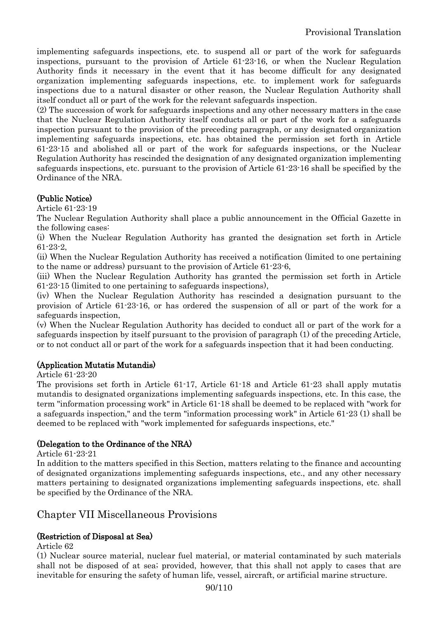implementing safeguards inspections, etc. to suspend all or part of the work for safeguards inspections, pursuant to the provision of Article 61-23-16, or when the Nuclear Regulation Authority finds it necessary in the event that it has become difficult for any designated organization implementing safeguards inspections, etc. to implement work for safeguards inspections due to a natural disaster or other reason, the Nuclear Regulation Authority shall itself conduct all or part of the work for the relevant safeguards inspection.

(2) The succession of work for safeguards inspections and any other necessary matters in the case that the Nuclear Regulation Authority itself conducts all or part of the work for a safeguards inspection pursuant to the provision of the preceding paragraph, or any designated organization implementing safeguards inspections, etc. has obtained the permission set forth in Article 61-23-15 and abolished all or part of the work for safeguards inspections, or the Nuclear Regulation Authority has rescinded the designation of any designated organization implementing safeguards inspections, etc. pursuant to the provision of Article 61-23-16 shall be specified by the Ordinance of the NRA.

# (Public Notice)

Article 61-23-19

The Nuclear Regulation Authority shall place a public announcement in the Official Gazette in the following cases:

(i) When the Nuclear Regulation Authority has granted the designation set forth in Article 61-23-2,

(ii) When the Nuclear Regulation Authority has received a notification (limited to one pertaining to the name or address) pursuant to the provision of Article 61-23-6,

(iii) When the Nuclear Regulation Authority has granted the permission set forth in Article 61-23-15 (limited to one pertaining to safeguards inspections),

(iv) When the Nuclear Regulation Authority has rescinded a designation pursuant to the provision of Article 61-23-16, or has ordered the suspension of all or part of the work for a safeguards inspection,

(v) When the Nuclear Regulation Authority has decided to conduct all or part of the work for a safeguards inspection by itself pursuant to the provision of paragraph (1) of the preceding Article, or to not conduct all or part of the work for a safeguards inspection that it had been conducting.

# (Application Mutatis Mutandis)

Article 61-23-20

The provisions set forth in Article 61-17, Article 61-18 and Article 61-23 shall apply mutatis mutandis to designated organizations implementing safeguards inspections, etc. In this case, the term "information processing work" in Article 61-18 shall be deemed to be replaced with "work for a safeguards inspection," and the term "information processing work" in Article 61-23 (1) shall be deemed to be replaced with "work implemented for safeguards inspections, etc."

# (Delegation to the Ordinance of the NRA)

Article 61-23-21

In addition to the matters specified in this Section, matters relating to the finance and accounting of designated organizations implementing safeguards inspections, etc., and any other necessary matters pertaining to designated organizations implementing safeguards inspections, etc. shall be specified by the Ordinance of the NRA.

# Chapter VII Miscellaneous Provisions

# (Restriction of Disposal at Sea)

Article 62

(1) Nuclear source material, nuclear fuel material, or material contaminated by such materials shall not be disposed of at sea; provided, however, that this shall not apply to cases that are inevitable for ensuring the safety of human life, vessel, aircraft, or artificial marine structure.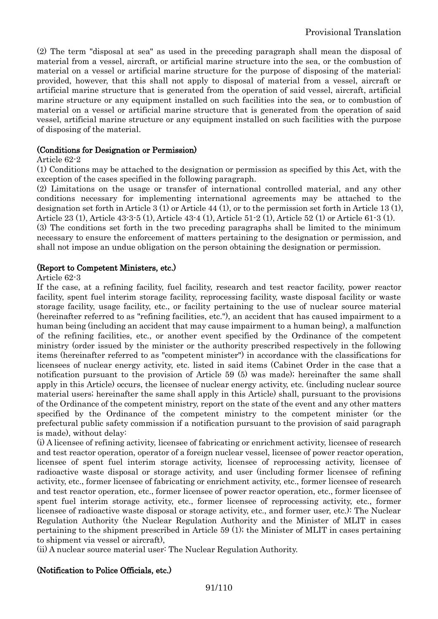(2) The term "disposal at sea" as used in the preceding paragraph shall mean the disposal of material from a vessel, aircraft, or artificial marine structure into the sea, or the combustion of material on a vessel or artificial marine structure for the purpose of disposing of the material; provided, however, that this shall not apply to disposal of material from a vessel, aircraft or artificial marine structure that is generated from the operation of said vessel, aircraft, artificial marine structure or any equipment installed on such facilities into the sea, or to combustion of material on a vessel or artificial marine structure that is generated from the operation of said vessel, artificial marine structure or any equipment installed on such facilities with the purpose of disposing of the material.

#### (Conditions for Designation or Permission)

#### Article 62-2

(1) Conditions may be attached to the designation or permission as specified by this Act, with the exception of the cases specified in the following paragraph.

(2) Limitations on the usage or transfer of international controlled material, and any other conditions necessary for implementing international agreements may be attached to the designation set forth in Article 3 (1) or Article 44 (1), or to the permission set forth in Article 13 (1), Article 23 (1), Article 43-3-5 (1), Article 43-4 (1), Article 51-2 (1), Article 52 (1) or Article 61-3 (1).

(3) The conditions set forth in the two preceding paragraphs shall be limited to the minimum necessary to ensure the enforcement of matters pertaining to the designation or permission, and shall not impose an undue obligation on the person obtaining the designation or permission.

#### (Report to Competent Ministers, etc.)

Article 62-3

If the case, at a refining facility, fuel facility, research and test reactor facility, power reactor facility, spent fuel interim storage facility, reprocessing facility, waste disposal facility or waste storage facility, usage facility, etc., or facility pertaining to the use of nuclear source material (hereinafter referred to as "refining facilities, etc."), an accident that has caused impairment to a human being (including an accident that may cause impairment to a human being), a malfunction of the refining facilities, etc., or another event specified by the Ordinance of the competent ministry (order issued by the minister or the authority prescribed respectively in the following items (hereinafter referred to as "competent minister") in accordance with the classifications for licensees of nuclear energy activity, etc. listed in said items (Cabinet Order in the case that a notification pursuant to the provision of Article 59 (5) was made); hereinafter the same shall apply in this Article) occurs, the licensee of nuclear energy activity, etc. (including nuclear source material users; hereinafter the same shall apply in this Article) shall, pursuant to the provisions of the Ordinance of the competent ministry, report on the state of the event and any other matters specified by the Ordinance of the competent ministry to the competent minister (or the prefectural public safety commission if a notification pursuant to the provision of said paragraph is made), without delay:

(i) A licensee of refining activity, licensee of fabricating or enrichment activity, licensee of research and test reactor operation, operator of a foreign nuclear vessel, licensee of power reactor operation, licensee of spent fuel interim storage activity, licensee of reprocessing activity, licensee of radioactive waste disposal or storage activity, and user (including former licensee of refining activity, etc., former licensee of fabricating or enrichment activity, etc., former licensee of research and test reactor operation, etc., former licensee of power reactor operation, etc., former licensee of spent fuel interim storage activity, etc., former licensee of reprocessing activity, etc., former licensee of radioactive waste disposal or storage activity, etc., and former user, etc.): The Nuclear Regulation Authority (the Nuclear Regulation Authority and the Minister of MLIT in cases pertaining to the shipment prescribed in Article 59 (1); the Minister of MLIT in cases pertaining to shipment via vessel or aircraft),

(ii) A nuclear source material user: The Nuclear Regulation Authority.

#### (Notification to Police Officials, etc.)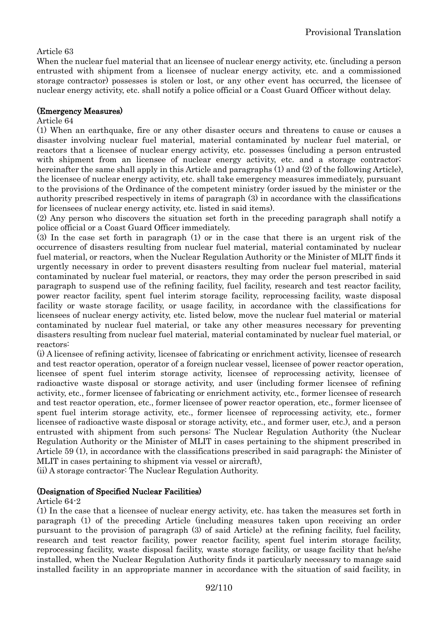### Article 63

When the nuclear fuel material that an licensee of nuclear energy activity, etc. (including a person entrusted with shipment from a licensee of nuclear energy activity, etc. and a commissioned storage contractor) possesses is stolen or lost, or any other event has occurred, the licensee of nuclear energy activity, etc. shall notify a police official or a Coast Guard Officer without delay.

#### (Emergency Measures)

#### Article 64

(1) When an earthquake, fire or any other disaster occurs and threatens to cause or causes a disaster involving nuclear fuel material, material contaminated by nuclear fuel material, or reactors that a licensee of nuclear energy activity, etc. possesses (including a person entrusted with shipment from an licensee of nuclear energy activity, etc. and a storage contractor; hereinafter the same shall apply in this Article and paragraphs (1) and (2) of the following Article), the licensee of nuclear energy activity, etc. shall take emergency measures immediately, pursuant to the provisions of the Ordinance of the competent ministry (order issued by the minister or the authority prescribed respectively in items of paragraph (3) in accordance with the classifications for licensees of nuclear energy activity, etc. listed in said items).

(2) Any person who discovers the situation set forth in the preceding paragraph shall notify a police official or a Coast Guard Officer immediately.

(3) In the case set forth in paragraph (1) or in the case that there is an urgent risk of the occurrence of disasters resulting from nuclear fuel material, material contaminated by nuclear fuel material, or reactors, when the Nuclear Regulation Authority or the Minister of MLIT finds it urgently necessary in order to prevent disasters resulting from nuclear fuel material, material contaminated by nuclear fuel material, or reactors, they may order the person prescribed in said paragraph to suspend use of the refining facility, fuel facility, research and test reactor facility, power reactor facility, spent fuel interim storage facility, reprocessing facility, waste disposal facility or waste storage facility, or usage facility, in accordance with the classifications for licensees of nuclear energy activity, etc. listed below, move the nuclear fuel material or material contaminated by nuclear fuel material, or take any other measures necessary for preventing disasters resulting from nuclear fuel material, material contaminated by nuclear fuel material, or reactors:

(i) A licensee of refining activity, licensee of fabricating or enrichment activity, licensee of research and test reactor operation, operator of a foreign nuclear vessel, licensee of power reactor operation, licensee of spent fuel interim storage activity, licensee of reprocessing activity, licensee of radioactive waste disposal or storage activity, and user (including former licensee of refining activity, etc., former licensee of fabricating or enrichment activity, etc., former licensee of research and test reactor operation, etc., former licensee of power reactor operation, etc., former licensee of spent fuel interim storage activity, etc., former licensee of reprocessing activity, etc., former licensee of radioactive waste disposal or storage activity, etc., and former user, etc.), and a person entrusted with shipment from such persons: The Nuclear Regulation Authority (the Nuclear Regulation Authority or the Minister of MLIT in cases pertaining to the shipment prescribed in Article 59 (1), in accordance with the classifications prescribed in said paragraph; the Minister of MLIT in cases pertaining to shipment via vessel or aircraft),

(ii) A storage contractor: The Nuclear Regulation Authority.

### (Designation of Specified Nuclear Facilities)

#### Article 64-2

(1) In the case that a licensee of nuclear energy activity, etc. has taken the measures set forth in paragraph (1) of the preceding Article (including measures taken upon receiving an order pursuant to the provision of paragraph (3) of said Article) at the refining facility, fuel facility, research and test reactor facility, power reactor facility, spent fuel interim storage facility, reprocessing facility, waste disposal facility, waste storage facility, or usage facility that he/she installed, when the Nuclear Regulation Authority finds it particularly necessary to manage said installed facility in an appropriate manner in accordance with the situation of said facility, in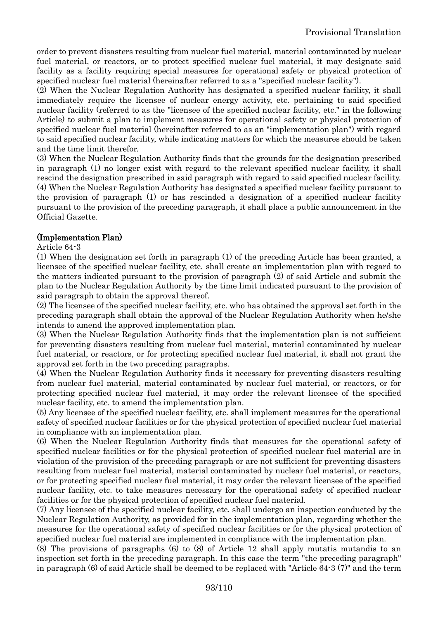order to prevent disasters resulting from nuclear fuel material, material contaminated by nuclear fuel material, or reactors, or to protect specified nuclear fuel material, it may designate said facility as a facility requiring special measures for operational safety or physical protection of specified nuclear fuel material (hereinafter referred to as a "specified nuclear facility").

(2) When the Nuclear Regulation Authority has designated a specified nuclear facility, it shall immediately require the licensee of nuclear energy activity, etc. pertaining to said specified nuclear facility (referred to as the "licensee of the specified nuclear facility, etc." in the following Article) to submit a plan to implement measures for operational safety or physical protection of specified nuclear fuel material (hereinafter referred to as an "implementation plan") with regard to said specified nuclear facility, while indicating matters for which the measures should be taken and the time limit therefor.

(3) When the Nuclear Regulation Authority finds that the grounds for the designation prescribed in paragraph (1) no longer exist with regard to the relevant specified nuclear facility, it shall rescind the designation prescribed in said paragraph with regard to said specified nuclear facility. (4) When the Nuclear Regulation Authority has designated a specified nuclear facility pursuant to the provision of paragraph (1) or has rescinded a designation of a specified nuclear facility pursuant to the provision of the preceding paragraph, it shall place a public announcement in the Official Gazette.

#### (Implementation Plan)

#### Article 64-3

(1) When the designation set forth in paragraph (1) of the preceding Article has been granted, a licensee of the specified nuclear facility, etc. shall create an implementation plan with regard to the matters indicated pursuant to the provision of paragraph (2) of said Article and submit the plan to the Nuclear Regulation Authority by the time limit indicated pursuant to the provision of said paragraph to obtain the approval thereof.

(2) The licensee of the specified nuclear facility, etc. who has obtained the approval set forth in the preceding paragraph shall obtain the approval of the Nuclear Regulation Authority when he/she intends to amend the approved implementation plan.

(3) When the Nuclear Regulation Authority finds that the implementation plan is not sufficient for preventing disasters resulting from nuclear fuel material, material contaminated by nuclear fuel material, or reactors, or for protecting specified nuclear fuel material, it shall not grant the approval set forth in the two preceding paragraphs.

(4) When the Nuclear Regulation Authority finds it necessary for preventing disasters resulting from nuclear fuel material, material contaminated by nuclear fuel material, or reactors, or for protecting specified nuclear fuel material, it may order the relevant licensee of the specified nuclear facility, etc. to amend the implementation plan.

(5) Any licensee of the specified nuclear facility, etc. shall implement measures for the operational safety of specified nuclear facilities or for the physical protection of specified nuclear fuel material in compliance with an implementation plan.

(6) When the Nuclear Regulation Authority finds that measures for the operational safety of specified nuclear facilities or for the physical protection of specified nuclear fuel material are in violation of the provision of the preceding paragraph or are not sufficient for preventing disasters resulting from nuclear fuel material, material contaminated by nuclear fuel material, or reactors, or for protecting specified nuclear fuel material, it may order the relevant licensee of the specified nuclear facility, etc. to take measures necessary for the operational safety of specified nuclear facilities or for the physical protection of specified nuclear fuel material.

(7) Any licensee of the specified nuclear facility, etc. shall undergo an inspection conducted by the Nuclear Regulation Authority, as provided for in the implementation plan, regarding whether the measures for the operational safety of specified nuclear facilities or for the physical protection of specified nuclear fuel material are implemented in compliance with the implementation plan.

(8) The provisions of paragraphs (6) to (8) of Article 12 shall apply mutatis mutandis to an inspection set forth in the preceding paragraph. In this case the term "the preceding paragraph" in paragraph (6) of said Article shall be deemed to be replaced with "Article 64-3 (7)" and the term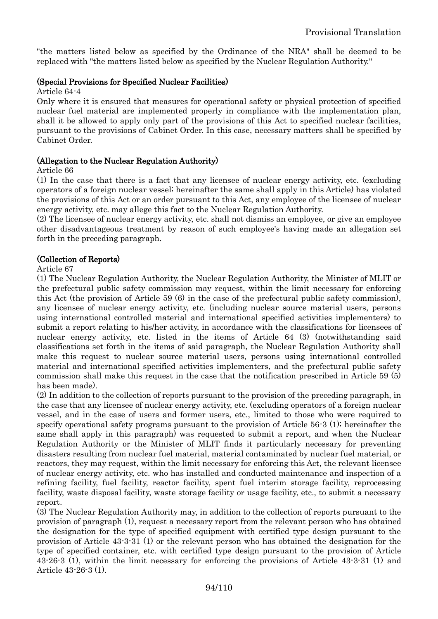"the matters listed below as specified by the Ordinance of the NRA" shall be deemed to be replaced with "the matters listed below as specified by the Nuclear Regulation Authority."

#### (Special Provisions for Specified Nuclear Facilities)

Article 64-4

Only where it is ensured that measures for operational safety or physical protection of specified nuclear fuel material are implemented properly in compliance with the implementation plan, shall it be allowed to apply only part of the provisions of this Act to specified nuclear facilities, pursuant to the provisions of Cabinet Order. In this case, necessary matters shall be specified by Cabinet Order.

#### (Allegation to the Nuclear Regulation Authority)

Article 66

(1) In the case that there is a fact that any licensee of nuclear energy activity, etc. (excluding operators of a foreign nuclear vessel; hereinafter the same shall apply in this Article) has violated the provisions of this Act or an order pursuant to this Act, any employee of the licensee of nuclear energy activity, etc. may allege this fact to the Nuclear Regulation Authority.

(2) The licensee of nuclear energy activity, etc. shall not dismiss an employee, or give an employee other disadvantageous treatment by reason of such employee's having made an allegation set forth in the preceding paragraph.

#### (Collection of Reports)

Article 67

(1) The Nuclear Regulation Authority, the Nuclear Regulation Authority, the Minister of MLIT or the prefectural public safety commission may request, within the limit necessary for enforcing this Act (the provision of Article 59 (6) in the case of the prefectural public safety commission), any licensee of nuclear energy activity, etc. (including nuclear source material users, persons using international controlled material and international specified activities implementers) to submit a report relating to his/her activity, in accordance with the classifications for licensees of nuclear energy activity, etc. listed in the items of Article 64 (3) (notwithstanding said classifications set forth in the items of said paragraph, the Nuclear Regulation Authority shall make this request to nuclear source material users, persons using international controlled material and international specified activities implementers, and the prefectural public safety commission shall make this request in the case that the notification prescribed in Article 59 (5) has been made).

(2) In addition to the collection of reports pursuant to the provision of the preceding paragraph, in the case that any licensee of nuclear energy activity, etc. (excluding operators of a foreign nuclear vessel, and in the case of users and former users, etc., limited to those who were required to specify operational safety programs pursuant to the provision of Article 56-3 (1); hereinafter the same shall apply in this paragraph) was requested to submit a report, and when the Nuclear Regulation Authority or the Minister of MLIT finds it particularly necessary for preventing disasters resulting from nuclear fuel material, material contaminated by nuclear fuel material, or reactors, they may request, within the limit necessary for enforcing this Act, the relevant licensee of nuclear energy activity, etc. who has installed and conducted maintenance and inspection of a refining facility, fuel facility, reactor facility, spent fuel interim storage facility, reprocessing facility, waste disposal facility, waste storage facility or usage facility, etc., to submit a necessary report.

(3) The Nuclear Regulation Authority may, in addition to the collection of reports pursuant to the provision of paragraph (1), request a necessary report from the relevant person who has obtained the designation for the type of specified equipment with certified type design pursuant to the provision of Article 43-3-31 (1) or the relevant person who has obtained the designation for the type of specified container, etc. with certified type design pursuant to the provision of Article 43-26-3 (1), within the limit necessary for enforcing the provisions of Article 43-3-31 (1) and Article 43-26-3 (1).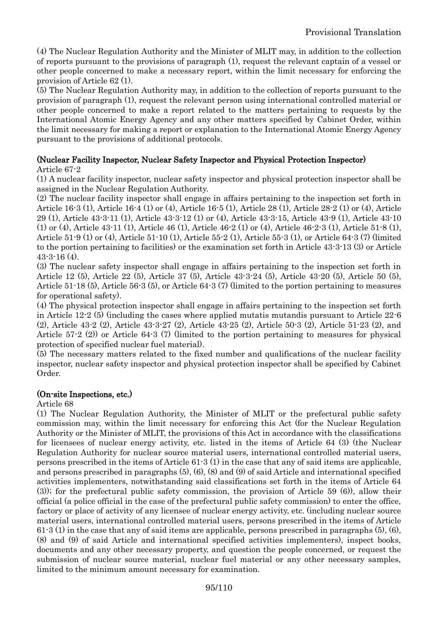(4) The Nuclear Regulation Authority and the Minister of MLIT may, in addition to the collection of reports pursuant to the provisions of paragraph (1), request the relevant captain of a vessel or other people concerned to make a necessary report, within the limit necessary for enforcing the provision of Article 62 (1).

(5) The Nuclear Regulation Authority may, in addition to the collection of reports pursuant to the provision of paragraph (1), request the relevant person using international controlled material or other people concerned to make a report related to the matters pertaining to requests by the International Atomic Energy Agency and any other matters specified by Cabinet Order, within the limit necessary for making a report or explanation to the International Atomic Energy Agency pursuant to the provisions of additional protocols.

### (Nuclear Facility Inspector, Nuclear Safety Inspector and Physical Protection Inspector)

Article 67-2

(1) A nuclear facility inspector, nuclear safety inspector and physical protection inspector shall be assigned in the Nuclear Regulation Authority.

(2) The nuclear facility inspector shall engage in affairs pertaining to the inspection set forth in Article 16-3 (1), Article 16-4 (1) or (4), Article 16-5 (1), Article 28 (1), Article 28-2 (1) or (4), Article 29 (1), Article 43-3-11 (1), Article 43-3-12 (1) or (4), Article 43-3-15, Article 43-9 (1), Article 43-10 (1) or (4), Article 43-11 (1), Article 46 (1), Article 46-2 (1) or (4), Article 46-2-3 (1), Article 51-8 (1), Article 51-9 (1) or (4), Article 51-10 (1), Article 55-2 (1), Article 55-3 (1), or Article 64-3 (7) (limited to the portion pertaining to facilities) or the examination set forth in Article 43-3-13 (3) or Article 43-3-16 (4).

(3) The nuclear safety inspector shall engage in affairs pertaining to the inspection set forth in Article 12 (5), Article 22 (5), Article 37 (5), Article 43-3-24 (5), Article 43-20 (5), Article 50 (5), Article 51-18 (5), Article 56-3 (5), or Article 64-3 (7) (limited to the portion pertaining to measures for operational safety).

(4) The physical protection inspector shall engage in affairs pertaining to the inspection set forth in Article 12-2 (5) (including the cases where applied mutatis mutandis pursuant to Article 22-6 (2), Article 43-2 (2), Article 43-3-27 (2), Article 43-25 (2), Article 50-3 (2), Article 51-23 (2), and Article 57-2 (2)) or Article 64-3 (7) (limited to the portion pertaining to measures for physical protection of specified nuclear fuel material).

(5) The necessary matters related to the fixed number and qualifications of the nuclear facility inspector, nuclear safety inspector and physical protection inspector shall be specified by Cabinet Order.

#### (On-site Inspections, etc.)

Article 68

(1) The Nuclear Regulation Authority, the Minister of MLIT or the prefectural public safety commission may, within the limit necessary for enforcing this Act (for the Nuclear Regulation Authority or the Minister of MLIT, the provisions of this Act in accordance with the classifications for licensees of nuclear energy activity, etc. listed in the items of Article 64 (3) (the Nuclear Regulation Authority for nuclear source material users, international controlled material users, persons prescribed in the items of Article 61-3 (1) in the case that any of said items are applicable, and persons prescribed in paragraphs (5), (6), (8) and (9) of said Article and international specified activities implementers, notwithstanding said classifications set forth in the items of Article 64 (3)); for the prefectural public safety commission, the provision of Article 59 (6)), allow their official (a police official in the case of the prefectural public safety commission) to enter the office, factory or place of activity of any licensee of nuclear energy activity, etc. (including nuclear source material users, international controlled material users, persons prescribed in the items of Article  $61-3$  (1) in the case that any of said items are applicable, persons prescribed in paragraphs  $(5)$ ,  $(6)$ , (8) and (9) of said Article and international specified activities implementers), inspect books, documents and any other necessary property, and question the people concerned, or request the submission of nuclear source material, nuclear fuel material or any other necessary samples, limited to the minimum amount necessary for examination.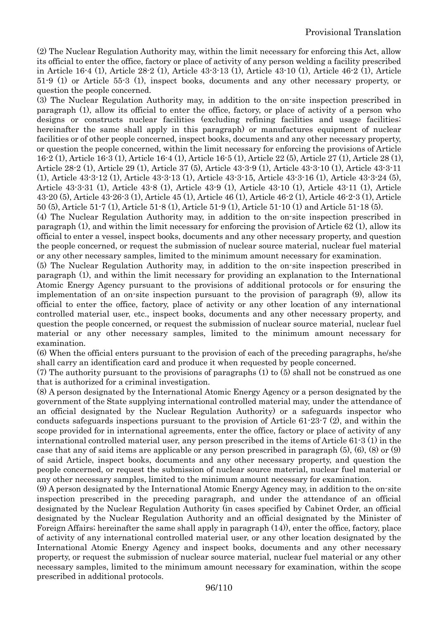(2) The Nuclear Regulation Authority may, within the limit necessary for enforcing this Act, allow its official to enter the office, factory or place of activity of any person welding a facility prescribed in Article 16-4 (1), Article 28-2 (1), Article 43-3-13 (1), Article 43-10 (1), Article 46-2 (1), Article 51-9 (1) or Article 55-3 (1), inspect books, documents and any other necessary property, or question the people concerned.

(3) The Nuclear Regulation Authority may, in addition to the on-site inspection prescribed in paragraph (1), allow its official to enter the office, factory, or place of activity of a person who designs or constructs nuclear facilities (excluding refining facilities and usage facilities; hereinafter the same shall apply in this paragraph) or manufactures equipment of nuclear facilities or of other people concerned, inspect books, documents and any other necessary property, or question the people concerned, within the limit necessary for enforcing the provisions of Article 16-2 (1), Article 16-3 (1), Article 16-4 (1), Article 16-5 (1), Article 22 (5), Article 27 (1), Article 28 (1), Article 28-2 (1), Article 29 (1), Article 37 (5), Article 43-3-9 (1), Article 43-3-10 (1), Article 43-3-11 (1), Article 43-3-12 (1), Article 43-3-13 (1), Article 43-3-15, Article 43-3-16 (1), Article 43-3-24 (5), Article 43-3-31 (1), Article 43-8 (1), Article 43-9 (1), Article 43-10 (1), Article 43-11 (1), Article 43-20 (5), Article 43-26-3 (1), Article 45 (1), Article 46 (1), Article 46-2 (1), Article 46-2-3 (1), Article 50 (5), Article 51-7 (1), Article 51-8 (1), Article 51-9 (1), Article 51-10 (1) and Article 51-18 (5).

(4) The Nuclear Regulation Authority may, in addition to the on-site inspection prescribed in paragraph (1), and within the limit necessary for enforcing the provision of Article 62 (1), allow its official to enter a vessel, inspect books, documents and any other necessary property, and question the people concerned, or request the submission of nuclear source material, nuclear fuel material or any other necessary samples, limited to the minimum amount necessary for examination.

(5) The Nuclear Regulation Authority may, in addition to the on-site inspection prescribed in paragraph (1), and within the limit necessary for providing an explanation to the International Atomic Energy Agency pursuant to the provisions of additional protocols or for ensuring the implementation of an on-site inspection pursuant to the provision of paragraph (9), allow its official to enter the office, factory, place of activity or any other location of any international controlled material user, etc., inspect books, documents and any other necessary property, and question the people concerned, or request the submission of nuclear source material, nuclear fuel material or any other necessary samples, limited to the minimum amount necessary for examination.

(6) When the official enters pursuant to the provision of each of the preceding paragraphs, he/she shall carry an identification card and produce it when requested by people concerned.

(7) The authority pursuant to the provisions of paragraphs (1) to (5) shall not be construed as one that is authorized for a criminal investigation.

(8) A person designated by the International Atomic Energy Agency or a person designated by the government of the State supplying international controlled material may, under the attendance of an official designated by the Nuclear Regulation Authority) or a safeguards inspector who conducts safeguards inspections pursuant to the provision of Article 61-23-7 (2), and within the scope provided for in international agreements, enter the office, factory or place of activity of any international controlled material user, any person prescribed in the items of Article 61-3 (1) in the case that any of said items are applicable or any person prescribed in paragraph (5), (6), (8) or (9) of said Article, inspect books, documents and any other necessary property, and question the people concerned, or request the submission of nuclear source material, nuclear fuel material or any other necessary samples, limited to the minimum amount necessary for examination.

(9) A person designated by the International Atomic Energy Agency may, in addition to the on-site inspection prescribed in the preceding paragraph, and under the attendance of an official designated by the Nuclear Regulation Authority (in cases specified by Cabinet Order, an official designated by the Nuclear Regulation Authority and an official designated by the Minister of Foreign Affairs; hereinafter the same shall apply in paragraph (14)), enter the office, factory, place of activity of any international controlled material user, or any other location designated by the International Atomic Energy Agency and inspect books, documents and any other necessary property, or request the submission of nuclear source material, nuclear fuel material or any other necessary samples, limited to the minimum amount necessary for examination, within the scope prescribed in additional protocols.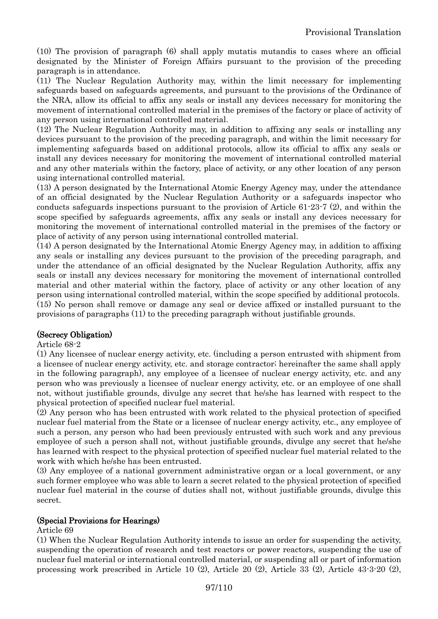(10) The provision of paragraph (6) shall apply mutatis mutandis to cases where an official designated by the Minister of Foreign Affairs pursuant to the provision of the preceding paragraph is in attendance.

(11) The Nuclear Regulation Authority may, within the limit necessary for implementing safeguards based on safeguards agreements, and pursuant to the provisions of the Ordinance of the NRA, allow its official to affix any seals or install any devices necessary for monitoring the movement of international controlled material in the premises of the factory or place of activity of any person using international controlled material.

(12) The Nuclear Regulation Authority may, in addition to affixing any seals or installing any devices pursuant to the provision of the preceding paragraph, and within the limit necessary for implementing safeguards based on additional protocols, allow its official to affix any seals or install any devices necessary for monitoring the movement of international controlled material and any other materials within the factory, place of activity, or any other location of any person using international controlled material.

(13) A person designated by the International Atomic Energy Agency may, under the attendance of an official designated by the Nuclear Regulation Authority or a safeguards inspector who conducts safeguards inspections pursuant to the provision of Article 61-23-7 (2), and within the scope specified by safeguards agreements, affix any seals or install any devices necessary for monitoring the movement of international controlled material in the premises of the factory or place of activity of any person using international controlled material.

(14) A person designated by the International Atomic Energy Agency may, in addition to affixing any seals or installing any devices pursuant to the provision of the preceding paragraph, and under the attendance of an official designated by the Nuclear Regulation Authority, affix any seals or install any devices necessary for monitoring the movement of international controlled material and other material within the factory, place of activity or any other location of any person using international controlled material, within the scope specified by additional protocols. (15) No person shall remove or damage any seal or device affixed or installed pursuant to the provisions of paragraphs (11) to the preceding paragraph without justifiable grounds.

### (Secrecy Obligation)

#### Article 68-2

(1) Any licensee of nuclear energy activity, etc. (including a person entrusted with shipment from a licensee of nuclear energy activity, etc. and storage contractor; hereinafter the same shall apply in the following paragraph), any employee of a licensee of nuclear energy activity, etc. and any person who was previously a licensee of nuclear energy activity, etc. or an employee of one shall not, without justifiable grounds, divulge any secret that he/she has learned with respect to the physical protection of specified nuclear fuel material.

(2) Any person who has been entrusted with work related to the physical protection of specified nuclear fuel material from the State or a licensee of nuclear energy activity, etc., any employee of such a person, any person who had been previously entrusted with such work and any previous employee of such a person shall not, without justifiable grounds, divulge any secret that he/she has learned with respect to the physical protection of specified nuclear fuel material related to the work with which he/she has been entrusted.

(3) Any employee of a national government administrative organ or a local government, or any such former employee who was able to learn a secret related to the physical protection of specified nuclear fuel material in the course of duties shall not, without justifiable grounds, divulge this secret.

### (Special Provisions for Hearings)

### Article 69

(1) When the Nuclear Regulation Authority intends to issue an order for suspending the activity, suspending the operation of research and test reactors or power reactors, suspending the use of nuclear fuel material or international controlled material, or suspending all or part of information processing work prescribed in Article 10 (2), Article 20 (2), Article 33 (2), Article 43-3-20 (2),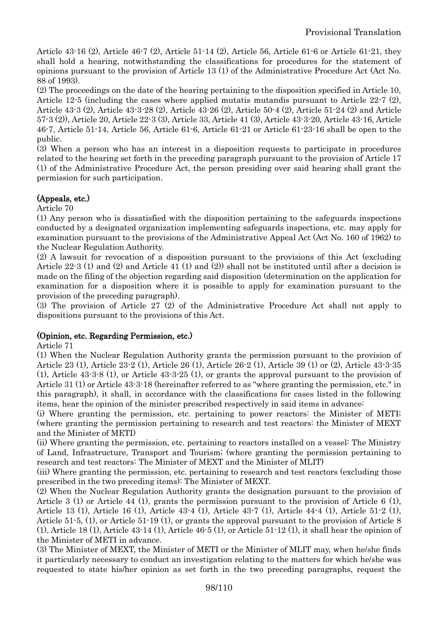Article 43-16 (2), Article 46-7 (2), Article 51-14 (2), Article 56, Article 61-6 or Article 61-21, they shall hold a hearing, notwithstanding the classifications for procedures for the statement of opinions pursuant to the provision of Article 13 (1) of the Administrative Procedure Act (Act No. 88 of 1993).

(2) The proceedings on the date of the hearing pertaining to the disposition specified in Article 10, Article 12-5 (including the cases where applied mutatis mutandis pursuant to Article 22-7 (2), Article 43-3 (2), Article 43-3-28 (2), Article 43-26 (2), Article 50-4 (2), Article 51-24 (2) and Article 57-3 (2)), Article 20, Article 22-3 (3), Article 33, Article 41 (3), Article 43-3-20, Article 43-16, Article 46-7, Article 51-14, Article 56, Article 61-6, Article 61-21 or Article 61-23-16 shall be open to the public.

(3) When a person who has an interest in a disposition requests to participate in procedures related to the hearing set forth in the preceding paragraph pursuant to the provision of Article 17 (1) of the Administrative Procedure Act, the person presiding over said hearing shall grant the permission for such participation.

# (Appeals, etc.)

Article 70

(1) Any person who is dissatisfied with the disposition pertaining to the safeguards inspections conducted by a designated organization implementing safeguards inspections, etc. may apply for examination pursuant to the provisions of the Administrative Appeal Act (Act No. 160 of 1962) to the Nuclear Regulation Authority.

(2) A lawsuit for revocation of a disposition pursuant to the provisions of this Act (excluding Article 22-3 (1) and (2) and Article 41 (1) and (2)) shall not be instituted until after a decision is made on the filing of the objection regarding said disposition (determination on the application for examination for a disposition where it is possible to apply for examination pursuant to the provision of the preceding paragraph).

(3) The provision of Article 27 (2) of the Administrative Procedure Act shall not apply to dispositions pursuant to the provisions of this Act.

# (Opinion, etc. Regarding Permission, etc.)

Article 71

(1) When the Nuclear Regulation Authority grants the permission pursuant to the provision of Article 23 (1), Article 23-2 (1), Article 26 (1), Article 26-2 (1), Article 39 (1) or (2), Article 43-3-35 (1), Article 43-3-8 (1), or Article 43-3-25 (1), or grants the approval pursuant to the provision of Article 31 (1) or Article 43-3-18 (hereinafter referred to as "where granting the permission, etc." in this paragraph), it shall, in accordance with the classifications for cases listed in the following items, hear the opinion of the minister prescribed respectively in said items in advance:

(i) Where granting the permission, etc. pertaining to power reactors: the Minister of METI; (where granting the permission pertaining to research and test reactors: the Minister of MEXT and the Minister of METI)

(ii) Where granting the permission, etc. pertaining to reactors installed on a vessel: The Ministry of Land, Infrastructure, Transport and Tourism; (where granting the permission pertaining to research and test reactors: The Minister of MEXT and the Minister of MLIT)

(iii) Where granting the permission, etc. pertaining to research and test reactors (excluding those prescribed in the two preceding items): The Minister of MEXT.

(2) When the Nuclear Regulation Authority grants the designation pursuant to the provision of Article 3 (1) or Article 44 (1), grants the permission pursuant to the provision of Article 6 (1), Article 13 (1), Article 16 (1), Article 43-4 (1), Article 43-7 (1), Article 44-4 (1), Article 51-2 (1), Article 51-5, (1), or Article 51-19 (1), or grants the approval pursuant to the provision of Article 8 (1), Article 18 (1), Article 43-14 (1), Article 46-5 (1), or Article 51-12 (1), it shall hear the opinion of the Minister of METI in advance.

(3) The Minister of MEXT, the Minister of METI or the Minister of MLIT may, when he/she finds it particularly necessary to conduct an investigation relating to the matters for which he/she was requested to state his/her opinion as set forth in the two preceding paragraphs, request the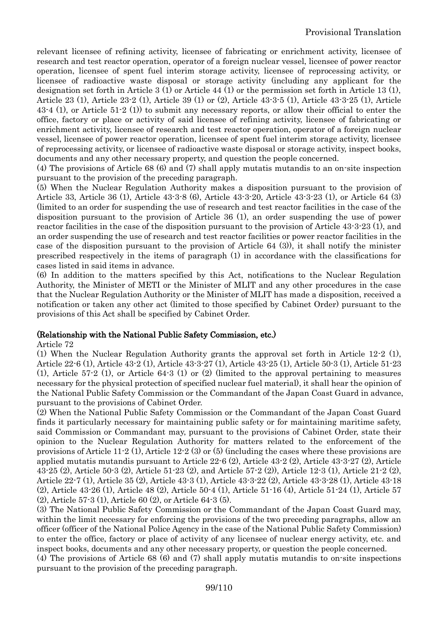relevant licensee of refining activity, licensee of fabricating or enrichment activity, licensee of research and test reactor operation, operator of a foreign nuclear vessel, licensee of power reactor operation, licensee of spent fuel interim storage activity, licensee of reprocessing activity, or licensee of radioactive waste disposal or storage activity (including any applicant for the designation set forth in Article 3 (1) or Article 44 (1) or the permission set forth in Article 13 (1), Article 23 (1), Article 23-2 (1), Article 39 (1) or (2), Article 43-3-5 (1), Article 43-3-25 (1), Article 43-4 (1), or Article 51-2 (1)) to submit any necessary reports, or allow their official to enter the office, factory or place or activity of said licensee of refining activity, licensee of fabricating or enrichment activity, licensee of research and test reactor operation, operator of a foreign nuclear vessel, licensee of power reactor operation, licensee of spent fuel interim storage activity, licensee of reprocessing activity, or licensee of radioactive waste disposal or storage activity, inspect books, documents and any other necessary property, and question the people concerned.

(4) The provisions of Article 68 (6) and (7) shall apply mutatis mutandis to an on-site inspection pursuant to the provision of the preceding paragraph.

(5) When the Nuclear Regulation Authority makes a disposition pursuant to the provision of Article 33, Article 36 (1), Article 43-3-8 (6), Article 43-3-20, Article 43-3-23 (1), or Article 64 (3) (limited to an order for suspending the use of research and test reactor facilities in the case of the disposition pursuant to the provision of Article 36 (1), an order suspending the use of power reactor facilities in the case of the disposition pursuant to the provision of Article 43-3-23 (1), and an order suspending the use of research and test reactor facilities or power reactor facilities in the case of the disposition pursuant to the provision of Article 64 (3)), it shall notify the minister prescribed respectively in the items of paragraph (1) in accordance with the classifications for cases listed in said items in advance.

(6) In addition to the matters specified by this Act, notifications to the Nuclear Regulation Authority, the Minister of METI or the Minister of MLIT and any other procedures in the case that the Nuclear Regulation Authority or the Minister of MLIT has made a disposition, received a notification or taken any other act (limited to those specified by Cabinet Order) pursuant to the provisions of this Act shall be specified by Cabinet Order.

#### (Relationship with the National Public Safety Commission, etc.)

#### Article 72

(1) When the Nuclear Regulation Authority grants the approval set forth in Article 12-2 (1), Article 22-6 (1), Article 43-2 (1), Article 43-3-27 (1), Article 43-25 (1), Article 50-3 (1), Article 51-23 (1), Article 57-2 (1), or Article 64-3 (1) or (2) (limited to the approval pertaining to measures necessary for the physical protection of specified nuclear fuel material), it shall hear the opinion of the National Public Safety Commission or the Commandant of the Japan Coast Guard in advance, pursuant to the provisions of Cabinet Order.

(2) When the National Public Safety Commission or the Commandant of the Japan Coast Guard finds it particularly necessary for maintaining public safety or for maintaining maritime safety, said Commission or Commandant may, pursuant to the provisions of Cabinet Order, state their opinion to the Nuclear Regulation Authority for matters related to the enforcement of the provisions of Article 11-2 (1), Article 12-2 (3) or (5) (including the cases where these provisions are applied mutatis mutandis pursuant to Article 22-6 (2), Article 43-2 (2), Article 43-3-27 (2), Article 43-25 (2), Article 50-3 (2), Article 51-23 (2), and Article 57-2 (2)), Article 12-3 (1), Article 21-2 (2), Article 22-7 (1), Article 35 (2), Article 43-3 (1), Article 43-3-22 (2), Article 43-3-28 (1), Article 43-18 (2), Article 43-26 (1), Article 48 (2), Article 50-4 (1), Article 51-16 (4), Article 51-24 (1), Article 57 (2), Article 57-3 (1), Article 60 (2), or Article 64-3 (5).

(3) The National Public Safety Commission or the Commandant of the Japan Coast Guard may, within the limit necessary for enforcing the provisions of the two preceding paragraphs, allow an officer (officer of the National Police Agency in the case of the National Public Safety Commission) to enter the office, factory or place of activity of any licensee of nuclear energy activity, etc. and inspect books, documents and any other necessary property, or question the people concerned.

(4) The provisions of Article 68 (6) and (7) shall apply mutatis mutandis to on-site inspections pursuant to the provision of the preceding paragraph.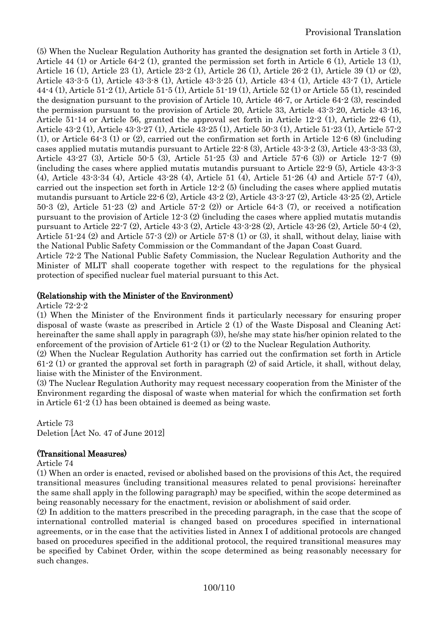(5) When the Nuclear Regulation Authority has granted the designation set forth in Article 3 (1), Article 44 (1) or Article 64-2 (1), granted the permission set forth in Article 6 (1), Article 13 (1), Article 16 (1), Article 23 (1), Article 23-2 (1), Article 26 (1), Article 26-2 (1), Article 39 (1) or (2), Article 43-3-5 (1), Article 43-3-8 (1), Article 43-3-25 (1), Article 43-4 (1), Article 43-7 (1), Article 44-4 (1), Article 51-2 (1), Article 51-5 (1), Article 51-19 (1), Article 52 (1) or Article 55 (1), rescinded the designation pursuant to the provision of Article 10, Article 46-7, or Article 64-2 (3), rescinded the permission pursuant to the provision of Article 20, Article 33, Article 43-3-20, Article 43-16, Article 51-14 or Article 56, granted the approval set forth in Article 12-2 (1), Article 22-6 (1), Article 43-2 (1), Article 43-3-27 (1), Article 43-25 (1), Article 50-3 (1), Article 51-23 (1), Article 57-2 (1), or Article 64-3 (1) or (2), carried out the confirmation set forth in Article 12-6 (8) (including cases applied mutatis mutandis pursuant to Article 22-8 (3), Article 43-3-2 (3), Article 43-3-33 (3), Article 43-27 (3), Article 50-5 (3), Article 51-25 (3) and Article 57-6 (3)) or Article 12-7 (9) (including the cases where applied mutatis mutandis pursuant to Article 22-9 (5), Article 43-3-3 (4), Article 43-3-34 (4), Article 43-28 (4), Article 51 (4), Article 51-26 (4) and Article 57-7 (4)), carried out the inspection set forth in Article 12-2 (5) (including the cases where applied mutatis mutandis pursuant to Article 22-6 (2), Article 43-2 (2), Article 43-3-27 (2), Article 43-25 (2), Article 50-3 (2), Article 51-23 (2) and Article 57-2 (2)) or Article 64-3 (7), or received a notification pursuant to the provision of Article 12-3 (2) (including the cases where applied mutatis mutandis pursuant to Article 22-7 (2), Article 43-3 (2), Article 43-3-28 (2), Article 43-26 (2), Article 50-4 (2), Article 51-24 (2) and Article 57-3 (2)) or Article 57-8 (1) or (3), it shall, without delay, liaise with the National Public Safety Commission or the Commandant of the Japan Coast Guard.

Article 72-2 The National Public Safety Commission, the Nuclear Regulation Authority and the Minister of MLIT shall cooperate together with respect to the regulations for the physical protection of specified nuclear fuel material pursuant to this Act.

# (Relationship with the Minister of the Environment)

#### Article 72-2-2

(1) When the Minister of the Environment finds it particularly necessary for ensuring proper disposal of waste (waste as prescribed in Article 2 (1) of the Waste Disposal and Cleaning Act; hereinafter the same shall apply in paragraph (3)), he/she may state his/her opinion related to the enforcement of the provision of Article 61-2 (1) or (2) to the Nuclear Regulation Authority.

(2) When the Nuclear Regulation Authority has carried out the confirmation set forth in Article 61-2 (1) or granted the approval set forth in paragraph (2) of said Article, it shall, without delay, liaise with the Minister of the Environment.

(3) The Nuclear Regulation Authority may request necessary cooperation from the Minister of the Environment regarding the disposal of waste when material for which the confirmation set forth in Article 61-2 (1) has been obtained is deemed as being waste.

Article 73 Deletion [Act No. 47 of June 2012]

### (Transitional Measures)

Article 74

(1) When an order is enacted, revised or abolished based on the provisions of this Act, the required transitional measures (including transitional measures related to penal provisions; hereinafter the same shall apply in the following paragraph) may be specified, within the scope determined as being reasonably necessary for the enactment, revision or abolishment of said order.

(2) In addition to the matters prescribed in the preceding paragraph, in the case that the scope of international controlled material is changed based on procedures specified in international agreements, or in the case that the activities listed in Annex I of additional protocols are changed based on procedures specified in the additional protocol, the required transitional measures may be specified by Cabinet Order, within the scope determined as being reasonably necessary for such changes.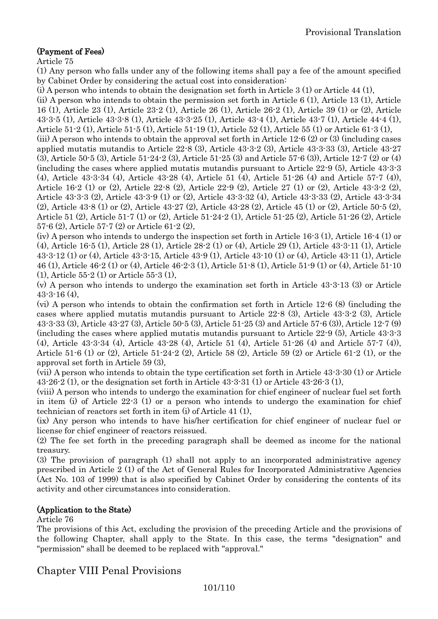# (Payment of Fees)

Article 75

(1) Any person who falls under any of the following items shall pay a fee of the amount specified by Cabinet Order by considering the actual cost into consideration:

(i) A person who intends to obtain the designation set forth in Article 3 (1) or Article 44 (1),

(ii) A person who intends to obtain the permission set forth in Article 6 (1), Article 13 (1), Article 16 (1), Article 23 (1), Article 23-2 (1), Article 26 (1), Article 26-2 (1), Article 39 (1) or (2), Article 43-3-5 (1), Article 43-3-8 (1), Article 43-3-25 (1), Article 43-4 (1), Article 43-7 (1), Article 44-4 (1), Article 51-2 (1), Article 51-5 (1), Article 51-19 (1), Article 52 (1), Article 55 (1) or Article 61-3 (1),

(iii) A person who intends to obtain the approval set forth in Article 12-6 (2) or (3) (including cases applied mutatis mutandis to Article 22-8 (3), Article 43-3-2 (3), Article 43-3-33 (3), Article 43-27 (3), Article 50-5 (3), Article 51-24-2 (3), Article 51-25 (3) and Article 57-6 (3)), Article 12-7 (2) or (4) (including the cases where applied mutatis mutandis pursuant to Article 22-9 (5), Article 43-3-3 (4), Article 43-3-34 (4), Article 43-28 (4), Article 51 (4), Article 51-26 (4) and Article 57-7 (4)), Article 16-2 (1) or (2), Article 22-8 (2), Article 22-9 (2), Article 27 (1) or (2), Article 43-3-2 (2), Article 43-3-3 (2), Article 43-3-9 (1) or (2), Article 43-3-32 (4), Article 43-3-33 (2), Article 43-3-34 (2), Article 43-8 (1) or (2), Article 43-27 (2), Article 43-28 (2), Article 45 (1) or (2), Article 50-5 (2), Article 51 (2), Article 51-7 (1) or (2), Article 51-24-2 (1), Article 51-25 (2), Article 51-26 (2), Article 57-6 (2), Article 57-7 (2) or Article 61-2 (2),

(iv) A person who intends to undergo the inspection set forth in Article 16-3 (1), Article 16-4 (1) or (4), Article 16-5 (1), Article 28 (1), Article 28-2 (1) or (4), Article 29 (1), Article 43-3-11 (1), Article 43-3-12 (1) or (4), Article 43-3-15, Article 43-9 (1), Article 43-10 (1) or (4), Article 43-11 (1), Article 46 (1), Article 46-2 (1) or (4), Article 46-2-3 (1), Article 51-8 (1), Article 51-9 (1) or (4), Article 51-10 (1), Article 55-2 (1) or Article 55-3 (1),

(v) A person who intends to undergo the examination set forth in Article 43-3-13 (3) or Article  $43 - 3 - 16(4)$ 

(vi) A person who intends to obtain the confirmation set forth in Article 12-6 (8) (including the cases where applied mutatis mutandis pursuant to Article 22-8 (3), Article 43-3-2 (3), Article 43-3-33 (3), Article 43-27 (3), Article 50-5 (3), Article 51-25 (3) and Article 57-6 (3)), Article 12-7 (9) (including the cases where applied mutatis mutandis pursuant to Article 22-9 (5), Article 43-3-3 (4), Article 43-3-34 (4), Article 43-28 (4), Article 51 (4), Article 51-26 (4) and Article 57-7 (4)), Article 51-6 (1) or (2), Article 51-24-2 (2), Article 58 (2), Article 59 (2) or Article 61-2 (1), or the approval set forth in Article 59 (3),

(vii) A person who intends to obtain the type certification set forth in Article 43-3-30 (1) or Article 43-26-2 (1), or the designation set forth in Article 43-3-31 (1) or Article 43-26-3 (1),

(viii) A person who intends to undergo the examination for chief engineer of nuclear fuel set forth in item (i) of Article 22-3 (1) or a person who intends to undergo the examination for chief technician of reactors set forth in item (i) of Article 41 (1),

(ix) Any person who intends to have his/her certification for chief engineer of nuclear fuel or license for chief engineer of reactors reissued.

(2) The fee set forth in the preceding paragraph shall be deemed as income for the national treasury.

(3) The provision of paragraph (1) shall not apply to an incorporated administrative agency prescribed in Article 2 (1) of the Act of General Rules for Incorporated Administrative Agencies (Act No. 103 of 1999) that is also specified by Cabinet Order by considering the contents of its activity and other circumstances into consideration.

### (Application to the State)

Article 76

The provisions of this Act, excluding the provision of the preceding Article and the provisions of the following Chapter, shall apply to the State. In this case, the terms "designation" and "permission" shall be deemed to be replaced with "approval."

Chapter VIII Penal Provisions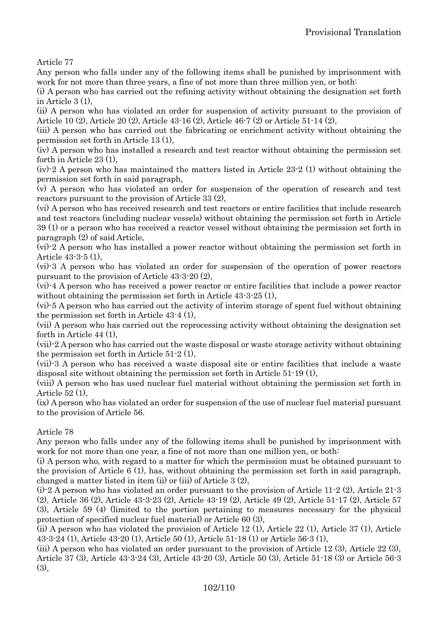Article 77

Any person who falls under any of the following items shall be punished by imprisonment with work for not more than three years, a fine of not more than three million yen, or both:

(i) A person who has carried out the refining activity without obtaining the designation set forth in Article 3 (1),

(ii) A person who has violated an order for suspension of activity pursuant to the provision of Article 10 (2), Article 20 (2), Article 43-16 (2), Article 46-7 (2) or Article 51-14 (2),

(iii) A person who has carried out the fabricating or enrichment activity without obtaining the permission set forth in Article 13 (1),

(iv) A person who has installed a research and test reactor without obtaining the permission set forth in Article 23 (1),

(iv)-2 A person who has maintained the matters listed in Article 23-2 (1) without obtaining the permission set forth in said paragraph,

(v) A person who has violated an order for suspension of the operation of research and test reactors pursuant to the provision of Article 33 (2),

(vi) A person who has received research and test reactors or entire facilities that include research and test reactors (including nuclear vessels) without obtaining the permission set forth in Article 39 (1) or a person who has received a reactor vessel without obtaining the permission set forth in paragraph (2) of said Article,

(vi)-2 A person who has installed a power reactor without obtaining the permission set forth in Article 43-3-5 (1),

(vi)-3 A person who has violated an order for suspension of the operation of power reactors pursuant to the provision of Article 43-3-20 (2),

(vi)-4 A person who has received a power reactor or entire facilities that include a power reactor without obtaining the permission set forth in Article 43-3-25 (1),

(vi)-5 A person who has carried out the activity of interim storage of spent fuel without obtaining the permission set forth in Article 43-4 (1),

(vii) A person who has carried out the reprocessing activity without obtaining the designation set forth in Article 44 (1),

(vii)-2 A person who has carried out the waste disposal or waste storage activity without obtaining the permission set forth in Article 51-2 (1),

(vii)-3 A person who has received a waste disposal site or entire facilities that include a waste disposal site without obtaining the permission set forth in Article 51-19 (1),

(viii) A person who has used nuclear fuel material without obtaining the permission set forth in Article 52 (1),

(ix) A person who has violated an order for suspension of the use of nuclear fuel material pursuant to the provision of Article 56.

Article 78

Any person who falls under any of the following items shall be punished by imprisonment with work for not more than one year, a fine of not more than one million yen, or both:

(i) A person who, with regard to a matter for which the permission must be obtained pursuant to the provision of Article 6 (1), has, without obtaining the permission set forth in said paragraph, changed a matter listed in item (ii) or (iii) of Article 3 (2),

(i)-2 A person who has violated an order pursuant to the provision of Article 11-2 (2), Article 21-3 (2), Article 36 (2), Article 43-3-23 (2), Article 43-19 (2), Article 49 (2), Article 51-17 (2), Article 57 (3), Article 59 (4) (limited to the portion pertaining to measures necessary for the physical protection of specified nuclear fuel material) or Article 60 (3),

(ii) A person who has violated the provision of Article 12 (1), Article 22 (1), Article 37 (1), Article 43-3-24 (1), Article 43-20 (1), Article 50 (1), Article 51-18 (1) or Article 56-3 (1),

(iii) A person who has violated an order pursuant to the provision of Article 12 (3), Article 22 (3), Article 37 (3), Article 43-3-24 (3), Article 43-20 (3), Article 50 (3), Article 51-18 (3) or Article 56-3 (3),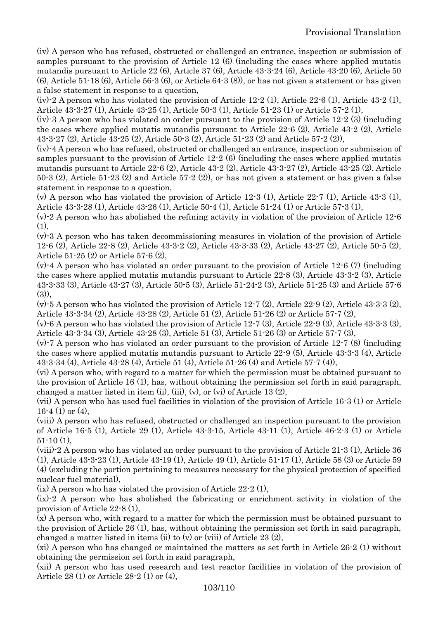(iv) A person who has refused, obstructed or challenged an entrance, inspection or submission of samples pursuant to the provision of Article 12 (6) (including the cases where applied mutatis mutandis pursuant to Article 22 (6), Article 37 (6), Article 43-3-24 (6), Article 43-20 (6), Article 50  $(6)$ , Article 51-18  $(6)$ , Article 56-3  $(6)$ , or Article 64-3  $(8)$ ), or has not given a statement or has given a false statement in response to a question,

(iv)-2 A person who has violated the provision of Article 12-2 (1), Article 22-6 (1), Article 43-2 (1), Article 43-3-27 (1), Article 43-25 (1), Article 50-3 (1), Article 51-23 (1) or Article 57-2 (1),

(iv)-3 A person who has violated an order pursuant to the provision of Article 12-2 (3) (including the cases where applied mutatis mutandis pursuant to Article 22-6 (2), Article 43-2 (2), Article 43-3-27 (2), Article 43-25 (2), Article 50-3 (2), Article 51-23 (2) and Article 57-2 (2)),

(iv)-4 A person who has refused, obstructed or challenged an entrance, inspection or submission of samples pursuant to the provision of Article 12-2 (6) (including the cases where applied mutatis mutandis pursuant to Article 22-6 (2), Article 43-2 (2), Article 43-3-27 (2), Article 43-25 (2), Article 50-3 (2), Article 51-23 (2) and Article 57-2 (2)), or has not given a statement or has given a false statement in response to a question,

(v) A person who has violated the provision of Article 12-3 (1), Article 22-7 (1), Article 43-3 (1), Article 43-3-28 (1), Article 43-26 (1), Article 50-4 (1), Article 51-24 (1) or Article 57-3 (1),

(v)-2 A person who has abolished the refining activity in violation of the provision of Article 12-6  $(1)$ ,

(v)-3 A person who has taken decommissioning measures in violation of the provision of Article 12-6 (2), Article 22-8 (2), Article 43-3-2 (2), Article 43-3-33 (2), Article 43-27 (2), Article 50-5 (2), Article 51-25 (2) or Article 57-6 (2),

(v)-4 A person who has violated an order pursuant to the provision of Article 12-6 (7) (including the cases where applied mutatis mutandis pursuant to Article 22-8 (3), Article 43-3-2 (3), Article 43-3-33 (3), Article 43-27 (3), Article 50-5 (3), Article 51-24-2 (3), Article 51-25 (3) and Article 57-6  $(3)$ )

(v)-5 A person who has violated the provision of Article 12-7 (2), Article 22-9 (2), Article 43-3-3 (2), Article 43-3-34 (2), Article 43-28 (2), Article 51 (2), Article 51-26 (2) or Article 57-7 (2),

(v)-6 A person who has violated the provision of Article 12-7 (3), Article 22-9 (3), Article 43-3-3 (3), Article 43-3-34 (3), Article 43-28 (3), Article 51 (3), Article 51-26 (3) or Article 57-7 (3),

(v)-7 A person who has violated an order pursuant to the provision of Article 12-7 (8) (including the cases where applied mutatis mutandis pursuant to Article 22-9 (5), Article 43-3-3 (4), Article 43-3-34 (4), Article 43-28 (4), Article 51 (4), Article 51-26 (4) and Article 57-7 (4)),

(vi) A person who, with regard to a matter for which the permission must be obtained pursuant to the provision of Article 16 (1), has, without obtaining the permission set forth in said paragraph, changed a matter listed in item (ii), (iii), (v), or (vi) of Article 13  $(2)$ ,

(vii) A person who has used fuel facilities in violation of the provision of Article 16-3 (1) or Article  $16-4(1)$  or  $(4)$ .

(viii) A person who has refused, obstructed or challenged an inspection pursuant to the provision of Article 16-5 (1), Article 29 (1), Article 43-3-15, Article 43-11 (1), Article 46-2-3 (1) or Article  $51-10(1)$ ,

(viii)-2 A person who has violated an order pursuant to the provision of Article 21-3 (1), Article 36 (1), Article 43-3-23 (1), Article 43-19 (1), Article 49 (1), Article 51-17 (1), Article 58 (3) or Article 59 (4) (excluding the portion pertaining to measures necessary for the physical protection of specified nuclear fuel material),

(ix) A person who has violated the provision of Article 22-2 (1),

(ix)-2 A person who has abolished the fabricating or enrichment activity in violation of the provision of Article 22-8 (1),

(x) A person who, with regard to a matter for which the permission must be obtained pursuant to the provision of Article 26 (1), has, without obtaining the permission set forth in said paragraph, changed a matter listed in items (ii) to  $(v)$  or  $(vii)$  of Article 23 (2),

(xi) A person who has changed or maintained the matters as set forth in Article 26-2 (1) without obtaining the permission set forth in said paragraph,

(xii) A person who has used research and test reactor facilities in violation of the provision of Article 28 (1) or Article 28-2 (1) or (4),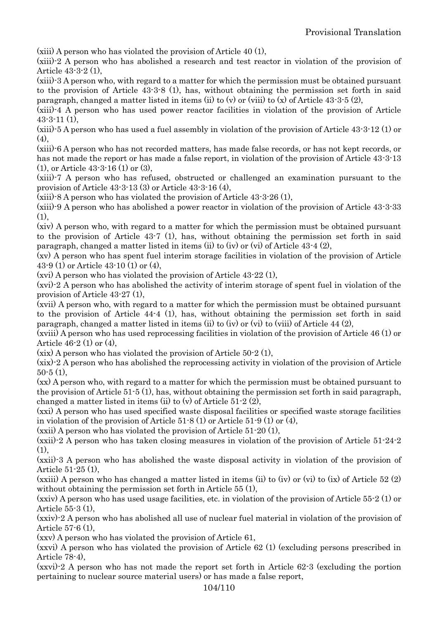(xiii) A person who has violated the provision of Article 40 (1),

(xiii)-2 A person who has abolished a research and test reactor in violation of the provision of Article 43-3-2 (1),

(xiii)-3 A person who, with regard to a matter for which the permission must be obtained pursuant to the provision of Article 43-3-8 (1), has, without obtaining the permission set forth in said paragraph, changed a matter listed in items (ii) to  $(v)$  or (viii) to  $(x)$  of Article 43-3-5 (2),

(xiii)-4 A person who has used power reactor facilities in violation of the provision of Article  $43 - 3 - 11(1)$ ,

(xiii)-5 A person who has used a fuel assembly in violation of the provision of Article 43-3-12 (1) or  $(4)$ ,

(xiii)-6 A person who has not recorded matters, has made false records, or has not kept records, or has not made the report or has made a false report, in violation of the provision of Article 43-3-13 (1), or Article 43-3-16 (1) or (3),

(xiii)-7 A person who has refused, obstructed or challenged an examination pursuant to the provision of Article 43-3-13 (3) or Article 43-3-16 (4),

(xiii)-8 A person who has violated the provision of Article 43-3-26 (1),

(xiii)-9 A person who has abolished a power reactor in violation of the provision of Article 43-3-33  $(1)$ ,

(xiv) A person who, with regard to a matter for which the permission must be obtained pursuant to the provision of Article 43-7 (1), has, without obtaining the permission set forth in said paragraph, changed a matter listed in items (ii) to (iv) or (vi) of Article 43-4 (2),

(xv) A person who has spent fuel interim storage facilities in violation of the provision of Article 43-9 (1) or Article 43-10 (1) or (4),

(xvi) A person who has violated the provision of Article 43-22 (1),

(xvi)-2 A person who has abolished the activity of interim storage of spent fuel in violation of the provision of Article 43-27 (1),

(xvii) A person who, with regard to a matter for which the permission must be obtained pursuant to the provision of Article 44-4 (1), has, without obtaining the permission set forth in said paragraph, changed a matter listed in items (ii) to (iv) or (vi) to (viii) of Article 44 (2),

(xviii) A person who has used reprocessing facilities in violation of the provision of Article 46 (1) or Article 46-2 (1) or (4),

(xix) A person who has violated the provision of Article 50-2 (1),

(xix)-2 A person who has abolished the reprocessing activity in violation of the provision of Article  $50-5(1)$ ,

(xx) A person who, with regard to a matter for which the permission must be obtained pursuant to the provision of Article 51-5 (1), has, without obtaining the permission set forth in said paragraph, changed a matter listed in items (ii) to (v) of Article 51-2 (2),

(xxi) A person who has used specified waste disposal facilities or specified waste storage facilities in violation of the provision of Article  $51-8(1)$  or Article  $51-9(1)$  or  $(4)$ ,

(xxii) A person who has violated the provision of Article 51-20 (1),

(xxii)-2 A person who has taken closing measures in violation of the provision of Article 51-24-2 (1),

(xxii)-3 A person who has abolished the waste disposal activity in violation of the provision of Article 51-25 (1),

(xxiii) A person who has changed a matter listed in items (ii) to (iv) or (vi) to (ix) of Article 52 (2) without obtaining the permission set forth in Article 55 (1).

(xxiv) A person who has used usage facilities, etc. in violation of the provision of Article 55-2 (1) or Article 55-3 (1),

(xxiv)-2 A person who has abolished all use of nuclear fuel material in violation of the provision of Article 57-6 (1),

(xxv) A person who has violated the provision of Article 61,

(xxvi) A person who has violated the provision of Article 62 (1) (excluding persons prescribed in Article 78-4),

(xxvi)-2 A person who has not made the report set forth in Article 62-3 (excluding the portion pertaining to nuclear source material users) or has made a false report,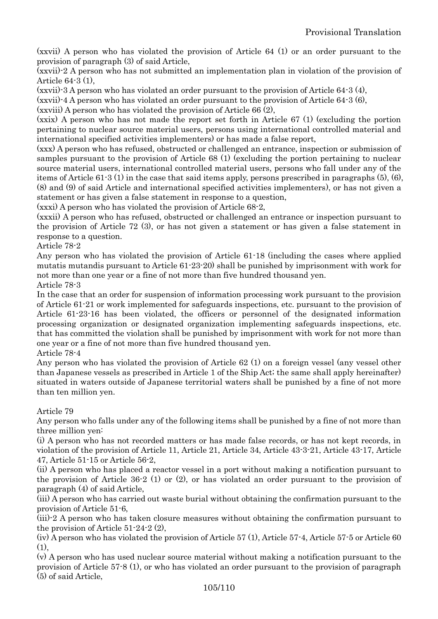(xxvii) A person who has violated the provision of Article 64 (1) or an order pursuant to the provision of paragraph (3) of said Article,

(xxvii)-2 A person who has not submitted an implementation plan in violation of the provision of Article 64-3 (1),

(xxvii)-3 A person who has violated an order pursuant to the provision of Article 64-3 (4),

(xxvii)-4 A person who has violated an order pursuant to the provision of Article 64-3 (6),

(xxviii) A person who has violated the provision of Article 66 (2),

(xxix) A person who has not made the report set forth in Article 67 (1) (excluding the portion pertaining to nuclear source material users, persons using international controlled material and international specified activities implementers) or has made a false report,

(xxx) A person who has refused, obstructed or challenged an entrance, inspection or submission of samples pursuant to the provision of Article 68 (1) (excluding the portion pertaining to nuclear source material users, international controlled material users, persons who fall under any of the items of Article 61-3 (1) in the case that said items apply, persons prescribed in paragraphs (5), (6), (8) and (9) of said Article and international specified activities implementers), or has not given a statement or has given a false statement in response to a question,

(xxxi) A person who has violated the provision of Article 68-2,

(xxxii) A person who has refused, obstructed or challenged an entrance or inspection pursuant to the provision of Article 72 (3), or has not given a statement or has given a false statement in response to a question.

Article 78-2

Any person who has violated the provision of Article 61-18 (including the cases where applied mutatis mutandis pursuant to Article 61-23-20) shall be punished by imprisonment with work for not more than one year or a fine of not more than five hundred thousand yen.

Article 78-3

In the case that an order for suspension of information processing work pursuant to the provision of Article 61-21 or work implemented for safeguards inspections, etc. pursuant to the provision of Article 61-23-16 has been violated, the officers or personnel of the designated information processing organization or designated organization implementing safeguards inspections, etc. that has committed the violation shall be punished by imprisonment with work for not more than one year or a fine of not more than five hundred thousand yen. Article 78-4

Any person who has violated the provision of Article 62 (1) on a foreign vessel (any vessel other than Japanese vessels as prescribed in Article 1 of the Ship Act; the same shall apply hereinafter) situated in waters outside of Japanese territorial waters shall be punished by a fine of not more than ten million yen.

Article 79

Any person who falls under any of the following items shall be punished by a fine of not more than three million yen:

(i) A person who has not recorded matters or has made false records, or has not kept records, in violation of the provision of Article 11, Article 21, Article 34, Article 43-3-21, Article 43-17, Article 47, Article 51-15 or Article 56-2,

(ii) A person who has placed a reactor vessel in a port without making a notification pursuant to the provision of Article 36-2 (1) or (2), or has violated an order pursuant to the provision of paragraph (4) of said Article,

(iii) A person who has carried out waste burial without obtaining the confirmation pursuant to the provision of Article 51-6,

(iii)-2 A person who has taken closure measures without obtaining the confirmation pursuant to the provision of Article 51-24-2 (2),

(iv) A person who has violated the provision of Article 57 (1), Article 57-4, Article 57-5 or Article 60  $(1)$ ,

(v) A person who has used nuclear source material without making a notification pursuant to the provision of Article 57-8 (1), or who has violated an order pursuant to the provision of paragraph (5) of said Article,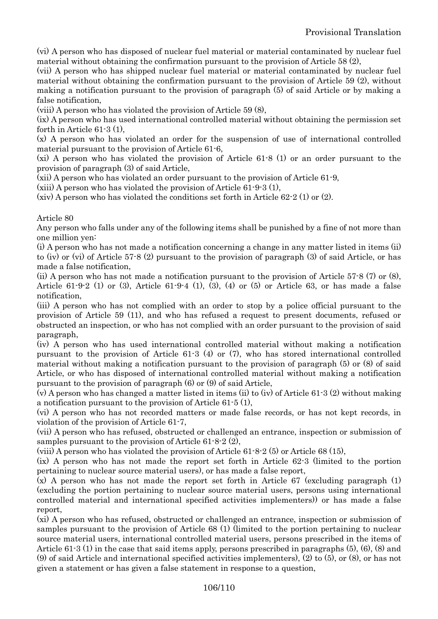(vi) A person who has disposed of nuclear fuel material or material contaminated by nuclear fuel material without obtaining the confirmation pursuant to the provision of Article 58 (2),

(vii) A person who has shipped nuclear fuel material or material contaminated by nuclear fuel material without obtaining the confirmation pursuant to the provision of Article 59 (2), without making a notification pursuant to the provision of paragraph (5) of said Article or by making a false notification,

(viii) A person who has violated the provision of Article 59 (8),

(ix) A person who has used international controlled material without obtaining the permission set forth in Article 61-3 (1),

(x) A person who has violated an order for the suspension of use of international controlled material pursuant to the provision of Article 61-6,

(xi) A person who has violated the provision of Article 61-8 (1) or an order pursuant to the provision of paragraph (3) of said Article,

(xii) A person who has violated an order pursuant to the provision of Article 61-9,

(xiii) A person who has violated the provision of Article 61-9-3 (1),

 $(xiv)$  A person who has violated the conditions set forth in Article 62-2 (1) or (2).

#### Article 80

Any person who falls under any of the following items shall be punished by a fine of not more than one million yen:

(i) A person who has not made a notification concerning a change in any matter listed in items (ii) to (iv) or (vi) of Article 57-8 (2) pursuant to the provision of paragraph (3) of said Article, or has made a false notification,

(ii) A person who has not made a notification pursuant to the provision of Article 57-8 (7) or (8), Article 61-9-2 (1) or (3), Article 61-9-4 (1), (3), (4) or (5) or Article 63, or has made a false notification,

(iii) A person who has not complied with an order to stop by a police official pursuant to the provision of Article 59 (11), and who has refused a request to present documents, refused or obstructed an inspection, or who has not complied with an order pursuant to the provision of said paragraph,

(iv) A person who has used international controlled material without making a notification pursuant to the provision of Article 61-3 (4) or (7), who has stored international controlled material without making a notification pursuant to the provision of paragraph (5) or (8) of said Article, or who has disposed of international controlled material without making a notification pursuant to the provision of paragraph (6) or (9) of said Article,

(v) A person who has changed a matter listed in items (ii) to (iv) of Article 61-3 (2) without making a notification pursuant to the provision of Article 61-5 (1),

(vi) A person who has not recorded matters or made false records, or has not kept records, in violation of the provision of Article 61-7,

(vii) A person who has refused, obstructed or challenged an entrance, inspection or submission of samples pursuant to the provision of Article 61-8-2 (2),

(viii) A person who has violated the provision of Article 61-8-2 (5) or Article 68 (15),

(ix) A person who has not made the report set forth in Article 62-3 (limited to the portion pertaining to nuclear source material users), or has made a false report,

 $(x)$  A person who has not made the report set forth in Article 67 (excluding paragraph  $(1)$ ) (excluding the portion pertaining to nuclear source material users, persons using international controlled material and international specified activities implementers)) or has made a false report,

(xi) A person who has refused, obstructed or challenged an entrance, inspection or submission of samples pursuant to the provision of Article 68 (1) (limited to the portion pertaining to nuclear source material users, international controlled material users, persons prescribed in the items of Article 61-3 (1) in the case that said items apply, persons prescribed in paragraphs (5), (6), (8) and (9) of said Article and international specified activities implementers), (2) to (5), or (8), or has not given a statement or has given a false statement in response to a question,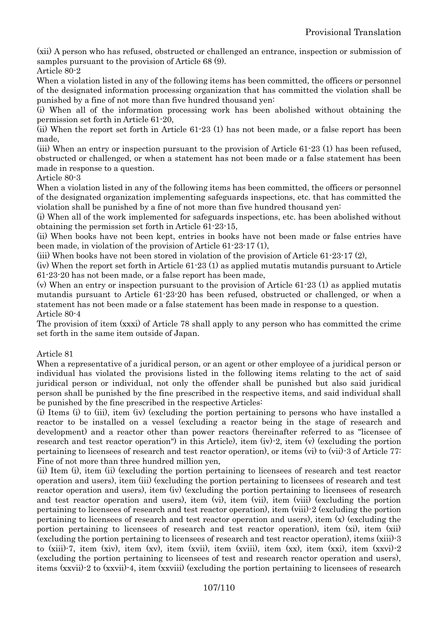(xii) A person who has refused, obstructed or challenged an entrance, inspection or submission of samples pursuant to the provision of Article 68 (9).

Article 80-2

When a violation listed in any of the following items has been committed, the officers or personnel of the designated information processing organization that has committed the violation shall be punished by a fine of not more than five hundred thousand yen:

(i) When all of the information processing work has been abolished without obtaining the permission set forth in Article 61-20,

(ii) When the report set forth in Article 61-23 (1) has not been made, or a false report has been made,

(iii) When an entry or inspection pursuant to the provision of Article 61-23 (1) has been refused, obstructed or challenged, or when a statement has not been made or a false statement has been made in response to a question.

Article 80-3

When a violation listed in any of the following items has been committed, the officers or personnel of the designated organization implementing safeguards inspections, etc. that has committed the violation shall be punished by a fine of not more than five hundred thousand yen:

(i) When all of the work implemented for safeguards inspections, etc. has been abolished without obtaining the permission set forth in Article 61-23-15,

(ii) When books have not been kept, entries in books have not been made or false entries have been made, in violation of the provision of Article 61-23-17 (1),

(iii) When books have not been stored in violation of the provision of Article 61-23-17 (2),

(iv) When the report set forth in Article 61-23 (1) as applied mutatis mutandis pursuant to Article 61-23-20 has not been made, or a false report has been made,

(v) When an entry or inspection pursuant to the provision of Article 61-23 (1) as applied mutatis mutandis pursuant to Article 61-23-20 has been refused, obstructed or challenged, or when a statement has not been made or a false statement has been made in response to a question. Article 80-4

The provision of item (xxxi) of Article 78 shall apply to any person who has committed the crime set forth in the same item outside of Japan.

#### Article 81

When a representative of a juridical person, or an agent or other employee of a juridical person or individual has violated the provisions listed in the following items relating to the act of said juridical person or individual, not only the offender shall be punished but also said juridical person shall be punished by the fine prescribed in the respective items, and said individual shall be punished by the fine prescribed in the respective Articles:

(i) Items (i) to (iii), item (iv) (excluding the portion pertaining to persons who have installed a reactor to be installed on a vessel (excluding a reactor being in the stage of research and development) and a reactor other than power reactors (hereinafter referred to as "licensee of research and test reactor operation") in this Article), item  $(iv)$ -2, item  $(v)$  (excluding the portion pertaining to licensees of research and test reactor operation), or items (vi) to (vii)-3 of Article 77: Fine of not more than three hundred million yen,

(ii) Item (i), item (ii) (excluding the portion pertaining to licensees of research and test reactor operation and users), item (iii) (excluding the portion pertaining to licensees of research and test reactor operation and users), item (iv) (excluding the portion pertaining to licensees of research and test reactor operation and users), item (vi), item (vii), item (viii) (excluding the portion pertaining to licensees of research and test reactor operation), item (viii)-2 (excluding the portion pertaining to licensees of research and test reactor operation and users), item  $(x)$  (excluding the portion pertaining to licensees of research and test reactor operation), item (xi), item (xii) (excluding the portion pertaining to licensees of research and test reactor operation), items (xiii)-3 to (xiii)-7, item (xiv), item (xv), item (xvii), item (xviii), item (xx), item (xxi), item (xxvi)-2 (excluding the portion pertaining to licensees of test and research reactor operation and users), items (xxvii)-2 to (xxvii)-4, item (xxviii) (excluding the portion pertaining to licensees of research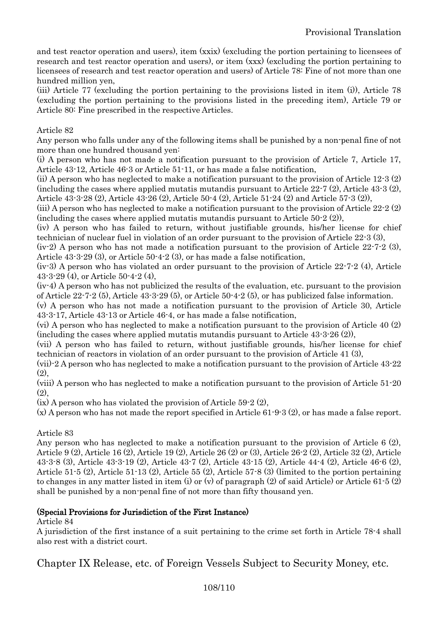and test reactor operation and users), item (xxix) (excluding the portion pertaining to licensees of research and test reactor operation and users), or item (xxx) (excluding the portion pertaining to licensees of research and test reactor operation and users) of Article 78: Fine of not more than one hundred million yen,

(iii) Article 77 (excluding the portion pertaining to the provisions listed in item (i)), Article 78 (excluding the portion pertaining to the provisions listed in the preceding item), Article 79 or Article 80: Fine prescribed in the respective Articles.

### Article 82

Any person who falls under any of the following items shall be punished by a non-penal fine of not more than one hundred thousand yen:

(i) A person who has not made a notification pursuant to the provision of Article 7, Article 17, Article 43-12, Article 46-3 or Article 51-11, or has made a false notification,

(ii) A person who has neglected to make a notification pursuant to the provision of Article 12-3 (2) (including the cases where applied mutatis mutandis pursuant to Article 22-7 (2), Article 43-3 (2), Article 43-3-28 (2), Article 43-26 (2), Article 50-4 (2), Article 51-24 (2) and Article 57-3 (2)),

(iii) A person who has neglected to make a notification pursuant to the provision of Article 22-2 (2) (including the cases where applied mutatis mutandis pursuant to Article 50-2 (2)),

(iv) A person who has failed to return, without justifiable grounds, his/her license for chief technician of nuclear fuel in violation of an order pursuant to the provision of Article 22-3 (3),

(iv-2) A person who has not made a notification pursuant to the provision of Article 22-7-2 (3), Article 43-3-29 (3), or Article 50-4-2 (3), or has made a false notification,

(iv-3) A person who has violated an order pursuant to the provision of Article 22-7-2 (4), Article 43-3-29 (4), or Article 50-4-2 (4),

(iv-4) A person who has not publicized the results of the evaluation, etc. pursuant to the provision of Article 22-7-2 (5), Article 43-3-29 (5), or Article 50-4-2 (5), or has publicized false information.

(v) A person who has not made a notification pursuant to the provision of Article 30, Article 43-3-17, Article 43-13 or Article 46-4, or has made a false notification,

(vi) A person who has neglected to make a notification pursuant to the provision of Article 40 (2) (including the cases where applied mutatis mutandis pursuant to Article 43-3-26 (2)),

(vii) A person who has failed to return, without justifiable grounds, his/her license for chief technician of reactors in violation of an order pursuant to the provision of Article 41 (3),

(vii)-2 A person who has neglected to make a notification pursuant to the provision of Article 43-22 (2),

(viii) A person who has neglected to make a notification pursuant to the provision of Article 51-20  $(2)$ .

(ix) A person who has violated the provision of Article 59-2 (2),

(x) A person who has not made the report specified in Article 61-9-3 (2), or has made a false report.

### Article 83

Any person who has neglected to make a notification pursuant to the provision of Article 6 (2), Article 9 (2), Article 16 (2), Article 19 (2), Article 26 (2) or (3), Article 26-2 (2), Article 32 (2), Article 43-3-8 (3), Article 43-3-19 (2), Article 43-7 (2), Article 43-15 (2), Article 44-4 (2), Article 46-6 (2), Article 51-5 (2), Article 51-13 (2), Article 55 (2), Article 57-8 (3) (limited to the portion pertaining to changes in any matter listed in item (i) or (v) of paragraph (2) of said Article) or Article 61-5 (2) shall be punished by a non-penal fine of not more than fifty thousand yen.

### (Special Provisions for Jurisdiction of the First Instance)

Article 84

A jurisdiction of the first instance of a suit pertaining to the crime set forth in Article 78-4 shall also rest with a district court.

Chapter IX Release, etc. of Foreign Vessels Subject to Security Money, etc.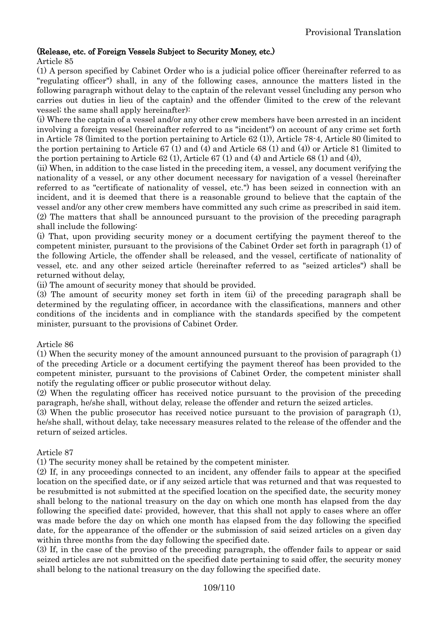# (Release, etc. of Foreign Vessels Subject to Security Money, etc.)

#### Article 85

(1) A person specified by Cabinet Order who is a judicial police officer (hereinafter referred to as "regulating officer") shall, in any of the following cases, announce the matters listed in the following paragraph without delay to the captain of the relevant vessel (including any person who carries out duties in lieu of the captain) and the offender (limited to the crew of the relevant vessel; the same shall apply hereinafter):

(i) Where the captain of a vessel and/or any other crew members have been arrested in an incident involving a foreign vessel (hereinafter referred to as "incident") on account of any crime set forth in Article 78 (limited to the portion pertaining to Article 62 (1)), Article 78-4, Article 80 (limited to the portion pertaining to Article 67 (1) and (4) and Article 68 (1) and (4)) or Article 81 (limited to the portion pertaining to Article 62 (1), Article 67 (1) and (4) and Article 68 (1) and (4)),

(ii) When, in addition to the case listed in the preceding item, a vessel, any document verifying the nationality of a vessel, or any other document necessary for navigation of a vessel (hereinafter referred to as "certificate of nationality of vessel, etc.") has been seized in connection with an incident, and it is deemed that there is a reasonable ground to believe that the captain of the vessel and/or any other crew members have committed any such crime as prescribed in said item. (2) The matters that shall be announced pursuant to the provision of the preceding paragraph shall include the following:

(i) That, upon providing security money or a document certifying the payment thereof to the competent minister, pursuant to the provisions of the Cabinet Order set forth in paragraph (1) of the following Article, the offender shall be released, and the vessel, certificate of nationality of vessel, etc. and any other seized article (hereinafter referred to as "seized articles") shall be returned without delay,

(ii) The amount of security money that should be provided.

(3) The amount of security money set forth in item (ii) of the preceding paragraph shall be determined by the regulating officer, in accordance with the classifications, manners and other conditions of the incidents and in compliance with the standards specified by the competent minister, pursuant to the provisions of Cabinet Order.

# Article 86

(1) When the security money of the amount announced pursuant to the provision of paragraph (1) of the preceding Article or a document certifying the payment thereof has been provided to the competent minister, pursuant to the provisions of Cabinet Order, the competent minister shall notify the regulating officer or public prosecutor without delay.

(2) When the regulating officer has received notice pursuant to the provision of the preceding paragraph, he/she shall, without delay, release the offender and return the seized articles.

(3) When the public prosecutor has received notice pursuant to the provision of paragraph (1), he/she shall, without delay, take necessary measures related to the release of the offender and the return of seized articles.

# Article 87

(1) The security money shall be retained by the competent minister.

(2) If, in any proceedings connected to an incident, any offender fails to appear at the specified location on the specified date, or if any seized article that was returned and that was requested to be resubmitted is not submitted at the specified location on the specified date, the security money shall belong to the national treasury on the day on which one month has elapsed from the day following the specified date; provided, however, that this shall not apply to cases where an offer was made before the day on which one month has elapsed from the day following the specified date, for the appearance of the offender or the submission of said seized articles on a given day within three months from the day following the specified date.

(3) If, in the case of the proviso of the preceding paragraph, the offender fails to appear or said seized articles are not submitted on the specified date pertaining to said offer, the security money shall belong to the national treasury on the day following the specified date.